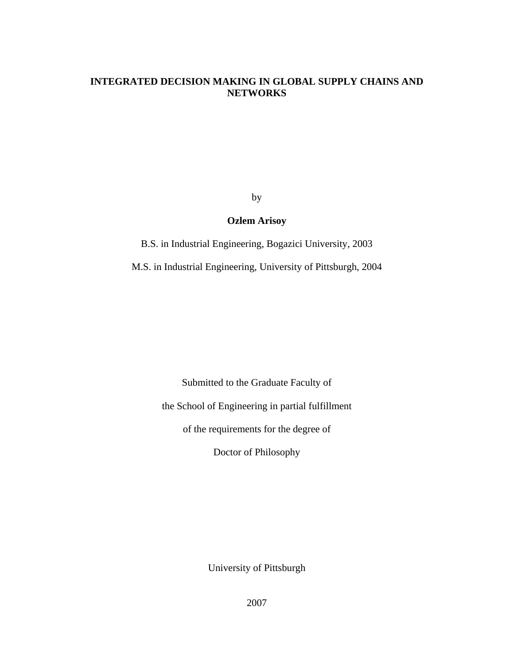## **INTEGRATED DECISION MAKING IN GLOBAL SUPPLY CHAINS AND NETWORKS**

by

# **Ozlem Arisoy**

B.S. in Industrial Engineering, Bogazici University, 2003

M.S. in Industrial Engineering, University of Pittsburgh, 2004

Submitted to the Graduate Faculty of

the School of Engineering in partial fulfillment

of the requirements for the degree of

Doctor of Philosophy

University of Pittsburgh

2007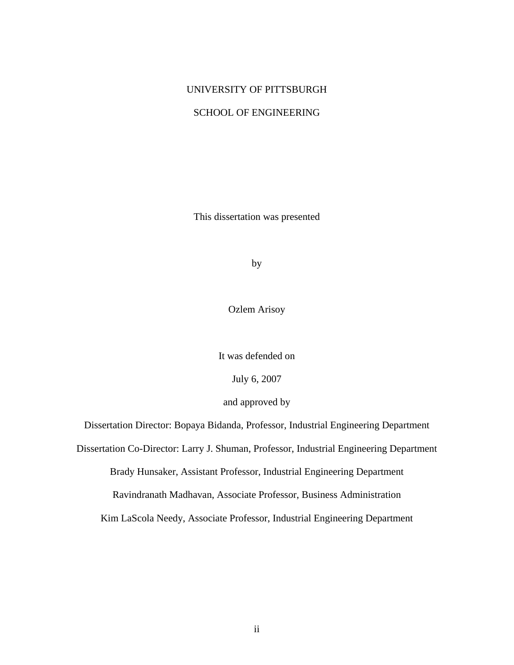# UNIVERSITY OF PITTSBURGH

# SCHOOL OF ENGINEERING

This dissertation was presented

by

Ozlem Arisoy

It was defended on

July 6, 2007

and approved by

Dissertation Director: Bopaya Bidanda, Professor, Industrial Engineering Department

Dissertation Co-Director: Larry J. Shuman, Professor, Industrial Engineering Department

Brady Hunsaker, Assistant Professor, Industrial Engineering Department

Ravindranath Madhavan, Associate Professor, Business Administration

Kim LaScola Needy, Associate Professor, Industrial Engineering Department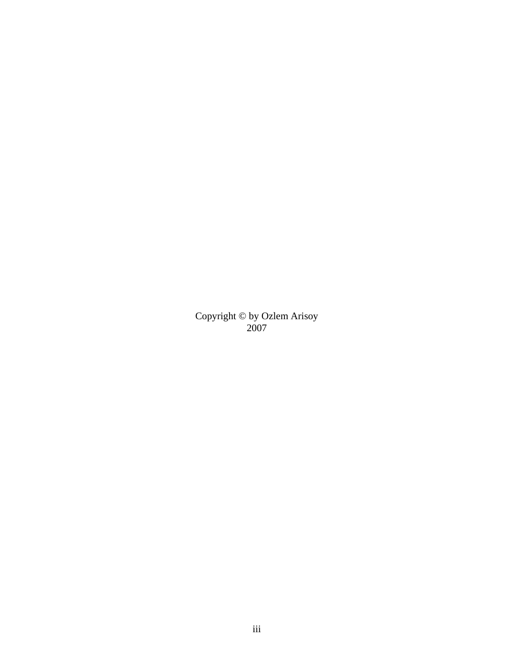Copyright © by Ozlem Arisoy 2007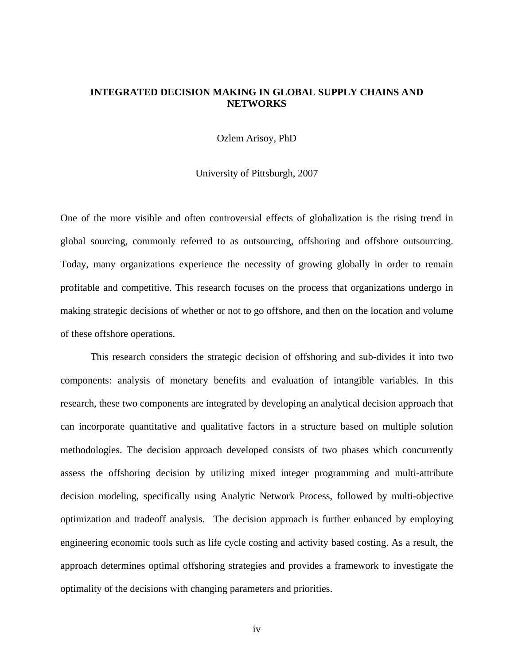## **INTEGRATED DECISION MAKING IN GLOBAL SUPPLY CHAINS AND NETWORKS**

Ozlem Arisoy, PhD

University of Pittsburgh, 2007

One of the more visible and often controversial effects of globalization is the rising trend in global sourcing, commonly referred to as outsourcing, offshoring and offshore outsourcing. Today, many organizations experience the necessity of growing globally in order to remain profitable and competitive. This research focuses on the process that organizations undergo in making strategic decisions of whether or not to go offshore, and then on the location and volume of these offshore operations.

This research considers the strategic decision of offshoring and sub-divides it into two components: analysis of monetary benefits and evaluation of intangible variables. In this research, these two components are integrated by developing an analytical decision approach that can incorporate quantitative and qualitative factors in a structure based on multiple solution methodologies. The decision approach developed consists of two phases which concurrently assess the offshoring decision by utilizing mixed integer programming and multi-attribute decision modeling, specifically using Analytic Network Process, followed by multi-objective optimization and tradeoff analysis. The decision approach is further enhanced by employing engineering economic tools such as life cycle costing and activity based costing. As a result, the approach determines optimal offshoring strategies and provides a framework to investigate the optimality of the decisions with changing parameters and priorities.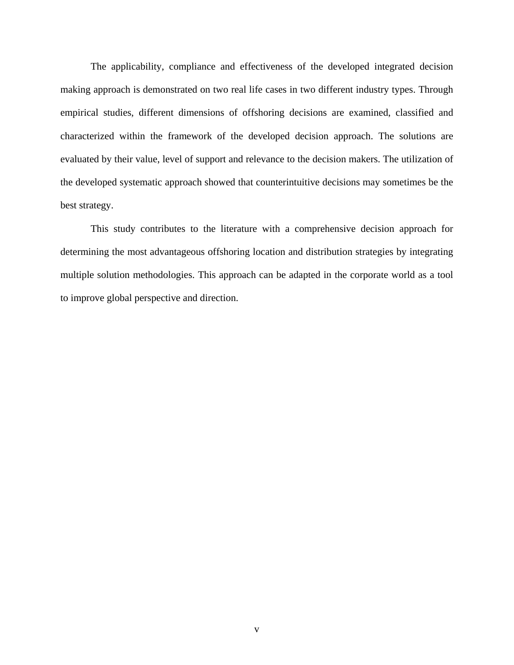The applicability, compliance and effectiveness of the developed integrated decision making approach is demonstrated on two real life cases in two different industry types. Through empirical studies, different dimensions of offshoring decisions are examined, classified and characterized within the framework of the developed decision approach. The solutions are evaluated by their value, level of support and relevance to the decision makers. The utilization of the developed systematic approach showed that counterintuitive decisions may sometimes be the best strategy.

This study contributes to the literature with a comprehensive decision approach for determining the most advantageous offshoring location and distribution strategies by integrating multiple solution methodologies. This approach can be adapted in the corporate world as a tool to improve global perspective and direction.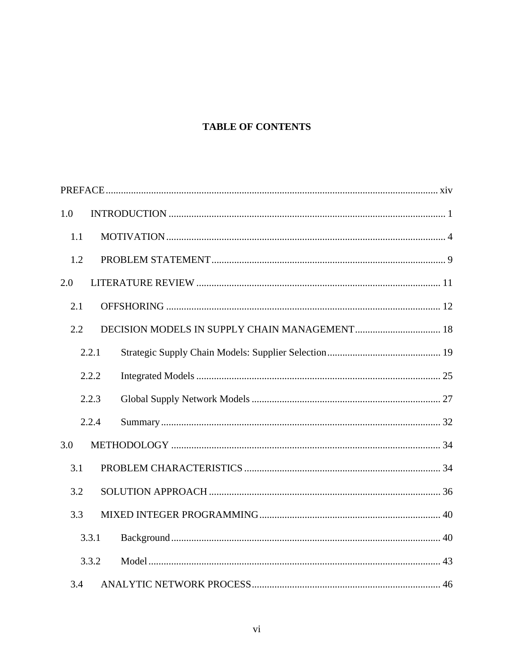# **TABLE OF CONTENTS**

| 1.0 |       |  |
|-----|-------|--|
| 1.1 |       |  |
| 1.2 |       |  |
| 2.0 |       |  |
| 2.1 |       |  |
| 2.2 |       |  |
|     | 2.2.1 |  |
|     | 2.2.2 |  |
|     | 2.2.3 |  |
|     | 2.2.4 |  |
| 3.0 |       |  |
| 3.1 |       |  |
| 3.2 |       |  |
| 3.3 |       |  |
|     | 3.3.1 |  |
|     | 3.3.2 |  |
| 3.4 |       |  |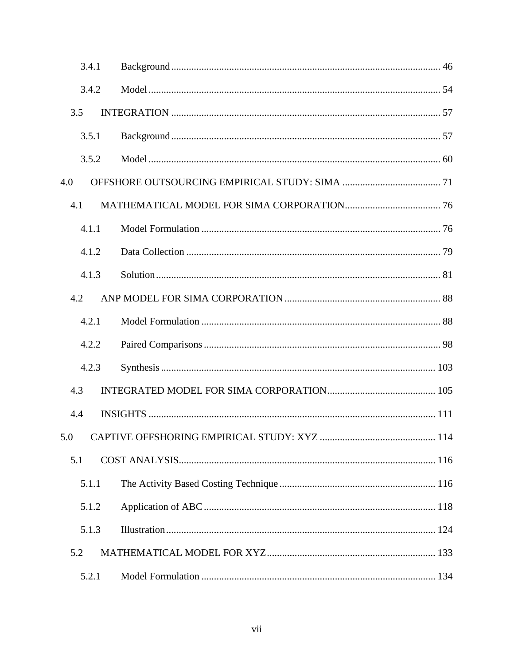| 3.4.1 |  |
|-------|--|
| 3.4.2 |  |
| 3.5   |  |
| 3.5.1 |  |
| 3.5.2 |  |
| 4.0   |  |
| 4.1   |  |
| 4.1.1 |  |
| 4.1.2 |  |
| 4.1.3 |  |
| 4.2   |  |
| 4.2.1 |  |
| 4.2.2 |  |
| 4.2.3 |  |
| 4.3   |  |
| 4.4   |  |
|       |  |
| 5.1   |  |
| 5.1.1 |  |
| 5.1.2 |  |
| 5.1.3 |  |
| 5.2   |  |
| 5.2.1 |  |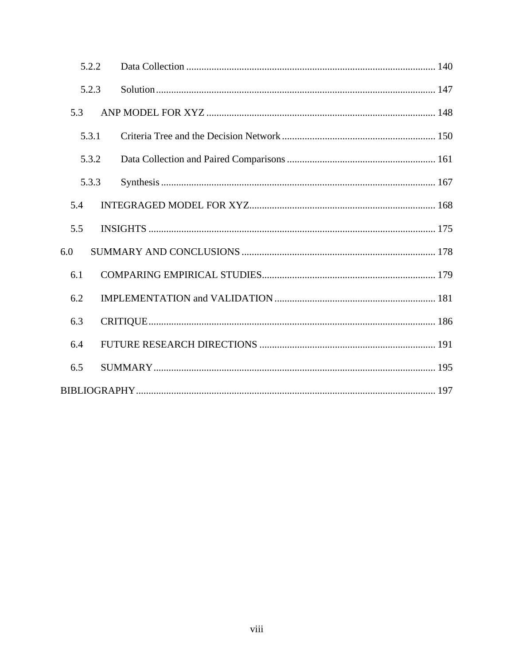| 5.2.2 |  |  |
|-------|--|--|
| 5.2.3 |  |  |
| 5.3   |  |  |
| 5.3.1 |  |  |
| 5.3.2 |  |  |
| 5.3.3 |  |  |
| 5.4   |  |  |
| 5.5   |  |  |
| 6.0   |  |  |
| 6.1   |  |  |
| 6.2   |  |  |
| 6.3   |  |  |
| 6.4   |  |  |
| 6.5   |  |  |
|       |  |  |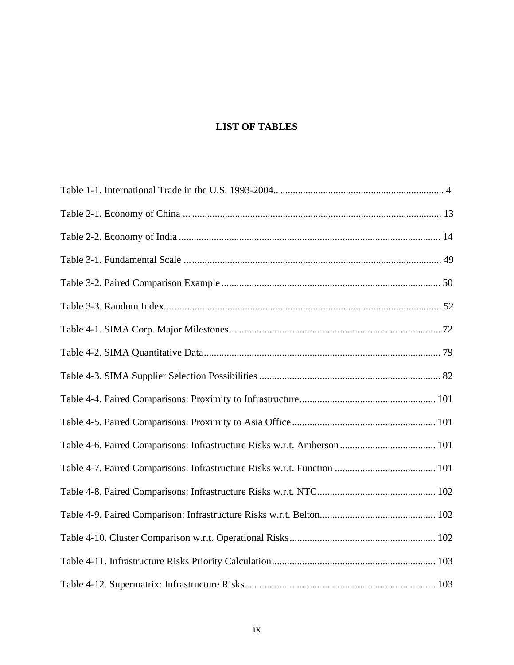# **LIST OF TABLES**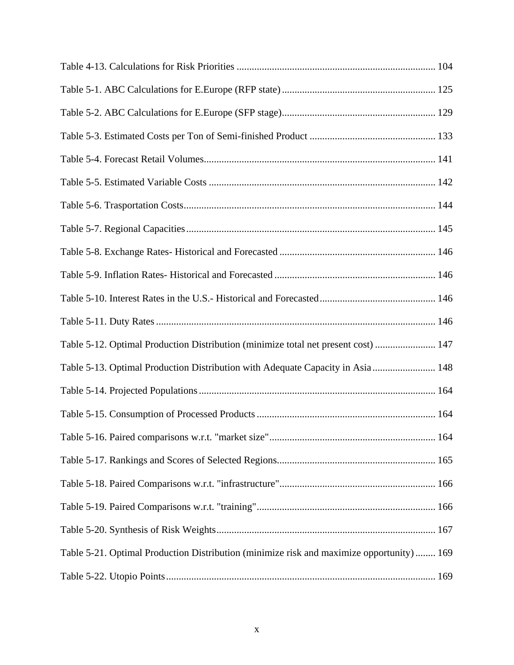| Table 5-12. Optimal Production Distribution (minimize total net present cost)  147       |
|------------------------------------------------------------------------------------------|
| Table 5-13. Optimal Production Distribution with Adequate Capacity in Asia 148           |
|                                                                                          |
|                                                                                          |
|                                                                                          |
|                                                                                          |
|                                                                                          |
|                                                                                          |
|                                                                                          |
| Table 5-21. Optimal Production Distribution (minimize risk and maximize opportunity) 169 |
|                                                                                          |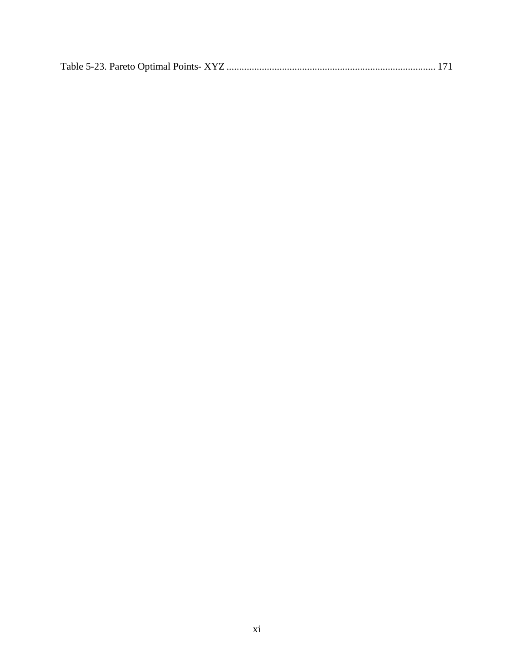|--|--|--|--|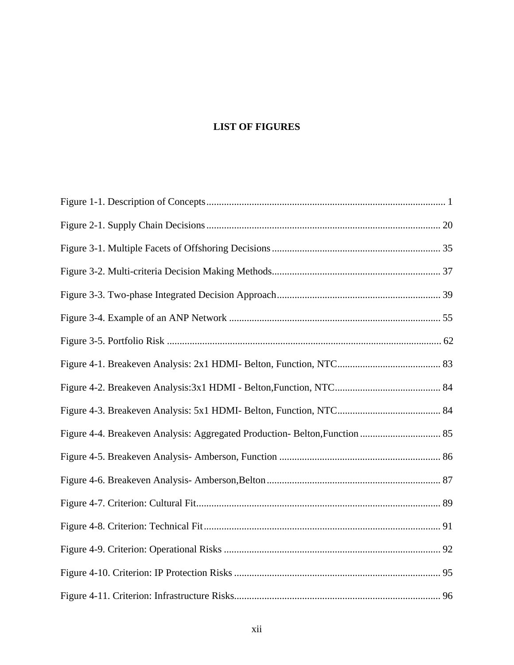# **LIST OF FIGURES**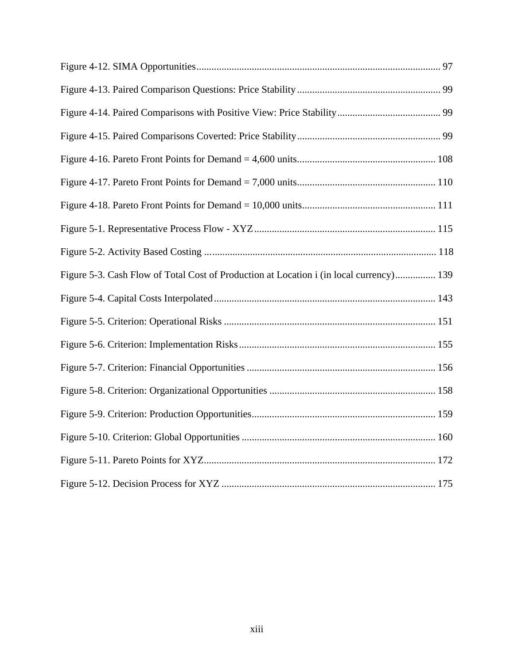| Figure 5-3. Cash Flow of Total Cost of Production at Location i (in local currency) 139 |
|-----------------------------------------------------------------------------------------|
|                                                                                         |
|                                                                                         |
|                                                                                         |
|                                                                                         |
|                                                                                         |
|                                                                                         |
|                                                                                         |
|                                                                                         |
|                                                                                         |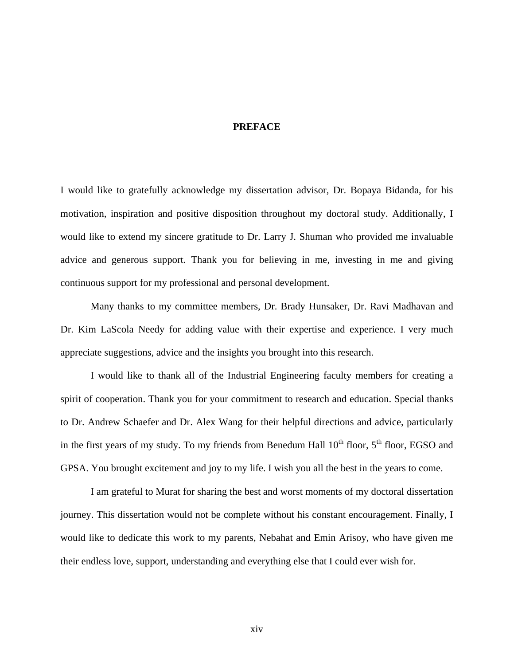### **PREFACE**

<span id="page-13-0"></span>I would like to gratefully acknowledge my dissertation advisor, Dr. Bopaya Bidanda, for his motivation, inspiration and positive disposition throughout my doctoral study. Additionally, I would like to extend my sincere gratitude to Dr. Larry J. Shuman who provided me invaluable advice and generous support. Thank you for believing in me, investing in me and giving continuous support for my professional and personal development.

Many thanks to my committee members, Dr. Brady Hunsaker, Dr. Ravi Madhavan and Dr. Kim LaScola Needy for adding value with their expertise and experience. I very much appreciate suggestions, advice and the insights you brought into this research.

I would like to thank all of the Industrial Engineering faculty members for creating a spirit of cooperation. Thank you for your commitment to research and education. Special thanks to Dr. Andrew Schaefer and Dr. Alex Wang for their helpful directions and advice, particularly in the first years of my study. To my friends from Benedum Hall  $10^{th}$  floor,  $5^{th}$  floor, EGSO and GPSA. You brought excitement and joy to my life. I wish you all the best in the years to come.

I am grateful to Murat for sharing the best and worst moments of my doctoral dissertation journey. This dissertation would not be complete without his constant encouragement. Finally, I would like to dedicate this work to my parents, Nebahat and Emin Arisoy, who have given me their endless love, support, understanding and everything else that I could ever wish for.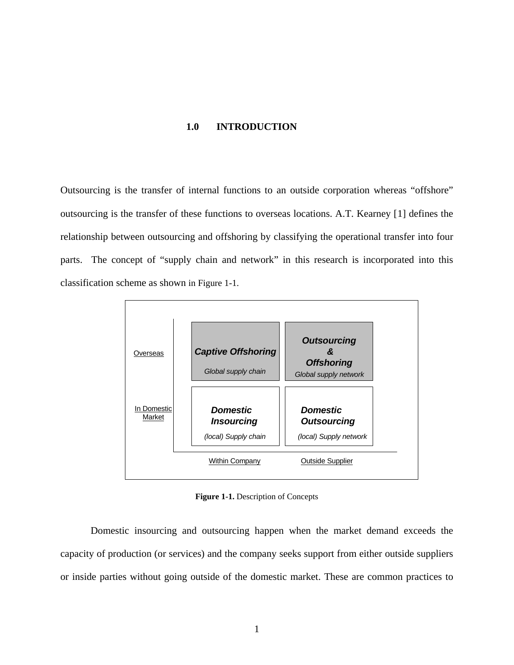# **1.0 INTRODUCTION**

<span id="page-14-0"></span>Outsourcing is the transfer of internal functions to an outside corporation whereas "offshore" outsourcing is the transfer of these functions to overseas locations. A.T. Kearney [[1\]](#page-218-0) defines the relationship between outsourcing and offshoring by classifying the operational transfer into four parts. The concept of "supply chain and network" in this research is incorporated into this classification scheme as shown in [Figure 1-1](#page-14-0).



**Figure 1-1.** Description of Concepts

Domestic insourcing and outsourcing happen when the market demand exceeds the capacity of production (or services) and the company seeks support from either outside suppliers or inside parties without going outside of the domestic market. These are common practices to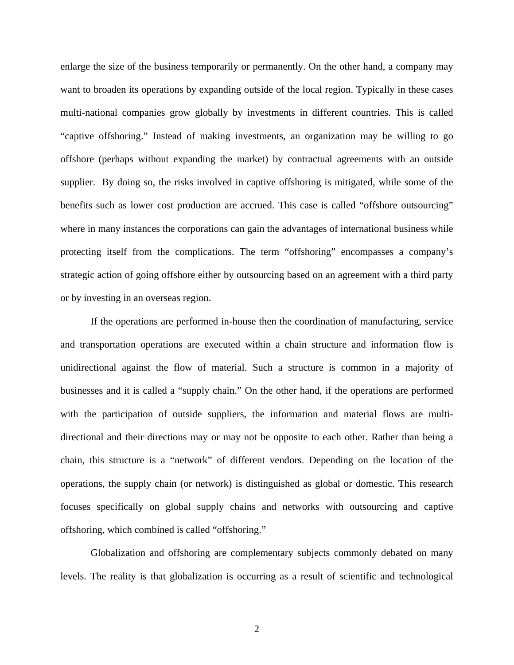enlarge the size of the business temporarily or permanently. On the other hand, a company may want to broaden its operations by expanding outside of the local region. Typically in these cases multi-national companies grow globally by investments in different countries. This is called "captive offshoring." Instead of making investments, an organization may be willing to go offshore (perhaps without expanding the market) by contractual agreements with an outside supplier. By doing so, the risks involved in captive offshoring is mitigated, while some of the benefits such as lower cost production are accrued. This case is called "offshore outsourcing" where in many instances the corporations can gain the advantages of international business while protecting itself from the complications. The term "offshoring" encompasses a company's strategic action of going offshore either by outsourcing based on an agreement with a third party or by investing in an overseas region.

If the operations are performed in-house then the coordination of manufacturing, service and transportation operations are executed within a chain structure and information flow is unidirectional against the flow of material. Such a structure is common in a majority of businesses and it is called a "supply chain." On the other hand, if the operations are performed with the participation of outside suppliers, the information and material flows are multidirectional and their directions may or may not be opposite to each other. Rather than being a chain, this structure is a "network" of different vendors. Depending on the location of the operations, the supply chain (or network) is distinguished as global or domestic. This research focuses specifically on global supply chains and networks with outsourcing and captive offshoring, which combined is called "offshoring."

Globalization and offshoring are complementary subjects commonly debated on many levels. The reality is that globalization is occurring as a result of scientific and technological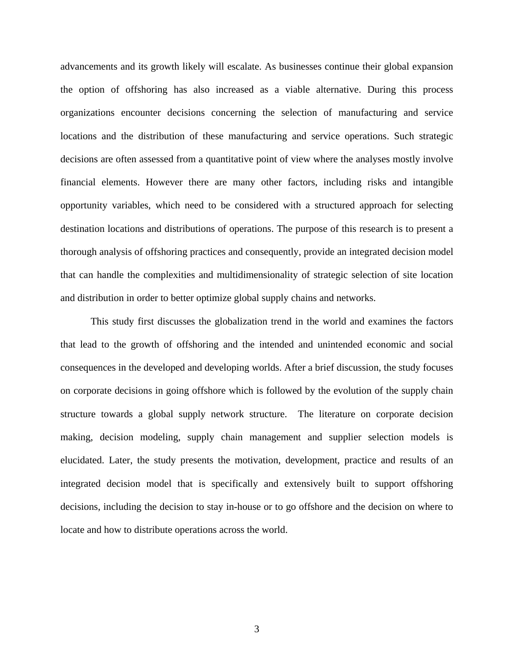advancements and its growth likely will escalate. As businesses continue their global expansion the option of offshoring has also increased as a viable alternative. During this process organizations encounter decisions concerning the selection of manufacturing and service locations and the distribution of these manufacturing and service operations. Such strategic decisions are often assessed from a quantitative point of view where the analyses mostly involve financial elements. However there are many other factors, including risks and intangible opportunity variables, which need to be considered with a structured approach for selecting destination locations and distributions of operations. The purpose of this research is to present a thorough analysis of offshoring practices and consequently, provide an integrated decision model that can handle the complexities and multidimensionality of strategic selection of site location and distribution in order to better optimize global supply chains and networks.

This study first discusses the globalization trend in the world and examines the factors that lead to the growth of offshoring and the intended and unintended economic and social consequences in the developed and developing worlds. After a brief discussion, the study focuses on corporate decisions in going offshore which is followed by the evolution of the supply chain structure towards a global supply network structure. The literature on corporate decision making, decision modeling, supply chain management and supplier selection models is elucidated. Later, the study presents the motivation, development, practice and results of an integrated decision model that is specifically and extensively built to support offshoring decisions, including the decision to stay in-house or to go offshore and the decision on where to locate and how to distribute operations across the world.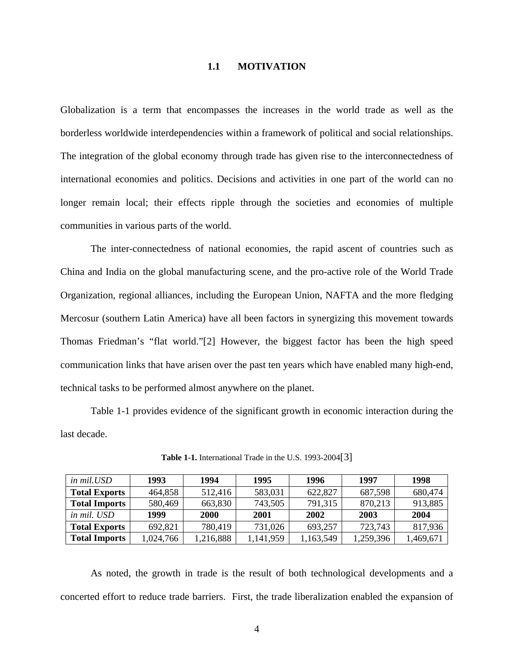#### **1.1 MOTIVATION**

<span id="page-17-0"></span>Globalization is a term that encompasses the increases in the world trade as well as the borderless worldwide interdependencies within a framework of political and social relationships. The integration of the global economy through trade has given rise to the interconnectedness of international economies and politics. Decisions and activities in one part of the world can no longer remain local; their effects ripple through the societies and economies of multiple communities in various parts of the world.

The inter-connectedness of national economies, the rapid ascent of countries such as China and India on the global manufacturing scene, and the pro-active role of the World Trade Organization, regional alliances, including the European Union, NAFTA and the more fledging Mercosur (southern Latin America) have all been factors in synergizing this movement towards Thomas Friedman's "flat world."[[2\]](#page-218-1) However, the biggest factor has been the high speed communication links that have arisen over the past ten years which have enabled many high-end, technical tasks to be performed almost anywhere on the planet.

[Table 1-1](#page-17-0) provides evidence of the significant growth in economic interaction during the last decade.

| in mil.USD           | 1993      | 1994      | 1995      | 1996      | 1997      | 1998      |
|----------------------|-----------|-----------|-----------|-----------|-----------|-----------|
| <b>Total Exports</b> | 464,858   | 512,416   | 583,031   | 622,827   | 687,598   | 680,474   |
| <b>Total Imports</b> | 580,469   | 663,830   | 743,505   | 791,315   | 870,213   | 913,885   |
| in mil. USD          | 1999      | 2000      | 2001      | 2002      | 2003      | 2004      |
| <b>Total Exports</b> | 692,821   | 780,419   | 731,026   | 693,257   | 723,743   | 817,936   |
| <b>Total Imports</b> | 1,024,766 | 1,216,888 | 1,141,959 | 1,163,549 | 1,259,396 | 1,469,671 |

**Table 1-1.** International Trade in the U.S. 1993-2004[[3\]](#page-218-1)

As noted, the growth in trade is the result of both technological developments and a concerted effort to reduce trade barriers. First, the trade liberalization enabled the expansion of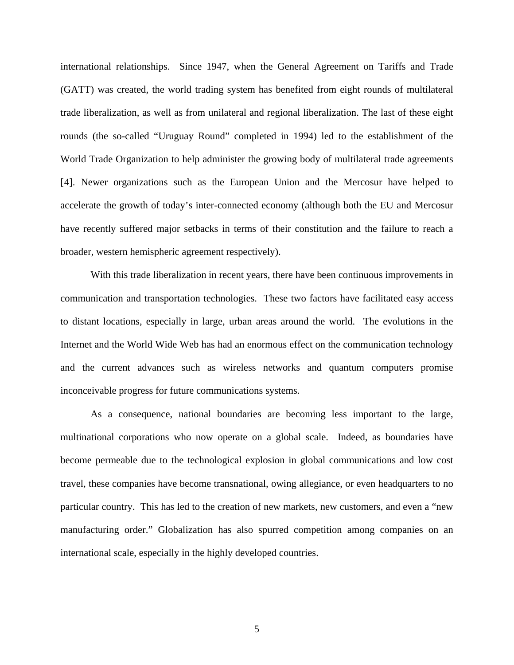international relationships. Since 1947, when the General Agreement on Tariffs and Trade (GATT) was created, the world trading system has benefited from eight rounds of multilateral trade liberalization, as well as from unilateral and regional liberalization. The last of these eight rounds (the so-called "Uruguay Round" completed in 1994) led to the establishment of the World Trade Organization to help administer the growing body of multilateral trade agreements [[4\]](#page-218-1). Newer organizations such as the European Union and the Mercosur have helped to accelerate the growth of today's inter-connected economy (although both the EU and Mercosur have recently suffered major setbacks in terms of their constitution and the failure to reach a broader, western hemispheric agreement respectively).

With this trade liberalization in recent years, there have been continuous improvements in communication and transportation technologies. These two factors have facilitated easy access to distant locations, especially in large, urban areas around the world. The evolutions in the Internet and the World Wide Web has had an enormous effect on the communication technology and the current advances such as wireless networks and quantum computers promise inconceivable progress for future communications systems.

As a consequence, national boundaries are becoming less important to the large, multinational corporations who now operate on a global scale. Indeed, as boundaries have become permeable due to the technological explosion in global communications and low cost travel, these companies have become transnational, owing allegiance, or even headquarters to no particular country. This has led to the creation of new markets, new customers, and even a "new manufacturing order." Globalization has also spurred competition among companies on an international scale, especially in the highly developed countries.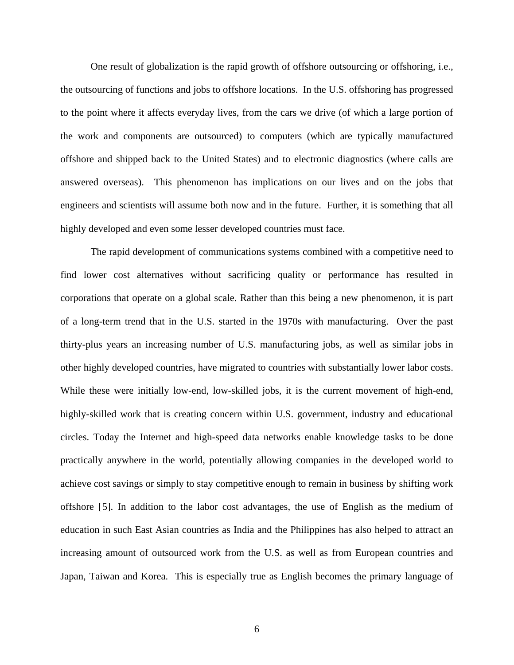One result of globalization is the rapid growth of offshore outsourcing or offshoring, i.e., the outsourcing of functions and jobs to offshore locations. In the U.S. offshoring has progressed to the point where it affects everyday lives, from the cars we drive (of which a large portion of the work and components are outsourced) to computers (which are typically manufactured offshore and shipped back to the United States) and to electronic diagnostics (where calls are answered overseas). This phenomenon has implications on our lives and on the jobs that engineers and scientists will assume both now and in the future. Further, it is something that all highly developed and even some lesser developed countries must face.

The rapid development of communications systems combined with a competitive need to find lower cost alternatives without sacrificing quality or performance has resulted in corporations that operate on a global scale. Rather than this being a new phenomenon, it is part of a long-term trend that in the U.S. started in the 1970s with manufacturing. Over the past thirty-plus years an increasing number of U.S. manufacturing jobs, as well as similar jobs in other highly developed countries, have migrated to countries with substantially lower labor costs. While these were initially low-end, low-skilled jobs, it is the current movement of high-end, highly-skilled work that is creating concern within U.S. government, industry and educational circles. Today the Internet and high-speed data networks enable knowledge tasks to be done practically anywhere in the world, potentially allowing companies in the developed world to achieve cost savings or simply to stay competitive enough to remain in business by shifting work offshore [[5\]](#page-218-1). In addition to the labor cost advantages, the use of English as the medium of education in such East Asian countries as India and the Philippines has also helped to attract an increasing amount of outsourced work from the U.S. as well as from European countries and Japan, Taiwan and Korea. This is especially true as English becomes the primary language of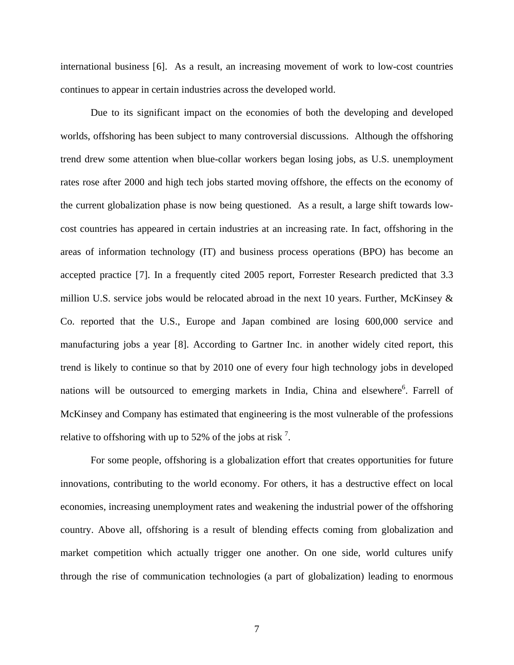international business [[6](#page-218-1)]. As a result, an increasing movement of work to low-cost countries continues to appear in certain industries across the developed world.

Due to its significant impact on the economies of both the developing and developed worlds, offshoring has been subject to many controversial discussions. Although the offshoring trend drew some attention when blue-collar workers began losing jobs, as U.S. unemployment rates rose after 2000 and high tech jobs started moving offshore, the effects on the economy of the current globalization phase is now being questioned. As a result, a large shift towards lowcost countries has appeared in certain industries at an increasing rate. In fact, offshoring in the areas of information technology (IT) and business process operations (BPO) has become an accepted practice [[7\]](#page-218-1). In a frequently cited 2005 report, Forrester Research predicted that 3.3 million U.S. service jobs would be relocated abroad in the next 10 years. Further, McKinsey & Co. reported that the U.S., Europe and Japan combined are losing 600,000 service and manufacturing jobs a year [[8](#page-218-1)]. According to Gartner Inc. in another widely cited report, this trend is likely to continue so that by 2010 one of every four high technology jobs in developed nations will be outsourced to emerging markets in India, China and elsewhere<sup>6</sup>. Farrell of McKinsey and Company has estimated that engineering is the most vulnerable of the professions relative to offshoring with up to 52% of the jobs at risk<sup>7</sup>.

For some people, offshoring is a globalization effort that creates opportunities for future innovations, contributing to the world economy. For others, it has a destructive effect on local economies, increasing unemployment rates and weakening the industrial power of the offshoring country. Above all, offshoring is a result of blending effects coming from globalization and market competition which actually trigger one another. On one side, world cultures unify through the rise of communication technologies (a part of globalization) leading to enormous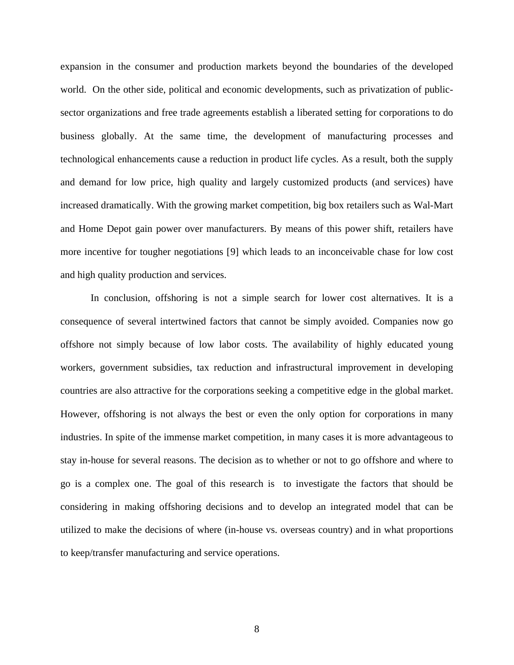expansion in the consumer and production markets beyond the boundaries of the developed world. On the other side, political and economic developments, such as privatization of publicsector organizations and free trade agreements establish a liberated setting for corporations to do business globally. At the same time, the development of manufacturing processes and technological enhancements cause a reduction in product life cycles. As a result, both the supply and demand for low price, high quality and largely customized products (and services) have increased dramatically. With the growing market competition, big box retailers such as Wal-Mart and Home Depot gain power over manufacturers. By means of this power shift, retailers have more incentive for tougher negotiations [[9\]](#page-218-1) which leads to an inconceivable chase for low cost and high quality production and services.

In conclusion, offshoring is not a simple search for lower cost alternatives. It is a consequence of several intertwined factors that cannot be simply avoided. Companies now go offshore not simply because of low labor costs. The availability of highly educated young workers, government subsidies, tax reduction and infrastructural improvement in developing countries are also attractive for the corporations seeking a competitive edge in the global market. However, offshoring is not always the best or even the only option for corporations in many industries. In spite of the immense market competition, in many cases it is more advantageous to stay in-house for several reasons. The decision as to whether or not to go offshore and where to go is a complex one. The goal of this research is to investigate the factors that should be considering in making offshoring decisions and to develop an integrated model that can be utilized to make the decisions of where (in-house vs. overseas country) and in what proportions to keep/transfer manufacturing and service operations.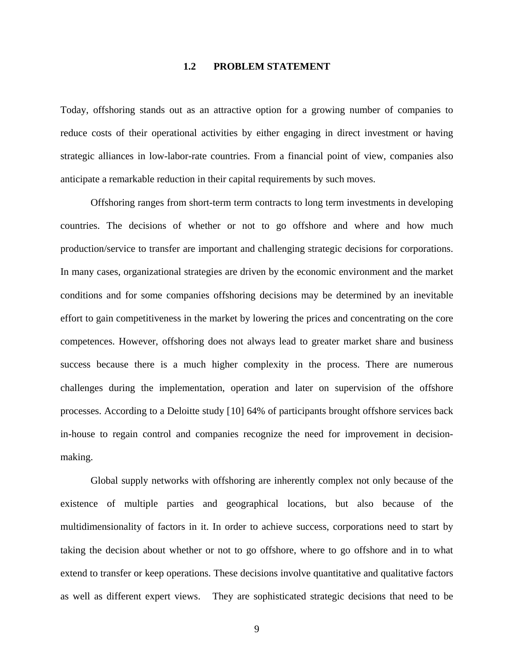### **1.2 PROBLEM STATEMENT**

<span id="page-22-0"></span>Today, offshoring stands out as an attractive option for a growing number of companies to reduce costs of their operational activities by either engaging in direct investment or having strategic alliances in low-labor-rate countries. From a financial point of view, companies also anticipate a remarkable reduction in their capital requirements by such moves.

Offshoring ranges from short-term term contracts to long term investments in developing countries. The decisions of whether or not to go offshore and where and how much production/service to transfer are important and challenging strategic decisions for corporations. In many cases, organizational strategies are driven by the economic environment and the market conditions and for some companies offshoring decisions may be determined by an inevitable effort to gain competitiveness in the market by lowering the prices and concentrating on the core competences. However, offshoring does not always lead to greater market share and business success because there is a much higher complexity in the process. There are numerous challenges during the implementation, operation and later on supervision of the offshore processes. According to a Deloitte study [[10](#page-218-1)] 64% of participants brought offshore services back in-house to regain control and companies recognize the need for improvement in decisionmaking.

Global supply networks with offshoring are inherently complex not only because of the existence of multiple parties and geographical locations, but also because of the multidimensionality of factors in it. In order to achieve success, corporations need to start by taking the decision about whether or not to go offshore, where to go offshore and in to what extend to transfer or keep operations. These decisions involve quantitative and qualitative factors as well as different expert views. They are sophisticated strategic decisions that need to be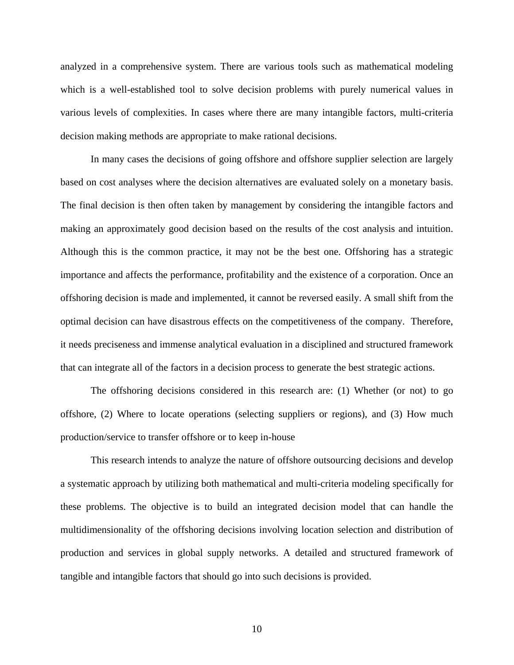analyzed in a comprehensive system. There are various tools such as mathematical modeling which is a well-established tool to solve decision problems with purely numerical values in various levels of complexities. In cases where there are many intangible factors, multi-criteria decision making methods are appropriate to make rational decisions.

In many cases the decisions of going offshore and offshore supplier selection are largely based on cost analyses where the decision alternatives are evaluated solely on a monetary basis. The final decision is then often taken by management by considering the intangible factors and making an approximately good decision based on the results of the cost analysis and intuition. Although this is the common practice, it may not be the best one. Offshoring has a strategic importance and affects the performance, profitability and the existence of a corporation. Once an offshoring decision is made and implemented, it cannot be reversed easily. A small shift from the optimal decision can have disastrous effects on the competitiveness of the company. Therefore, it needs preciseness and immense analytical evaluation in a disciplined and structured framework that can integrate all of the factors in a decision process to generate the best strategic actions.

The offshoring decisions considered in this research are: (1) Whether (or not) to go offshore, (2) Where to locate operations (selecting suppliers or regions), and (3) How much production/service to transfer offshore or to keep in-house

This research intends to analyze the nature of offshore outsourcing decisions and develop a systematic approach by utilizing both mathematical and multi-criteria modeling specifically for these problems. The objective is to build an integrated decision model that can handle the multidimensionality of the offshoring decisions involving location selection and distribution of production and services in global supply networks. A detailed and structured framework of tangible and intangible factors that should go into such decisions is provided.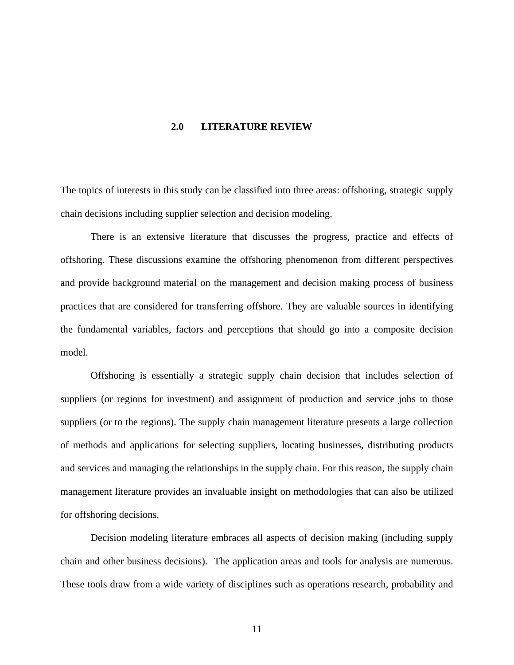#### **2.0 LITERATURE REVIEW**

<span id="page-24-0"></span>The topics of interests in this study can be classified into three areas: offshoring, strategic supply chain decisions including supplier selection and decision modeling.

There is an extensive literature that discusses the progress, practice and effects of offshoring. These discussions examine the offshoring phenomenon from different perspectives and provide background material on the management and decision making process of business practices that are considered for transferring offshore. They are valuable sources in identifying the fundamental variables, factors and perceptions that should go into a composite decision model.

Offshoring is essentially a strategic supply chain decision that includes selection of suppliers (or regions for investment) and assignment of production and service jobs to those suppliers (or to the regions). The supply chain management literature presents a large collection of methods and applications for selecting suppliers, locating businesses, distributing products and services and managing the relationships in the supply chain. For this reason, the supply chain management literature provides an invaluable insight on methodologies that can also be utilized for offshoring decisions.

Decision modeling literature embraces all aspects of decision making (including supply chain and other business decisions). The application areas and tools for analysis are numerous. These tools draw from a wide variety of disciplines such as operations research, probability and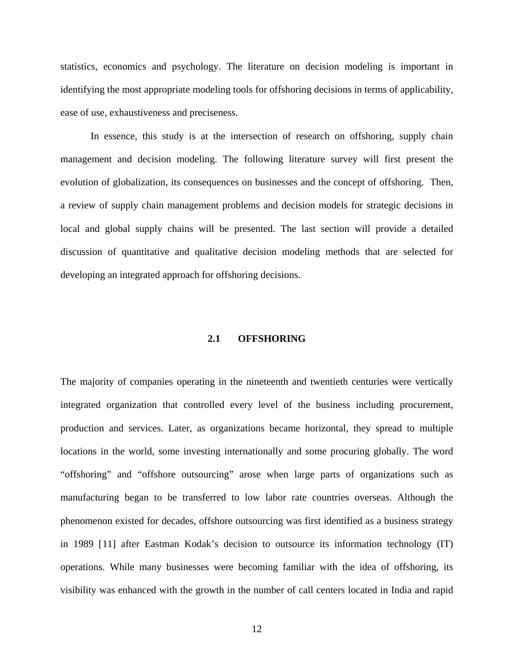<span id="page-25-0"></span>statistics, economics and psychology. The literature on decision modeling is important in identifying the most appropriate modeling tools for offshoring decisions in terms of applicability, ease of use, exhaustiveness and preciseness.

In essence, this study is at the intersection of research on offshoring, supply chain management and decision modeling. The following literature survey will first present the evolution of globalization, its consequences on businesses and the concept of offshoring. Then, a review of supply chain management problems and decision models for strategic decisions in local and global supply chains will be presented. The last section will provide a detailed discussion of quantitative and qualitative decision modeling methods that are selected for developing an integrated approach for offshoring decisions.

## **2.1 OFFSHORING**

The majority of companies operating in the nineteenth and twentieth centuries were vertically integrated organization that controlled every level of the business including procurement, production and services. Later, as organizations became horizontal, they spread to multiple locations in the world, some investing internationally and some procuring globally. The word "offshoring" and "offshore outsourcing" arose when large parts of organizations such as manufacturing began to be transferred to low labor rate countries overseas. Although the phenomenon existed for decades, offshore outsourcing was first identified as a business strategy in 1989 [[1](#page-218-1)1] after Eastman Kodak's decision to outsource its information technology (IT) operations. While many businesses were becoming familiar with the idea of offshoring, its visibility was enhanced with the growth in the number of call centers located in India and rapid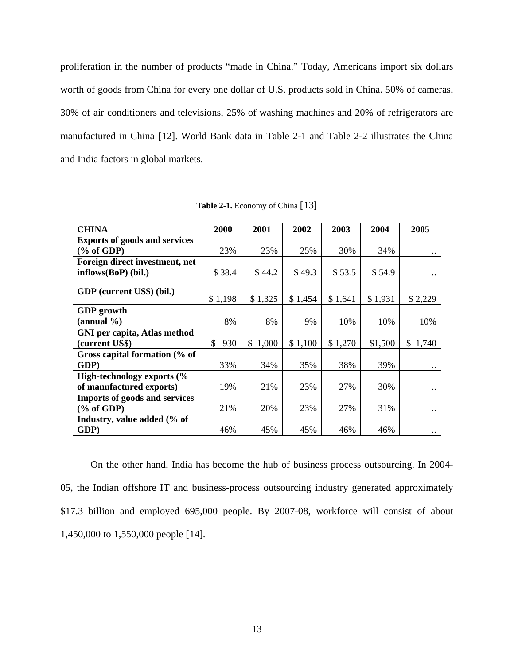<span id="page-26-0"></span>proliferation in the number of products "made in China." Today, Americans import six dollars worth of goods from China for every one dollar of U.S. products sold in China. 50% of cameras, 30% of air conditioners and televisions, 25% of washing machines and 20% of refrigerators are manufactured in China [[12](#page-218-1)]. World Bank data in [Table 2-1](#page-26-0) and [Table 2-2](#page-27-0) illustrates the China and India factors in global markets.

| <b>CHINA</b>                         | 2000                 | 2001        | 2002    | 2003    | 2004    | 2005                 |
|--------------------------------------|----------------------|-------------|---------|---------|---------|----------------------|
| <b>Exports of goods and services</b> |                      |             |         |         |         |                      |
| $(\%$ of GDP)                        | 23%                  | 23%         | 25%     | 30%     | 34%     |                      |
| Foreign direct investment, net       |                      |             |         |         |         |                      |
| $inflows(BoP)$ (bil.)                | \$38.4               | \$44.2      | \$49.3  | \$53.5  | \$54.9  | $\ddot{\phantom{0}}$ |
| GDP (current US\$) (bil.)            | \$1,198              | \$1,325     | \$1,454 | \$1,641 | \$1,931 | \$2,229              |
| <b>GDP</b> growth                    |                      |             |         |         |         |                      |
| (annual $\%$ )                       | 8%                   | 8%          | 9%      | 10%     | 10%     | 10%                  |
| <b>GNI</b> per capita, Atlas method  |                      |             |         |         |         |                      |
| (current US\$)                       | 930<br><sup>\$</sup> | 1,000<br>S. | \$1,100 | \$1,270 | \$1,500 | 1,740<br>S.          |
| Gross capital formation (% of        |                      |             |         |         |         |                      |
| GDP)                                 | 33%                  | 34%         | 35%     | 38%     | 39%     | $\ddotsc$            |
| High-technology exports (%           |                      |             |         |         |         |                      |
| of manufactured exports)             | 19%                  | 21%         | 23%     | 27%     | 30%     | $\ldots$             |
| <b>Imports of goods and services</b> |                      |             |         |         |         |                      |
| $(\%$ of GDP)                        | 21%                  | 20%         | 23%     | 27%     | 31%     | $\ddotsc$            |
| Industry, value added (% of          |                      |             |         |         |         |                      |
| GDP)                                 | 46%                  | 45%         | 45%     | 46%     | 46%     | $\ddotsc$            |

**Table 2-1.** Economy of China [[13](#page-218-1)]

On the other hand, India has become the hub of business process outsourcing. In 2004- 05, the Indian offshore IT and business-process outsourcing industry generated approximately \$17.3 billion and employed 695,000 people. By 2007-08, workforce will consist of about 1,450,000 to 1,550,000 people [[14](#page-218-1)].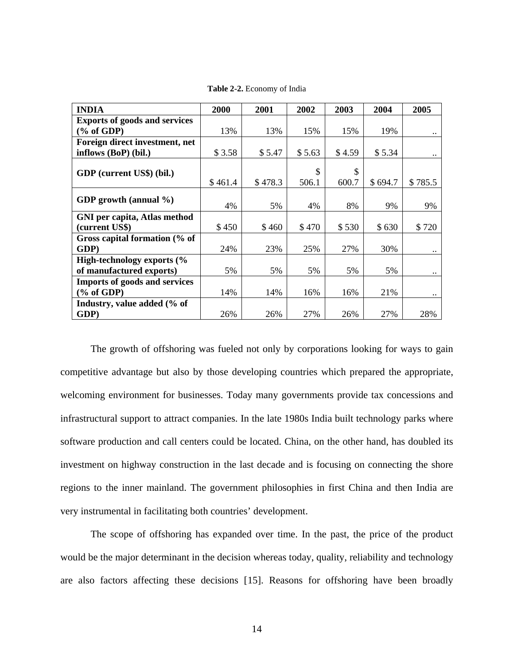<span id="page-27-0"></span>

| <b>INDIA</b>                         | 2000    | 2001    | 2002        | 2003        | 2004    | 2005      |
|--------------------------------------|---------|---------|-------------|-------------|---------|-----------|
| <b>Exports of goods and services</b> |         |         |             |             |         |           |
| $(\%$ of GDP)                        | 13%     | 13%     | 15%         | 15%         | 19%     | $\ddotsc$ |
| Foreign direct investment, net       |         |         |             |             |         |           |
| inflows (BoP) (bil.)                 | \$3.58  | \$5.47  | \$5.63      | \$4.59      | \$5.34  |           |
| GDP (current US\$) (bil.)            | \$461.4 | \$478.3 | \$<br>506.1 | \$<br>600.7 | \$694.7 | \$785.5   |
|                                      |         |         |             |             |         |           |
| GDP growth (annual $\%$ )            | 4%      | 5%      | 4%          | 8%          | 9%      | 9%        |
| <b>GNI</b> per capita, Atlas method  |         |         |             |             |         |           |
| (current US\$)                       | \$450   | \$460   | \$470       | \$530       | \$630   | \$720     |
| Gross capital formation (% of        |         |         |             |             |         |           |
| GDP)                                 | 24%     | 23%     | 25%         | 27%         | 30%     | $\ddotsc$ |
| High-technology exports (%           |         |         |             |             |         |           |
| of manufactured exports)             | 5%      | 5%      | 5%          | 5%          | 5%      |           |
| <b>Imports of goods and services</b> |         |         |             |             |         |           |
| $(\%$ of GDP)                        | 14%     | 14%     | 16%         | 16%         | 21%     | $\ddotsc$ |
| Industry, value added (% of          |         |         |             |             |         |           |
| GDP)                                 | 26%     | 26%     | 27%         | 26%         | 27%     | 28%       |

**Table 2-2.** Economy of India

The growth of offshoring was fueled not only by corporations looking for ways to gain competitive advantage but also by those developing countries which prepared the appropriate, welcoming environment for businesses. Today many governments provide tax concessions and infrastructural support to attract companies. In the late 1980s India built technology parks where software production and call centers could be located. China, on the other hand, has doubled its investment on highway construction in the last decade and is focusing on connecting the shore regions to the inner mainland. The government philosophies in first China and then India are very instrumental in facilitating both countries' development.

The scope of offshoring has expanded over time. In the past, the price of the product would be the major determinant in the decision whereas today, quality, reliability and technology are also factors affecting these decisions [[1](#page-218-1)5]. Reasons for offshoring have been broadly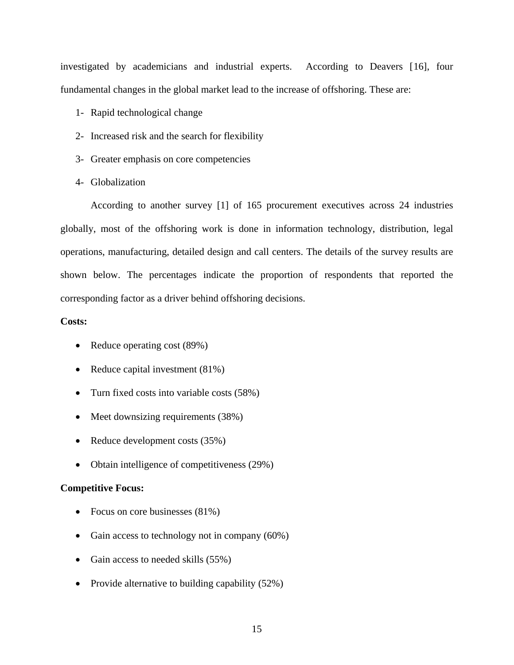investigated by academicians and industrial experts. According to Deavers [[16](#page-218-1)], four fundamental changes in the global market lead to the increase of offshoring. These are:

- 1- Rapid technological change
- 2- Increased risk and the search for flexibility
- 3- Greater emphasis on core competencies
- 4- Globalization

According to another survey [[1\]](#page-14-0) of 165 procurement executives across 24 industries globally, most of the offshoring work is done in information technology, distribution, legal operations, manufacturing, detailed design and call centers. The details of the survey results are shown below. The percentages indicate the proportion of respondents that reported the corresponding factor as a driver behind offshoring decisions.

## **Costs:**

- Reduce operating cost (89%)
- Reduce capital investment (81%)
- Turn fixed costs into variable costs (58%)
- Meet downsizing requirements (38%)
- Reduce development costs (35%)
- Obtain intelligence of competitiveness (29%)

## **Competitive Focus:**

- Focus on core businesses (81%)
- Gain access to technology not in company (60%)
- Gain access to needed skills (55%)
- Provide alternative to building capability (52%)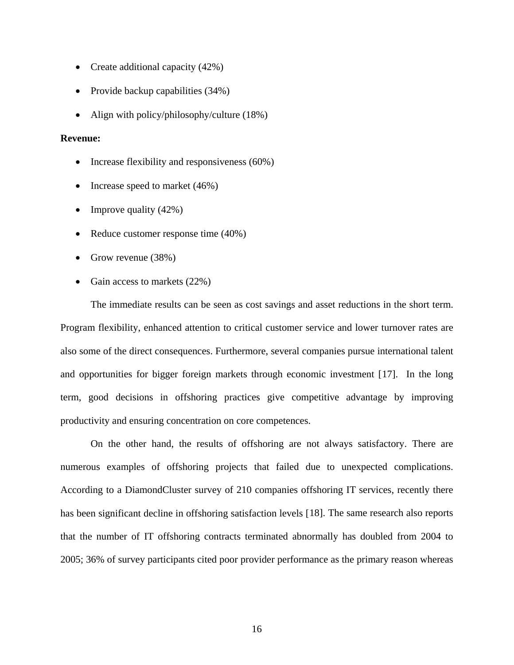- Create additional capacity (42%)
- Provide backup capabilities (34%)
- Align with policy/philosophy/culture (18%)

## **Revenue:**

- Increase flexibility and responsiveness (60%)
- Increase speed to market (46%)
- Improve quality  $(42\%)$
- Reduce customer response time (40%)
- Grow revenue (38%)
- Gain access to markets  $(22%)$

The immediate results can be seen as cost savings and asset reductions in the short term. Program flexibility, enhanced attention to critical customer service and lower turnover rates are also some of the direct consequences. Furthermore, several companies pursue international talent and opportunities for bigger foreign markets through economic investment [[1](#page-218-1)7]. In the long term, good decisions in offshoring practices give competitive advantage by improving productivity and ensuring concentration on core competences.

On the other hand, the results of offshoring are not always satisfactory. There are numerous examples of offshoring projects that failed due to unexpected complications. According to a DiamondCluster survey of 210 companies offshoring IT services, recently there has been significant decline in offshoring satisfaction levels [[18](#page-218-1)]. The same research also reports that the number of IT offshoring contracts terminated abnormally has doubled from 2004 to 2005; 36% of survey participants cited poor provider performance as the primary reason whereas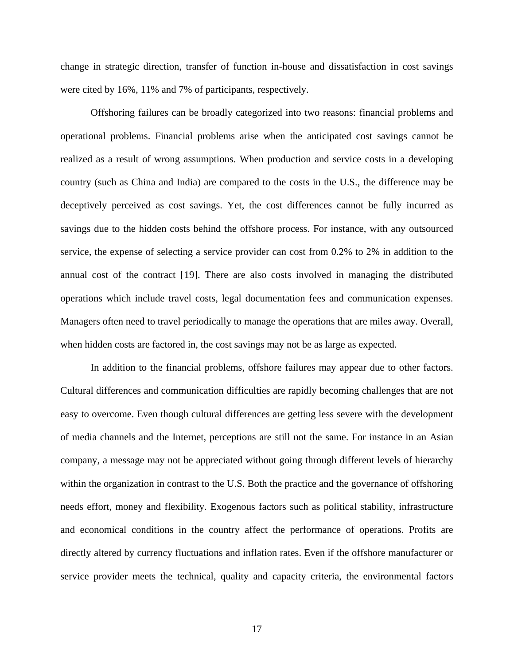change in strategic direction, transfer of function in-house and dissatisfaction in cost savings were cited by 16%, 11% and 7% of participants, respectively.

Offshoring failures can be broadly categorized into two reasons: financial problems and operational problems. Financial problems arise when the anticipated cost savings cannot be realized as a result of wrong assumptions. When production and service costs in a developing country (such as China and India) are compared to the costs in the U.S., the difference may be deceptively perceived as cost savings. Yet, the cost differences cannot be fully incurred as savings due to the hidden costs behind the offshore process. For instance, with any outsourced service, the expense of selecting a service provider can cost from 0.2% to 2% in addition to the annual cost of the contract [\[1](#page-218-1)9]. There are also costs involved in managing the distributed operations which include travel costs, legal documentation fees and communication expenses. Managers often need to travel periodically to manage the operations that are miles away. Overall, when hidden costs are factored in, the cost savings may not be as large as expected.

In addition to the financial problems, offshore failures may appear due to other factors. Cultural differences and communication difficulties are rapidly becoming challenges that are not easy to overcome. Even though cultural differences are getting less severe with the development of media channels and the Internet, perceptions are still not the same. For instance in an Asian company, a message may not be appreciated without going through different levels of hierarchy within the organization in contrast to the U.S. Both the practice and the governance of offshoring needs effort, money and flexibility. Exogenous factors such as political stability, infrastructure and economical conditions in the country affect the performance of operations. Profits are directly altered by currency fluctuations and inflation rates. Even if the offshore manufacturer or service provider meets the technical, quality and capacity criteria, the environmental factors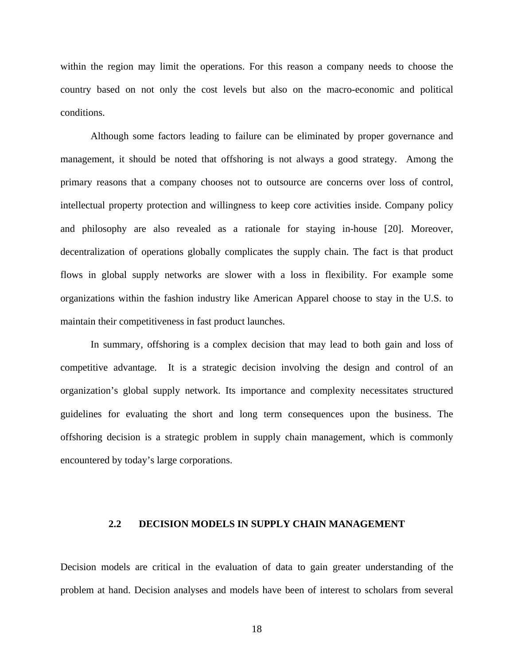<span id="page-31-0"></span>within the region may limit the operations. For this reason a company needs to choose the country based on not only the cost levels but also on the macro-economic and political conditions.

Although some factors leading to failure can be eliminated by proper governance and management, it should be noted that offshoring is not always a good strategy. Among the primary reasons that a company chooses not to outsource are concerns over loss of control, intellectual property protection and willingness to keep core activities inside. Company policy and philosophy are also revealed as a rationale for staying in-house [[2](#page-218-1)0]. Moreover, decentralization of operations globally complicates the supply chain. The fact is that product flows in global supply networks are slower with a loss in flexibility. For example some organizations within the fashion industry like American Apparel choose to stay in the U.S. to maintain their competitiveness in fast product launches.

In summary, offshoring is a complex decision that may lead to both gain and loss of competitive advantage. It is a strategic decision involving the design and control of an organization's global supply network. Its importance and complexity necessitates structured guidelines for evaluating the short and long term consequences upon the business. The offshoring decision is a strategic problem in supply chain management, which is commonly encountered by today's large corporations.

#### **2.2 DECISION MODELS IN SUPPLY CHAIN MANAGEMENT**

Decision models are critical in the evaluation of data to gain greater understanding of the problem at hand. Decision analyses and models have been of interest to scholars from several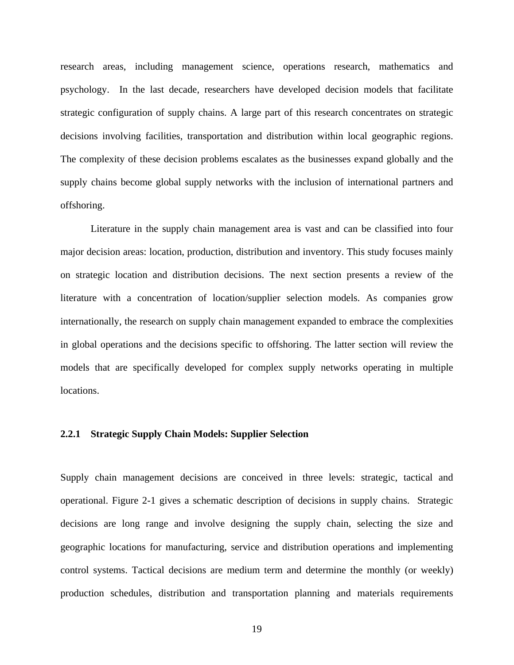<span id="page-32-0"></span>research areas, including management science, operations research, mathematics and psychology. In the last decade, researchers have developed decision models that facilitate strategic configuration of supply chains. A large part of this research concentrates on strategic decisions involving facilities, transportation and distribution within local geographic regions. The complexity of these decision problems escalates as the businesses expand globally and the supply chains become global supply networks with the inclusion of international partners and offshoring.

Literature in the supply chain management area is vast and can be classified into four major decision areas: location, production, distribution and inventory. This study focuses mainly on strategic location and distribution decisions. The next section presents a review of the literature with a concentration of location/supplier selection models. As companies grow internationally, the research on supply chain management expanded to embrace the complexities in global operations and the decisions specific to offshoring. The latter section will review the models that are specifically developed for complex supply networks operating in multiple locations.

#### **2.2.1 Strategic Supply Chain Models: Supplier Selection**

Supply chain management decisions are conceived in three levels: strategic, tactical and operational. [Figure 2-1](#page-33-0) gives a schematic description of decisions in supply chains. Strategic decisions are long range and involve designing the supply chain, selecting the size and geographic locations for manufacturing, service and distribution operations and implementing control systems. Tactical decisions are medium term and determine the monthly (or weekly) production schedules, distribution and transportation planning and materials requirements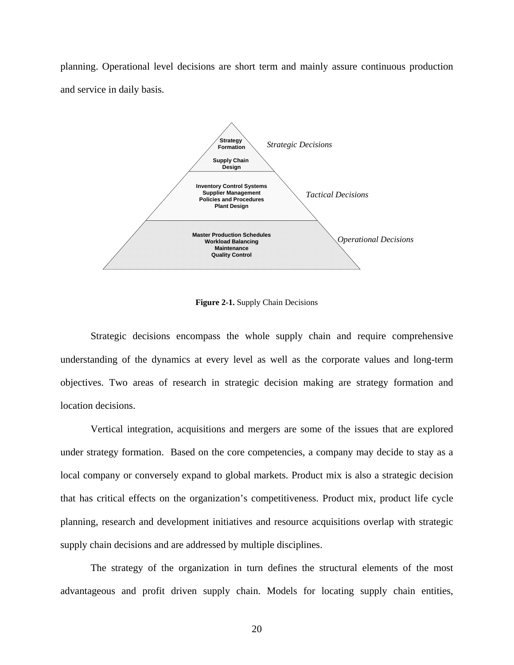<span id="page-33-0"></span>planning. Operational level decisions are short term and mainly assure continuous production and service in daily basis.



**Figure 2-1.** Supply Chain Decisions

Strategic decisions encompass the whole supply chain and require comprehensive understanding of the dynamics at every level as well as the corporate values and long-term objectives. Two areas of research in strategic decision making are strategy formation and location decisions.

Vertical integration, acquisitions and mergers are some of the issues that are explored under strategy formation. Based on the core competencies, a company may decide to stay as a local company or conversely expand to global markets. Product mix is also a strategic decision that has critical effects on the organization's competitiveness. Product mix, product life cycle planning, research and development initiatives and resource acquisitions overlap with strategic supply chain decisions and are addressed by multiple disciplines.

The strategy of the organization in turn defines the structural elements of the most advantageous and profit driven supply chain. Models for locating supply chain entities,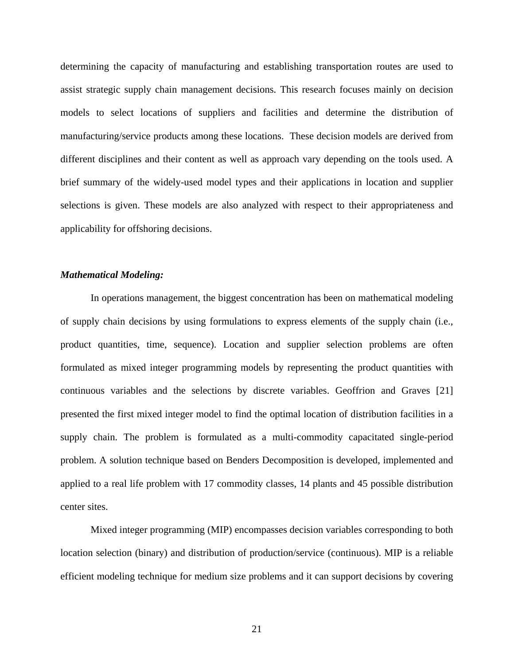determining the capacity of manufacturing and establishing transportation routes are used to assist strategic supply chain management decisions. This research focuses mainly on decision models to select locations of suppliers and facilities and determine the distribution of manufacturing/service products among these locations. These decision models are derived from different disciplines and their content as well as approach vary depending on the tools used. A brief summary of the widely-used model types and their applications in location and supplier selections is given. These models are also analyzed with respect to their appropriateness and applicability for offshoring decisions.

#### *Mathematical Modeling:*

In operations management, the biggest concentration has been on mathematical modeling of supply chain decisions by using formulations to express elements of the supply chain (i.e., product quantities, time, sequence). Location and supplier selection problems are often formulated as mixed integer programming models by representing the product quantities with continuous variables and the selections by discrete variables. Geoffrion and Graves [[2](#page-218-1)1] presented the first mixed integer model to find the optimal location of distribution facilities in a supply chain. The problem is formulated as a multi-commodity capacitated single-period problem. A solution technique based on Benders Decomposition is developed, implemented and applied to a real life problem with 17 commodity classes, 14 plants and 45 possible distribution center sites.

Mixed integer programming (MIP) encompasses decision variables corresponding to both location selection (binary) and distribution of production/service (continuous). MIP is a reliable efficient modeling technique for medium size problems and it can support decisions by covering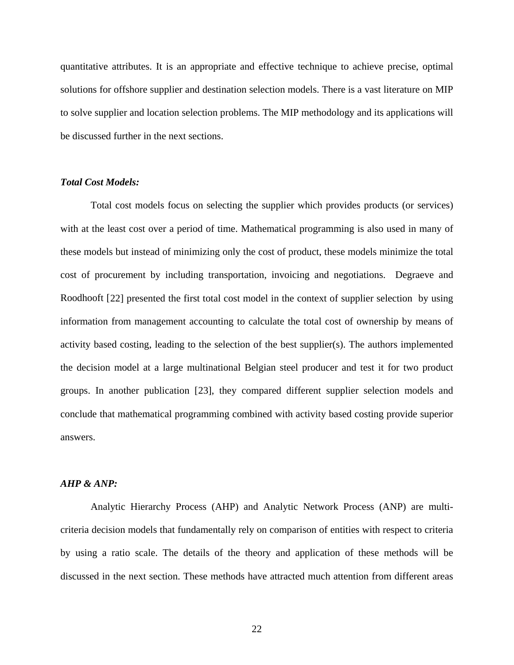quantitative attributes. It is an appropriate and effective technique to achieve precise, optimal solutions for offshore supplier and destination selection models. There is a vast literature on MIP to solve supplier and location selection problems. The MIP methodology and its applications will be discussed further in the next sections.

#### *Total Cost Models:*

Total cost models focus on selecting the supplier which provides products (or services) with at the least cost over a period of time. Mathematical programming is also used in many of these models but instead of minimizing only the cost of product, these models minimize the total cost of procurement by including transportation, invoicing and negotiations. Degraeve and Roodhooft [[2](#page-218-1)2] presented the first total cost model in the context of supplier selection by using information from management accounting to calculate the total cost of ownership by means of activity based costing, leading to the selection of the best supplier(s). The authors implemented the decision model at a large multinational Belgian steel producer and test it for two product groups. In another publication [[2](#page-218-1)3], they compared different supplier selection models and conclude that mathematical programming combined with activity based costing provide superior answers.

#### *AHP & ANP:*

Analytic Hierarchy Process (AHP) and Analytic Network Process (ANP) are multicriteria decision models that fundamentally rely on comparison of entities with respect to criteria by using a ratio scale. The details of the theory and application of these methods will be discussed in the next section. These methods have attracted much attention from different areas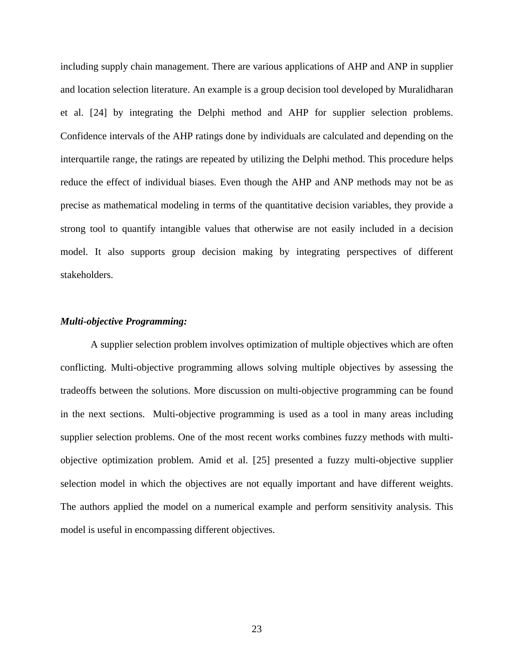including supply chain management. There are various applications of AHP and ANP in supplier and location selection literature. An example is a group decision tool developed by Muralidharan et al. [[24](#page-218-0)] by integrating the Delphi method and AHP for supplier selection problems. Confidence intervals of the AHP ratings done by individuals are calculated and depending on the interquartile range, the ratings are repeated by utilizing the Delphi method. This procedure helps reduce the effect of individual biases. Even though the AHP and ANP methods may not be as precise as mathematical modeling in terms of the quantitative decision variables, they provide a strong tool to quantify intangible values that otherwise are not easily included in a decision model. It also supports group decision making by integrating perspectives of different stakeholders.

### *Multi-objective Programming:*

A supplier selection problem involves optimization of multiple objectives which are often conflicting. Multi-objective programming allows solving multiple objectives by assessing the tradeoffs between the solutions. More discussion on multi-objective programming can be found in the next sections. Multi-objective programming is used as a tool in many areas including supplier selection problems. One of the most recent works combines fuzzy methods with multiobjective optimization problem. Amid et al. [[25](#page-218-0)] presented a fuzzy multi-objective supplier selection model in which the objectives are not equally important and have different weights. The authors applied the model on a numerical example and perform sensitivity analysis. This model is useful in encompassing different objectives.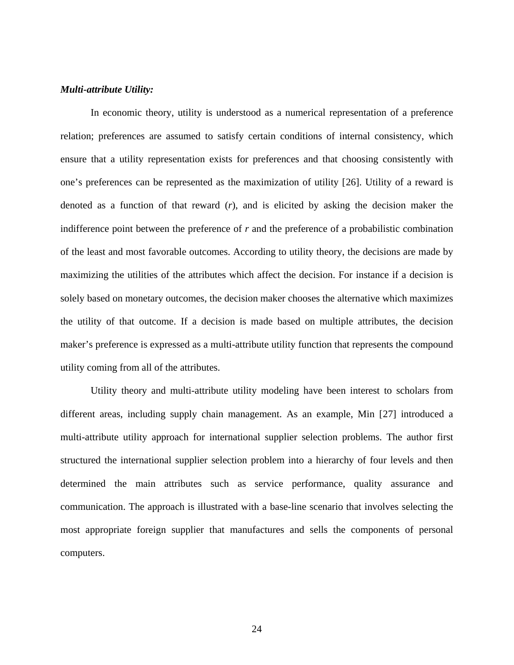### *Multi-attribute Utility:*

In economic theory, utility is understood as a numerical representation of a preference relation; preferences are assumed to satisfy certain conditions of internal consistency, which ensure that a utility representation exists for preferences and that choosing consistently with one's preferences can be represented as the maximization of utility [[2](#page-218-0)6]. Utility of a reward is denoted as a function of that reward (*r*), and is elicited by asking the decision maker the indifference point between the preference of *r* and the preference of a probabilistic combination of the least and most favorable outcomes. According to utility theory, the decisions are made by maximizing the utilities of the attributes which affect the decision. For instance if a decision is solely based on monetary outcomes, the decision maker chooses the alternative which maximizes the utility of that outcome. If a decision is made based on multiple attributes, the decision maker's preference is expressed as a multi-attribute utility function that represents the compound utility coming from all of the attributes.

Utility theory and multi-attribute utility modeling have been interest to scholars from different areas, including supply chain management. As an example, Min [[2](#page-218-0)7] introduced a multi-attribute utility approach for international supplier selection problems. The author first structured the international supplier selection problem into a hierarchy of four levels and then determined the main attributes such as service performance, quality assurance and communication. The approach is illustrated with a base-line scenario that involves selecting the most appropriate foreign supplier that manufactures and sells the components of personal computers.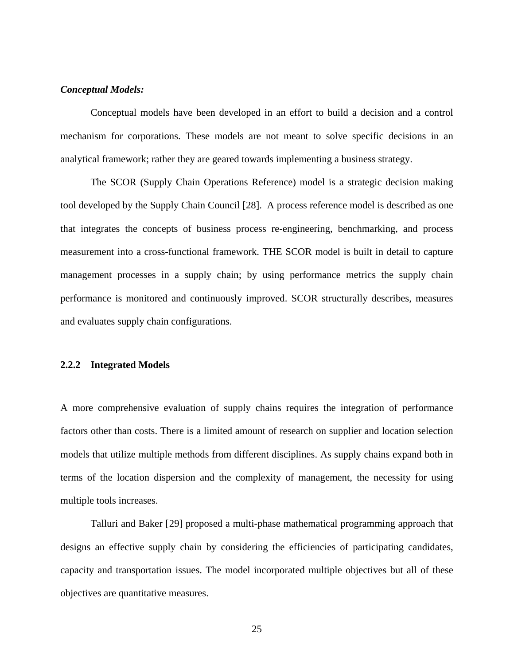### *Conceptual Models:*

Conceptual models have been developed in an effort to build a decision and a control mechanism for corporations. These models are not meant to solve specific decisions in an analytical framework; rather they are geared towards implementing a business strategy.

The SCOR (Supply Chain Operations Reference) model is a strategic decision making tool developed by the Supply Chain Council [[2](#page-218-0)8]. A process reference model is described as one that integrates the concepts of business process re-engineering, benchmarking, and process measurement into a cross-functional framework. THE SCOR model is built in detail to capture management processes in a supply chain; by using performance metrics the supply chain performance is monitored and continuously improved. SCOR structurally describes, measures and evaluates supply chain configurations.

### **2.2.2 Integrated Models**

A more comprehensive evaluation of supply chains requires the integration of performance factors other than costs. There is a limited amount of research on supplier and location selection models that utilize multiple methods from different disciplines. As supply chains expand both in terms of the location dispersion and the complexity of management, the necessity for using multiple tools increases.

Talluri and Baker [[29](#page-218-0)] proposed a multi-phase mathematical programming approach that designs an effective supply chain by considering the efficiencies of participating candidates, capacity and transportation issues. The model incorporated multiple objectives but all of these objectives are quantitative measures.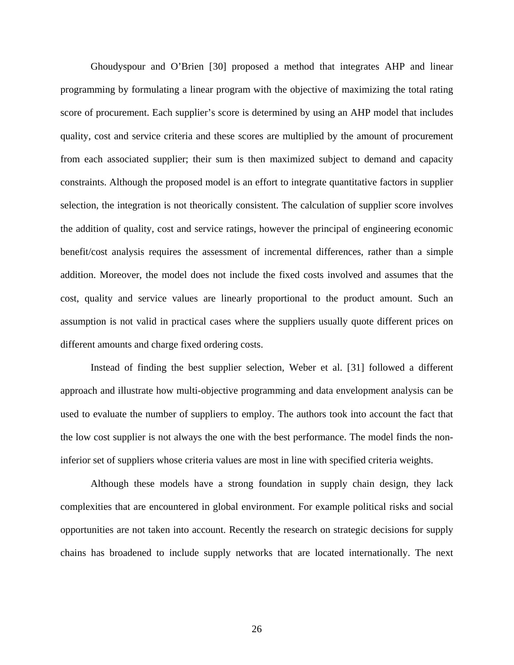Ghoudyspour and O'Brien [[30](#page-218-0)] proposed a method that integrates AHP and linear programming by formulating a linear program with the objective of maximizing the total rating score of procurement. Each supplier's score is determined by using an AHP model that includes quality, cost and service criteria and these scores are multiplied by the amount of procurement from each associated supplier; their sum is then maximized subject to demand and capacity constraints. Although the proposed model is an effort to integrate quantitative factors in supplier selection, the integration is not theorically consistent. The calculation of supplier score involves the addition of quality, cost and service ratings, however the principal of engineering economic benefit/cost analysis requires the assessment of incremental differences, rather than a simple addition. Moreover, the model does not include the fixed costs involved and assumes that the cost, quality and service values are linearly proportional to the product amount. Such an assumption is not valid in practical cases where the suppliers usually quote different prices on different amounts and charge fixed ordering costs.

Instead of finding the best supplier selection, Weber et al. [[3](#page-218-0)1] followed a different approach and illustrate how multi-objective programming and data envelopment analysis can be used to evaluate the number of suppliers to employ. The authors took into account the fact that the low cost supplier is not always the one with the best performance. The model finds the noninferior set of suppliers whose criteria values are most in line with specified criteria weights.

Although these models have a strong foundation in supply chain design, they lack complexities that are encountered in global environment. For example political risks and social opportunities are not taken into account. Recently the research on strategic decisions for supply chains has broadened to include supply networks that are located internationally. The next

26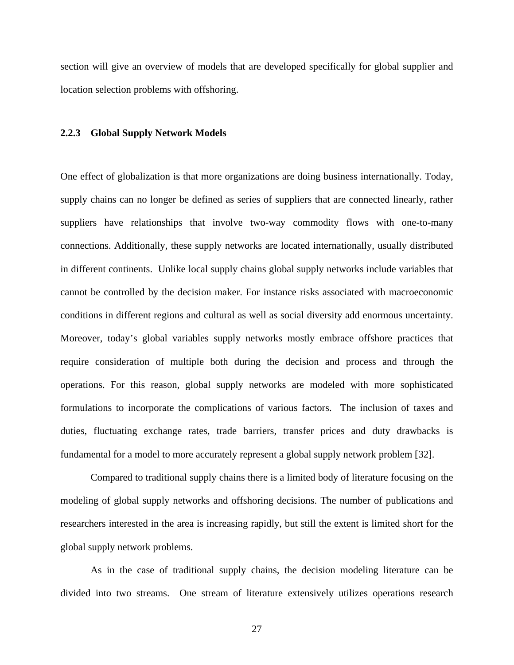section will give an overview of models that are developed specifically for global supplier and location selection problems with offshoring.

#### **2.2.3 Global Supply Network Models**

One effect of globalization is that more organizations are doing business internationally. Today, supply chains can no longer be defined as series of suppliers that are connected linearly, rather suppliers have relationships that involve two-way commodity flows with one-to-many connections. Additionally, these supply networks are located internationally, usually distributed in different continents. Unlike local supply chains global supply networks include variables that cannot be controlled by the decision maker. For instance risks associated with macroeconomic conditions in different regions and cultural as well as social diversity add enormous uncertainty. Moreover, today's global variables supply networks mostly embrace offshore practices that require consideration of multiple both during the decision and process and through the operations. For this reason, global supply networks are modeled with more sophisticated formulations to incorporate the complications of various factors. The inclusion of taxes and duties, fluctuating exchange rates, trade barriers, transfer prices and duty drawbacks is fundamental for a model to more accurately represent a global supply network problem [[32](#page-218-0)].

Compared to traditional supply chains there is a limited body of literature focusing on the modeling of global supply networks and offshoring decisions. The number of publications and researchers interested in the area is increasing rapidly, but still the extent is limited short for the global supply network problems.

As in the case of traditional supply chains, the decision modeling literature can be divided into two streams. One stream of literature extensively utilizes operations research

27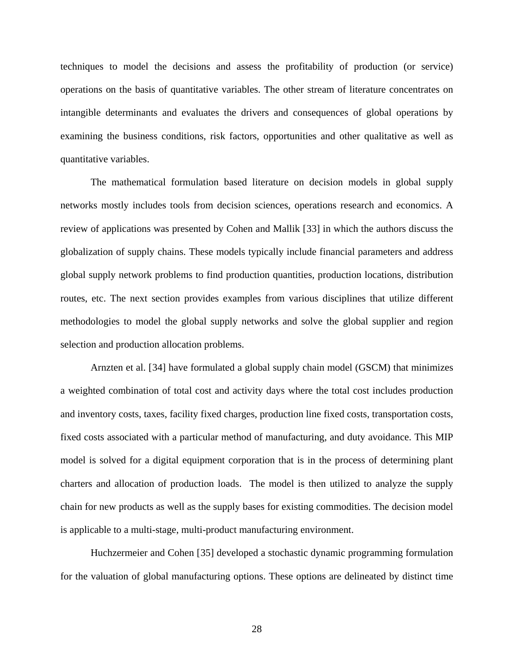techniques to model the decisions and assess the profitability of production (or service) operations on the basis of quantitative variables. The other stream of literature concentrates on intangible determinants and evaluates the drivers and consequences of global operations by examining the business conditions, risk factors, opportunities and other qualitative as well as quantitative variables.

The mathematical formulation based literature on decision models in global supply networks mostly includes tools from decision sciences, operations research and economics. A review of applications was presented by Cohen and Mallik [[3](#page-218-0)3] in which the authors discuss the globalization of supply chains. These models typically include financial parameters and address global supply network problems to find production quantities, production locations, distribution routes, etc. The next section provides examples from various disciplines that utilize different methodologies to model the global supply networks and solve the global supplier and region selection and production allocation problems.

Arnzten et al. [[34](#page-218-0)] have formulated a global supply chain model (GSCM) that minimizes a weighted combination of total cost and activity days where the total cost includes production and inventory costs, taxes, facility fixed charges, production line fixed costs, transportation costs, fixed costs associated with a particular method of manufacturing, and duty avoidance. This MIP model is solved for a digital equipment corporation that is in the process of determining plant charters and allocation of production loads. The model is then utilized to analyze the supply chain for new products as well as the supply bases for existing commodities. The decision model is applicable to a multi-stage, multi-product manufacturing environment.

Huchzermeier and Cohen [[35](#page-218-0)] developed a stochastic dynamic programming formulation for the valuation of global manufacturing options. These options are delineated by distinct time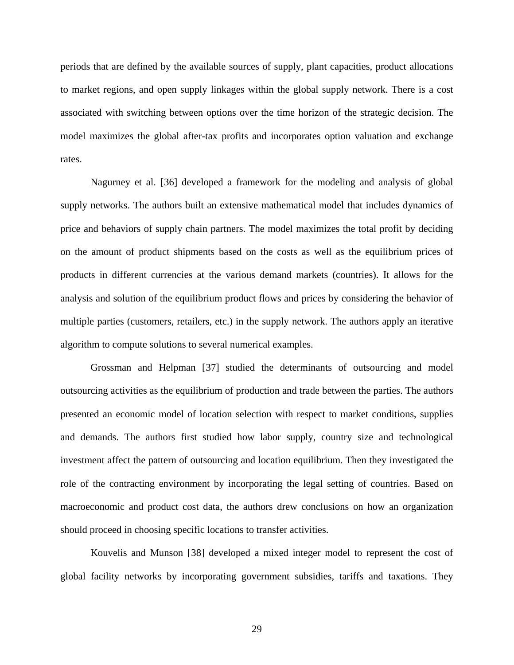periods that are defined by the available sources of supply, plant capacities, product allocations to market regions, and open supply linkages within the global supply network. There is a cost associated with switching between options over the time horizon of the strategic decision. The model maximizes the global after-tax profits and incorporates option valuation and exchange rates.

Nagurney et al. [[3](#page-218-0)6] developed a framework for the modeling and analysis of global supply networks. The authors built an extensive mathematical model that includes dynamics of price and behaviors of supply chain partners. The model maximizes the total profit by deciding on the amount of product shipments based on the costs as well as the equilibrium prices of products in different currencies at the various demand markets (countries). It allows for the analysis and solution of the equilibrium product flows and prices by considering the behavior of multiple parties (customers, retailers, etc.) in the supply network. The authors apply an iterative algorithm to compute solutions to several numerical examples.

Grossman and Helpman [[3](#page-218-0)7] studied the determinants of outsourcing and model outsourcing activities as the equilibrium of production and trade between the parties. The authors presented an economic model of location selection with respect to market conditions, supplies and demands. The authors first studied how labor supply, country size and technological investment affect the pattern of outsourcing and location equilibrium. Then they investigated the role of the contracting environment by incorporating the legal setting of countries. Based on macroeconomic and product cost data, the authors drew conclusions on how an organization should proceed in choosing specific locations to transfer activities.

Kouvelis and Munson [[38](#page-218-0)] developed a mixed integer model to represent the cost of global facility networks by incorporating government subsidies, tariffs and taxations. They

29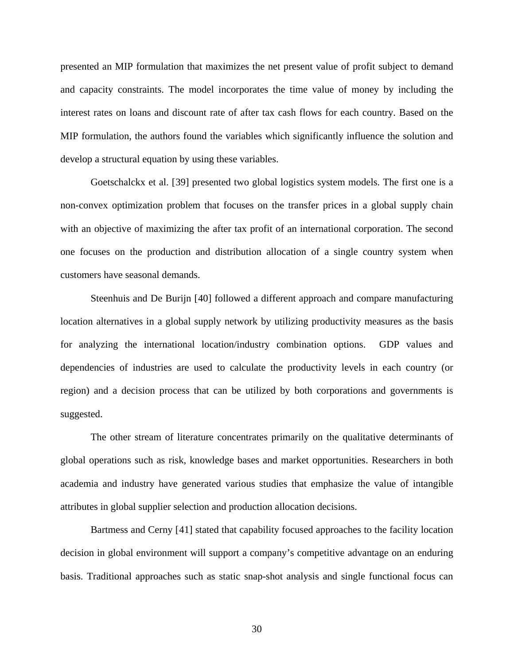presented an MIP formulation that maximizes the net present value of profit subject to demand and capacity constraints. The model incorporates the time value of money by including the interest rates on loans and discount rate of after tax cash flows for each country. Based on the MIP formulation, the authors found the variables which significantly influence the solution and develop a structural equation by using these variables.

Goetschalckx et al. [[3](#page-218-0)9] presented two global logistics system models. The first one is a non-convex optimization problem that focuses on the transfer prices in a global supply chain with an objective of maximizing the after tax profit of an international corporation. The second one focuses on the production and distribution allocation of a single country system when customers have seasonal demands.

Steenhuis and De Burijn [[4](#page-218-0)0] followed a different approach and compare manufacturing location alternatives in a global supply network by utilizing productivity measures as the basis for analyzing the international location/industry combination options. GDP values and dependencies of industries are used to calculate the productivity levels in each country (or region) and a decision process that can be utilized by both corporations and governments is suggested.

The other stream of literature concentrates primarily on the qualitative determinants of global operations such as risk, knowledge bases and market opportunities. Researchers in both academia and industry have generated various studies that emphasize the value of intangible attributes in global supplier selection and production allocation decisions.

Bartmess and Cerny [[41](#page-218-0)] stated that capability focused approaches to the facility location decision in global environment will support a company's competitive advantage on an enduring basis. Traditional approaches such as static snap-shot analysis and single functional focus can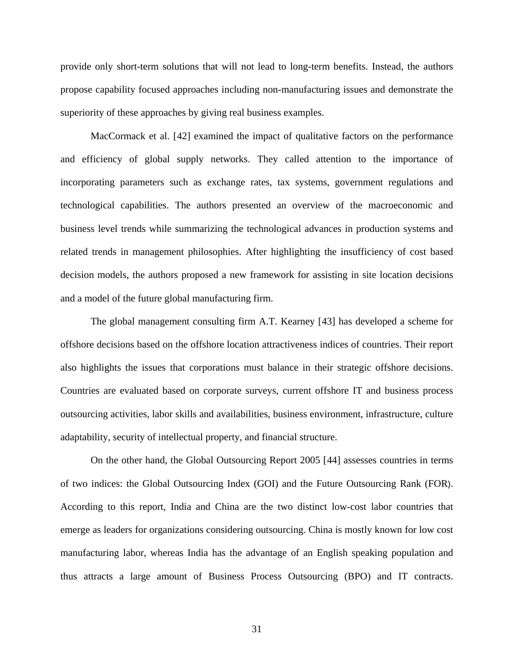provide only short-term solutions that will not lead to long-term benefits. Instead, the authors propose capability focused approaches including non-manufacturing issues and demonstrate the superiority of these approaches by giving real business examples.

MacCormack et al. [[42](#page-218-0)] examined the impact of qualitative factors on the performance and efficiency of global supply networks. They called attention to the importance of incorporating parameters such as exchange rates, tax systems, government regulations and technological capabilities. The authors presented an overview of the macroeconomic and business level trends while summarizing the technological advances in production systems and related trends in management philosophies. After highlighting the insufficiency of cost based decision models, the authors proposed a new framework for assisting in site location decisions and a model of the future global manufacturing firm.

The global management consulting firm A.T. Kearney [[43](#page-218-0)] has developed a scheme for offshore decisions based on the offshore location attractiveness indices of countries. Their report also highlights the issues that corporations must balance in their strategic offshore decisions. Countries are evaluated based on corporate surveys, current offshore IT and business process outsourcing activities, labor skills and availabilities, business environment, infrastructure, culture adaptability, security of intellectual property, and financial structure.

On the other hand, the Global Outsourcing Report 2005 [[44](#page-218-0)] assesses countries in terms of two indices: the Global Outsourcing Index (GOI) and the Future Outsourcing Rank (FOR). According to this report, India and China are the two distinct low-cost labor countries that emerge as leaders for organizations considering outsourcing. China is mostly known for low cost manufacturing labor, whereas India has the advantage of an English speaking population and thus attracts a large amount of Business Process Outsourcing (BPO) and IT contracts.

31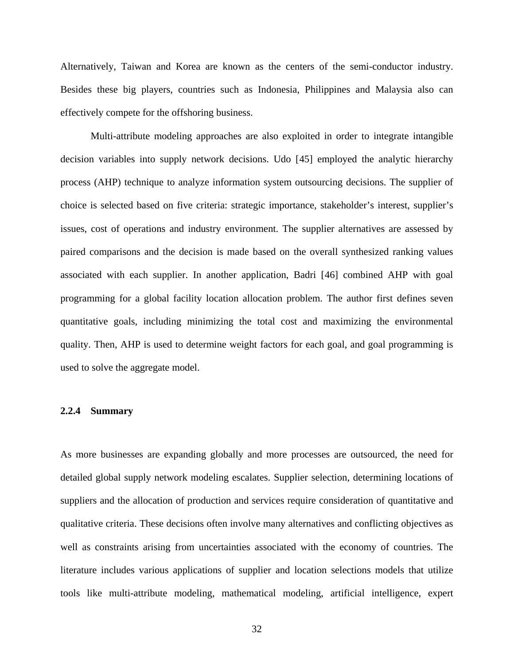Alternatively, Taiwan and Korea are known as the centers of the semi-conductor industry. Besides these big players, countries such as Indonesia, Philippines and Malaysia also can effectively compete for the offshoring business.

Multi-attribute modeling approaches are also exploited in order to integrate intangible decision variables into supply network decisions. Udo [[45](#page-218-0)] employed the analytic hierarchy process (AHP) technique to analyze information system outsourcing decisions. The supplier of choice is selected based on five criteria: strategic importance, stakeholder's interest, supplier's issues, cost of operations and industry environment. The supplier alternatives are assessed by paired comparisons and the decision is made based on the overall synthesized ranking values associated with each supplier. In another application, Badri [[46](#page-218-0)] combined AHP with goal programming for a global facility location allocation problem. The author first defines seven quantitative goals, including minimizing the total cost and maximizing the environmental quality. Then, AHP is used to determine weight factors for each goal, and goal programming is used to solve the aggregate model.

### **2.2.4 Summary**

As more businesses are expanding globally and more processes are outsourced, the need for detailed global supply network modeling escalates. Supplier selection, determining locations of suppliers and the allocation of production and services require consideration of quantitative and qualitative criteria. These decisions often involve many alternatives and conflicting objectives as well as constraints arising from uncertainties associated with the economy of countries. The literature includes various applications of supplier and location selections models that utilize tools like multi-attribute modeling, mathematical modeling, artificial intelligence, expert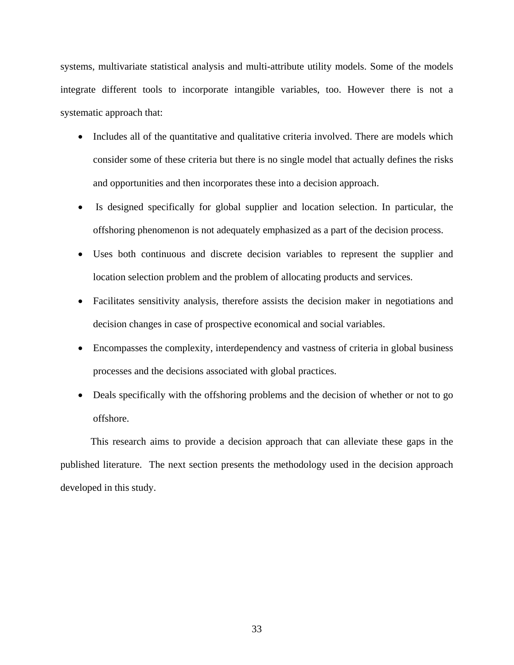systems, multivariate statistical analysis and multi-attribute utility models. Some of the models integrate different tools to incorporate intangible variables, too. However there is not a systematic approach that:

- Includes all of the quantitative and qualitative criteria involved. There are models which consider some of these criteria but there is no single model that actually defines the risks and opportunities and then incorporates these into a decision approach.
- Is designed specifically for global supplier and location selection. In particular, the offshoring phenomenon is not adequately emphasized as a part of the decision process.
- Uses both continuous and discrete decision variables to represent the supplier and location selection problem and the problem of allocating products and services.
- Facilitates sensitivity analysis, therefore assists the decision maker in negotiations and decision changes in case of prospective economical and social variables.
- Encompasses the complexity, interdependency and vastness of criteria in global business processes and the decisions associated with global practices.
- Deals specifically with the offshoring problems and the decision of whether or not to go offshore.

This research aims to provide a decision approach that can alleviate these gaps in the published literature. The next section presents the methodology used in the decision approach developed in this study.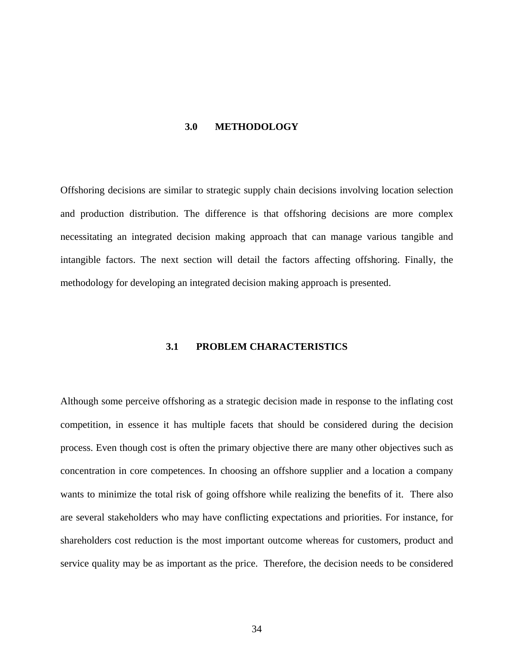#### **3.0 METHODOLOGY**

Offshoring decisions are similar to strategic supply chain decisions involving location selection and production distribution. The difference is that offshoring decisions are more complex necessitating an integrated decision making approach that can manage various tangible and intangible factors. The next section will detail the factors affecting offshoring. Finally, the methodology for developing an integrated decision making approach is presented.

### **3.1 PROBLEM CHARACTERISTICS**

Although some perceive offshoring as a strategic decision made in response to the inflating cost competition, in essence it has multiple facets that should be considered during the decision process. Even though cost is often the primary objective there are many other objectives such as concentration in core competences. In choosing an offshore supplier and a location a company wants to minimize the total risk of going offshore while realizing the benefits of it. There also are several stakeholders who may have conflicting expectations and priorities. For instance, for shareholders cost reduction is the most important outcome whereas for customers, product and service quality may be as important as the price. Therefore, the decision needs to be considered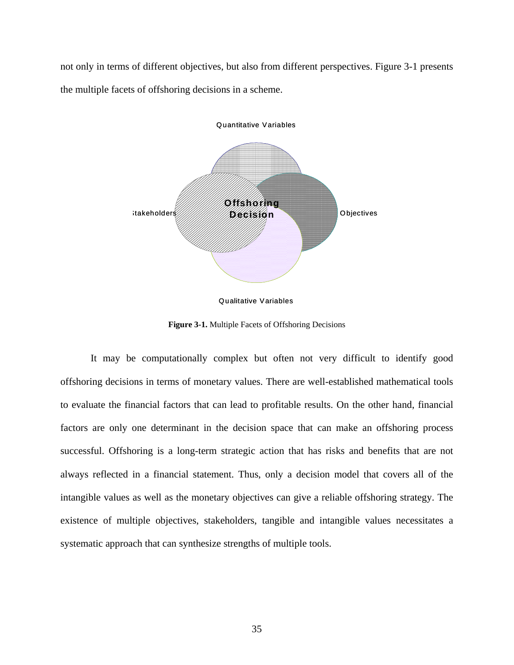<span id="page-48-0"></span>not only in terms of different objectives, but also from different perspectives. [Figure 3-1](#page-48-0) presents the multiple facets of offshoring decisions in a scheme.



Qualitative Variables

**Figure 3-1.** Multiple Facets of Offshoring Decisions

It may be computationally complex but often not very difficult to identify good offshoring decisions in terms of monetary values. There are well-established mathematical tools to evaluate the financial factors that can lead to profitable results. On the other hand, financial factors are only one determinant in the decision space that can make an offshoring process successful. Offshoring is a long-term strategic action that has risks and benefits that are not always reflected in a financial statement. Thus, only a decision model that covers all of the intangible values as well as the monetary objectives can give a reliable offshoring strategy. The existence of multiple objectives, stakeholders, tangible and intangible values necessitates a systematic approach that can synthesize strengths of multiple tools.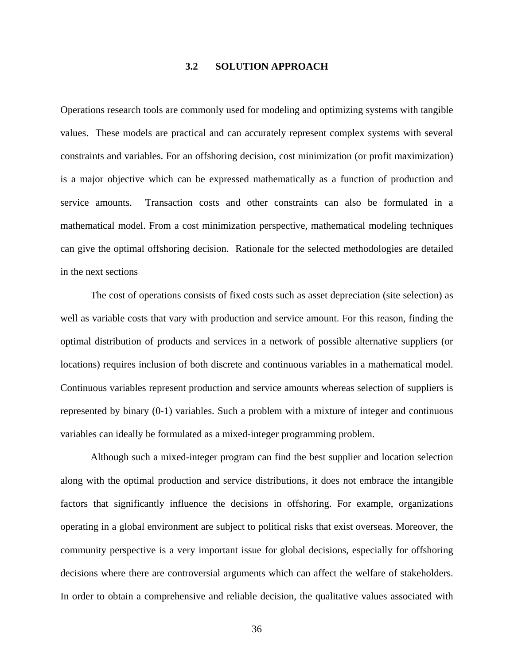### **3.2 SOLUTION APPROACH**

Operations research tools are commonly used for modeling and optimizing systems with tangible values. These models are practical and can accurately represent complex systems with several constraints and variables. For an offshoring decision, cost minimization (or profit maximization) is a major objective which can be expressed mathematically as a function of production and service amounts. Transaction costs and other constraints can also be formulated in a mathematical model. From a cost minimization perspective, mathematical modeling techniques can give the optimal offshoring decision. Rationale for the selected methodologies are detailed in the next sections

The cost of operations consists of fixed costs such as asset depreciation (site selection) as well as variable costs that vary with production and service amount. For this reason, finding the optimal distribution of products and services in a network of possible alternative suppliers (or locations) requires inclusion of both discrete and continuous variables in a mathematical model. Continuous variables represent production and service amounts whereas selection of suppliers is represented by binary (0-1) variables. Such a problem with a mixture of integer and continuous variables can ideally be formulated as a mixed-integer programming problem.

Although such a mixed-integer program can find the best supplier and location selection along with the optimal production and service distributions, it does not embrace the intangible factors that significantly influence the decisions in offshoring. For example, organizations operating in a global environment are subject to political risks that exist overseas. Moreover, the community perspective is a very important issue for global decisions, especially for offshoring decisions where there are controversial arguments which can affect the welfare of stakeholders. In order to obtain a comprehensive and reliable decision, the qualitative values associated with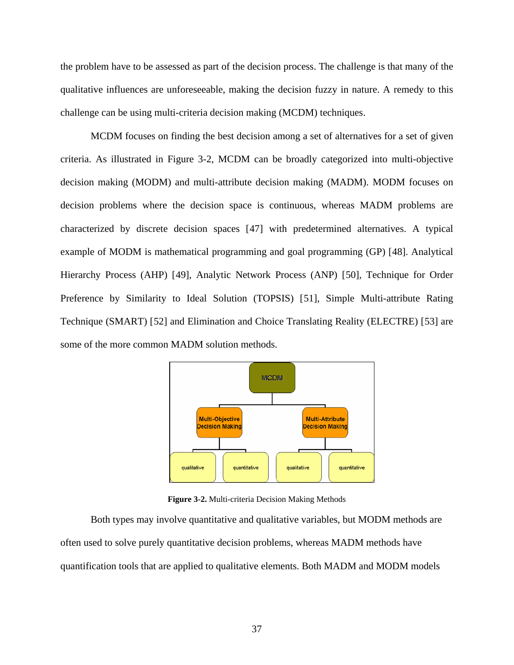<span id="page-50-0"></span>the problem have to be assessed as part of the decision process. The challenge is that many of the qualitative influences are unforeseeable, making the decision fuzzy in nature. A remedy to this challenge can be using multi-criteria decision making (MCDM) techniques.

MCDM focuses on finding the best decision among a set of alternatives for a set of given criteria. As illustrated in [Figure 3-2,](#page-50-0) MCDM can be broadly categorized into multi-objective decision making (MODM) and multi-attribute decision making (MADM). MODM focuses on decision problems where the decision space is continuous, whereas MADM problems are characterized by discrete decision spaces [\[4](#page-218-0)7] with predetermined alternatives. A typical example of MODM is mathematical programming and goal programming (GP) [[4](#page-218-0)8]. Analytical Hierarchy Process (AHP) [[4](#page-218-0)9], Analytic Network Process (ANP) [[5](#page-218-0)0], Technique for Order Preference by Similarity to Ideal Solution (TOPSIS) [[51](#page-218-0)], Simple Multi-attribute Rating Technique (SMART) [[5](#page-218-0)2] and Elimination and Choice Translating Reality (ELECTRE) [[53](#page-218-0)] are some of the more common MADM solution methods.



**Figure 3-2.** Multi-criteria Decision Making Methods

Both types may involve quantitative and qualitative variables, but MODM methods are often used to solve purely quantitative decision problems, whereas MADM methods have quantification tools that are applied to qualitative elements. Both MADM and MODM models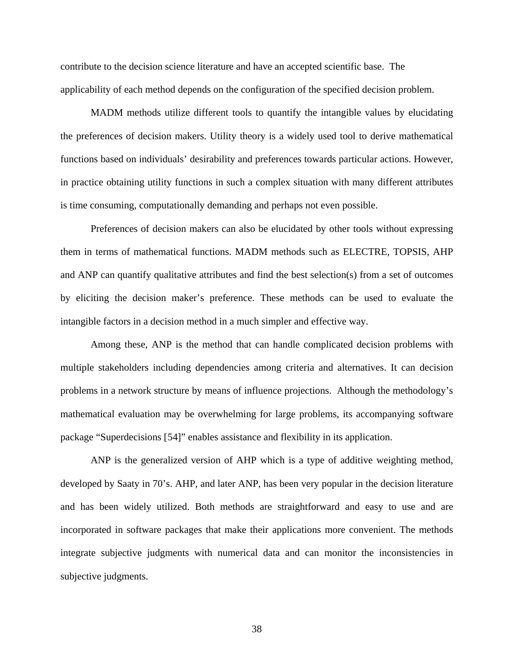contribute to the decision science literature and have an accepted scientific base. The applicability of each method depends on the configuration of the specified decision problem.

MADM methods utilize different tools to quantify the intangible values by elucidating the preferences of decision makers. Utility theory is a widely used tool to derive mathematical functions based on individuals' desirability and preferences towards particular actions. However, in practice obtaining utility functions in such a complex situation with many different attributes is time consuming, computationally demanding and perhaps not even possible.

Preferences of decision makers can also be elucidated by other tools without expressing them in terms of mathematical functions. MADM methods such as ELECTRE, TOPSIS, AHP and ANP can quantify qualitative attributes and find the best selection(s) from a set of outcomes by eliciting the decision maker's preference. These methods can be used to evaluate the intangible factors in a decision method in a much simpler and effective way.

Among these, ANP is the method that can handle complicated decision problems with multiple stakeholders including dependencies among criteria and alternatives. It can decision problems in a network structure by means of influence projections. Although the methodology's mathematical evaluation may be overwhelming for large problems, its accompanying software package "Superdecisions [[54](#page-218-0)]" enables assistance and flexibility in its application.

ANP is the generalized version of AHP which is a type of additive weighting method, developed by Saaty in 70's. AHP, and later ANP, has been very popular in the decision literature and has been widely utilized. Both methods are straightforward and easy to use and are incorporated in software packages that make their applications more convenient. The methods integrate subjective judgments with numerical data and can monitor the inconsistencies in subjective judgments.

38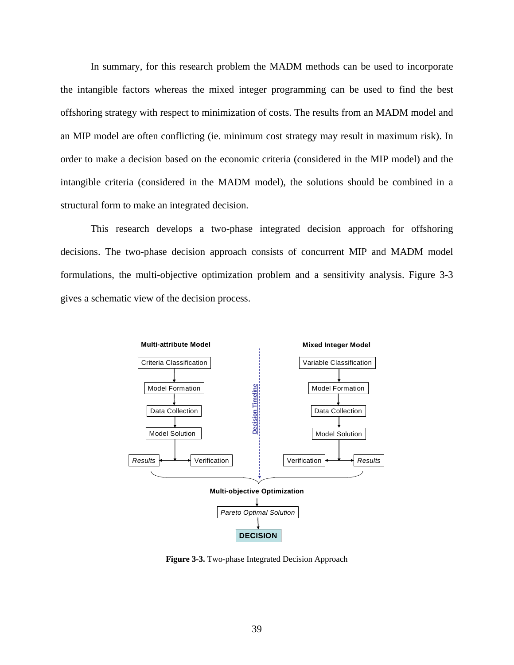<span id="page-52-0"></span>In summary, for this research problem the MADM methods can be used to incorporate the intangible factors whereas the mixed integer programming can be used to find the best offshoring strategy with respect to minimization of costs. The results from an MADM model and an MIP model are often conflicting (ie. minimum cost strategy may result in maximum risk). In order to make a decision based on the economic criteria (considered in the MIP model) and the intangible criteria (considered in the MADM model), the solutions should be combined in a structural form to make an integrated decision.

This research develops a two-phase integrated decision approach for offshoring decisions. The two-phase decision approach consists of concurrent MIP and MADM model formulations, the multi-objective optimization problem and a sensitivity analysis. [Figure 3-3](#page-52-0) gives a schematic view of the decision process.



**Figure 3-3.** Two-phase Integrated Decision Approach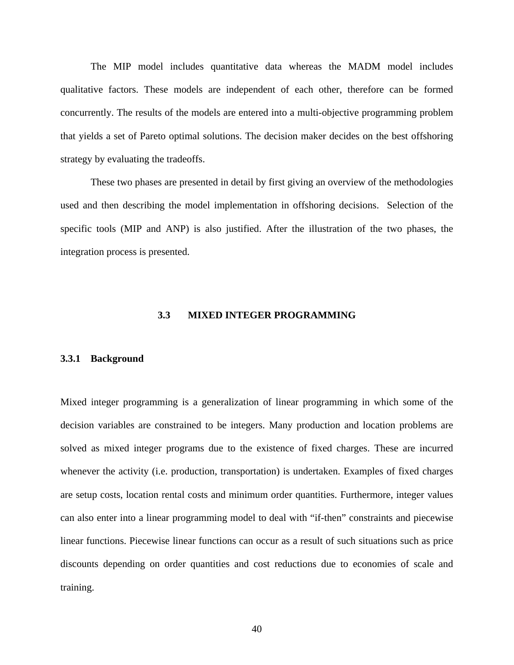The MIP model includes quantitative data whereas the MADM model includes qualitative factors. These models are independent of each other, therefore can be formed concurrently. The results of the models are entered into a multi-objective programming problem that yields a set of Pareto optimal solutions. The decision maker decides on the best offshoring strategy by evaluating the tradeoffs.

These two phases are presented in detail by first giving an overview of the methodologies used and then describing the model implementation in offshoring decisions. Selection of the specific tools (MIP and ANP) is also justified. After the illustration of the two phases, the integration process is presented.

### **3.3 MIXED INTEGER PROGRAMMING**

#### **3.3.1 Background**

Mixed integer programming is a generalization of linear programming in which some of the decision variables are constrained to be integers. Many production and location problems are solved as mixed integer programs due to the existence of fixed charges. These are incurred whenever the activity (i.e. production, transportation) is undertaken. Examples of fixed charges are setup costs, location rental costs and minimum order quantities. Furthermore, integer values can also enter into a linear programming model to deal with "if-then" constraints and piecewise linear functions. Piecewise linear functions can occur as a result of such situations such as price discounts depending on order quantities and cost reductions due to economies of scale and training.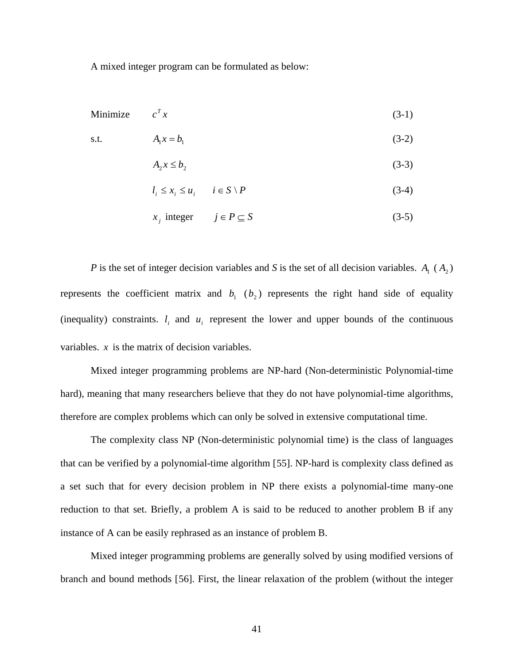A mixed integer program can be formulated as below:

Minimize 
$$
c^T x
$$
 (3-1)

$$
A_1 x = b_1 \tag{3-2}
$$

$$
A_2 x \leq b_2 \tag{3-3}
$$

$$
l_i \le x_i \le u_i \qquad i \in S \setminus P \tag{3-4}
$$

$$
x_j \text{ integer} \qquad j \in P \subseteq S \tag{3-5}
$$

*P* is the set of integer decision variables and *S* is the set of all decision variables.  $A_1$  ( $A_2$ ) represents the coefficient matrix and  $b_1$  ( $b_2$ ) represents the right hand side of equality (inequality) constraints.  $l_i$  and  $u_j$  represent the lower and upper bounds of the continuous variables. *x* is the matrix of decision variables.

Mixed integer programming problems are NP-hard (Non-deterministic Polynomial-time hard), meaning that many researchers believe that they do not have polynomial-time algorithms, therefore are complex problems which can only be solved in extensive computational time.

 The complexity class NP (Non-deterministic polynomial time) is the class of languages that can be verified by a polynomial-time algorithm [[55](#page-218-0)]. NP-hard is complexity class defined as a set such that for every decision problem in NP there exists a polynomial-time many-one reduction to that set. Briefly, a problem A is said to be reduced to another problem B if any instance of A can be easily rephrased as an instance of problem B.

Mixed integer programming problems are generally solved by using modified versions of branch and bound methods [[5](#page-218-0)6]. First, the linear relaxation of the problem (without the integer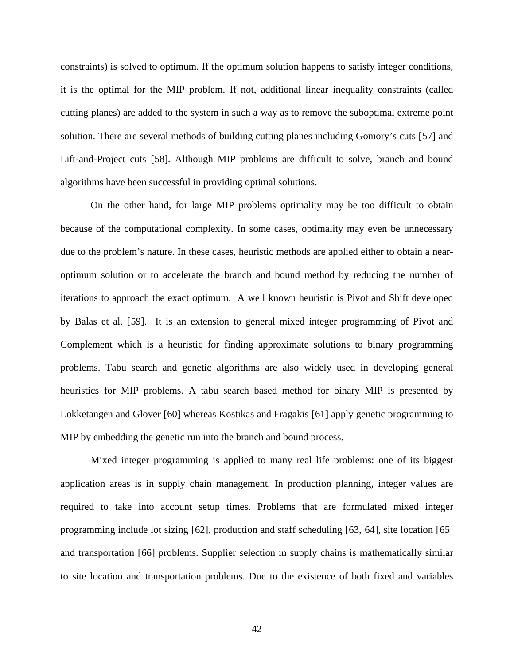constraints) is solved to optimum. If the optimum solution happens to satisfy integer conditions, it is the optimal for the MIP problem. If not, additional linear inequality constraints (called cutting planes) are added to the system in such a way as to remove the suboptimal extreme point solution. There are several methods of building cutting planes including Gomory's cuts [[5](#page-218-0)7] and Lift-and-Project cuts [[5](#page-218-0)8]. Although MIP problems are difficult to solve, branch and bound algorithms have been successful in providing optimal solutions.

On the other hand, for large MIP problems optimality may be too difficult to obtain because of the computational complexity. In some cases, optimality may even be unnecessary due to the problem's nature. In these cases, heuristic methods are applied either to obtain a nearoptimum solution or to accelerate the branch and bound method by reducing the number of iterations to approach the exact optimum. A well known heuristic is Pivot and Shift developed by Balas et al. [[59](#page-218-0)]. It is an extension to general mixed integer programming of Pivot and Complement which is a heuristic for finding approximate solutions to binary programming problems. Tabu search and genetic algorithms are also widely used in developing general heuristics for MIP problems. A tabu search based method for binary MIP is presented by Lokketangen and Glover [[6](#page-218-0)0] whereas Kostikas and Fragakis [[6](#page-218-0)1] apply genetic programming to MIP by embedding the genetic run into the branch and bound process.

Mixed integer programming is applied to many real life problems: one of its biggest application areas is in supply chain management. In production planning, integer values are required to take into account setup times. Problems that are formulated mixed integer programming include lot sizing [[6](#page-218-0)2], production and staff scheduling [[63](#page-218-0), [64](#page-218-0)], site location [[65](#page-218-0)] and transportation [[66](#page-218-0)] problems. Supplier selection in supply chains is mathematically similar to site location and transportation problems. Due to the existence of both fixed and variables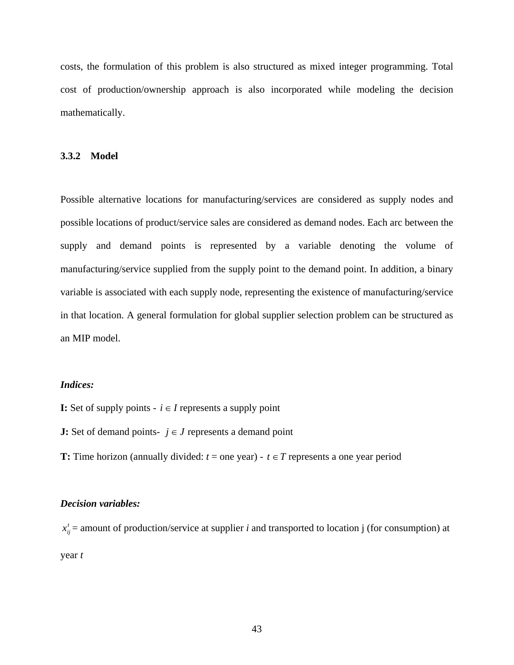costs, the formulation of this problem is also structured as mixed integer programming. Total cost of production/ownership approach is also incorporated while modeling the decision mathematically.

#### **3.3.2 Model**

Possible alternative locations for manufacturing/services are considered as supply nodes and possible locations of product/service sales are considered as demand nodes. Each arc between the supply and demand points is represented by a variable denoting the volume of manufacturing/service supplied from the supply point to the demand point. In addition, a binary variable is associated with each supply node, representing the existence of manufacturing/service in that location. A general formulation for global supplier selection problem can be structured as an MIP model.

## *Indices:*

- **I:** Set of supply points  $\text{-} i \in I$  represents a supply point
- **J:** Set of demand points-  $j \in J$  represents a demand point
- **T:** Time horizon (annually divided:  $t =$  one year)  $t \in T$  represents a one year period

#### *Decision variables:*

 $x_{ij}^t$  = amount of production/service at supplier *i* and transported to location j (for consumption) at year *t*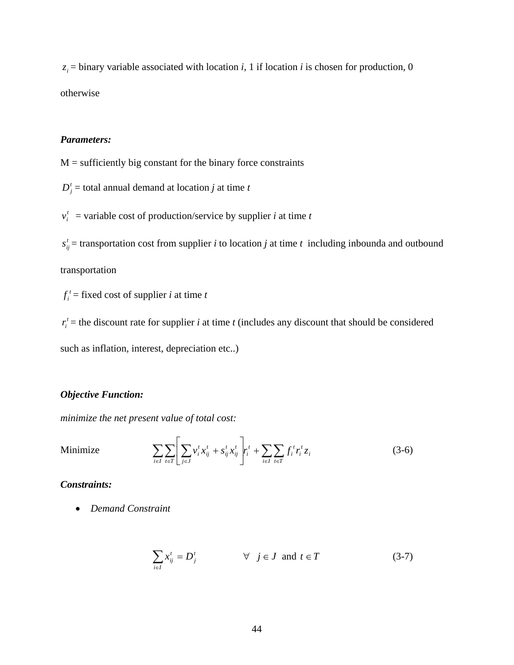$z_i$  = binary variable associated with location *i*, 1 if location *i* is chosen for production, 0 otherwise

# *Parameters:*

 $M =$  sufficiently big constant for the binary force constraints

 $D_i^t$  = total annual demand at location *j* at time *t* 

 $v_i^t$  = variable cost of production/service by supplier *i* at time *t* 

 $s_{ij}^t$  = transportation cost from supplier *i* to location *j* at time *t* including inbounda and outbound

transportation

 $f_i^t$  = fixed cost of supplier *i* at time *t* 

 $r_i^t$  = the discount rate for supplier *i* at time *t* (includes any discount that should be considered

such as inflation, interest, depreciation etc..)

## *Objective Function:*

*minimize the net present value of total cost:* 

Minimize 
$$
\sum_{i \in I} \sum_{t \in T} \left| \sum_{j \in J} v_i^t x_{ij}^t + s_{ij}^t x_{ij}^t \right| r_i^t + \sum_{i \in I} \sum_{t \in T} f_i^t r_i^t z_i
$$
 (3-6)

## *Constraints:*

• *Demand Constraint* 

$$
\sum_{i \in I} x_{ij}^t = D_j^t \qquad \forall j \in J \text{ and } t \in T \qquad (3-7)
$$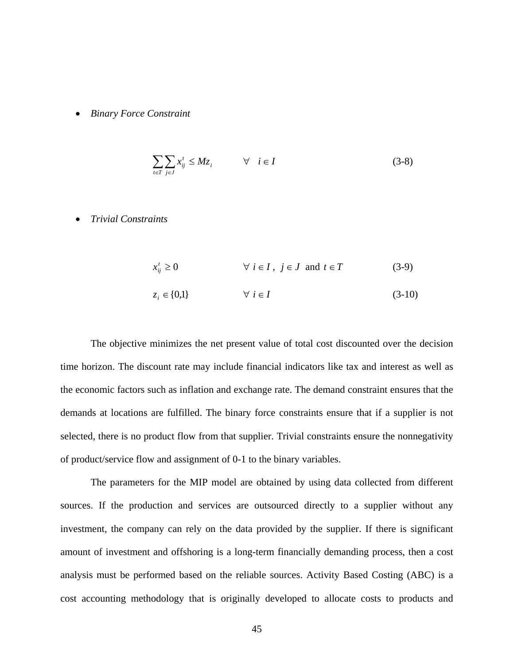• *Binary Force Constraint* 

$$
\sum_{t \in T} \sum_{j \in J} x_{ij}^t \le M z_i \qquad \forall \quad i \in I \tag{3-8}
$$

• *Trivial Constraints* 

$$
x'_{ij} \ge 0 \qquad \forall i \in I, j \in J \text{ and } t \in T \qquad (3-9)
$$
  

$$
z_i \in \{0,1\} \qquad \forall i \in I \qquad (3-10)
$$

The objective minimizes the net present value of total cost discounted over the decision time horizon. The discount rate may include financial indicators like tax and interest as well as the economic factors such as inflation and exchange rate. The demand constraint ensures that the demands at locations are fulfilled. The binary force constraints ensure that if a supplier is not selected, there is no product flow from that supplier. Trivial constraints ensure the nonnegativity of product/service flow and assignment of 0-1 to the binary variables.

The parameters for the MIP model are obtained by using data collected from different sources. If the production and services are outsourced directly to a supplier without any investment, the company can rely on the data provided by the supplier. If there is significant amount of investment and offshoring is a long-term financially demanding process, then a cost analysis must be performed based on the reliable sources. Activity Based Costing (ABC) is a cost accounting methodology that is originally developed to allocate costs to products and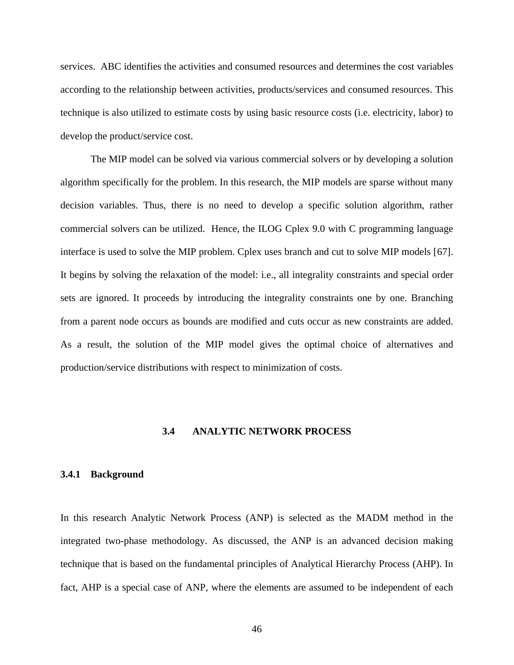services. ABC identifies the activities and consumed resources and determines the cost variables according to the relationship between activities, products/services and consumed resources. This technique is also utilized to estimate costs by using basic resource costs (i.e. electricity, labor) to develop the product/service cost.

The MIP model can be solved via various commercial solvers or by developing a solution algorithm specifically for the problem. In this research, the MIP models are sparse without many decision variables. Thus, there is no need to develop a specific solution algorithm, rather commercial solvers can be utilized. Hence, the ILOG Cplex 9.0 with C programming language interface is used to solve the MIP problem. Cplex uses branch and cut to solve MIP models [[67](#page-218-0)]. It begins by solving the relaxation of the model: i.e., all integrality constraints and special order sets are ignored. It proceeds by introducing the integrality constraints one by one. Branching from a parent node occurs as bounds are modified and cuts occur as new constraints are added. As a result, the solution of the MIP model gives the optimal choice of alternatives and production/service distributions with respect to minimization of costs.

### **3.4 ANALYTIC NETWORK PROCESS**

#### **3.4.1 Background**

In this research Analytic Network Process (ANP) is selected as the MADM method in the integrated two-phase methodology. As discussed, the ANP is an advanced decision making technique that is based on the fundamental principles of Analytical Hierarchy Process (AHP). In fact, AHP is a special case of ANP, where the elements are assumed to be independent of each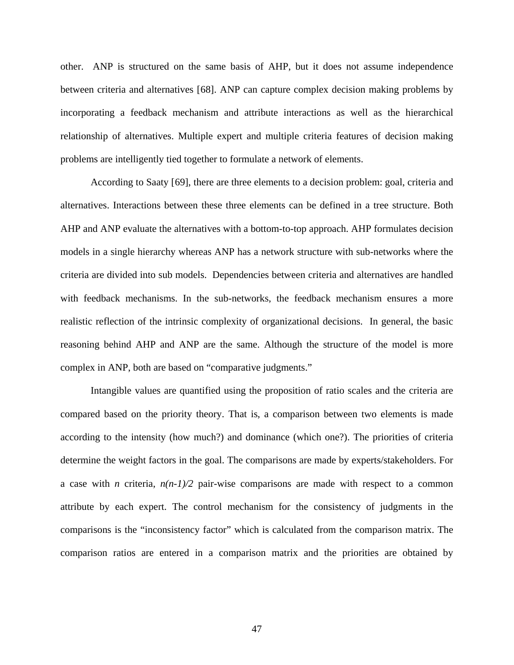other. ANP is structured on the same basis of AHP, but it does not assume independence between criteria and alternatives [[6](#page-218-0)8]. ANP can capture complex decision making problems by incorporating a feedback mechanism and attribute interactions as well as the hierarchical relationship of alternatives. Multiple expert and multiple criteria features of decision making problems are intelligently tied together to formulate a network of elements.

According to Saaty [\[69](#page-218-0)], there are three elements to a decision problem: goal, criteria and alternatives. Interactions between these three elements can be defined in a tree structure. Both AHP and ANP evaluate the alternatives with a bottom-to-top approach. AHP formulates decision models in a single hierarchy whereas ANP has a network structure with sub-networks where the criteria are divided into sub models. Dependencies between criteria and alternatives are handled with feedback mechanisms. In the sub-networks, the feedback mechanism ensures a more realistic reflection of the intrinsic complexity of organizational decisions. In general, the basic reasoning behind AHP and ANP are the same. Although the structure of the model is more complex in ANP, both are based on "comparative judgments."

Intangible values are quantified using the proposition of ratio scales and the criteria are compared based on the priority theory. That is, a comparison between two elements is made according to the intensity (how much?) and dominance (which one?). The priorities of criteria determine the weight factors in the goal. The comparisons are made by experts/stakeholders. For a case with *n* criteria,  $n(n-1)/2$  pair-wise comparisons are made with respect to a common attribute by each expert. The control mechanism for the consistency of judgments in the comparisons is the "inconsistency factor" which is calculated from the comparison matrix. The comparison ratios are entered in a comparison matrix and the priorities are obtained by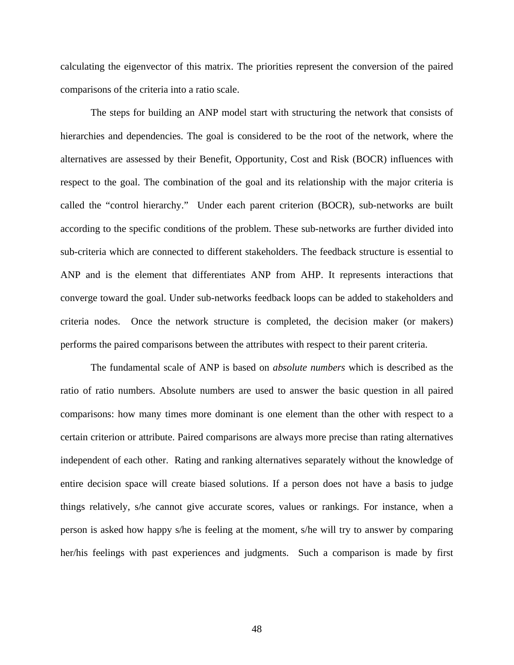calculating the eigenvector of this matrix. The priorities represent the conversion of the paired comparisons of the criteria into a ratio scale.

The steps for building an ANP model start with structuring the network that consists of hierarchies and dependencies. The goal is considered to be the root of the network, where the alternatives are assessed by their Benefit, Opportunity, Cost and Risk (BOCR) influences with respect to the goal. The combination of the goal and its relationship with the major criteria is called the "control hierarchy." Under each parent criterion (BOCR), sub-networks are built according to the specific conditions of the problem. These sub-networks are further divided into sub-criteria which are connected to different stakeholders. The feedback structure is essential to ANP and is the element that differentiates ANP from AHP. It represents interactions that converge toward the goal. Under sub-networks feedback loops can be added to stakeholders and criteria nodes. Once the network structure is completed, the decision maker (or makers) performs the paired comparisons between the attributes with respect to their parent criteria.

The fundamental scale of ANP is based on *absolute numbers* which is described as the ratio of ratio numbers. Absolute numbers are used to answer the basic question in all paired comparisons: how many times more dominant is one element than the other with respect to a certain criterion or attribute. Paired comparisons are always more precise than rating alternatives independent of each other. Rating and ranking alternatives separately without the knowledge of entire decision space will create biased solutions. If a person does not have a basis to judge things relatively, s/he cannot give accurate scores, values or rankings. For instance, when a person is asked how happy s/he is feeling at the moment, s/he will try to answer by comparing her/his feelings with past experiences and judgments. Such a comparison is made by first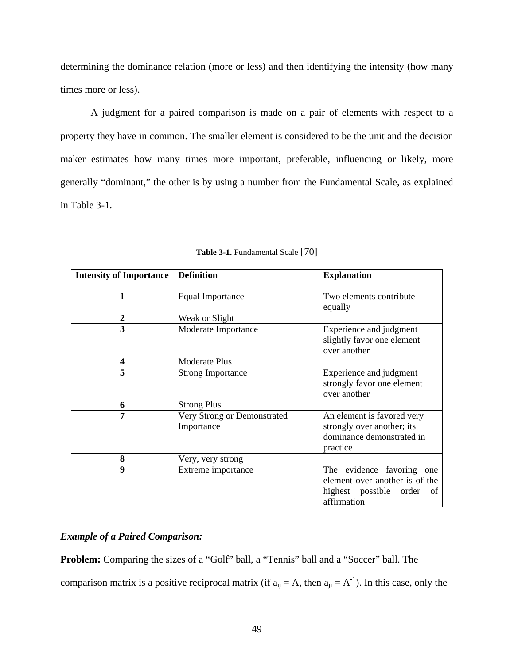<span id="page-62-0"></span>determining the dominance relation (more or less) and then identifying the intensity (how many times more or less).

A judgment for a paired comparison is made on a pair of elements with respect to a property they have in common. The smaller element is considered to be the unit and the decision maker estimates how many times more important, preferable, influencing or likely, more generally "dominant," the other is by using a number from the Fundamental Scale, as explained in [Table 3-1.](#page-62-0)

| <b>Intensity of Importance</b> | <b>Definition</b>                         | <b>Explanation</b><br>Two elements contribute<br>equally                                                |  |  |  |
|--------------------------------|-------------------------------------------|---------------------------------------------------------------------------------------------------------|--|--|--|
|                                | Equal Importance                          |                                                                                                         |  |  |  |
| 2                              | Weak or Slight                            |                                                                                                         |  |  |  |
| 3                              | Moderate Importance                       | Experience and judgment<br>slightly favor one element<br>over another                                   |  |  |  |
| 4                              | <b>Moderate Plus</b>                      |                                                                                                         |  |  |  |
| 5                              | <b>Strong Importance</b>                  | Experience and judgment<br>strongly favor one element<br>over another                                   |  |  |  |
| 6                              | <b>Strong Plus</b>                        |                                                                                                         |  |  |  |
| 7                              | Very Strong or Demonstrated<br>Importance | An element is favored very<br>strongly over another; its<br>dominance demonstrated in<br>practice       |  |  |  |
| 8                              | Very, very strong                         |                                                                                                         |  |  |  |
| 9                              | Extreme importance                        | The evidence favoring one<br>element over another is of the<br>highest possible order of<br>affirmation |  |  |  |

**Table 3-1.** Fundamental Scale [[7](#page-218-0)0]

# *Example of a Paired Comparison:*

**Problem:** Comparing the sizes of a "Golf" ball, a "Tennis" ball and a "Soccer" ball. The comparison matrix is a positive reciprocal matrix (if  $a_{ij} = A$ , then  $a_{ji} = A^{-1}$ ). In this case, only the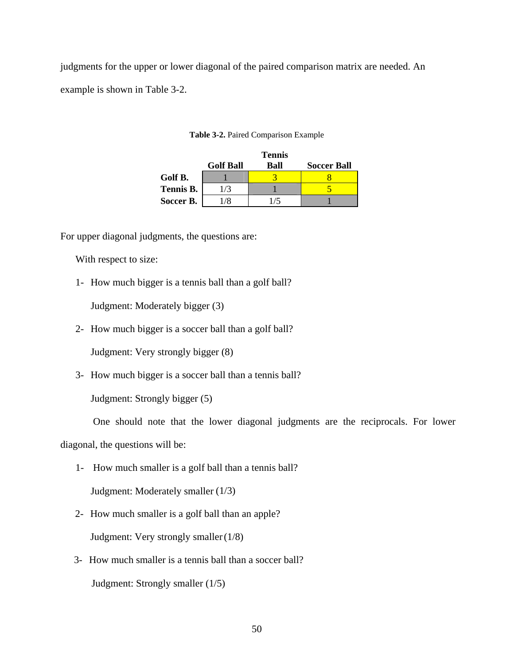<span id="page-63-0"></span>judgments for the upper or lower diagonal of the paired comparison matrix are needed. An example is shown in [Table 3-2.](#page-63-0)

|           |                  | <b>Tennis</b> |                    |
|-----------|------------------|---------------|--------------------|
|           | <b>Golf Ball</b> | Ball          | <b>Soccer Ball</b> |
| Golf B.   |                  |               |                    |
| Tennis B. | $\sqrt{3}$       |               |                    |
| Soccer B. |                  |               |                    |

**Table 3-2.** Paired Comparison Example

For upper diagonal judgments, the questions are:

With respect to size:

1- How much bigger is a tennis ball than a golf ball?

Judgment: Moderately bigger (3)

2- How much bigger is a soccer ball than a golf ball?

Judgment: Very strongly bigger (8)

3- How much bigger is a soccer ball than a tennis ball?

Judgment: Strongly bigger (5)

One should note that the lower diagonal judgments are the reciprocals. For lower

diagonal, the questions will be:

1- How much smaller is a golf ball than a tennis ball?

Judgment: Moderately smaller (1/3)

- 2- How much smaller is a golf ball than an apple? Judgment: Very strongly smaller (1/8)
- 3- How much smaller is a tennis ball than a soccer ball? Judgment: Strongly smaller (1/5)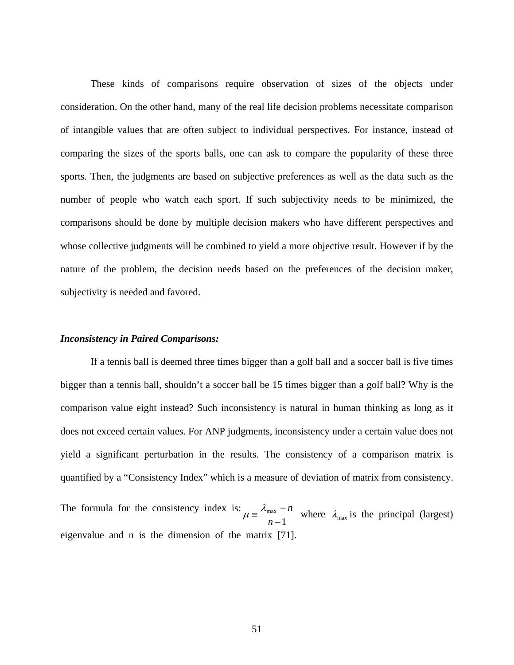These kinds of comparisons require observation of sizes of the objects under consideration. On the other hand, many of the real life decision problems necessitate comparison of intangible values that are often subject to individual perspectives. For instance, instead of comparing the sizes of the sports balls, one can ask to compare the popularity of these three sports. Then, the judgments are based on subjective preferences as well as the data such as the number of people who watch each sport. If such subjectivity needs to be minimized, the comparisons should be done by multiple decision makers who have different perspectives and whose collective judgments will be combined to yield a more objective result. However if by the nature of the problem, the decision needs based on the preferences of the decision maker, subjectivity is needed and favored.

#### *Inconsistency in Paired Comparisons:*

If a tennis ball is deemed three times bigger than a golf ball and a soccer ball is five times bigger than a tennis ball, shouldn't a soccer ball be 15 times bigger than a golf ball? Why is the comparison value eight instead? Such inconsistency is natural in human thinking as long as it does not exceed certain values. For ANP judgments, inconsistency under a certain value does not yield a significant perturbation in the results. The consistency of a comparison matrix is quantified by a "Consistency Index" which is a measure of deviation of matrix from consistency.

The formula for the consistency index is: 1 max  $\mu = \frac{\lambda_{\text{max}} - n}{n - 1}$  where  $\lambda_{\text{max}}$  is the principal (largest) eigenvalue and n is the dimension of the m[atr](#page-218-0)ix [71].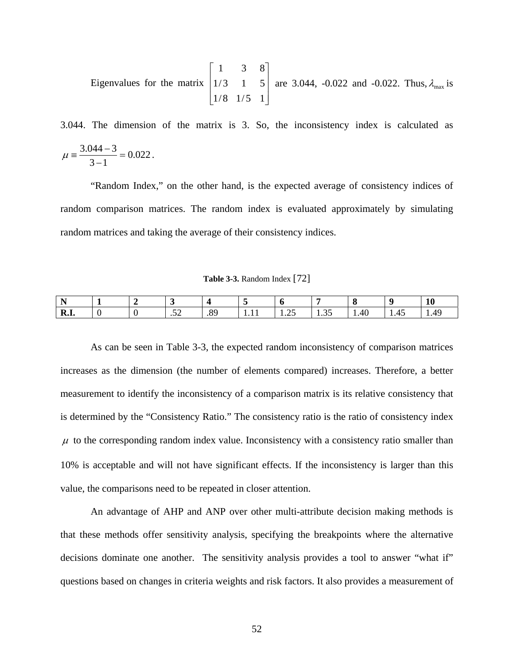<span id="page-65-0"></span>Eigenvalues for the matrix 
$$
\begin{bmatrix} 1 & 3 & 8 \\ 1/3 & 1 & 5 \\ 1/8 & 1/5 & 1 \end{bmatrix}
$$
 are 3.044, -0.022 and -0.022. Thus,  $\lambda_{\text{max}}$  is

3.044. The dimension of the matrix is 3. So, the inconsistency index is calculated as 0.022  $\mu = \frac{3.044 - 3}{3 - 1} = 0.022$ .

"Random Index," on the other hand, is the expected average of consistency indices of random comparison matrices. The random index is evaluated approximately by simulating random matrices and taking the average of their consistency indices.

**Table 3-3.** Random Index [[72](#page-218-0)]

| R.I |  | - -<br>$\cdot$ | or<br>י | . | . | 41 |  |
|-----|--|----------------|---------|---|---|----|--|

As can be seen in [Table 3-3](#page-65-0), the expected random inconsistency of comparison matrices increases as the dimension (the number of elements compared) increases. Therefore, a better measurement to identify the inconsistency of a comparison matrix is its relative consistency that is determined by the "Consistency Ratio." The consistency ratio is the ratio of consistency index  $\mu$  to the corresponding random index value. Inconsistency with a consistency ratio smaller than 10% is acceptable and will not have significant effects. If the inconsistency is larger than this value, the comparisons need to be repeated in closer attention.

An advantage of AHP and ANP over other multi-attribute decision making methods is that these methods offer sensitivity analysis, specifying the breakpoints where the alternative decisions dominate one another. The sensitivity analysis provides a tool to answer "what if" questions based on changes in criteria weights and risk factors. It also provides a measurement of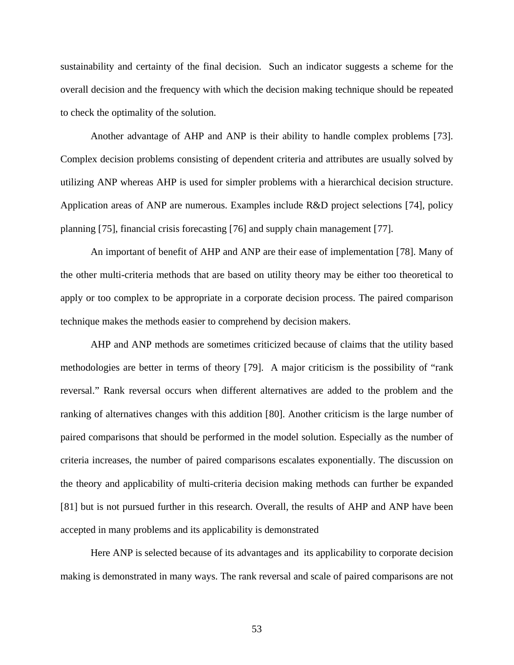sustainability and certainty of the final decision. Such an indicator suggests a scheme for the overall decision and the frequency with which the decision making technique should be repeated to check the optimality of the solution.

Another advantage of AHP and ANP is their ability to handle complex problems [[73](#page-218-0)]. Complex decision problems consisting of dependent criteria and attributes are usually solved by utilizing ANP whereas AHP is used for simpler problems with a hierarchical decision structure. Application areas of ANP are numerous. Examples include R&D project selections [[7](#page-218-0)4], policy planning [[75](#page-218-0)], financial crisis forecasting [[76](#page-218-0)] and supply chain management [[77](#page-218-0)].

An important of benefit of AHP and ANP are their ease of implementation [[78](#page-218-0)]. Many of the other multi-criteria methods that are based on utility theory may be either too theoretical to apply or too complex to be appropriate in a corporate decision process. The paired comparison technique makes the methods easier to comprehend by decision makers.

AHP and ANP methods are sometimes criticized because of claims that the utility based methodologies are better in terms of theory [[7](#page-218-0)9]. A major criticism is the possibility of "rank reversal." Rank reversal occurs when different alternatives are added to the problem and the ranking of alternatives changes with this addition [[80](#page-218-0)]. Another criticism is the large number of paired comparisons that should be performed in the model solution. Especially as the number of criteria increases, the number of paired comparisons escalates exponentially. The discussion on the theory and applicability of multi-criteria decision making methods can further be expanded [[81](#page-218-0)] but is not pursued further in this research. Overall, the results of AHP and ANP have been accepted in many problems and its applicability is demonstrated

Here ANP is selected because of its advantages and its applicability to corporate decision making is demonstrated in many ways. The rank reversal and scale of paired comparisons are not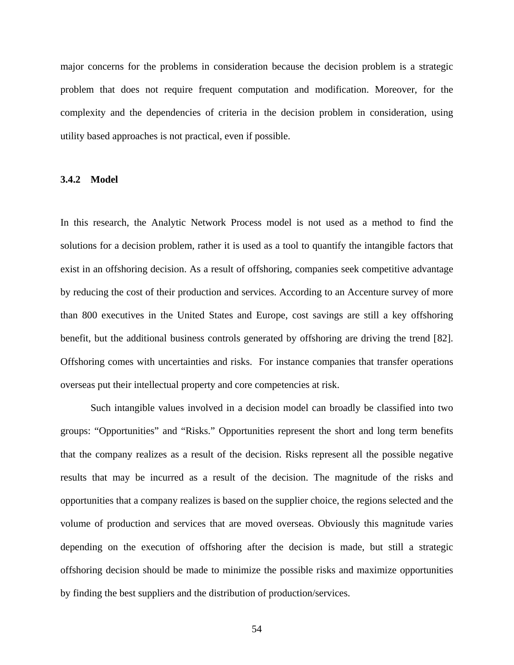major concerns for the problems in consideration because the decision problem is a strategic problem that does not require frequent computation and modification. Moreover, for the complexity and the dependencies of criteria in the decision problem in consideration, using utility based approaches is not practical, even if possible.

#### **3.4.2 Model**

In this research, the Analytic Network Process model is not used as a method to find the solutions for a decision problem, rather it is used as a tool to quantify the intangible factors that exist in an offshoring decision. As a result of offshoring, companies seek competitive advantage by reducing the cost of their production and services. According to an Accenture survey of more than 800 executives in the United States and Europe, cost savings are still a key offshoring benefit, but the additional business controls generated by offshoring are driving the trend [[8](#page-218-0)2]. Offshoring comes with uncertainties and risks. For instance companies that transfer operations overseas put their intellectual property and core competencies at risk.

Such intangible values involved in a decision model can broadly be classified into two groups: "Opportunities" and "Risks." Opportunities represent the short and long term benefits that the company realizes as a result of the decision. Risks represent all the possible negative results that may be incurred as a result of the decision. The magnitude of the risks and opportunities that a company realizes is based on the supplier choice, the regions selected and the volume of production and services that are moved overseas. Obviously this magnitude varies depending on the execution of offshoring after the decision is made, but still a strategic offshoring decision should be made to minimize the possible risks and maximize opportunities by finding the best suppliers and the distribution of production/services.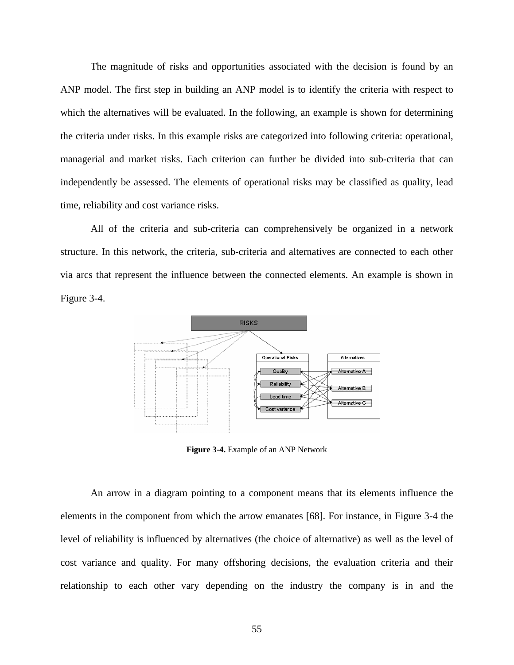<span id="page-68-0"></span>The magnitude of risks and opportunities associated with the decision is found by an ANP model. The first step in building an ANP model is to identify the criteria with respect to which the alternatives will be evaluated. In the following, an example is shown for determining the criteria under risks. In this example risks are categorized into following criteria: operational, managerial and market risks. Each criterion can further be divided into sub-criteria that can independently be assessed. The elements of operational risks may be classified as quality, lead time, reliability and cost variance risks.

All of the criteria and sub-criteria can comprehensively be organized in a network structure. In this network, the criteria, sub-criteria and alternatives are connected to each other via arcs that represent the influence between the connected elements. An example is shown in [Figure 3-4](#page-68-0).



**Figure 3-4.** Example of an ANP Network

An arrow in a diagram pointing to a component means that its elements influence the elements in the component from which the arrow emanates [68]. For instance, in [Figure 3-4](#page-68-0) the level of reliability is influenced by alternatives (the choice of alternative) as well as the level of cost variance and quality. For many offshoring decisions, the evaluation criteria and their relationship to each other vary depending on the industry the company is in and the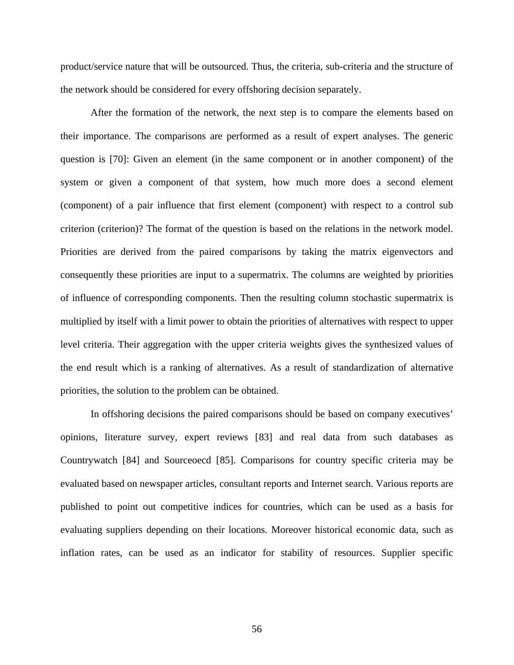product/service nature that will be outsourced. Thus, the criteria, sub-criteria and the structure of the network should be considered for every offshoring decision separately.

After the formation of the network, the next step is to compare the elements based on their importance. The comparisons are performed as a result of expert analyses. The generic question is [70]: Given an element (in the same component or in another component) of the system or given a component of that system, how much more does a second element (component) of a pair influence that first element (component) with respect to a control sub criterion (criterion)? The format of the question is based on the relations in the network model. Priorities are derived from the paired comparisons by taking the matrix eigenvectors and consequently these priorities are input to a supermatrix. The columns are weighted by priorities of influence of corresponding components. Then the resulting column stochastic supermatrix is multiplied by itself with a limit power to obtain the priorities of alternatives with respect to upper level criteria. Their aggregation with the upper criteria weights gives the synthesized values of the end result which is a ranking of alternatives. As a result of standardization of alternative priorities, the solution to the problem can be obtained.

In offshoring decisions the paired comparisons should be based on company executives' opinions, literature survey, expert reviews [[83](#page-218-0)] and real data from such databases as Countrywatch [[8](#page-218-0)4] and Sourceoecd [[8](#page-218-0)5]. Comparisons for country specific criteria may be evaluated based on newspaper articles, consultant reports and Internet search. Various reports are published to point out competitive indices for countries, which can be used as a basis for evaluating suppliers depending on their locations. Moreover historical economic data, such as inflation rates, can be used as an indicator for stability of resources. Supplier specific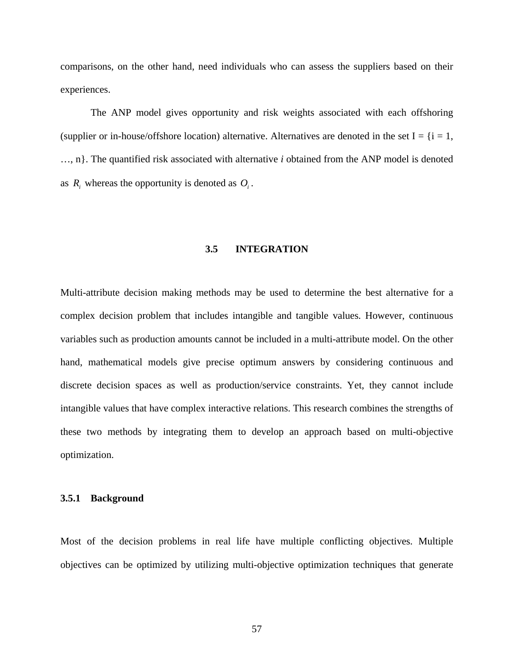comparisons, on the other hand, need individuals who can assess the suppliers based on their experiences.

The ANP model gives opportunity and risk weights associated with each offshoring (supplier or in-house/offshore location) alternative. Alternatives are denoted in the set  $I = \{i = 1,$ …, n}. The quantified risk associated with alternative *i* obtained from the ANP model is denoted as  $R_i$ , whereas the opportunity is denoted as  $O_i$ .

## **3.5 INTEGRATION**

Multi-attribute decision making methods may be used to determine the best alternative for a complex decision problem that includes intangible and tangible values. However, continuous variables such as production amounts cannot be included in a multi-attribute model. On the other hand, mathematical models give precise optimum answers by considering continuous and discrete decision spaces as well as production/service constraints. Yet, they cannot include intangible values that have complex interactive relations. This research combines the strengths of these two methods by integrating them to develop an approach based on multi-objective optimization.

#### **3.5.1 Background**

Most of the decision problems in real life have multiple conflicting objectives. Multiple objectives can be optimized by utilizing multi-objective optimization techniques that generate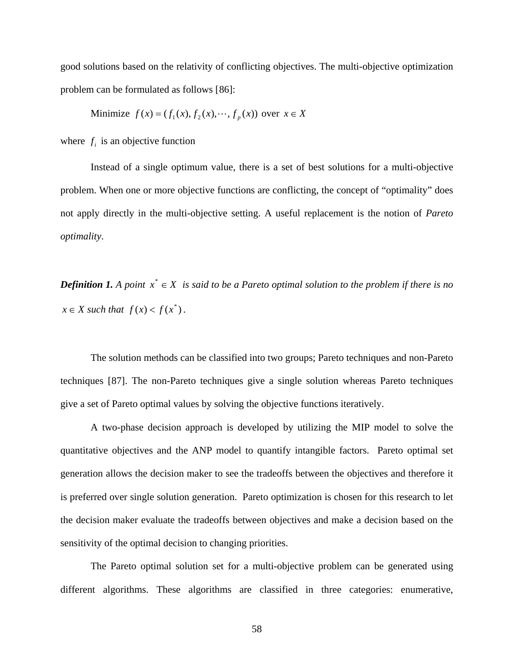good solutions based on the relativity of conflicting objectives. The multi-objective optimization problem can be formulated as follows [[8](#page-218-0)6]:

Minimize 
$$
f(x) = (f_1(x), f_2(x), \dots, f_p(x))
$$
 over  $x \in X$ 

where  $f_i$  is an objective function

Instead of a single optimum value, there is a set of best solutions for a multi-objective problem. When one or more objective functions are conflicting, the concept of "optimality" does not apply directly in the multi-objective setting. A useful replacement is the notion of *Pareto optimality*.

*Definition 1.* A point  $x^* \in X$  is said to be a Pareto optimal solution to the problem if there is no  $x \in X$  *such that*  $f(x) < f(x^*)$ .

The solution methods can be classified into two groups; Pareto techniques and non-Pareto techniques [[87](#page-218-0)]. The non-Pareto techniques give a single solution whereas Pareto techniques give a set of Pareto optimal values by solving the objective functions iteratively.

A two-phase decision approach is developed by utilizing the MIP model to solve the quantitative objectives and the ANP model to quantify intangible factors. Pareto optimal set generation allows the decision maker to see the tradeoffs between the objectives and therefore it is preferred over single solution generation. Pareto optimization is chosen for this research to let the decision maker evaluate the tradeoffs between objectives and make a decision based on the sensitivity of the optimal decision to changing priorities.

The Pareto optimal solution set for a multi-objective problem can be generated using different algorithms. These algorithms are classified in three categories: enumerative,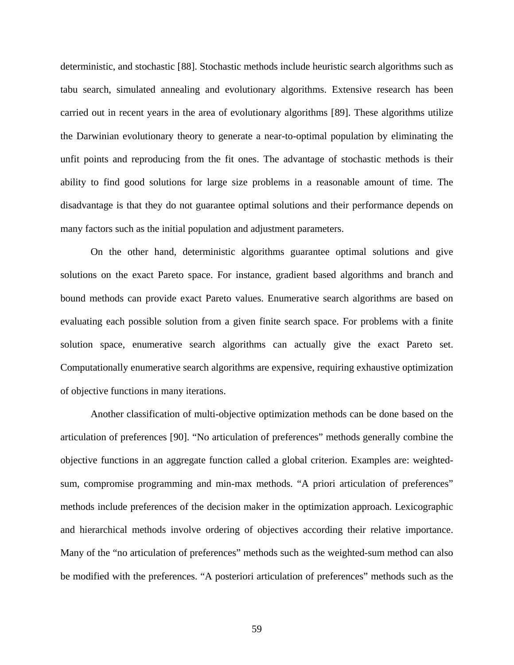deterministic, and stochastic [[8](#page-218-0)8]. Stochastic methods include heuristic search algorithms such as tabu search, simulated annealing and evolutionary algorithms. Extensive research has been carried out in recent years in the area of evolutionary algorithms [[89](#page-218-0)]. These algorithms utilize the Darwinian evolutionary theory to generate a near-to-optimal population by eliminating the unfit points and reproducing from the fit ones. The advantage of stochastic methods is their ability to find good solutions for large size problems in a reasonable amount of time. The disadvantage is that they do not guarantee optimal solutions and their performance depends on many factors such as the initial population and adjustment parameters.

On the other hand, deterministic algorithms guarantee optimal solutions and give solutions on the exact Pareto space. For instance, gradient based algorithms and branch and bound methods can provide exact Pareto values. Enumerative search algorithms are based on evaluating each possible solution from a given finite search space. For problems with a finite solution space, enumerative search algorithms can actually give the exact Pareto set. Computationally enumerative search algorithms are expensive, requiring exhaustive optimization of objective functions in many iterations.

Another classification of multi-objective optimization methods can be done based on the articulation of preferences [[90](#page-218-0)]. "No articulation of preferences" methods generally combine the objective functions in an aggregate function called a global criterion. Examples are: weightedsum, compromise programming and min-max methods. "A priori articulation of preferences" methods include preferences of the decision maker in the optimization approach. Lexicographic and hierarchical methods involve ordering of objectives according their relative importance. Many of the "no articulation of preferences" methods such as the weighted-sum method can also be modified with the preferences. "A posteriori articulation of preferences" methods such as the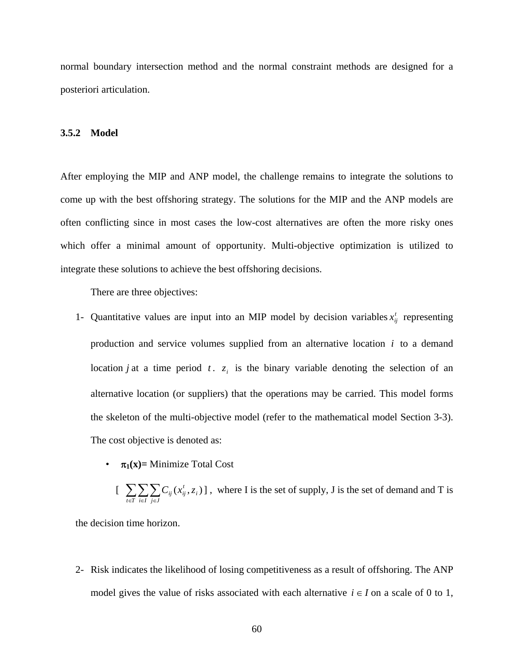normal boundary intersection method and the normal constraint methods are designed for a posteriori articulation.

#### **3.5.2 Model**

After employing the MIP and ANP model, the challenge remains to integrate the solutions to come up with the best offshoring strategy. The solutions for the MIP and the ANP models are often conflicting since in most cases the low-cost alternatives are often the more risky ones which offer a minimal amount of opportunity. Multi-objective optimization is utilized to integrate these solutions to achieve the best offshoring decisions.

There are three objectives:

- 1- Quantitative values are input into an MIP model by decision variables  $x_{ij}^t$  representing production and service volumes supplied from an alternative location *i* to a demand location *j* at a time period *t*.  $z_i$  is the binary variable denoting the selection of an alternative location (or suppliers) that the operations may be carried. This model forms the skeleton of the multi-objective model (refer to the mathematical model Section 3-3). The cost objective is denoted as:
	- $\pi_1(x)$ = Minimize Total Cost
- $\left[ \sum_{t \in T} \sum_{i \in I} \sum_{j \in J}$ *i*  $C_{ij}(x_{ij}^t, z_i)$ , where I is the set of supply, J is the set of demand and T is

the decision time horizon.

2- Risk indicates the likelihood of losing competitiveness as a result of offshoring. The ANP model gives the value of risks associated with each alternative  $i \in I$  on a scale of 0 to 1,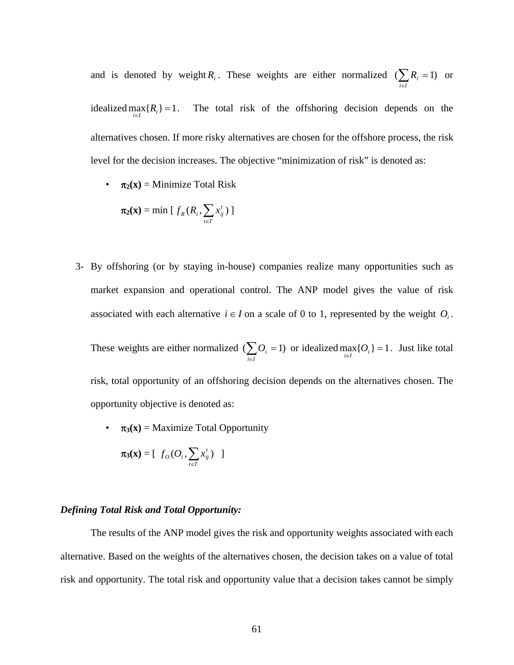and is denoted by weight *R<sub>i</sub>*. These weights are either normalized  $(\sum_{i \in I} R_i = 1)$  $R_i = 1$ ) or idealized  $\max_{i \in I} \{ R_i \} = 1$ . The total risk of the offshoring decision depends on the alternatives chosen. If more risky alternatives are chosen for the offshore process, the risk level for the decision increases. The objective "minimization of risk" is denoted as:

•  $\pi_2(x) =$  Minimize Total Risk

$$
\pi_2(\mathbf{x}) = \min \left[ f_R(R_i, \sum_{t \in T} x_{ij}^t) \right]
$$

3- By offshoring (or by staying in-house) companies realize many opportunities such as market expansion and operational control. The ANP model gives the value of risk associated with each alternative  $i \in I$  on a scale of 0 to 1, represented by the weight  $O_i$ .

These weights are either normalized  $(\sum_{i \in I} O_i = 1)$  or idealized  $\max_{i \in I} \{O_i\} = 1$ . Just like total

risk, total opportunity of an offshoring decision depends on the alternatives chosen. The opportunity objective is denoted as:

•  $\pi_3(x) =$  Maximize Total Opportunity

$$
\pi_3(\mathbf{x}) = [f_o(O_i, \sum_{t \in T} x_{ij}^t) ]
$$

# *Defining Total Risk and Total Opportunity:*

The results of the ANP model gives the risk and opportunity weights associated with each alternative. Based on the weights of the alternatives chosen, the decision takes on a value of total risk and opportunity. The total risk and opportunity value that a decision takes cannot be simply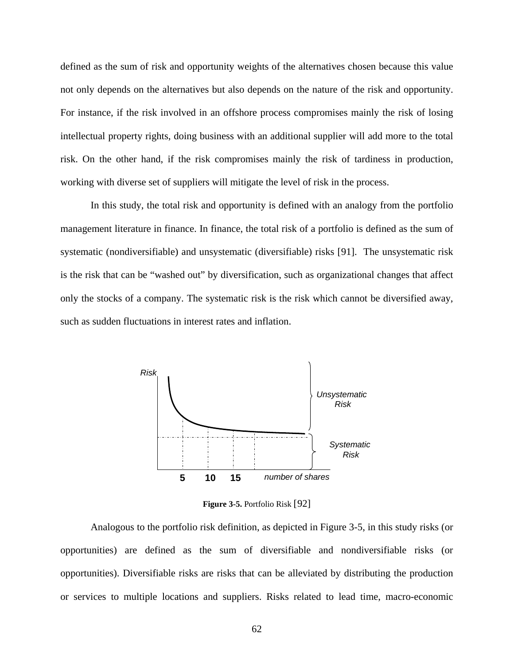<span id="page-75-0"></span>defined as the sum of risk and opportunity weights of the alternatives chosen because this value not only depends on the alternatives but also depends on the nature of the risk and opportunity. For instance, if the risk involved in an offshore process compromises mainly the risk of losing intellectual property rights, doing business with an additional supplier will add more to the total risk. On the other hand, if the risk compromises mainly the risk of tardiness in production, working with diverse set of suppliers will mitigate the level of risk in the process.

In this study, the total risk and opportunity is defined with an analogy from the portfolio management literature in finance. In finance, the total risk of a portfolio is defined as the sum of systematic (nondiversifiable) and unsystematic (diversifiable) risks [\[91](#page-218-0)]. The unsystematic risk is the risk that can be "washed out" by diversification, such as organizational changes that affect only the stocks of a company. The systematic risk is the risk which cannot be diversified away, such as sudden fluctuations in interest rates and inflation.



**Figure 3-5.** Portfolio Risk [[9](#page-218-0)2]

Analogous to the portfolio risk definition, as depicted in [Figure 3-5](#page-75-0), in this study risks (or opportunities) are defined as the sum of diversifiable and nondiversifiable risks (or opportunities). Diversifiable risks are risks that can be alleviated by distributing the production or services to multiple locations and suppliers. Risks related to lead time, macro-economic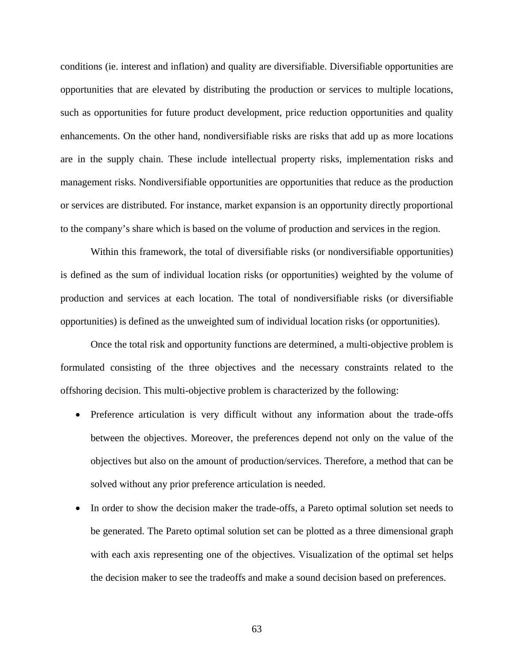conditions (ie. interest and inflation) and quality are diversifiable. Diversifiable opportunities are opportunities that are elevated by distributing the production or services to multiple locations, such as opportunities for future product development, price reduction opportunities and quality enhancements. On the other hand, nondiversifiable risks are risks that add up as more locations are in the supply chain. These include intellectual property risks, implementation risks and management risks. Nondiversifiable opportunities are opportunities that reduce as the production or services are distributed. For instance, market expansion is an opportunity directly proportional to the company's share which is based on the volume of production and services in the region.

Within this framework, the total of diversifiable risks (or nondiversifiable opportunities) is defined as the sum of individual location risks (or opportunities) weighted by the volume of production and services at each location. The total of nondiversifiable risks (or diversifiable opportunities) is defined as the unweighted sum of individual location risks (or opportunities).

Once the total risk and opportunity functions are determined, a multi-objective problem is formulated consisting of the three objectives and the necessary constraints related to the offshoring decision. This multi-objective problem is characterized by the following:

- Preference articulation is very difficult without any information about the trade-offs between the objectives. Moreover, the preferences depend not only on the value of the objectives but also on the amount of production/services. Therefore, a method that can be solved without any prior preference articulation is needed.
- In order to show the decision maker the trade-offs, a Pareto optimal solution set needs to be generated. The Pareto optimal solution set can be plotted as a three dimensional graph with each axis representing one of the objectives. Visualization of the optimal set helps the decision maker to see the tradeoffs and make a sound decision based on preferences.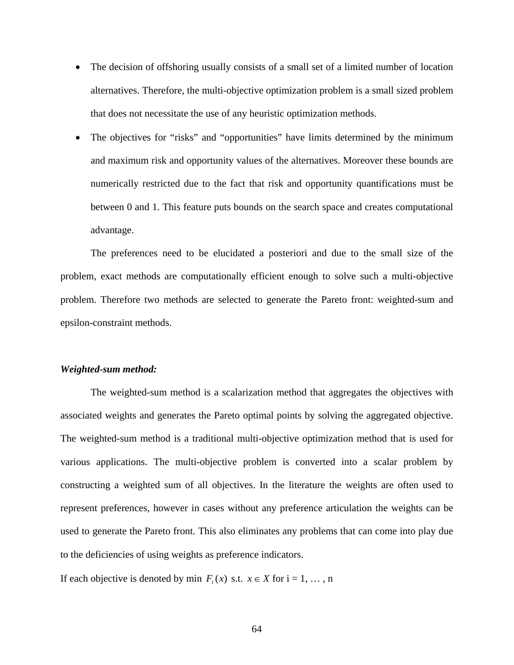- The decision of offshoring usually consists of a small set of a limited number of location alternatives. Therefore, the multi-objective optimization problem is a small sized problem that does not necessitate the use of any heuristic optimization methods.
- The objectives for "risks" and "opportunities" have limits determined by the minimum and maximum risk and opportunity values of the alternatives. Moreover these bounds are numerically restricted due to the fact that risk and opportunity quantifications must be between 0 and 1. This feature puts bounds on the search space and creates computational advantage.

The preferences need to be elucidated a posteriori and due to the small size of the problem, exact methods are computationally efficient enough to solve such a multi-objective problem. Therefore two methods are selected to generate the Pareto front: weighted-sum and epsilon-constraint methods.

### *Weighted-sum method:*

The weighted-sum method is a scalarization method that aggregates the objectives with associated weights and generates the Pareto optimal points by solving the aggregated objective. The weighted-sum method is a traditional multi-objective optimization method that is used for various applications. The multi-objective problem is converted into a scalar problem by constructing a weighted sum of all objectives. In the literature the weights are often used to represent preferences, however in cases without any preference articulation the weights can be used to generate the Pareto front. This also eliminates any problems that can come into play due to the deficiencies of using weights as preference indicators.

If each objective is denoted by min  $F_i(x)$  s.t.  $x \in X$  for  $i = 1, \ldots, n$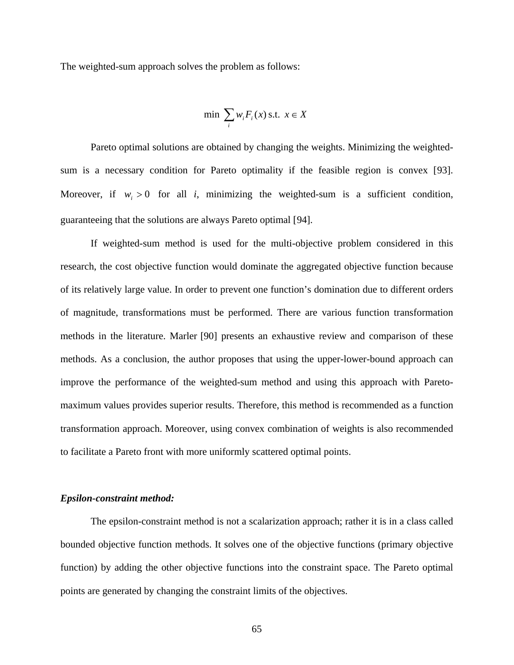The weighted-sum approach solves the problem as follows:

$$
\min \sum_{i} w_i F_i(x) \text{ s.t. } x \in X
$$

Pareto optimal solutions are obtained by changing the weights. Minimizing the weightedsum is a necessary condition for Pareto optimality if the feasible region is convex [[93](#page-218-0)]. Moreover, if  $w_i > 0$  for all *i*, minimizing the weighted-sum is a sufficient condition, guaranteeing that the solutions are always Pareto optimal [[94](#page-218-0)].

If weighted-sum method is used for the multi-objective problem considered in this research, the cost objective function would dominate the aggregated objective function because of its relatively large value. In order to prevent one function's domination due to different orders of magnitude, transformations must be performed. There are various function transformation methods in the literature. Marler [90] presents an exhaustive review and comparison of these methods. As a conclusion, the author proposes that using the upper-lower-bound approach can improve the performance of the weighted-sum method and using this approach with Paretomaximum values provides superior results. Therefore, this method is recommended as a function transformation approach. Moreover, using convex combination of weights is also recommended to facilitate a Pareto front with more uniformly scattered optimal points.

# *Epsilon-constraint method:*

The epsilon-constraint method is not a scalarization approach; rather it is in a class called bounded objective function methods. It solves one of the objective functions (primary objective function) by adding the other objective functions into the constraint space. The Pareto optimal points are generated by changing the constraint limits of the objectives.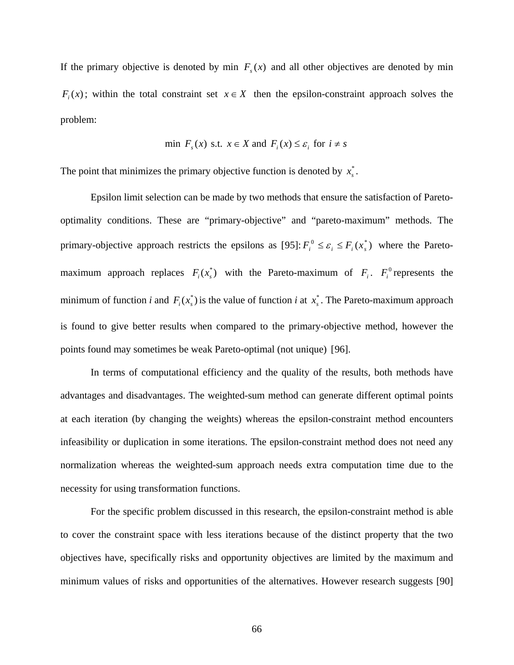If the primary objective is denoted by min  $F_s(x)$  and all other objectives are denoted by min  $F(x)$ ; within the total constraint set  $x \in X$  then the epsilon-constraint approach solves the problem:

$$
\min F_s(x) \text{ s.t. } x \in X \text{ and } F_i(x) \le \varepsilon_i \text{ for } i \ne s
$$

The point that minimizes the primary objective function is denoted by  $x_s^*$ .

Epsilon limit selection can be made by two methods that ensure the satisfaction of Paretooptimality conditions. These are "primary-objective" and "pareto-maximum" methods. The primary-objective approach restricts the epsilons as [\[9](#page-218-0)5]:  $F_i^0 \le \varepsilon_i \le F_i(x_\varepsilon^*)$  where the Paretomaximum approach replaces  $F_i(x_s^*)$  with the Pareto-maximum of  $F_i$ .  $F_i^0$  represents the minimum of function *i* and  $F_i(x_s^*)$  is the value of function *i* at  $x_s^*$ . The Pareto-maximum approach is found to give better results when compared to the primary-objective method, however the points found may sometimes be weak Pareto-optimal (not unique) [[96](#page-218-0)].

In terms of computational efficiency and the quality of the results, both methods have advantages and disadvantages. The weighted-sum method can generate different optimal points at each iteration (by changing the weights) whereas the epsilon-constraint method encounters infeasibility or duplication in some iterations. The epsilon-constraint method does not need any normalization whereas the weighted-sum approach needs extra computation time due to the necessity for using transformation functions.

For the specific problem discussed in this research, the epsilon-constraint method is able to cover the constraint space with less iterations because of the distinct property that the two objectives have, specifically risks and opportunity objectives are limited by the maximum and minimum values of risks and opportunities of the alternatives. However research suggests [90]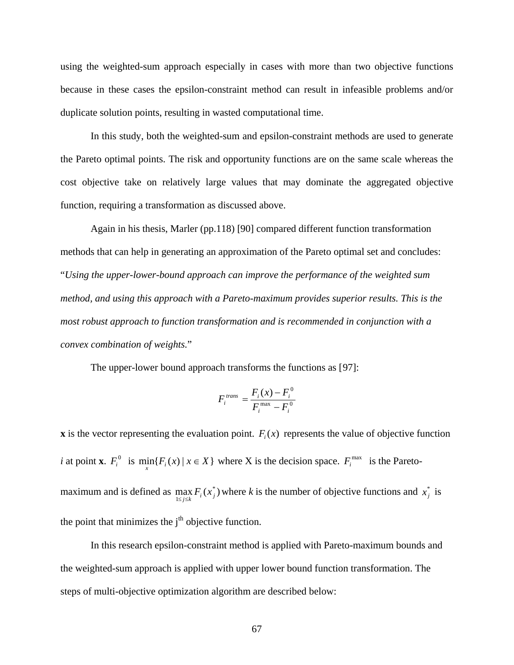using the weighted-sum approach especially in cases with more than two objective functions because in these cases the epsilon-constraint method can result in infeasible problems and/or duplicate solution points, resulting in wasted computational time.

In this study, both the weighted-sum and epsilon-constraint methods are used to generate the Pareto optimal points. The risk and opportunity functions are on the same scale whereas the cost objective take on relatively large values that may dominate the aggregated objective function, requiring a transformation as discussed above.

Again in his thesis, Marler (pp.118) [90] compared different function transformation methods that can help in generating an approximation of the Pareto optimal set and concludes: "*Using the upper-lower-bound approach can improve the performance of the weighted sum method, and using this approach with a Pareto-maximum provides superior results. This is the most robust approach to function transformation and is recommended in conjunction with a convex combination of weights.*"

The upper-lower bound approach transforms the functions as [[9](#page-218-0)7]:

$$
F_i^{trans} = \frac{F_i(x) - F_i^0}{F_i^{max} - F_i^0}
$$

**x** is the vector representing the evaluation point.  $F_i(x)$  represents the value of objective function *i* at point **x**.  $F_i^0$  is  $\min_{x} \{F_i(x) | x \in X\}$  where X is the decision space.  $F_i^{\max}$  is the Paretomaximum and is defined as  $\max_{1 \le j \le k} F_i(x_j^*)$  where *k* is the number of objective functions and  $x_j^*$  is the point that minimizes the  $j<sup>th</sup>$  objective function.

In this research epsilon-constraint method is applied with Pareto-maximum bounds and the weighted-sum approach is applied with upper lower bound function transformation. The steps of multi-objective optimization algorithm are described below: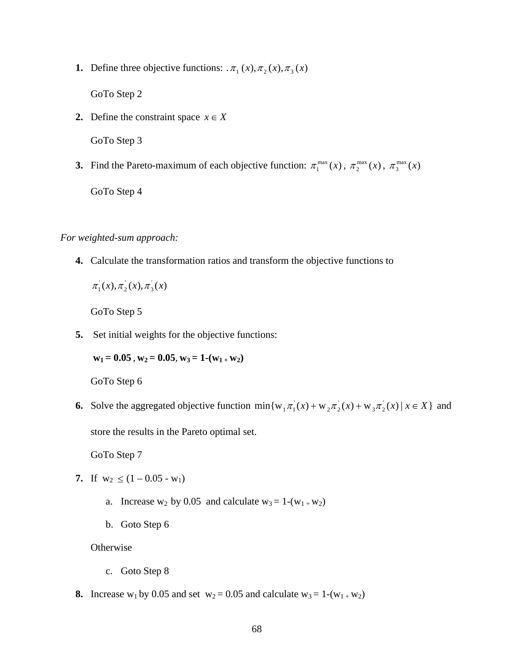**1.** Define three objective functions:  $\pi_1(x), \pi_2(x), \pi_3(x)$ 

GoTo Step 2

**2.** Define the constraint space  $x \in X$ 

GoTo Step 3

**3.** Find the Pareto-maximum of each objective function:  $\pi_1^{\max}(x)$ ,  $\pi_2^{\max}(x)$ ,  $\pi_3^{\max}(x)$ GoTo Step 4

*For weighted-sum approach:*

**4.** Calculate the transformation ratios and transform the objective functions to

 $\pi_1(x), \pi_2(x), \pi_3(x)$ 

GoTo Step 5

**5.** Set initial weights for the objective functions:

 $w_1 = 0.05$ ,  $w_2 = 0.05$ ,  $w_3 = 1-(w_1 + w_2)$ 

GoTo Step 6

**6.** Solve the aggregated objective function  $min{w_1 \pi_1(x) + w_2 \pi_2(x) + w_3 \pi_2(x) | x \in X}$  and store the results in the Pareto optimal set.

GoTo Step 7

- **7.** If  $w_2 \leq (1 0.05 w_1)$ 
	- a. Increase  $w_2$  by 0.05 and calculate  $w_3 = 1-(w_1 + w_2)$
	- b. Goto Step 6

**Otherwise** 

- c. Goto Step 8
- **8.** Increase w<sub>1</sub> by 0.05 and set  $w_2 = 0.05$  and calculate  $w_3 = 1-(w_1 + w_2)$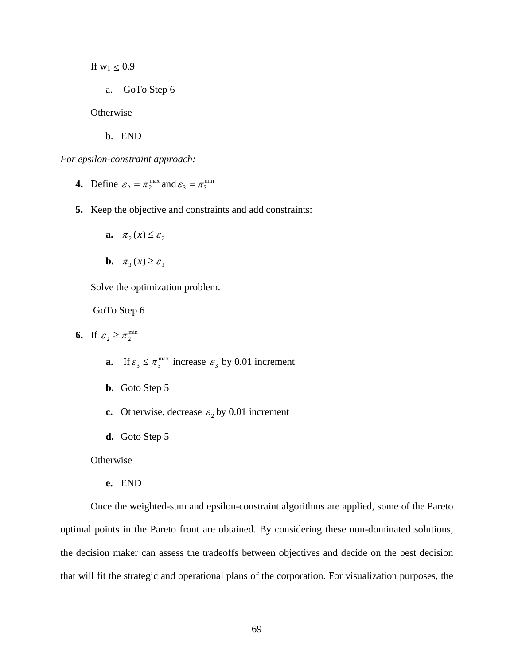If  $w_1 \leq 0.9$ 

a. GoTo Step 6

**Otherwise** 

b. END

*For epsilon-constraint approach:*

- **4.** Define  $\varepsilon_2 = \pi_2^{\max}$  and  $\varepsilon_3 = \pi_3^{\min}$
- **5.** Keep the objective and constraints and add constraints:
	- **a.**  $\pi_2(x) \leq \varepsilon_2$

$$
b. \quad \pi_3(x) \ge \varepsilon_3
$$

Solve the optimization problem.

GoTo Step 6

- **6.** If  $\varepsilon_2 \geq \pi_2^{\min}$ 
	- **a.** If  $\varepsilon_3 \leq \pi_3^{\max}$  increase  $\varepsilon_3$  by 0.01 increment
	- **b.** Goto Step 5
	- **c.** Otherwise, decrease  $\varepsilon_2$  by 0.01 increment
	- **d.** Goto Step 5

**Otherwise** 

**e.** END

Once the weighted-sum and epsilon-constraint algorithms are applied, some of the Pareto optimal points in the Pareto front are obtained. By considering these non-dominated solutions, the decision maker can assess the tradeoffs between objectives and decide on the best decision that will fit the strategic and operational plans of the corporation. For visualization purposes, the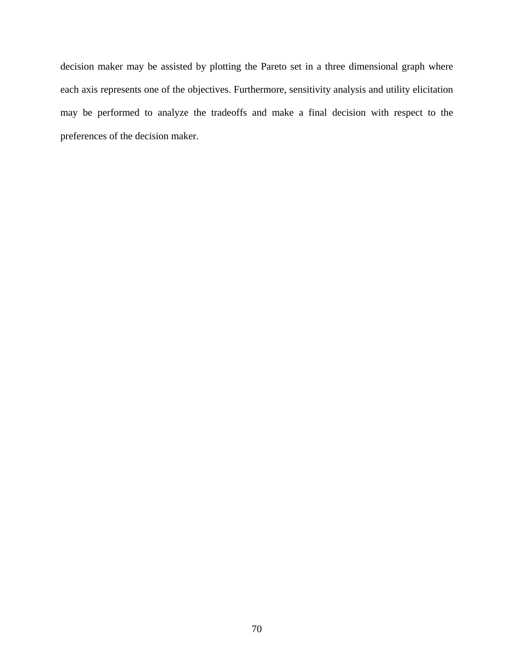decision maker may be assisted by plotting the Pareto set in a three dimensional graph where each axis represents one of the objectives. Furthermore, sensitivity analysis and utility elicitation may be performed to analyze the tradeoffs and make a final decision with respect to the preferences of the decision maker.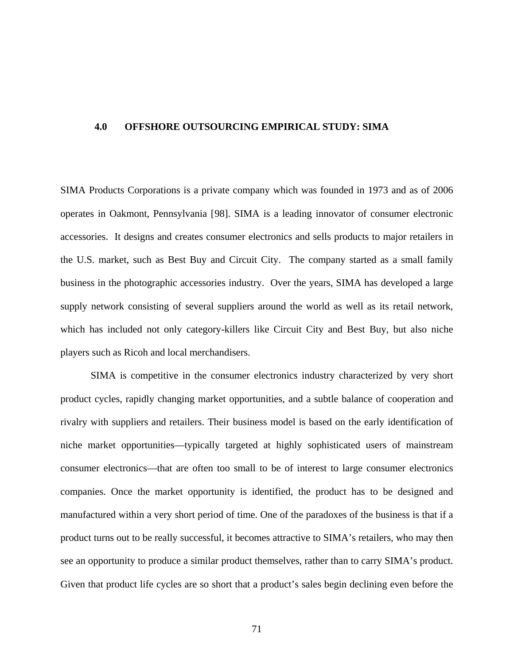### **4.0 OFFSHORE OUTSOURCING EMPIRICAL STUDY: SIMA**

SIMA Products Corporations is a private company which was founded in 1973 and as of 2006 operates in Oakmont, Pennsylvania [[98](#page-218-0)]. SIMA is a leading innovator of consumer electronic accessories. It designs and creates consumer electronics and sells products to major retailers in the U.S. market, such as Best Buy and Circuit City. The company started as a small family business in the photographic accessories industry. Over the years, SIMA has developed a large supply network consisting of several suppliers around the world as well as its retail network, which has included not only category-killers like Circuit City and Best Buy, but also niche players such as Ricoh and local merchandisers.

SIMA is competitive in the consumer electronics industry characterized by very short product cycles, rapidly changing market opportunities, and a subtle balance of cooperation and rivalry with suppliers and retailers. Their business model is based on the early identification of niche market opportunities—typically targeted at highly sophisticated users of mainstream consumer electronics—that are often too small to be of interest to large consumer electronics companies. Once the market opportunity is identified, the product has to be designed and manufactured within a very short period of time. One of the paradoxes of the business is that if a product turns out to be really successful, it becomes attractive to SIMA's retailers, who may then see an opportunity to produce a similar product themselves, rather than to carry SIMA's product. Given that product life cycles are so short that a product's sales begin declining even before the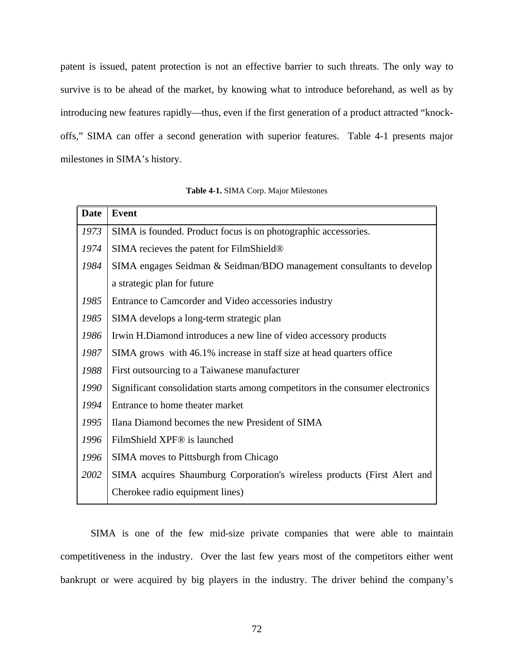<span id="page-85-0"></span>patent is issued, patent protection is not an effective barrier to such threats. The only way to survive is to be ahead of the market, by knowing what to introduce beforehand, as well as by introducing new features rapidly—thus, even if the first generation of a product attracted "knockoffs," SIMA can offer a second generation with superior features. [Table 4-1](#page-85-0) presents major milestones in SIMA's history.

| <b>Date</b> | <b>Event</b>                                                                   |  |  |  |  |  |  |  |
|-------------|--------------------------------------------------------------------------------|--|--|--|--|--|--|--|
| 1973        | SIMA is founded. Product focus is on photographic accessories.                 |  |  |  |  |  |  |  |
| 1974        | SIMA recieves the patent for FilmShield®                                       |  |  |  |  |  |  |  |
| 1984        | SIMA engages Seidman & Seidman/BDO management consultants to develop           |  |  |  |  |  |  |  |
|             | a strategic plan for future                                                    |  |  |  |  |  |  |  |
| 1985        | Entrance to Camcorder and Video accessories industry                           |  |  |  |  |  |  |  |
| 1985        | SIMA develops a long-term strategic plan                                       |  |  |  |  |  |  |  |
| 1986        | Irwin H.Diamond introduces a new line of video accessory products              |  |  |  |  |  |  |  |
| 1987        | SIMA grows with 46.1% increase in staff size at head quarters office           |  |  |  |  |  |  |  |
| 1988        | First outsourcing to a Taiwanese manufacturer                                  |  |  |  |  |  |  |  |
| 1990        | Significant consolidation starts among competitors in the consumer electronics |  |  |  |  |  |  |  |
| 1994        | Entrance to home theater market                                                |  |  |  |  |  |  |  |
| 1995        | Ilana Diamond becomes the new President of SIMA                                |  |  |  |  |  |  |  |
| 1996        | FilmShield XPF <sup>®</sup> is launched                                        |  |  |  |  |  |  |  |
| 1996        | <b>SIMA</b> moves to Pittsburgh from Chicago                                   |  |  |  |  |  |  |  |
| 2002        | SIMA acquires Shaumburg Corporation's wireless products (First Alert and       |  |  |  |  |  |  |  |
|             | Cherokee radio equipment lines)                                                |  |  |  |  |  |  |  |

SIMA is one of the few mid-size private companies that were able to maintain competitiveness in the industry. Over the last few years most of the competitors either went bankrupt or were acquired by big players in the industry. The driver behind the company's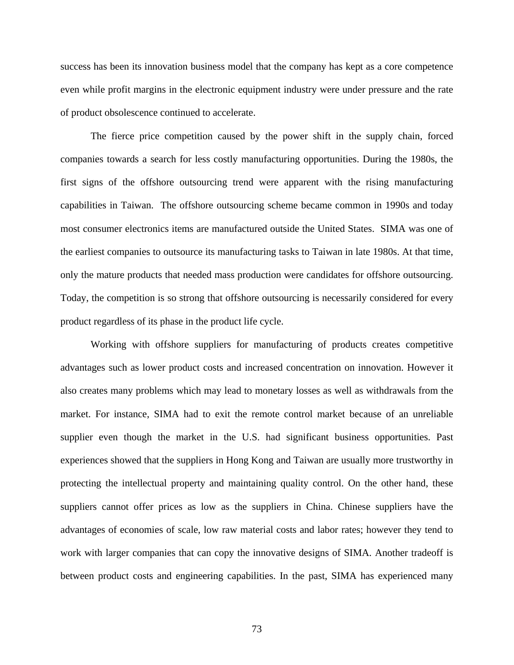success has been its innovation business model that the company has kept as a core competence even while profit margins in the electronic equipment industry were under pressure and the rate of product obsolescence continued to accelerate.

The fierce price competition caused by the power shift in the supply chain, forced companies towards a search for less costly manufacturing opportunities. During the 1980s, the first signs of the offshore outsourcing trend were apparent with the rising manufacturing capabilities in Taiwan. The offshore outsourcing scheme became common in 1990s and today most consumer electronics items are manufactured outside the United States. SIMA was one of the earliest companies to outsource its manufacturing tasks to Taiwan in late 1980s. At that time, only the mature products that needed mass production were candidates for offshore outsourcing. Today, the competition is so strong that offshore outsourcing is necessarily considered for every product regardless of its phase in the product life cycle.

Working with offshore suppliers for manufacturing of products creates competitive advantages such as lower product costs and increased concentration on innovation. However it also creates many problems which may lead to monetary losses as well as withdrawals from the market. For instance, SIMA had to exit the remote control market because of an unreliable supplier even though the market in the U.S. had significant business opportunities. Past experiences showed that the suppliers in Hong Kong and Taiwan are usually more trustworthy in protecting the intellectual property and maintaining quality control. On the other hand, these suppliers cannot offer prices as low as the suppliers in China. Chinese suppliers have the advantages of economies of scale, low raw material costs and labor rates; however they tend to work with larger companies that can copy the innovative designs of SIMA. Another tradeoff is between product costs and engineering capabilities. In the past, SIMA has experienced many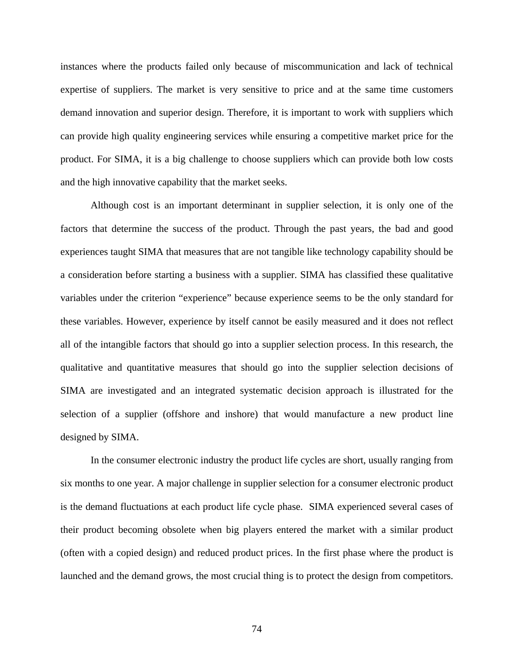instances where the products failed only because of miscommunication and lack of technical expertise of suppliers. The market is very sensitive to price and at the same time customers demand innovation and superior design. Therefore, it is important to work with suppliers which can provide high quality engineering services while ensuring a competitive market price for the product. For SIMA, it is a big challenge to choose suppliers which can provide both low costs and the high innovative capability that the market seeks.

Although cost is an important determinant in supplier selection, it is only one of the factors that determine the success of the product. Through the past years, the bad and good experiences taught SIMA that measures that are not tangible like technology capability should be a consideration before starting a business with a supplier. SIMA has classified these qualitative variables under the criterion "experience" because experience seems to be the only standard for these variables. However, experience by itself cannot be easily measured and it does not reflect all of the intangible factors that should go into a supplier selection process. In this research, the qualitative and quantitative measures that should go into the supplier selection decisions of SIMA are investigated and an integrated systematic decision approach is illustrated for the selection of a supplier (offshore and inshore) that would manufacture a new product line designed by SIMA.

In the consumer electronic industry the product life cycles are short, usually ranging from six months to one year. A major challenge in supplier selection for a consumer electronic product is the demand fluctuations at each product life cycle phase. SIMA experienced several cases of their product becoming obsolete when big players entered the market with a similar product (often with a copied design) and reduced product prices. In the first phase where the product is launched and the demand grows, the most crucial thing is to protect the design from competitors.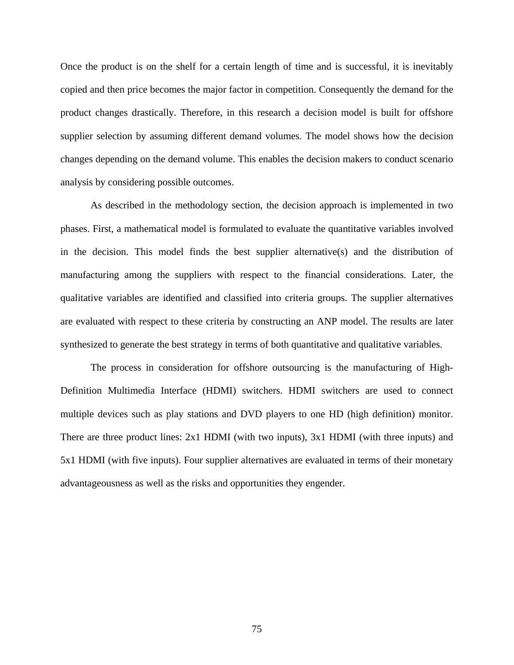Once the product is on the shelf for a certain length of time and is successful, it is inevitably copied and then price becomes the major factor in competition. Consequently the demand for the product changes drastically. Therefore, in this research a decision model is built for offshore supplier selection by assuming different demand volumes. The model shows how the decision changes depending on the demand volume. This enables the decision makers to conduct scenario analysis by considering possible outcomes.

As described in the methodology section, the decision approach is implemented in two phases. First, a mathematical model is formulated to evaluate the quantitative variables involved in the decision. This model finds the best supplier alternative(s) and the distribution of manufacturing among the suppliers with respect to the financial considerations. Later, the qualitative variables are identified and classified into criteria groups. The supplier alternatives are evaluated with respect to these criteria by constructing an ANP model. The results are later synthesized to generate the best strategy in terms of both quantitative and qualitative variables.

The process in consideration for offshore outsourcing is the manufacturing of High-Definition Multimedia Interface (HDMI) switchers. HDMI switchers are used to connect multiple devices such as play stations and DVD players to one HD (high definition) monitor. There are three product lines: 2x1 HDMI (with two inputs), 3x1 HDMI (with three inputs) and 5x1 HDMI (with five inputs). Four supplier alternatives are evaluated in terms of their monetary advantageousness as well as the risks and opportunities they engender.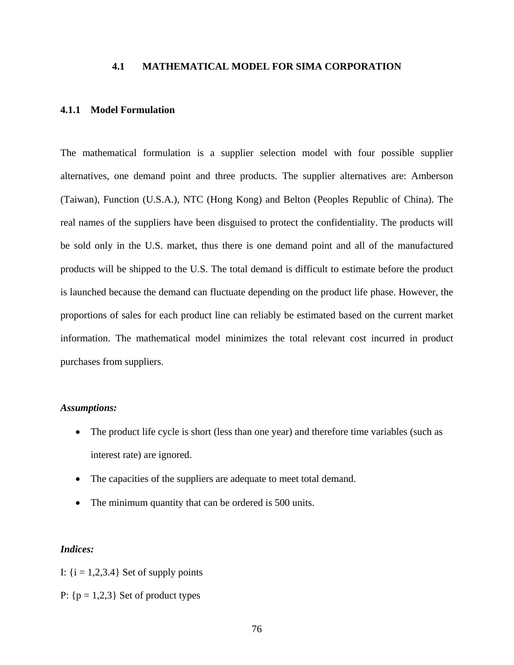# **4.1 MATHEMATICAL MODEL FOR SIMA CORPORATION**

## **4.1.1 Model Formulation**

The mathematical formulation is a supplier selection model with four possible supplier alternatives, one demand point and three products. The supplier alternatives are: Amberson (Taiwan), Function (U.S.A.), NTC (Hong Kong) and Belton (Peoples Republic of China). The real names of the suppliers have been disguised to protect the confidentiality. The products will be sold only in the U.S. market, thus there is one demand point and all of the manufactured products will be shipped to the U.S. The total demand is difficult to estimate before the product is launched because the demand can fluctuate depending on the product life phase. However, the proportions of sales for each product line can reliably be estimated based on the current market information. The mathematical model minimizes the total relevant cost incurred in product purchases from suppliers.

### *Assumptions:*

- The product life cycle is short (less than one year) and therefore time variables (such as interest rate) are ignored.
- The capacities of the suppliers are adequate to meet total demand.
- The minimum quantity that can be ordered is 500 units.

### *Indices:*

- I:  $\{i = 1, 2, 3.4\}$  Set of supply points
- P:  ${p = 1,2,3}$  Set of product types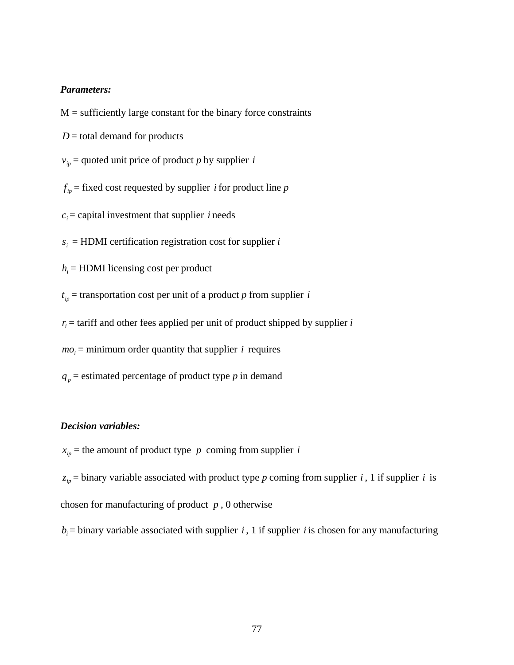### *Parameters:*

 $M =$  sufficiently large constant for the binary force constraints

 $D =$  total demand for products

 $v_{ip}$  = quoted unit price of product *p* by supplier *i* 

 $f_{ip}$  = fixed cost requested by supplier *i* for product line *p* 

 $c_i$  = capital investment that supplier *i* needs

 $s_i$  = HDMI certification registration cost for supplier *i* 

 $h_i$  = HDMI licensing cost per product

 $t_{ip}$  = transportation cost per unit of a product *p* from supplier *i* 

 $r_i$  = tariff and other fees applied per unit of product shipped by supplier *i* 

 $mo_i$  = minimum order quantity that supplier *i* requires

 $q_p$  = estimated percentage of product type *p* in demand

# *Decision variables:*

 $x_{ip}$  = the amount of product type *p* coming from supplier *i* 

 $z_{ip}$  = binary variable associated with product type *p* coming from supplier *i*, 1 if supplier *i* is chosen for manufacturing of product *p* , 0 otherwise

 $b_i$  = binary variable associated with supplier *i*, 1 if supplier *i* is chosen for any manufacturing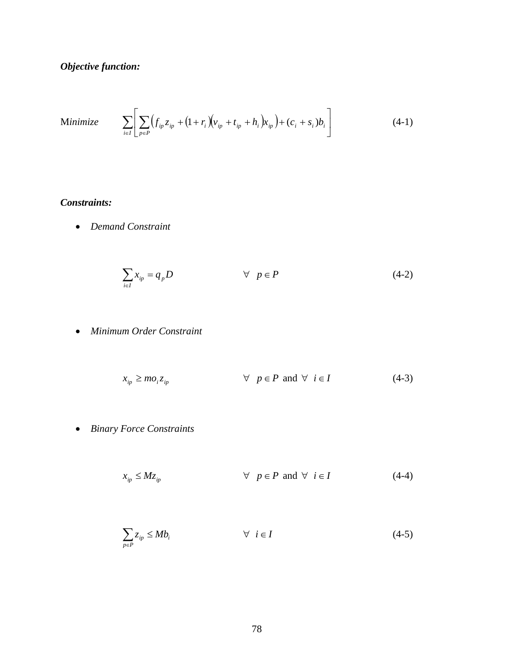*Objective function:* 

Minimize 
$$
\sum_{i \in I} \left[ \sum_{p \in P} (f_{ip} z_{ip} + (1 + r_i) (v_{ip} + t_{ip} + h_i) x_{ip}) + (c_i + s_i) b_i \right]
$$
(4-1)

# *Constraints:*

• *Demand Constraint* 

$$
\sum_{i \in I} x_{ip} = q_p D \qquad \qquad \forall \quad p \in P \tag{4-2}
$$

• *Minimum Order Constraint* 

$$
x_{ip} \geq m o_i z_{ip} \qquad \qquad \forall \quad p \in P \text{ and } \forall \quad i \in I \tag{4-3}
$$

• *Binary Force Constraints* 

$$
x_{ip} \le Mz_{ip} \qquad \qquad \forall \quad p \in P \text{ and } \forall \quad i \in I \tag{4-4}
$$

$$
\sum_{p \in P} z_{ip} \le M b_i \qquad \forall \ i \in I \tag{4-5}
$$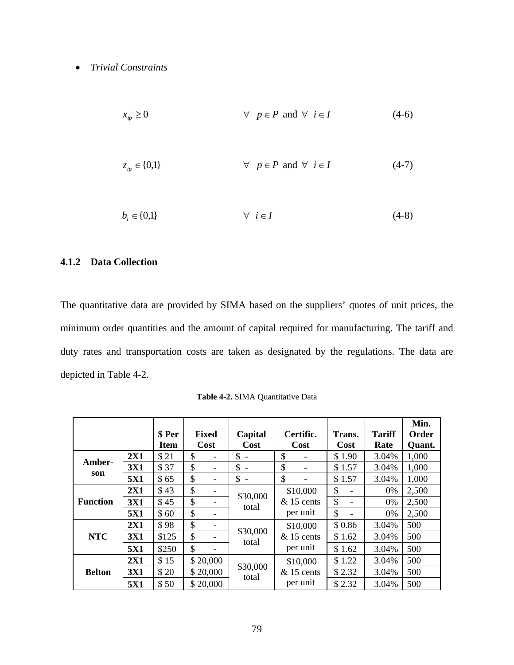# <span id="page-92-0"></span>• *Trivial Constraints*

$$
x_{ip} \ge 0 \qquad \qquad \forall \quad p \in P \text{ and } \forall \quad i \in I \tag{4-6}
$$

$$
z_{ip} \in \{0,1\} \qquad \forall \quad p \in P \text{ and } \forall \quad i \in I \tag{4-7}
$$

$$
b_i \in \{0,1\} \qquad \qquad \forall \quad i \in I \tag{4-8}
$$

# **4.1.2 Data Collection**

The quantitative data are provided by SIMA based on the suppliers' quotes of unit prices, the minimum order quantities and the amount of capital required for manufacturing. The tariff and duty rates and transportation costs are taken as designated by the regulations. The data are depicted in [Table 4-2](#page-92-0).

|                 | \$ Per<br><b>Item</b> | <b>Fixed</b><br>Cost |    | Capital<br>Cost | Certific.<br>Cost    | Trans.<br>Cost                       | <b>Tariff</b><br>Rate          | Min.<br>Order<br>Quant. |       |
|-----------------|-----------------------|----------------------|----|-----------------|----------------------|--------------------------------------|--------------------------------|-------------------------|-------|
| Amber-          | 2X1                   | \$21                 | \$ |                 | \$                   | \$                                   | \$1.90                         | 3.04%                   | 1,000 |
| son             | <b>3X1</b>            | \$37                 | \$ |                 | \$<br>$\blacksquare$ | \$                                   | \$1.57                         | 3.04%                   | 1,000 |
|                 | <b>5X1</b>            | \$65                 | \$ |                 | \$                   | \$                                   | \$1.57                         | 3.04%                   | 1,000 |
|                 | 2X1                   | \$43                 | \$ |                 | \$30,000<br>total    | \$10,000                             | \$<br>$\overline{\phantom{0}}$ | 0%                      | 2,500 |
| <b>Function</b> | <b>3X1</b>            | \$45                 | \$ |                 |                      | $& 15$ cents<br>per unit             | \$<br>$\overline{\phantom{0}}$ | 0%                      | 2,500 |
|                 | <b>5X1</b>            | \$60                 | \$ |                 |                      |                                      | \$<br>$\qquad \qquad$          | 0%                      | 2,500 |
|                 | 2X1                   | \$98                 | \$ |                 | \$30,000<br>total    | \$10,000<br>$& 15$ cents<br>per unit | \$0.86                         | 3.04%                   | 500   |
| <b>NTC</b>      | <b>3X1</b>            | \$125                | \$ |                 |                      |                                      | \$1.62                         | 3.04%                   | 500   |
|                 | <b>5X1</b>            | \$250                | \$ |                 |                      |                                      | \$1.62                         | 3.04%                   | 500   |
|                 | 2X1                   | \$15                 |    | \$20,000        | \$30,000<br>total    | \$10,000<br>$& 15$ cents             | \$1.22                         | 3.04%                   | 500   |
| <b>Belton</b>   | <b>3X1</b>            | \$20                 |    | \$20,000        |                      |                                      | \$2.32                         | 3.04%                   | 500   |
|                 | 5X1                   | \$50                 |    | \$20,000        |                      | per unit                             | \$2.32                         | 3.04%                   | 500   |

**Table 4-2.** SIMA Quantitative Data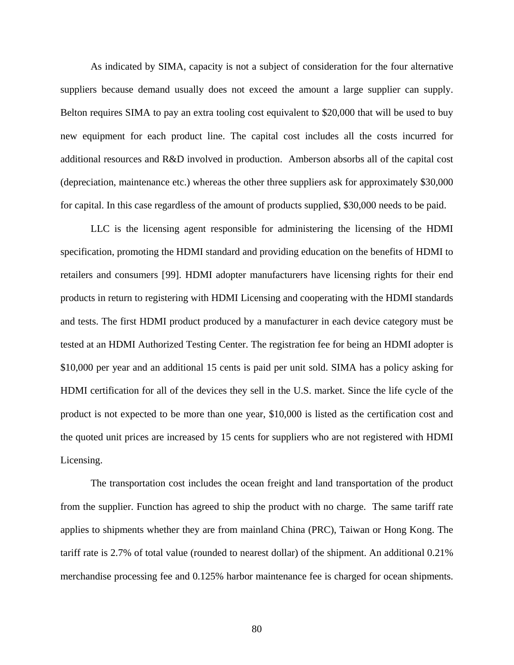As indicated by SIMA, capacity is not a subject of consideration for the four alternative suppliers because demand usually does not exceed the amount a large supplier can supply. Belton requires SIMA to pay an extra tooling cost equivalent to \$20,000 that will be used to buy new equipment for each product line. The capital cost includes all the costs incurred for additional resources and R&D involved in production. Amberson absorbs all of the capital cost (depreciation, maintenance etc.) whereas the other three suppliers ask for approximately \$30,000 for capital. In this case regardless of the amount of products supplied, \$30,000 needs to be paid.

LLC is the licensing agent responsible for administering the licensing of the HDMI specification, promoting the HDMI standard and providing education on the benefits of HDMI to retailers and consumers [[9](#page-218-0)9]. HDMI adopter manufacturers have licensing rights for their end products in return to registering with HDMI Licensing and cooperating with the HDMI standards and tests. The first HDMI product produced by a manufacturer in each device category must be tested at an HDMI Authorized Testing Center. The registration fee for being an HDMI adopter is \$10,000 per year and an additional 15 cents is paid per unit sold. SIMA has a policy asking for HDMI certification for all of the devices they sell in the U.S. market. Since the life cycle of the product is not expected to be more than one year, \$10,000 is listed as the certification cost and the quoted unit prices are increased by 15 cents for suppliers who are not registered with HDMI Licensing.

The transportation cost includes the ocean freight and land transportation of the product from the supplier. Function has agreed to ship the product with no charge. The same tariff rate applies to shipments whether they are from mainland China (PRC), Taiwan or Hong Kong. The tariff rate is 2.7% of total value (rounded to nearest dollar) of the shipment. An additional 0.21% merchandise processing fee and 0.125% harbor maintenance fee is charged for ocean shipments.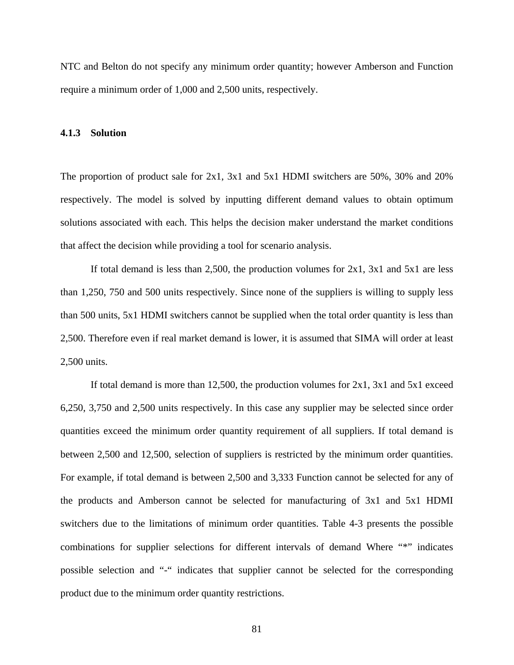NTC and Belton do not specify any minimum order quantity; however Amberson and Function require a minimum order of 1,000 and 2,500 units, respectively.

#### **4.1.3 Solution**

The proportion of product sale for 2x1, 3x1 and 5x1 HDMI switchers are 50%, 30% and 20% respectively. The model is solved by inputting different demand values to obtain optimum solutions associated with each. This helps the decision maker understand the market conditions that affect the decision while providing a tool for scenario analysis.

If total demand is less than 2,500, the production volumes for  $2x1$ ,  $3x1$  and  $5x1$  are less than 1,250, 750 and 500 units respectively. Since none of the suppliers is willing to supply less than 500 units, 5x1 HDMI switchers cannot be supplied when the total order quantity is less than 2,500. Therefore even if real market demand is lower, it is assumed that SIMA will order at least 2,500 units.

If total demand is more than 12,500, the production volumes for  $2x1$ ,  $3x1$  and  $5x1$  exceed 6,250, 3,750 and 2,500 units respectively. In this case any supplier may be selected since order quantities exceed the minimum order quantity requirement of all suppliers. If total demand is between 2,500 and 12,500, selection of suppliers is restricted by the minimum order quantities. For example, if total demand is between 2,500 and 3,333 Function cannot be selected for any of the products and Amberson cannot be selected for manufacturing of 3x1 and 5x1 HDMI switchers due to the limitations of minimum order quantities. [Table 4-3](#page-95-0) presents the possible combinations for supplier selections for different intervals of demand Where "\*" indicates possible selection and "-" indicates that supplier cannot be selected for the corresponding product due to the minimum order quantity restrictions.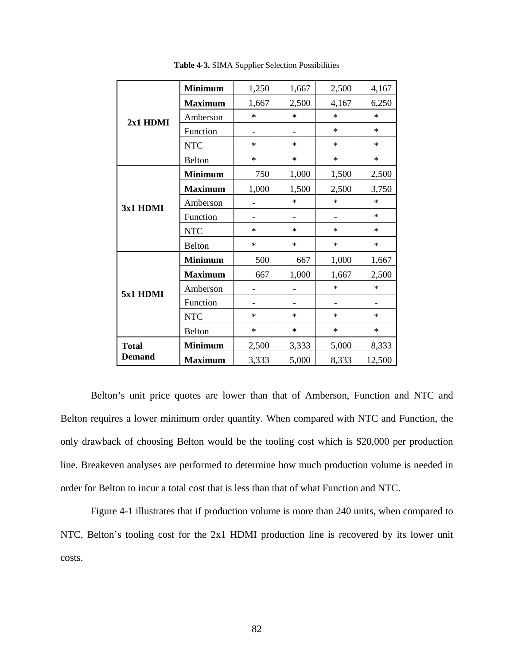<span id="page-95-0"></span>

|               | <b>Minimum</b> | 1,250  | 1,667  | 2,500  | 4,167  |
|---------------|----------------|--------|--------|--------|--------|
|               | <b>Maximum</b> | 1,667  | 2,500  | 4,167  | 6,250  |
| 2x1 HDMI      | Amberson       | $\ast$ | $\ast$ | $\ast$ | $\ast$ |
|               | Function       |        |        | $\ast$ | $\ast$ |
|               | <b>NTC</b>     | $\ast$ | $\ast$ | $\ast$ | $\ast$ |
|               | <b>Belton</b>  | $\ast$ | $\ast$ | $\ast$ | $\ast$ |
|               | <b>Minimum</b> | 750    | 1,000  | 1,500  | 2,500  |
|               | <b>Maximum</b> | 1,000  | 1,500  | 2,500  | 3,750  |
| 3x1 HDMI      | Amberson       | -      | $\ast$ | $\ast$ | $\ast$ |
|               | Function       |        |        |        | $\ast$ |
|               | <b>NTC</b>     | $\ast$ | $\ast$ | $\ast$ | $\ast$ |
|               | <b>Belton</b>  | $\ast$ | $\ast$ | $\ast$ | $\ast$ |
|               | <b>Minimum</b> | 500    | 667    | 1,000  | 1,667  |
|               | <b>Maximum</b> | 667    | 1,000  | 1,667  | 2,500  |
| 5x1 HDMI      | Amberson       |        |        | $\ast$ | $\ast$ |
|               | Function       |        |        |        |        |
|               | <b>NTC</b>     | $\ast$ | $\ast$ | $\ast$ | $\ast$ |
|               | <b>Belton</b>  | $\ast$ | $\ast$ | $\ast$ | $\ast$ |
| <b>Total</b>  | <b>Minimum</b> | 2,500  | 3,333  | 5,000  | 8,333  |
| <b>Demand</b> | <b>Maximum</b> | 3,333  | 5,000  | 8,333  | 12,500 |

**Table 4-3.** SIMA Supplier Selection Possibilities

Belton's unit price quotes are lower than that of Amberson, Function and NTC and Belton requires a lower minimum order quantity. When compared with NTC and Function, the only drawback of choosing Belton would be the tooling cost which is \$20,000 per production line. Breakeven analyses are performed to determine how much production volume is needed in order for Belton to incur a total cost that is less than that of what Function and NTC.

[Figure 4-1](#page-96-0) illustrates that if production volume is more than 240 units, when compared to NTC, Belton's tooling cost for the 2x1 HDMI production line is recovered by its lower unit costs.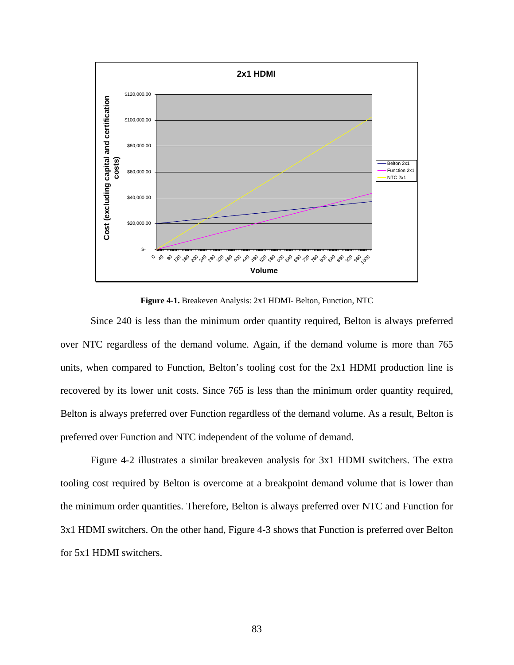<span id="page-96-0"></span>

**Figure 4-1.** Breakeven Analysis: 2x1 HDMI- Belton, Function, NTC

Since 240 is less than the minimum order quantity required, Belton is always preferred over NTC regardless of the demand volume. Again, if the demand volume is more than 765 units, when compared to Function, Belton's tooling cost for the 2x1 HDMI production line is recovered by its lower unit costs. Since 765 is less than the minimum order quantity required, Belton is always preferred over Function regardless of the demand volume. As a result, Belton is preferred over Function and NTC independent of the volume of demand.

[Figure 4-2](#page-97-0) illustrates a similar breakeven analysis for 3x1 HDMI switchers. The extra tooling cost required by Belton is overcome at a breakpoint demand volume that is lower than the minimum order quantities. Therefore, Belton is always preferred over NTC and Function for 3x1 HDMI switchers. On the other hand, [Figure 4-3](#page-97-0) shows that Function is preferred over Belton for 5x1 HDMI switchers.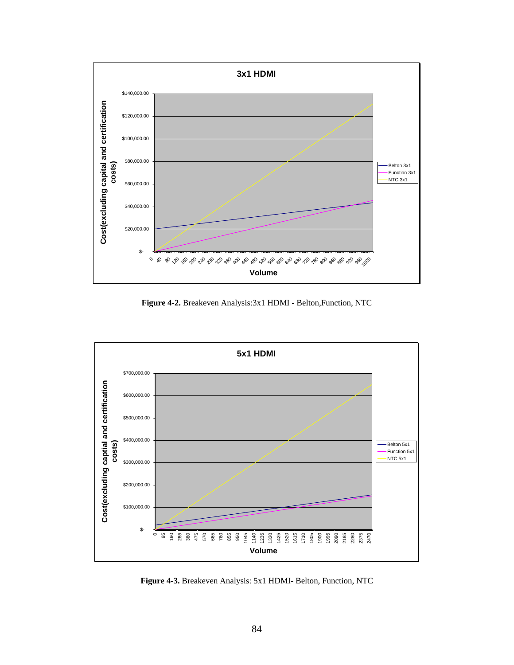<span id="page-97-0"></span>

**Figure 4-2.** Breakeven Analysis:3x1 HDMI - Belton,Function, NTC



**Figure 4-3.** Breakeven Analysis: 5x1 HDMI- Belton, Function, NTC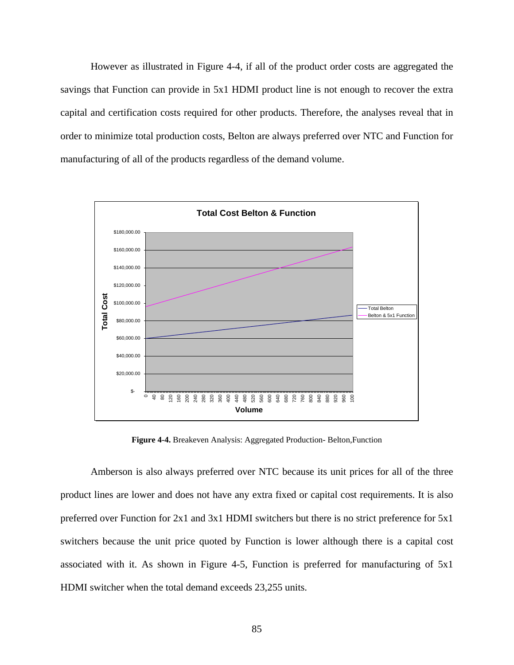<span id="page-98-0"></span>However as illustrated in [Figure 4-4](#page-98-0), if all of the product order costs are aggregated the savings that Function can provide in 5x1 HDMI product line is not enough to recover the extra capital and certification costs required for other products. Therefore, the analyses reveal that in order to minimize total production costs, Belton are always preferred over NTC and Function for manufacturing of all of the products regardless of the demand volume.



**Figure 4-4.** Breakeven Analysis: Aggregated Production- Belton,Function

Amberson is also always preferred over NTC because its unit prices for all of the three product lines are lower and does not have any extra fixed or capital cost requirements. It is also preferred over Function for 2x1 and 3x1 HDMI switchers but there is no strict preference for 5x1 switchers because the unit price quoted by Function is lower although there is a capital cost associated with it. As shown in [Figure 4-5](#page-99-0), Function is preferred for manufacturing of 5x1 HDMI switcher when the total demand exceeds 23,255 units.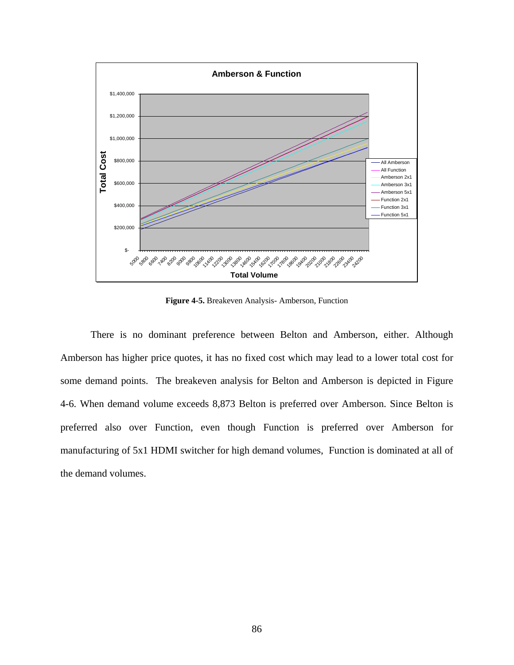<span id="page-99-0"></span>

**Figure 4-5.** Breakeven Analysis- Amberson, Function

There is no dominant preference between Belton and Amberson, either. Although Amberson has higher price quotes, it has no fixed cost which may lead to a lower total cost for some demand points. The breakeven analysis for Belton and Amberson is depicted in [Figure](#page-100-0)  [4-6](#page-100-0). When demand volume exceeds 8,873 Belton is preferred over Amberson. Since Belton is preferred also over Function, even though Function is preferred over Amberson for manufacturing of 5x1 HDMI switcher for high demand volumes, Function is dominated at all of the demand volumes.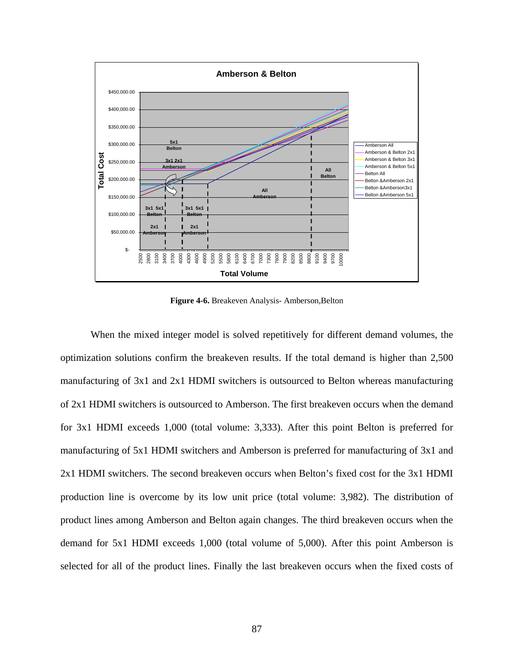<span id="page-100-0"></span>

**Figure 4-6.** Breakeven Analysis- Amberson,Belton

When the mixed integer model is solved repetitively for different demand volumes, the optimization solutions confirm the breakeven results. If the total demand is higher than 2,500 manufacturing of 3x1 and 2x1 HDMI switchers is outsourced to Belton whereas manufacturing of 2x1 HDMI switchers is outsourced to Amberson. The first breakeven occurs when the demand for 3x1 HDMI exceeds 1,000 (total volume: 3,333). After this point Belton is preferred for manufacturing of 5x1 HDMI switchers and Amberson is preferred for manufacturing of 3x1 and 2x1 HDMI switchers. The second breakeven occurs when Belton's fixed cost for the 3x1 HDMI production line is overcome by its low unit price (total volume: 3,982). The distribution of product lines among Amberson and Belton again changes. The third breakeven occurs when the demand for 5x1 HDMI exceeds 1,000 (total volume of 5,000). After this point Amberson is selected for all of the product lines. Finally the last breakeven occurs when the fixed costs of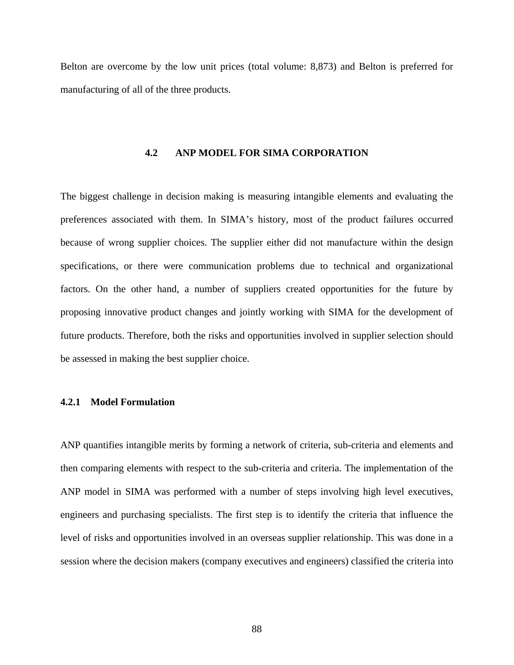Belton are overcome by the low unit prices (total volume: 8,873) and Belton is preferred for manufacturing of all of the three products.

# **4.2 ANP MODEL FOR SIMA CORPORATION**

The biggest challenge in decision making is measuring intangible elements and evaluating the preferences associated with them. In SIMA's history, most of the product failures occurred because of wrong supplier choices. The supplier either did not manufacture within the design specifications, or there were communication problems due to technical and organizational factors. On the other hand, a number of suppliers created opportunities for the future by proposing innovative product changes and jointly working with SIMA for the development of future products. Therefore, both the risks and opportunities involved in supplier selection should be assessed in making the best supplier choice.

# **4.2.1 Model Formulation**

ANP quantifies intangible merits by forming a network of criteria, sub-criteria and elements and then comparing elements with respect to the sub-criteria and criteria. The implementation of the ANP model in SIMA was performed with a number of steps involving high level executives, engineers and purchasing specialists. The first step is to identify the criteria that influence the level of risks and opportunities involved in an overseas supplier relationship. This was done in a session where the decision makers (company executives and engineers) classified the criteria into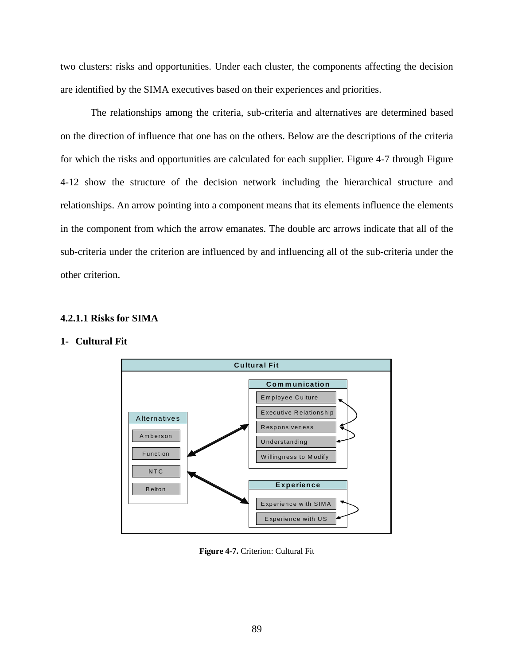<span id="page-102-0"></span>two clusters: risks and opportunities. Under each cluster, the components affecting the decision are identified by the SIMA executives based on their experiences and priorities.

The relationships among the criteria, sub-criteria and alternatives are determined based on the direction of influence that one has on the others. Below are the descriptions of the criteria for which the risks and opportunities are calculated for each supplier. [Figure 4-7](#page-102-0) through [Figure](#page-110-0)  [4-12](#page-110-0) show the structure of the decision network including the hierarchical structure and relationships. An arrow pointing into a component means that its elements influence the elements in the component from which the arrow emanates. The double arc arrows indicate that all of the sub-criteria under the criterion are influenced by and influencing all of the sub-criteria under the other criterion.

# **4.2.1.1 Risks for SIMA**

# **1- Cultural Fit**



**Figure 4-7.** Criterion: Cultural Fit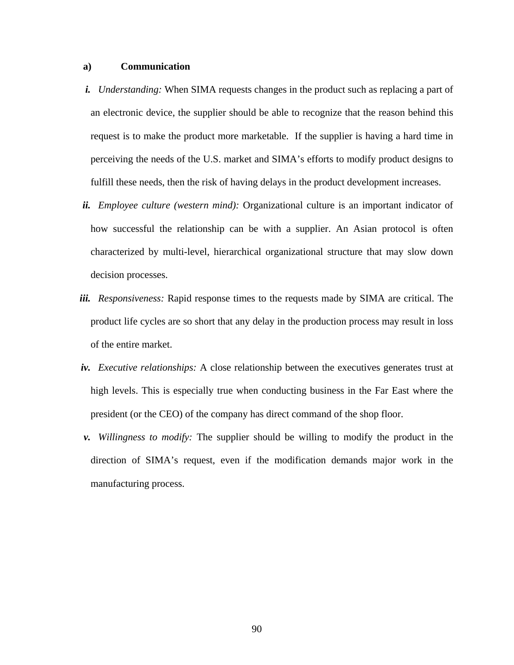### **a) Communication**

- *i. Understanding:* When SIMA requests changes in the product such as replacing a part of an electronic device, the supplier should be able to recognize that the reason behind this request is to make the product more marketable. If the supplier is having a hard time in perceiving the needs of the U.S. market and SIMA's efforts to modify product designs to fulfill these needs, then the risk of having delays in the product development increases.
- *ii. Employee culture (western mind):* Organizational culture is an important indicator of how successful the relationship can be with a supplier. An Asian protocol is often characterized by multi-level, hierarchical organizational structure that may slow down decision processes.
- *iii. Responsiveness:* Rapid response times to the requests made by SIMA are critical. The product life cycles are so short that any delay in the production process may result in loss of the entire market.
- *iv. Executive relationships:* A close relationship between the executives generates trust at high levels. This is especially true when conducting business in the Far East where the president (or the CEO) of the company has direct command of the shop floor.
- *v. Willingness to modify:* The supplier should be willing to modify the product in the direction of SIMA's request, even if the modification demands major work in the manufacturing process.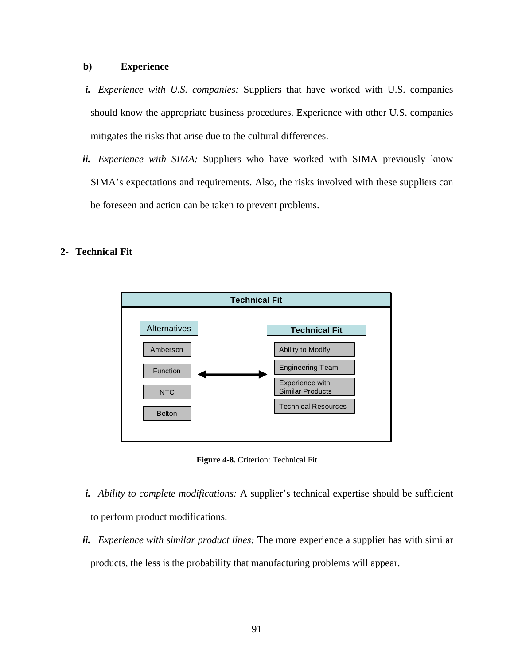### **b) Experience**

- *i. Experience with U.S. companies:* Suppliers that have worked with U.S. companies should know the appropriate business procedures. Experience with other U.S. companies mitigates the risks that arise due to the cultural differences.
- *ii. Experience with SIMA:* Suppliers who have worked with SIMA previously know SIMA's expectations and requirements. Also, the risks involved with these suppliers can be foreseen and action can be taken to prevent problems.

# **2- Technical Fit**



**Figure 4-8.** Criterion: Technical Fit

- *i. Ability to complete modifications:* A supplier's technical expertise should be sufficient to perform product modifications.
- *ii. Experience with similar product lines:* The more experience a supplier has with similar products, the less is the probability that manufacturing problems will appear.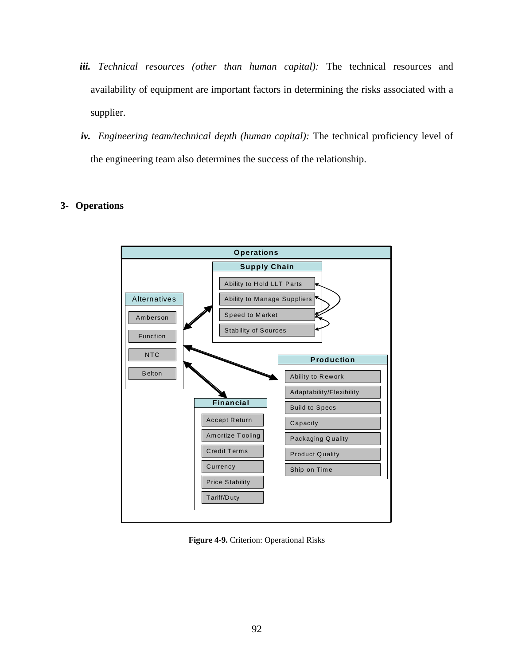- *iii. Technical resources (other than human capital):* The technical resources and availability of equipment are important factors in determining the risks associated with a supplier.
- *iv. Engineering team/technical depth (human capital):* The technical proficiency level of the engineering team also determines the success of the relationship.

# **3- Operations**



**Figure 4-9.** Criterion: Operational Risks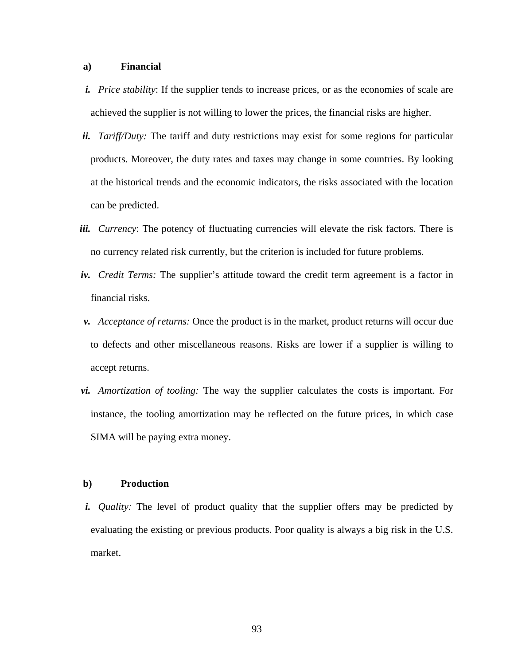### **a) Financial**

- *i. Price stability*: If the supplier tends to increase prices, or as the economies of scale are achieved the supplier is not willing to lower the prices, the financial risks are higher.
- *ii. Tariff/Duty:* The tariff and duty restrictions may exist for some regions for particular products. Moreover, the duty rates and taxes may change in some countries. By looking at the historical trends and the economic indicators, the risks associated with the location can be predicted.
- *iii. Currency*: The potency of fluctuating currencies will elevate the risk factors. There is no currency related risk currently, but the criterion is included for future problems.
- *iv. Credit Terms:* The supplier's attitude toward the credit term agreement is a factor in financial risks.
- *v. Acceptance of returns:* Once the product is in the market, product returns will occur due to defects and other miscellaneous reasons. Risks are lower if a supplier is willing to accept returns.
- *vi. Amortization of tooling:* The way the supplier calculates the costs is important. For instance, the tooling amortization may be reflected on the future prices, in which case SIMA will be paying extra money.

## **b) Production**

*i. Quality:* The level of product quality that the supplier offers may be predicted by evaluating the existing or previous products. Poor quality is always a big risk in the U.S. market.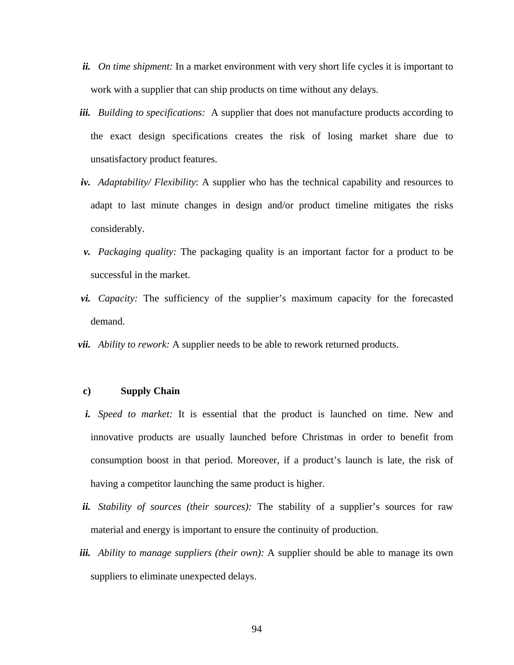- *ii. On time shipment:* In a market environment with very short life cycles it is important to work with a supplier that can ship products on time without any delays.
- *iii. Building to specifications:* A supplier that does not manufacture products according to the exact design specifications creates the risk of losing market share due to unsatisfactory product features.
- *iv. Adaptability/ Flexibility*: A supplier who has the technical capability and resources to adapt to last minute changes in design and/or product timeline mitigates the risks considerably.
- *v. Packaging quality:* The packaging quality is an important factor for a product to be successful in the market.
- *vi. Capacity:* The sufficiency of the supplier's maximum capacity for the forecasted demand.
- *vii. Ability to rework:* A supplier needs to be able to rework returned products.

# **c) Supply Chain**

- *i. Speed to market:* It is essential that the product is launched on time. New and innovative products are usually launched before Christmas in order to benefit from consumption boost in that period. Moreover, if a product's launch is late, the risk of having a competitor launching the same product is higher.
- *ii. Stability of sources (their sources):* The stability of a supplier's sources for raw material and energy is important to ensure the continuity of production.
- *iii. Ability to manage suppliers (their own):* A supplier should be able to manage its own suppliers to eliminate unexpected delays.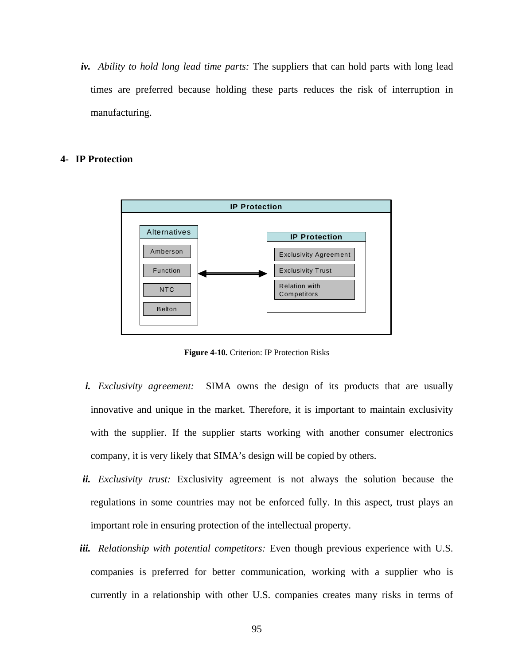*iv. Ability to hold long lead time parts:* The suppliers that can hold parts with long lead times are preferred because holding these parts reduces the risk of interruption in manufacturing.

# **4- IP Protection**



**Figure 4-10.** Criterion: IP Protection Risks

- *i. Exclusivity agreement:* SIMA owns the design of its products that are usually innovative and unique in the market. Therefore, it is important to maintain exclusivity with the supplier. If the supplier starts working with another consumer electronics company, it is very likely that SIMA's design will be copied by others.
- *ii. Exclusivity trust:* Exclusivity agreement is not always the solution because the regulations in some countries may not be enforced fully. In this aspect, trust plays an important role in ensuring protection of the intellectual property.
- *iii. Relationship with potential competitors:* Even though previous experience with U.S. companies is preferred for better communication, working with a supplier who is currently in a relationship with other U.S. companies creates many risks in terms of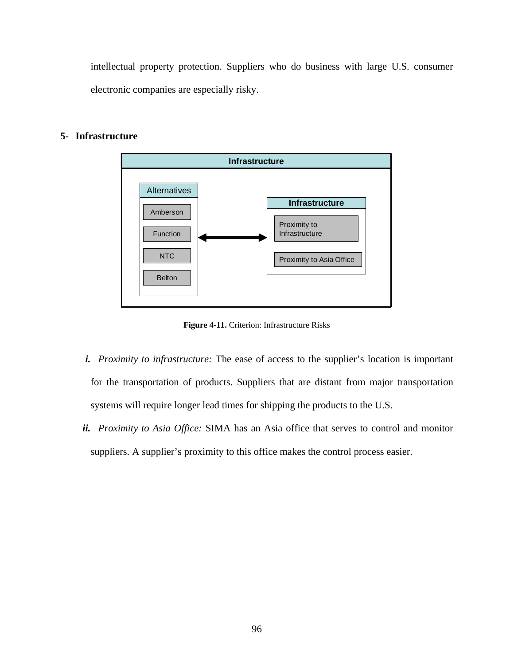<span id="page-109-0"></span>intellectual property protection. Suppliers who do business with large U.S. consumer electronic companies are especially risky.

# **5- Infrastructure**



**Figure 4-11.** Criterion: Infrastructure Risks

- *i. Proximity to infrastructure:* The ease of access to the supplier's location is important for the transportation of products. Suppliers that are distant from major transportation systems will require longer lead times for shipping the products to the U.S.
- *ii. Proximity to Asia Office:* SIMA has an Asia office that serves to control and monitor suppliers. A supplier's proximity to this office makes the control process easier.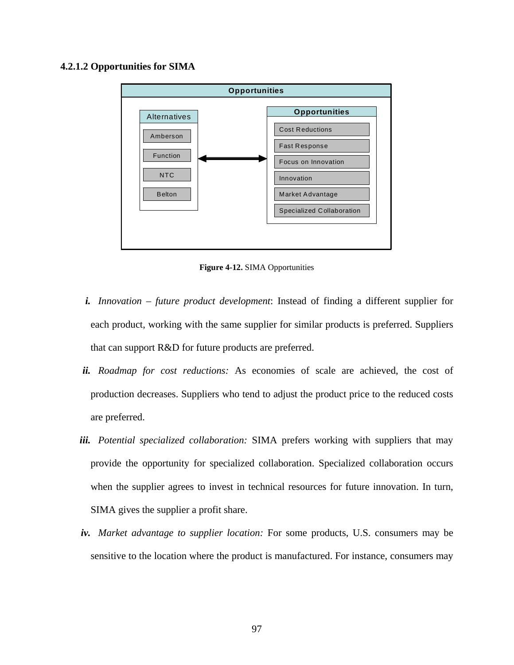### **4.2.1.2 Opportunities for SIMA**



**Figure 4-12.** SIMA Opportunities

- *i. Innovation future product development*: Instead of finding a different supplier for each product, working with the same supplier for similar products is preferred. Suppliers that can support R&D for future products are preferred.
- *ii. Roadmap for cost reductions:* As economies of scale are achieved, the cost of production decreases. Suppliers who tend to adjust the product price to the reduced costs are preferred.
- *iii. Potential specialized collaboration:* SIMA prefers working with suppliers that may provide the opportunity for specialized collaboration. Specialized collaboration occurs when the supplier agrees to invest in technical resources for future innovation. In turn, SIMA gives the supplier a profit share.
- *iv. Market advantage to supplier location:* For some products, U.S. consumers may be sensitive to the location where the product is manufactured. For instance, consumers may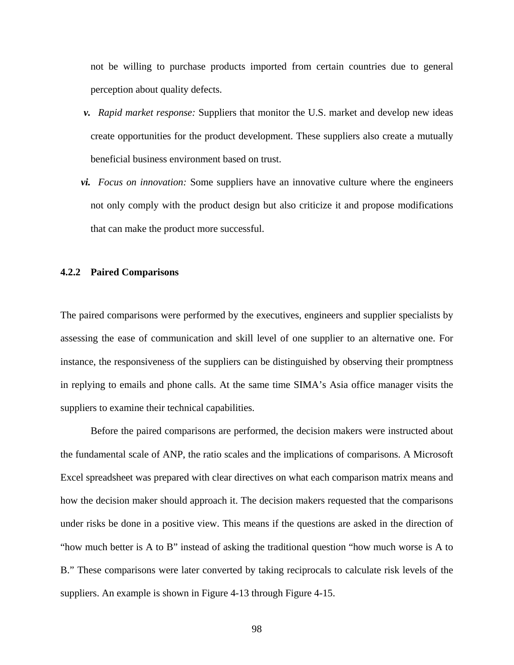not be willing to purchase products imported from certain countries due to general perception about quality defects.

- *v. Rapid market response:* Suppliers that monitor the U.S. market and develop new ideas create opportunities for the product development. These suppliers also create a mutually beneficial business environment based on trust.
- *vi. Focus on innovation:* Some suppliers have an innovative culture where the engineers not only comply with the product design but also criticize it and propose modifications that can make the product more successful.

#### **4.2.2 Paired Comparisons**

The paired comparisons were performed by the executives, engineers and supplier specialists by assessing the ease of communication and skill level of one supplier to an alternative one. For instance, the responsiveness of the suppliers can be distinguished by observing their promptness in replying to emails and phone calls. At the same time SIMA's Asia office manager visits the suppliers to examine their technical capabilities.

Before the paired comparisons are performed, the decision makers were instructed about the fundamental scale of ANP, the ratio scales and the implications of comparisons. A Microsoft Excel spreadsheet was prepared with clear directives on what each comparison matrix means and how the decision maker should approach it. The decision makers requested that the comparisons under risks be done in a positive view. This means if the questions are asked in the direction of "how much better is A to B" instead of asking the traditional question "how much worse is A to B." These comparisons were later converted by taking reciprocals to calculate risk levels of the suppliers. An example is shown in [Figure 4-13](#page-112-0) through [Figure 4-15](#page-112-0).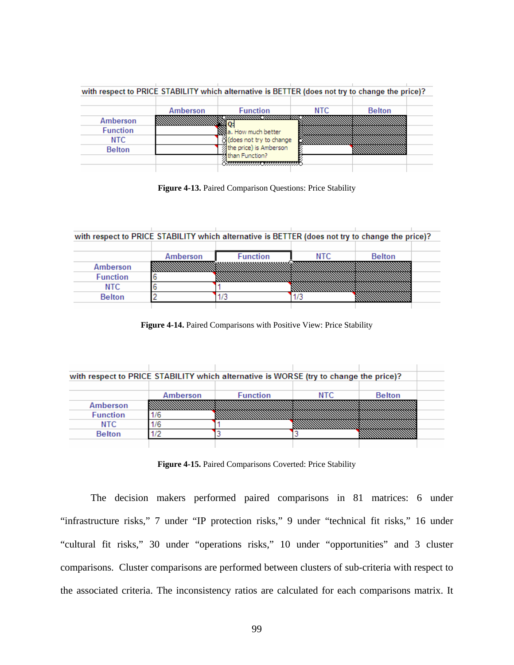<span id="page-112-0"></span>

|                 |          | with respect to PRICE STABILITY which alternative is BETTER (does not try to change the price)? |      |               |  |
|-----------------|----------|-------------------------------------------------------------------------------------------------|------|---------------|--|
|                 | Amberson | <b>Function</b>                                                                                 | NTC. | <b>Belton</b> |  |
| Amberson        |          |                                                                                                 |      |               |  |
| <b>Function</b> |          | 엷a. How much better                                                                             |      |               |  |
| NTC.            |          | g (does not try to change                                                                       |      |               |  |
| <b>Belton</b>   |          | the price) is Amberson                                                                          |      |               |  |
|                 |          | 外than Function?                                                                                 |      |               |  |
|                 |          |                                                                                                 |      |               |  |

**Figure 4-13.** Paired Comparison Questions: Price Stability

| with respect to PRICE STABILITY which alternative is BETTER (does not try to change the price)? |          |                 |      |               |  |  |
|-------------------------------------------------------------------------------------------------|----------|-----------------|------|---------------|--|--|
|                                                                                                 |          |                 |      |               |  |  |
|                                                                                                 | Amberson | <b>Function</b> | NTC. | <b>Belton</b> |  |  |
| Amberson                                                                                        |          |                 |      |               |  |  |
| <b>Function</b>                                                                                 |          |                 |      |               |  |  |
| NTC.                                                                                            |          |                 |      |               |  |  |
| <b>Belton</b>                                                                                   |          |                 |      |               |  |  |

**Figure 4-14.** Paired Comparisons with Positive View: Price Stability

| with respect to PRICE STABILITY which alternative is WORSE (try to change the price)? |          |                 |      |               |  |
|---------------------------------------------------------------------------------------|----------|-----------------|------|---------------|--|
|                                                                                       |          |                 |      |               |  |
|                                                                                       | Amberson | <b>Function</b> | NTC. | <b>Belton</b> |  |
| Amberson                                                                              |          |                 |      |               |  |
| <b>Function</b>                                                                       |          |                 |      |               |  |
| NTC.                                                                                  |          |                 |      |               |  |
| <b>Belton</b>                                                                         |          |                 |      |               |  |
|                                                                                       |          |                 |      |               |  |

**Figure 4-15.** Paired Comparisons Coverted: Price Stability

The decision makers performed paired comparisons in 81 matrices: 6 under "infrastructure risks," 7 under "IP protection risks," 9 under "technical fit risks," 16 under "cultural fit risks," 30 under "operations risks," 10 under "opportunities" and 3 cluster comparisons. Cluster comparisons are performed between clusters of sub-criteria with respect to the associated criteria. The inconsistency ratios are calculated for each comparisons matrix. It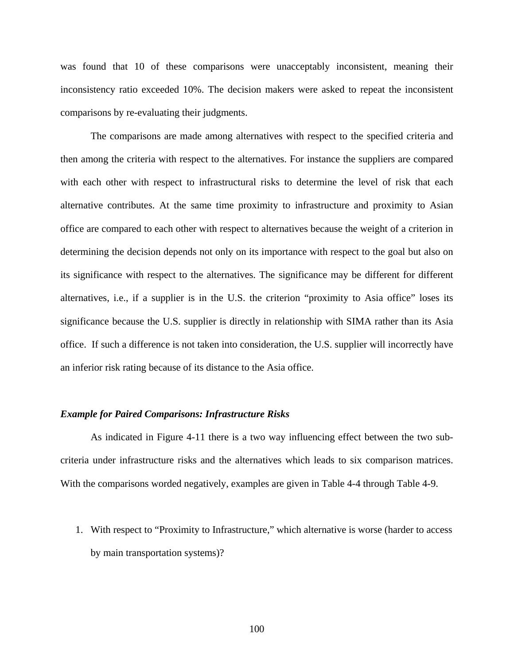was found that 10 of these comparisons were unacceptably inconsistent, meaning their inconsistency ratio exceeded 10%. The decision makers were asked to repeat the inconsistent comparisons by re-evaluating their judgments.

The comparisons are made among alternatives with respect to the specified criteria and then among the criteria with respect to the alternatives. For instance the suppliers are compared with each other with respect to infrastructural risks to determine the level of risk that each alternative contributes. At the same time proximity to infrastructure and proximity to Asian office are compared to each other with respect to alternatives because the weight of a criterion in determining the decision depends not only on its importance with respect to the goal but also on its significance with respect to the alternatives. The significance may be different for different alternatives, i.e., if a supplier is in the U.S. the criterion "proximity to Asia office" loses its significance because the U.S. supplier is directly in relationship with SIMA rather than its Asia office. If such a difference is not taken into consideration, the U.S. supplier will incorrectly have an inferior risk rating because of its distance to the Asia office.

### *Example for Paired Comparisons: Infrastructure Risks*

As indicated in [Figure 4-11](#page-109-0) there is a two way influencing effect between the two subcriteria under infrastructure risks and the alternatives which leads to six comparison matrices. With the comparisons worded negatively, examples are given in [Table 4-4](#page-114-0) through [Table 4-9](#page-115-0).

1. With respect to "Proximity to Infrastructure," which alternative is worse (harder to access by main transportation systems)?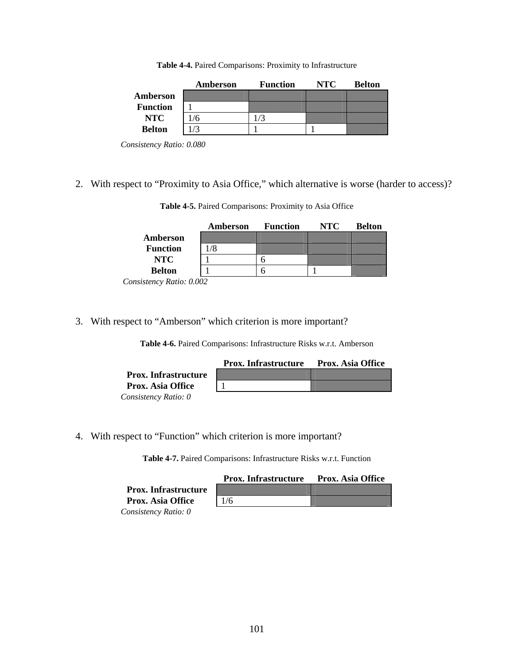**Table 4-4.** Paired Comparisons: Proximity to Infrastructure

<span id="page-114-0"></span>

|                 | Amberson | <b>Function</b> | NTC. | <b>Belton</b> |
|-----------------|----------|-----------------|------|---------------|
| Amberson        |          |                 |      |               |
| <b>Function</b> |          |                 |      |               |
| NTC             |          |                 |      |               |
| <b>Belton</b>   |          |                 |      |               |

*Consistency Ratio: 0.080* 

2. With respect to "Proximity to Asia Office," which alternative is worse (harder to access)?

**Table 4-5.** Paired Comparisons: Proximity to Asia Office

|                                                          | Amberson | <b>Function</b> | NTC | <b>Belton</b> |
|----------------------------------------------------------|----------|-----------------|-----|---------------|
| Amberson                                                 |          |                 |     |               |
| <b>Function</b>                                          |          |                 |     |               |
| NTC                                                      |          |                 |     |               |
| <b>Belton</b>                                            |          |                 |     |               |
| $dist \sim \mathbf{D} \cdot \mathbf{G} \cdot \mathbf{A}$ |          |                 |     |               |

 *Consistency Ratio: 0.002* 

3. With respect to "Amberson" which criterion is more important?

**Table 4-6.** Paired Comparisons: Infrastructure Risks w.r.t. Amberson

|                             | <b>Prox. Infrastructure</b> | <b>Prox. Asia Office</b> |
|-----------------------------|-----------------------------|--------------------------|
| <b>Prox.</b> Infrastructure |                             |                          |
| <b>Prox. Asia Office</b>    |                             |                          |
| Consistency Ratio: 0        |                             |                          |

4. With respect to "Function" which criterion is more important?

**Table 4-7.** Paired Comparisons: Infrastructure Risks w.r.t. Function

|                             | <b>Prox. Infrastructure</b> | <b>Prox. Asia Office</b> |
|-----------------------------|-----------------------------|--------------------------|
| <b>Prox.</b> Infrastructure |                             |                          |
| <b>Prox. Asia Office</b>    | 1/6                         |                          |
| Consistency Ratio: 0        |                             |                          |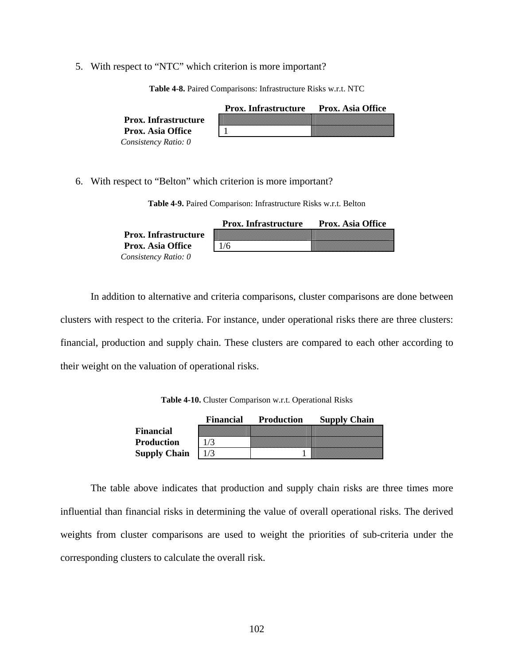<span id="page-115-0"></span>5. With respect to "NTC" which criterion is more important?

|                             | <b>Prox.</b> Infrastructure | <b>Prox. Asia Office</b> |
|-----------------------------|-----------------------------|--------------------------|
| <b>Prox.</b> Infrastructure |                             |                          |
| <b>Prox. Asia Office</b>    |                             |                          |
| Consistency Ratio: 0        |                             |                          |

**Table 4-8.** Paired Comparisons: Infrastructure Risks w.r.t. NTC

6. With respect to "Belton" which criterion is more important?

**Table 4-9.** Paired Comparison: Infrastructure Risks w.r.t. Belton

|                             | <b>Prox.</b> Infrastructure | <b>Prox. Asia Office</b> |
|-----------------------------|-----------------------------|--------------------------|
| <b>Prox.</b> Infrastructure |                             |                          |
| <b>Prox. Asia Office</b>    | 1/6                         |                          |
| Consistency Ratio: 0        |                             |                          |

In addition to alternative and criteria comparisons, cluster comparisons are done between clusters with respect to the criteria. For instance, under operational risks there are three clusters: financial, production and supply chain. These clusters are compared to each other according to their weight on the valuation of operational risks.

**Table 4-10.** Cluster Comparison w.r.t. Operational Risks

|                     | Financial | <b>Production</b> | <b>Supply Chain</b> |
|---------------------|-----------|-------------------|---------------------|
| <b>Financial</b>    |           |                   |                     |
| <b>Production</b>   |           |                   |                     |
| <b>Supply Chain</b> |           |                   |                     |

The table above indicates that production and supply chain risks are three times more influential than financial risks in determining the value of overall operational risks. The derived weights from cluster comparisons are used to weight the priorities of sub-criteria under the corresponding clusters to calculate the overall risk.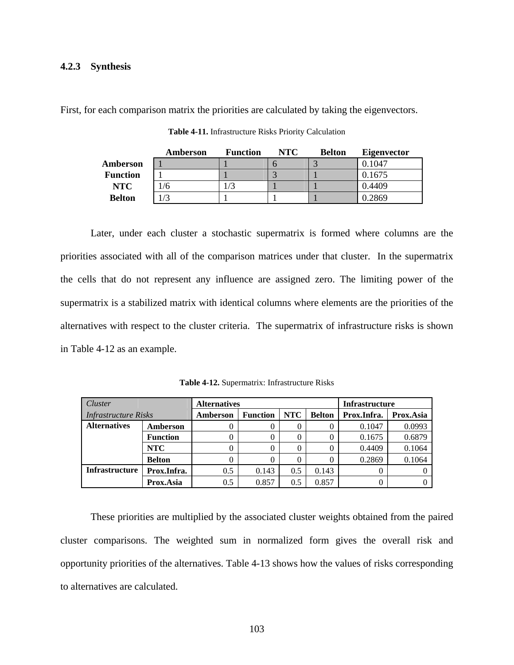#### <span id="page-116-0"></span>**4.2.3 Synthesis**

First, for each comparison matrix the priorities are calculated by taking the eigenvectors.

|                 | Amberson | <b>Function</b> | NTC | <b>Belton</b> | <b>Eigenvector</b> |
|-----------------|----------|-----------------|-----|---------------|--------------------|
| Amberson        |          |                 |     |               | 0.1047             |
| <b>Function</b> |          |                 |     |               | 0.1675             |
| <b>NTC</b>      | 1/6      |                 |     |               | 0.4409             |
| <b>Belton</b>   | /3       |                 |     |               | 0.2869             |

**Table 4-11.** Infrastructure Risks Priority Calculation

Later, under each cluster a stochastic supermatrix is formed where columns are the priorities associated with all of the comparison matrices under that cluster. In the supermatrix the cells that do not represent any influence are assigned zero. The limiting power of the supermatrix is a stabilized matrix with identical columns where elements are the priorities of the alternatives with respect to the cluster criteria. The supermatrix of infrastructure risks is shown in [Table 4-12](#page-116-0) as an example.

| Cluster                     |                 | <b>Alternatives</b> |                 |            |               | <b>Infrastructure</b> |           |
|-----------------------------|-----------------|---------------------|-----------------|------------|---------------|-----------------------|-----------|
| <b>Infrastructure Risks</b> |                 | Amberson            | <b>Function</b> | <b>NTC</b> | <b>Belton</b> | Prox.Infra.           | Prox.Asia |
| <b>Alternatives</b>         | Amberson        |                     |                 | 0          |               | 0.1047                | 0.0993    |
|                             | <b>Function</b> |                     |                 |            |               | 0.1675                | 0.6879    |
|                             | <b>NTC</b>      |                     |                 | 0          |               | 0.4409                | 0.1064    |
|                             | <b>Belton</b>   |                     |                 |            |               | 0.2869                | 0.1064    |
| <b>Infrastructure</b>       | Prox.Infra.     | 0.5                 | 0.143           | 0.5        | 0.143         |                       |           |
|                             | Prox.Asia       | 0.5                 | 0.857           | 0.5        | 0.857         |                       |           |

**Table 4-12.** Supermatrix: Infrastructure Risks

These priorities are multiplied by the associated cluster weights obtained from the paired cluster comparisons. The weighted sum in normalized form gives the overall risk and opportunity priorities of the alternatives. [Table 4-13](#page-117-0) shows how the values of risks corresponding to alternatives are calculated.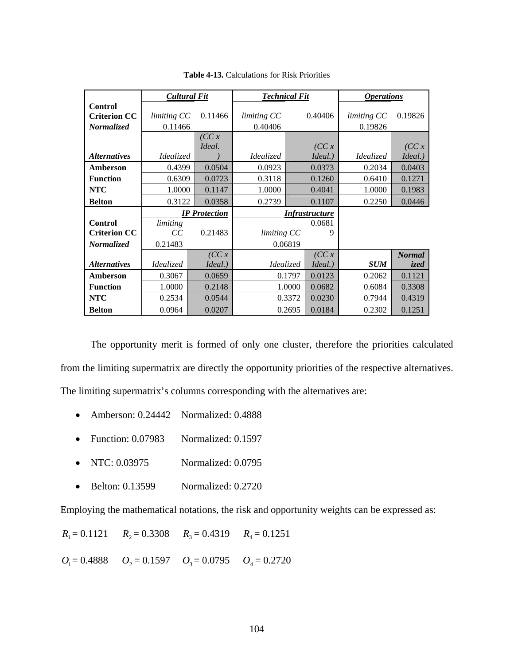<span id="page-117-0"></span>

|                            | <b>Cultural Fit</b>  |         | <b>Technical Fit</b>  |        |         | <i><b>Operations</b></i> |               |  |
|----------------------------|----------------------|---------|-----------------------|--------|---------|--------------------------|---------------|--|
| <b>Control</b>             |                      |         |                       |        |         |                          |               |  |
| <b>Criterion CC</b>        | limiting CC          | 0.11466 | limiting CC           |        | 0.40406 | limiting CC              | 0.19826       |  |
| Normalized                 | 0.11466              |         | 0.40406               |        |         | 0.19826                  |               |  |
|                            |                      | (CC x   |                       |        |         |                          |               |  |
|                            |                      | Ideal.  |                       |        | (CC x   |                          | (CC x         |  |
| <i><b>Alternatives</b></i> | Idealized            |         | <i>Idealized</i>      |        | Ideal.) | Idealized                | Ideal.)       |  |
| Amberson                   | 0.4399               | 0.0504  | 0.0923                |        | 0.0373  | 0.2034                   | 0.0403        |  |
| <b>Function</b>            | 0.6309               | 0.0723  | 0.3118                |        | 0.1260  | 0.6410                   | 0.1271        |  |
| <b>NTC</b>                 | 1.0000               | 0.1147  | 1.0000                |        | 0.4041  | 1.0000                   | 0.1983        |  |
| <b>Belton</b>              | 0.3122               | 0.0358  | 0.2739                |        | 0.1107  | 0.2250                   | 0.0446        |  |
|                            | <b>IP</b> Protection |         | <b>Infrastructure</b> |        |         |                          |               |  |
| <b>Control</b>             | limiting             |         | 0.0681                |        |         |                          |               |  |
| <b>Criterion CC</b>        | CC                   | 0.21483 | limiting CC           |        | 9       |                          |               |  |
| <b>Normalized</b>          | 0.21483              |         | 0.06819               |        |         |                          |               |  |
|                            |                      | (CC x   |                       |        | (CC x   |                          | <b>Normal</b> |  |
| <i><b>Alternatives</b></i> | Idealized            | Ideal.) | Idealized             |        | Ideal.) | <b>SUM</b>               | ized          |  |
| Amberson                   | 0.3067               | 0.0659  | 0.1797                |        | 0.0123  | 0.2062                   | 0.1121        |  |
| <b>Function</b>            | 1.0000               | 0.2148  | 1.0000                |        | 0.0682  | 0.6084                   | 0.3308        |  |
| <b>NTC</b>                 | 0.2534               | 0.0544  | 0.3372                |        | 0.0230  | 0.7944                   | 0.4319        |  |
| <b>Belton</b>              | 0.0964               | 0.0207  |                       | 0.2695 | 0.0184  | 0.2302                   | 0.1251        |  |

**Table 4-13.** Calculations for Risk Priorities

The opportunity merit is formed of only one cluster, therefore the priorities calculated from the limiting supermatrix are directly the opportunity priorities of the respective alternatives. The limiting supermatrix's columns corresponding with the alternatives are:

- Amberson: 0.24442 Normalized: 0.4888
- Function: 0.07983 Normalized: 0.1597
- NTC: 0.03975 Normalized: 0.0795
- Belton: 0.13599 Normalized: 0.2720

Employing the mathematical notations, the risk and opportunity weights can be expressed as:

 $R_1 = 0.1121$   $R_2 = 0.3308$   $R_3 = 0.4319$   $R_4 = 0.1251$ 

 $O_1 = 0.4888$   $O_2 = 0.1597$   $O_3 = 0.0795$   $O_4 = 0.2720$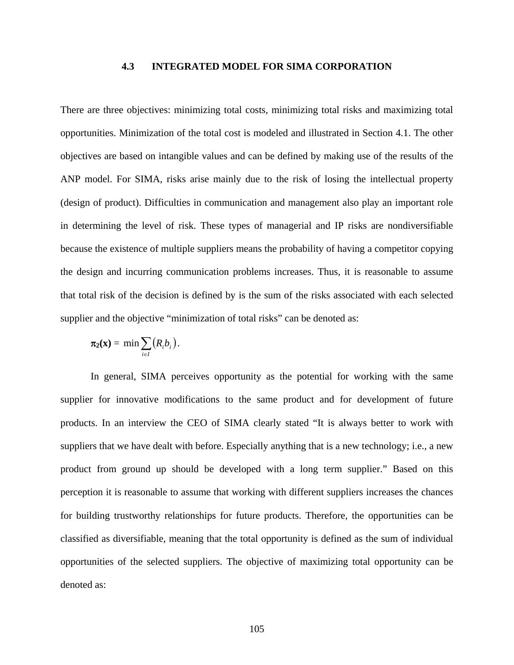### **4.3 INTEGRATED MODEL FOR SIMA CORPORATION**

There are three objectives: minimizing total costs, minimizing total risks and maximizing total opportunities. Minimization of the total cost is modeled and illustrated in Section 4.1. The other objectives are based on intangible values and can be defined by making use of the results of the ANP model. For SIMA, risks arise mainly due to the risk of losing the intellectual property (design of product). Difficulties in communication and management also play an important role in determining the level of risk. These types of managerial and IP risks are nondiversifiable because the existence of multiple suppliers means the probability of having a competitor copying the design and incurring communication problems increases. Thus, it is reasonable to assume that total risk of the decision is defined by is the sum of the risks associated with each selected supplier and the objective "minimization of total risks" can be denoted as:

$$
\pi_2(\mathbf{x}) = \min \sum_{i \in I} (R_i b_i).
$$

In general, SIMA perceives opportunity as the potential for working with the same supplier for innovative modifications to the same product and for development of future products. In an interview the CEO of SIMA clearly stated "It is always better to work with suppliers that we have dealt with before. Especially anything that is a new technology; i.e., a new product from ground up should be developed with a long term supplier." Based on this perception it is reasonable to assume that working with different suppliers increases the chances for building trustworthy relationships for future products. Therefore, the opportunities can be classified as diversifiable, meaning that the total opportunity is defined as the sum of individual opportunities of the selected suppliers. The objective of maximizing total opportunity can be denoted as: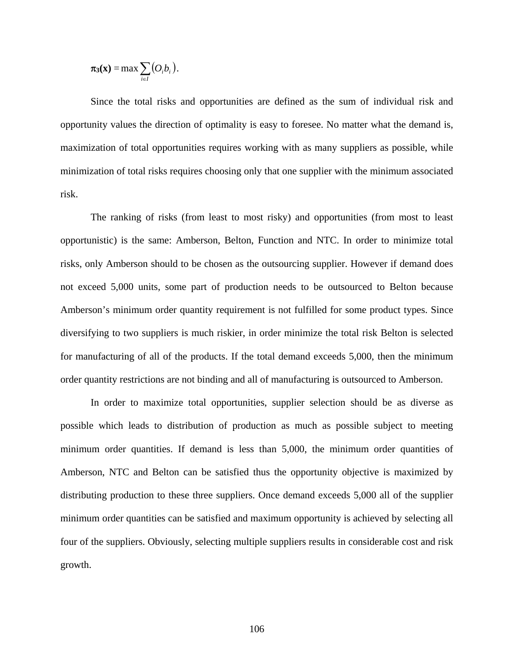$$
\pi_3(\mathbf{x}) = \max \sum_{i \in I} (O_i b_i).
$$

Since the total risks and opportunities are defined as the sum of individual risk and opportunity values the direction of optimality is easy to foresee. No matter what the demand is, maximization of total opportunities requires working with as many suppliers as possible, while minimization of total risks requires choosing only that one supplier with the minimum associated risk.

The ranking of risks (from least to most risky) and opportunities (from most to least opportunistic) is the same: Amberson, Belton, Function and NTC. In order to minimize total risks, only Amberson should to be chosen as the outsourcing supplier. However if demand does not exceed 5,000 units, some part of production needs to be outsourced to Belton because Amberson's minimum order quantity requirement is not fulfilled for some product types. Since diversifying to two suppliers is much riskier, in order minimize the total risk Belton is selected for manufacturing of all of the products. If the total demand exceeds 5,000, then the minimum order quantity restrictions are not binding and all of manufacturing is outsourced to Amberson.

In order to maximize total opportunities, supplier selection should be as diverse as possible which leads to distribution of production as much as possible subject to meeting minimum order quantities. If demand is less than 5,000, the minimum order quantities of Amberson, NTC and Belton can be satisfied thus the opportunity objective is maximized by distributing production to these three suppliers. Once demand exceeds 5,000 all of the supplier minimum order quantities can be satisfied and maximum opportunity is achieved by selecting all four of the suppliers. Obviously, selecting multiple suppliers results in considerable cost and risk growth.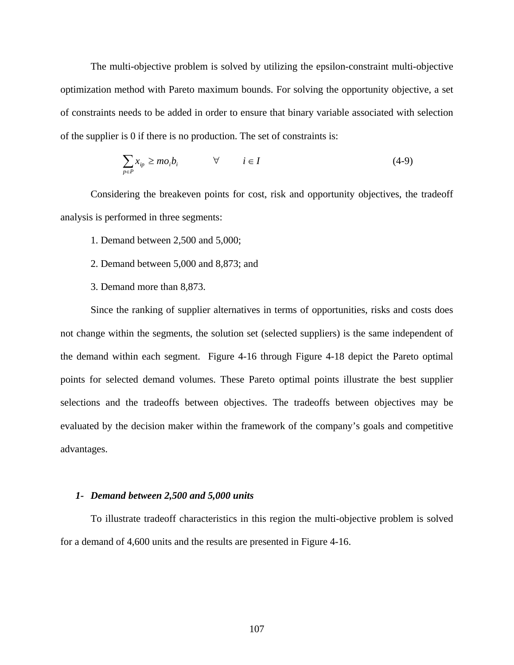The multi-objective problem is solved by utilizing the epsilon-constraint multi-objective optimization method with Pareto maximum bounds. For solving the opportunity objective, a set of constraints needs to be added in order to ensure that binary variable associated with selection of the supplier is 0 if there is no production. The set of constraints is:

$$
\sum_{p \in P} x_{ip} \ge m o_i b_i \qquad \forall \qquad i \in I \tag{4-9}
$$

Considering the breakeven points for cost, risk and opportunity objectives, the tradeoff analysis is performed in three segments:

- 1. Demand between 2,500 and 5,000;
- 2. Demand between 5,000 and 8,873; and
- 3. Demand more than 8,873.

Since the ranking of supplier alternatives in terms of opportunities, risks and costs does not change within the segments, the solution set (selected suppliers) is the same independent of the demand within each segment. [Figure 4-16](#page-121-0) through [Figure 4-18](#page-124-0) depict the Pareto optimal points for selected demand volumes. These Pareto optimal points illustrate the best supplier selections and the tradeoffs between objectives. The tradeoffs between objectives may be evaluated by the decision maker within the framework of the company's goals and competitive advantages.

#### *1- Demand between 2,500 and 5,000 units*

To illustrate tradeoff characteristics in this region the multi-objective problem is solved for a demand of 4,600 units and the results are presented in [Figure 4-16](#page-121-0).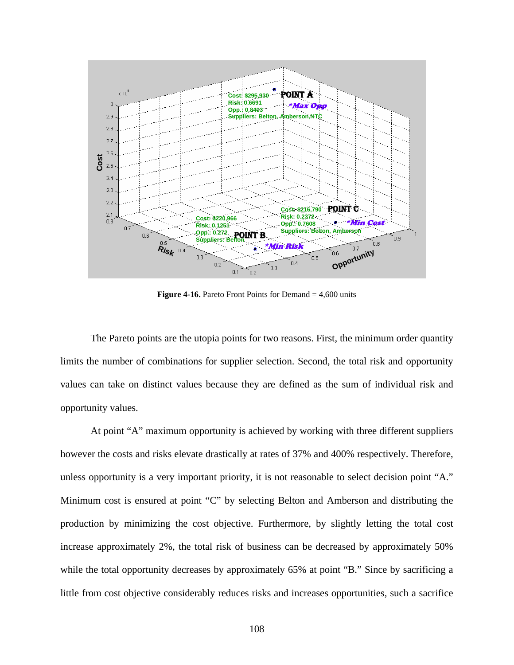<span id="page-121-0"></span>

**Figure 4-16.** Pareto Front Points for Demand = 4,600 units

The Pareto points are the utopia points for two reasons. First, the minimum order quantity limits the number of combinations for supplier selection. Second, the total risk and opportunity values can take on distinct values because they are defined as the sum of individual risk and opportunity values.

At point "A" maximum opportunity is achieved by working with three different suppliers however the costs and risks elevate drastically at rates of 37% and 400% respectively. Therefore, unless opportunity is a very important priority, it is not reasonable to select decision point "A." Minimum cost is ensured at point "C" by selecting Belton and Amberson and distributing the production by minimizing the cost objective. Furthermore, by slightly letting the total cost increase approximately 2%, the total risk of business can be decreased by approximately 50% while the total opportunity decreases by approximately 65% at point "B." Since by sacrificing a little from cost objective considerably reduces risks and increases opportunities, such a sacrifice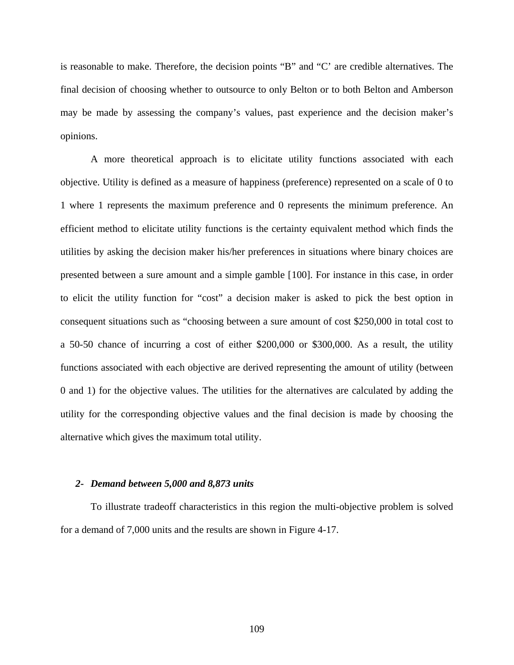is reasonable to make. Therefore, the decision points "B" and "C' are credible alternatives. The final decision of choosing whether to outsource to only Belton or to both Belton and Amberson may be made by assessing the company's values, past experience and the decision maker's opinions.

A more theoretical approach is to elicitate utility functions associated with each objective. Utility is defined as a measure of happiness (preference) represented on a scale of 0 to 1 where 1 represents the maximum preference and 0 represents the minimum preference. An efficient method to elicitate utility functions is the certainty equivalent method which finds the utilities by asking the decision maker his/her preferences in situations where binary choices are presented between a sure amount and a simple gamble [[10](#page-218-0)0]. For instance in this case, in order to elicit the utility function for "cost" a decision maker is asked to pick the best option in consequent situations such as "choosing between a sure amount of cost \$250,000 in total cost to a 50-50 chance of incurring a cost of either \$200,000 or \$300,000. As a result, the utility functions associated with each objective are derived representing the amount of utility (between 0 and 1) for the objective values. The utilities for the alternatives are calculated by adding the utility for the corresponding objective values and the final decision is made by choosing the alternative which gives the maximum total utility.

#### *2- Demand between 5,000 and 8,873 units*

To illustrate tradeoff characteristics in this region the multi-objective problem is solved for a demand of 7,000 units and the results are shown in [Figure 4-17.](#page-123-0)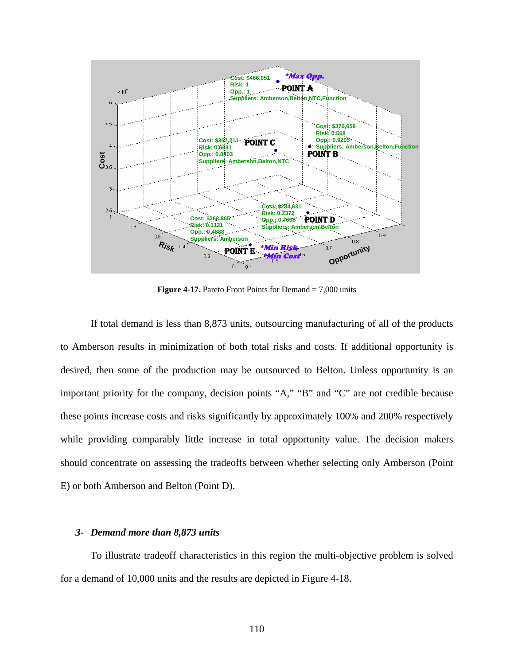<span id="page-123-0"></span>

**Figure 4-17.** Pareto Front Points for Demand = 7,000 units

If total demand is less than 8,873 units, outsourcing manufacturing of all of the products to Amberson results in minimization of both total risks and costs. If additional opportunity is desired, then some of the production may be outsourced to Belton. Unless opportunity is an important priority for the company, decision points "A," "B" and "C" are not credible because these points increase costs and risks significantly by approximately 100% and 200% respectively while providing comparably little increase in total opportunity value. The decision makers should concentrate on assessing the tradeoffs between whether selecting only Amberson (Point E) or both Amberson and Belton (Point D).

### *3- Demand more than 8,873 units*

To illustrate tradeoff characteristics in this region the multi-objective problem is solved for a demand of 10,000 units and the results are depicted in [Figure 4-18.](#page-124-0)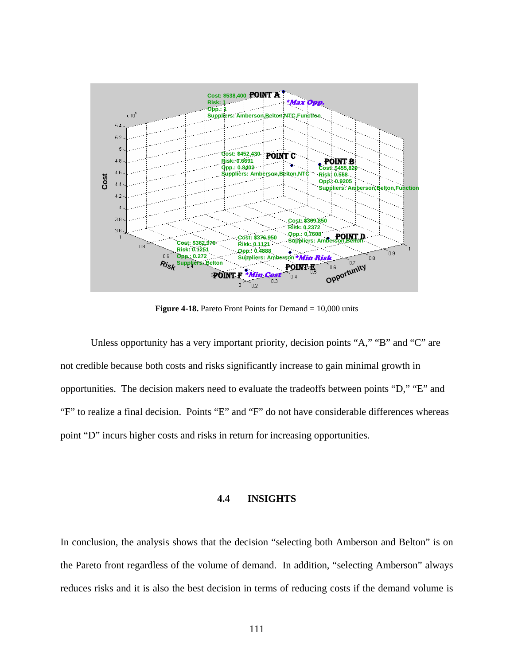<span id="page-124-0"></span>

**Figure 4-18.** Pareto Front Points for Demand = 10,000 units

Unless opportunity has a very important priority, decision points "A," "B" and "C" are not credible because both costs and risks significantly increase to gain minimal growth in opportunities. The decision makers need to evaluate the tradeoffs between points "D," "E" and "F" to realize a final decision. Points "E" and "F" do not have considerable differences whereas point "D" incurs higher costs and risks in return for increasing opportunities.

# **4.4 INSIGHTS**

In conclusion, the analysis shows that the decision "selecting both Amberson and Belton" is on the Pareto front regardless of the volume of demand. In addition, "selecting Amberson" always reduces risks and it is also the best decision in terms of reducing costs if the demand volume is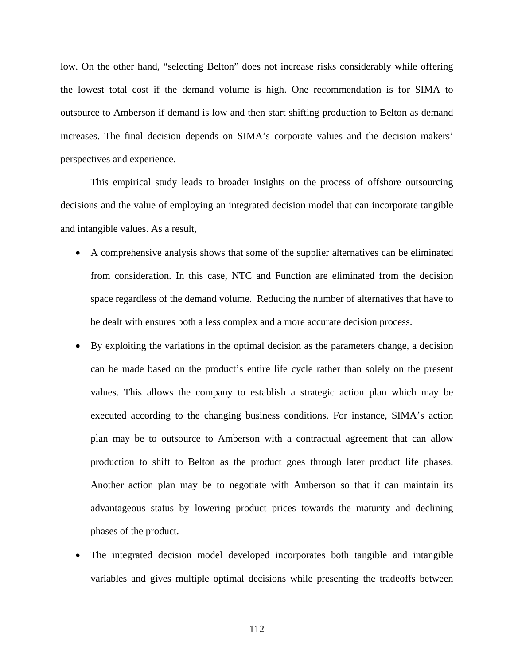low. On the other hand, "selecting Belton" does not increase risks considerably while offering the lowest total cost if the demand volume is high. One recommendation is for SIMA to outsource to Amberson if demand is low and then start shifting production to Belton as demand increases. The final decision depends on SIMA's corporate values and the decision makers' perspectives and experience.

This empirical study leads to broader insights on the process of offshore outsourcing decisions and the value of employing an integrated decision model that can incorporate tangible and intangible values. As a result,

- A comprehensive analysis shows that some of the supplier alternatives can be eliminated from consideration. In this case, NTC and Function are eliminated from the decision space regardless of the demand volume. Reducing the number of alternatives that have to be dealt with ensures both a less complex and a more accurate decision process.
- By exploiting the variations in the optimal decision as the parameters change, a decision can be made based on the product's entire life cycle rather than solely on the present values. This allows the company to establish a strategic action plan which may be executed according to the changing business conditions. For instance, SIMA's action plan may be to outsource to Amberson with a contractual agreement that can allow production to shift to Belton as the product goes through later product life phases. Another action plan may be to negotiate with Amberson so that it can maintain its advantageous status by lowering product prices towards the maturity and declining phases of the product.
- The integrated decision model developed incorporates both tangible and intangible variables and gives multiple optimal decisions while presenting the tradeoffs between

112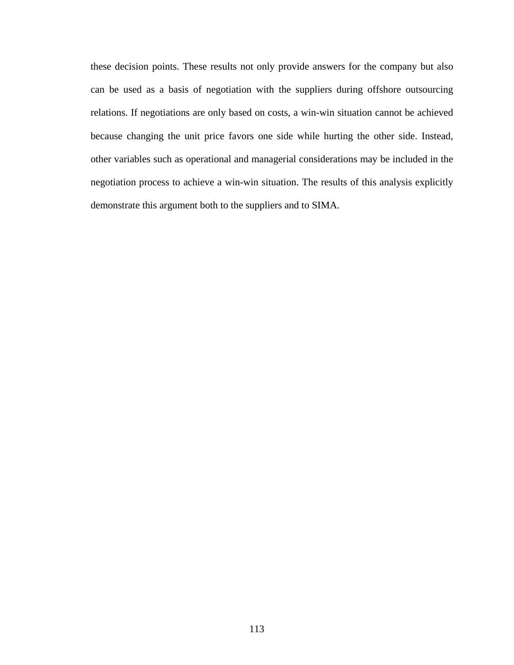these decision points. These results not only provide answers for the company but also can be used as a basis of negotiation with the suppliers during offshore outsourcing relations. If negotiations are only based on costs, a win-win situation cannot be achieved because changing the unit price favors one side while hurting the other side. Instead, other variables such as operational and managerial considerations may be included in the negotiation process to achieve a win-win situation. The results of this analysis explicitly demonstrate this argument both to the suppliers and to SIMA.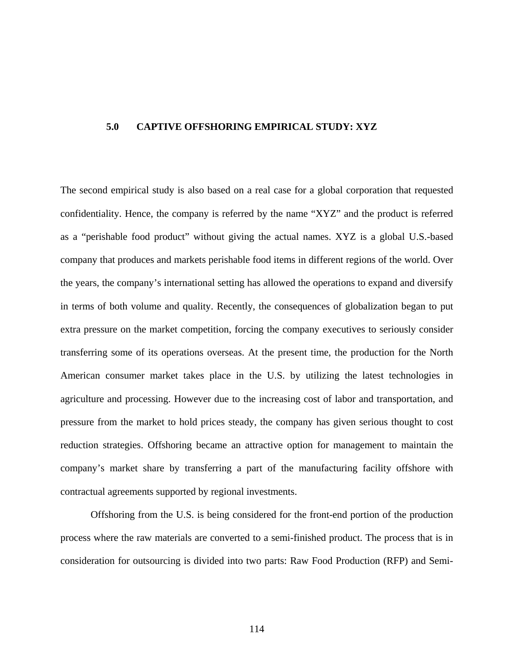#### **5.0 CAPTIVE OFFSHORING EMPIRICAL STUDY: XYZ**

The second empirical study is also based on a real case for a global corporation that requested confidentiality. Hence, the company is referred by the name "XYZ" and the product is referred as a "perishable food product" without giving the actual names. XYZ is a global U.S.-based company that produces and markets perishable food items in different regions of the world. Over the years, the company's international setting has allowed the operations to expand and diversify in terms of both volume and quality. Recently, the consequences of globalization began to put extra pressure on the market competition, forcing the company executives to seriously consider transferring some of its operations overseas. At the present time, the production for the North American consumer market takes place in the U.S. by utilizing the latest technologies in agriculture and processing. However due to the increasing cost of labor and transportation, and pressure from the market to hold prices steady, the company has given serious thought to cost reduction strategies. Offshoring became an attractive option for management to maintain the company's market share by transferring a part of the manufacturing facility offshore with contractual agreements supported by regional investments.

Offshoring from the U.S. is being considered for the front-end portion of the production process where the raw materials are converted to a semi-finished product. The process that is in consideration for outsourcing is divided into two parts: Raw Food Production (RFP) and Semi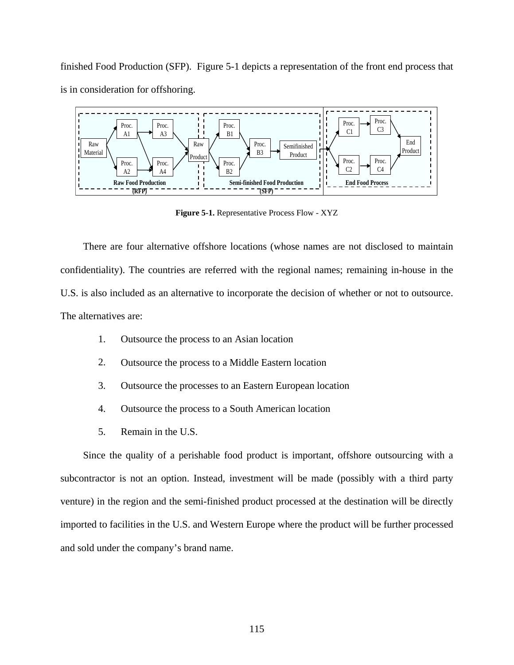<span id="page-128-0"></span>finished Food Production (SFP). [Figure 5-1](#page-128-0) depicts a representation of the front end process that is in consideration for offshoring.



**Figure 5-1.** Representative Process Flow - XYZ

There are four alternative offshore locations (whose names are not disclosed to maintain confidentiality). The countries are referred with the regional names; remaining in-house in the U.S. is also included as an alternative to incorporate the decision of whether or not to outsource. The alternatives are:

- 1. Outsource the process to an Asian location
- 2. Outsource the process to a Middle Eastern location
- 3. Outsource the processes to an Eastern European location
- 4. Outsource the process to a South American location
- 5. Remain in the U.S.

Since the quality of a perishable food product is important, offshore outsourcing with a subcontractor is not an option. Instead, investment will be made (possibly with a third party venture) in the region and the semi-finished product processed at the destination will be directly imported to facilities in the U.S. and Western Europe where the product will be further processed and sold under the company's brand name.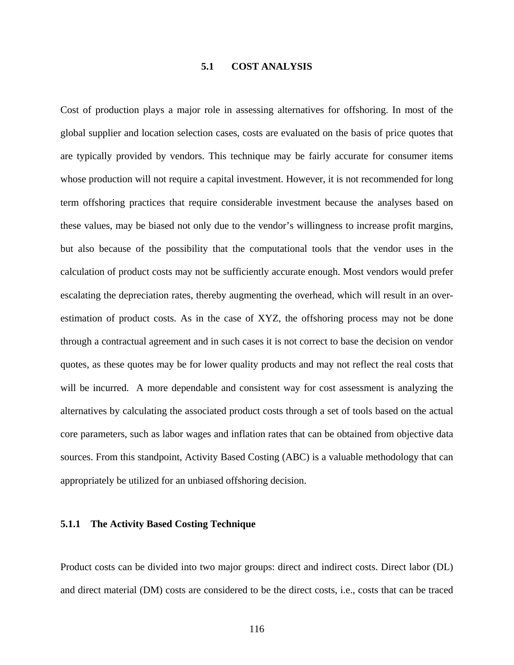### **5.1 COST ANALYSIS**

Cost of production plays a major role in assessing alternatives for offshoring. In most of the global supplier and location selection cases, costs are evaluated on the basis of price quotes that are typically provided by vendors. This technique may be fairly accurate for consumer items whose production will not require a capital investment. However, it is not recommended for long term offshoring practices that require considerable investment because the analyses based on these values, may be biased not only due to the vendor's willingness to increase profit margins, but also because of the possibility that the computational tools that the vendor uses in the calculation of product costs may not be sufficiently accurate enough. Most vendors would prefer escalating the depreciation rates, thereby augmenting the overhead, which will result in an overestimation of product costs. As in the case of XYZ, the offshoring process may not be done through a contractual agreement and in such cases it is not correct to base the decision on vendor quotes, as these quotes may be for lower quality products and may not reflect the real costs that will be incurred. A more dependable and consistent way for cost assessment is analyzing the alternatives by calculating the associated product costs through a set of tools based on the actual core parameters, such as labor wages and inflation rates that can be obtained from objective data sources. From this standpoint, Activity Based Costing (ABC) is a valuable methodology that can appropriately be utilized for an unbiased offshoring decision.

## **5.1.1 The Activity Based Costing Technique**

Product costs can be divided into two major groups: direct and indirect costs. Direct labor (DL) and direct material (DM) costs are considered to be the direct costs, i.e., costs that can be traced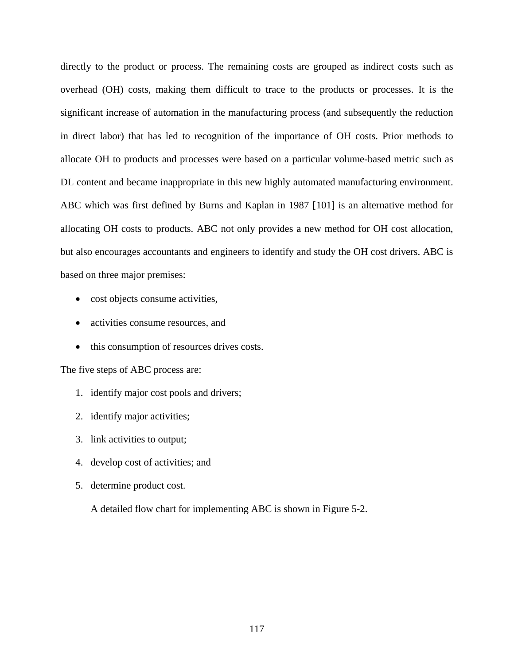directly to the product or process. The remaining costs are grouped as indirect costs such as overhead (OH) costs, making them difficult to trace to the products or processes. It is the significant increase of automation in the manufacturing process (and subsequently the reduction in direct labor) that has led to recognition of the importance of OH costs. Prior methods to allocate OH to products and processes were based on a particular volume-based metric such as DL content and became inappropriate in this new highly automated manufacturing environment. ABC which was first defined by Burns and Kaplan in 1987 [[10](#page-218-0)1] is an alternative method for allocating OH costs to products. ABC not only provides a new method for OH cost allocation, but also encourages accountants and engineers to identify and study the OH cost drivers. ABC is based on three major premises:

- cost objects consume activities,
- activities consume resources, and
- this consumption of resources drives costs.

The five steps of ABC process are:

- 1. identify major cost pools and drivers;
- 2. identify major activities;
- 3. link activities to output;
- 4. develop cost of activities; and
- 5. determine product cost.

A detailed flow chart for implementing ABC is shown in [Figure 5-2](#page-131-0).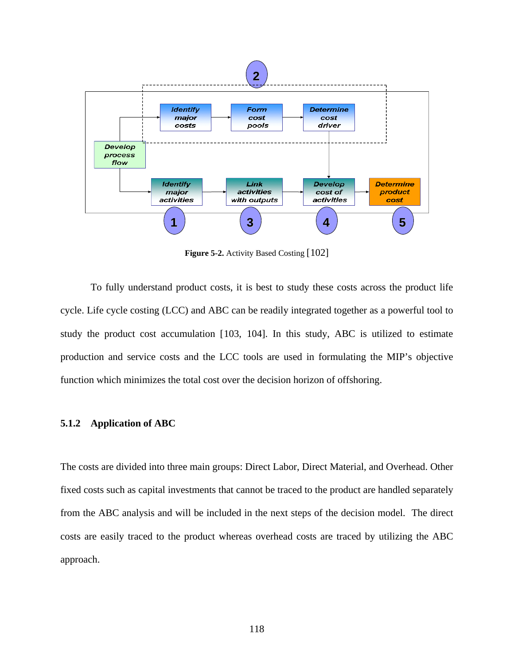<span id="page-131-0"></span>

**Figure 5-2.** Activity Based Costing [[10](#page-218-0)2]

To fully understand product costs, it is best to study these costs across the product life cycle. Life cycle costing (LCC) and ABC can be readily integrated together as a powerful tool to study the product cost accumulation [[10](#page-218-0)3, [1](#page-218-0)04]. In this study, ABC is utilized to estimate production and service costs and the LCC tools are used in formulating the MIP's objective function which minimizes the total cost over the decision horizon of offshoring.

#### **5.1.2 Application of ABC**

The costs are divided into three main groups: Direct Labor, Direct Material, and Overhead. Other fixed costs such as capital investments that cannot be traced to the product are handled separately from the ABC analysis and will be included in the next steps of the decision model. The direct costs are easily traced to the product whereas overhead costs are traced by utilizing the ABC approach.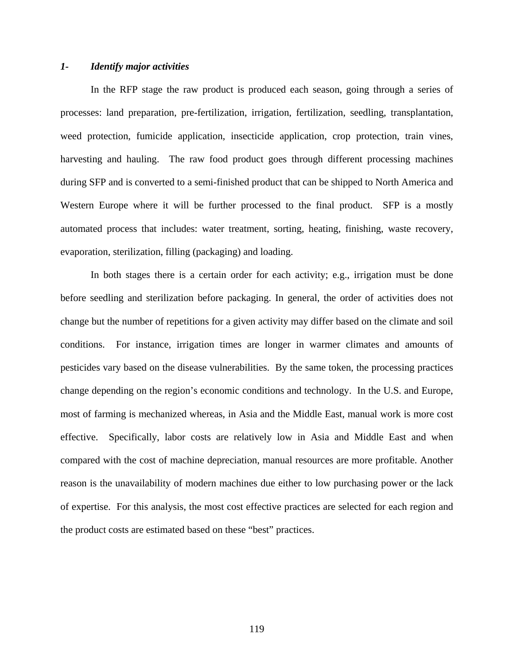## *1- Identify major activities*

In the RFP stage the raw product is produced each season, going through a series of processes: land preparation, pre-fertilization, irrigation, fertilization, seedling, transplantation, weed protection, fumicide application, insecticide application, crop protection, train vines, harvesting and hauling. The raw food product goes through different processing machines during SFP and is converted to a semi-finished product that can be shipped to North America and Western Europe where it will be further processed to the final product. SFP is a mostly automated process that includes: water treatment, sorting, heating, finishing, waste recovery, evaporation, sterilization, filling (packaging) and loading.

In both stages there is a certain order for each activity; e.g., irrigation must be done before seedling and sterilization before packaging. In general, the order of activities does not change but the number of repetitions for a given activity may differ based on the climate and soil conditions. For instance, irrigation times are longer in warmer climates and amounts of pesticides vary based on the disease vulnerabilities. By the same token, the processing practices change depending on the region's economic conditions and technology. In the U.S. and Europe, most of farming is mechanized whereas, in Asia and the Middle East, manual work is more cost effective. Specifically, labor costs are relatively low in Asia and Middle East and when compared with the cost of machine depreciation, manual resources are more profitable. Another reason is the unavailability of modern machines due either to low purchasing power or the lack of expertise. For this analysis, the most cost effective practices are selected for each region and the product costs are estimated based on these "best" practices.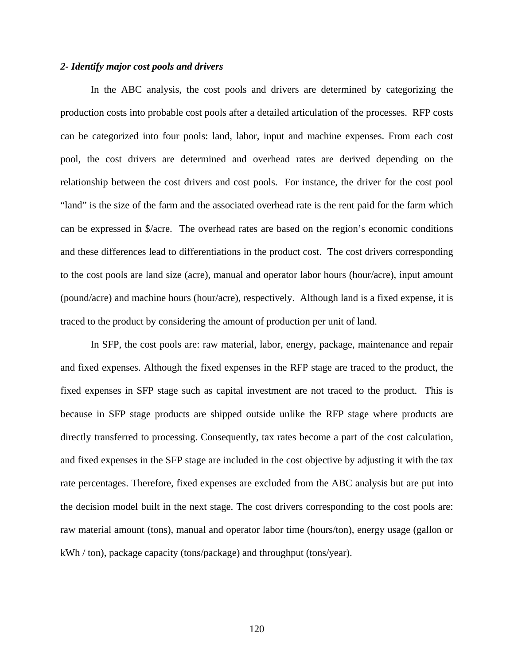### *2- Identify major cost pools and drivers*

 In the ABC analysis, the cost pools and drivers are determined by categorizing the production costs into probable cost pools after a detailed articulation of the processes. RFP costs can be categorized into four pools: land, labor, input and machine expenses. From each cost pool, the cost drivers are determined and overhead rates are derived depending on the relationship between the cost drivers and cost pools. For instance, the driver for the cost pool "land" is the size of the farm and the associated overhead rate is the rent paid for the farm which can be expressed in \$/acre. The overhead rates are based on the region's economic conditions and these differences lead to differentiations in the product cost. The cost drivers corresponding to the cost pools are land size (acre), manual and operator labor hours (hour/acre), input amount (pound/acre) and machine hours (hour/acre), respectively. Although land is a fixed expense, it is traced to the product by considering the amount of production per unit of land.

In SFP, the cost pools are: raw material, labor, energy, package, maintenance and repair and fixed expenses. Although the fixed expenses in the RFP stage are traced to the product, the fixed expenses in SFP stage such as capital investment are not traced to the product. This is because in SFP stage products are shipped outside unlike the RFP stage where products are directly transferred to processing. Consequently, tax rates become a part of the cost calculation, and fixed expenses in the SFP stage are included in the cost objective by adjusting it with the tax rate percentages. Therefore, fixed expenses are excluded from the ABC analysis but are put into the decision model built in the next stage. The cost drivers corresponding to the cost pools are: raw material amount (tons), manual and operator labor time (hours/ton), energy usage (gallon or kWh / ton), package capacity (tons/package) and throughput (tons/year).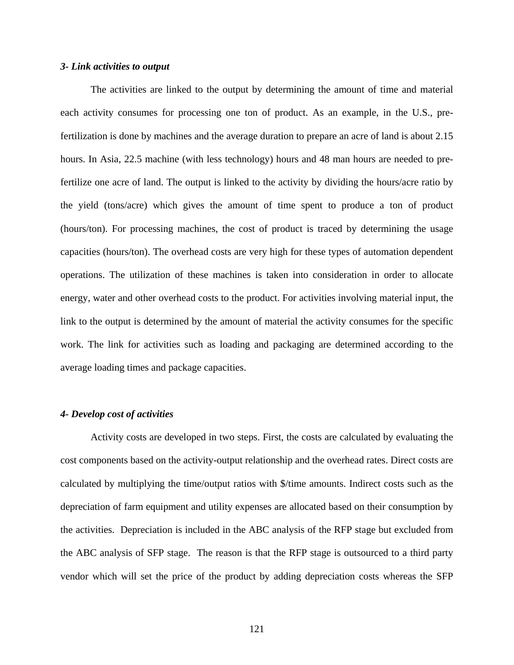#### *3- Link activities to output*

The activities are linked to the output by determining the amount of time and material each activity consumes for processing one ton of product. As an example, in the U.S., prefertilization is done by machines and the average duration to prepare an acre of land is about 2.15 hours. In Asia, 22.5 machine (with less technology) hours and 48 man hours are needed to prefertilize one acre of land. The output is linked to the activity by dividing the hours/acre ratio by the yield (tons/acre) which gives the amount of time spent to produce a ton of product (hours/ton). For processing machines, the cost of product is traced by determining the usage capacities (hours/ton). The overhead costs are very high for these types of automation dependent operations. The utilization of these machines is taken into consideration in order to allocate energy, water and other overhead costs to the product. For activities involving material input, the link to the output is determined by the amount of material the activity consumes for the specific work. The link for activities such as loading and packaging are determined according to the average loading times and package capacities.

### *4- Develop cost of activities*

Activity costs are developed in two steps. First, the costs are calculated by evaluating the cost components based on the activity-output relationship and the overhead rates. Direct costs are calculated by multiplying the time/output ratios with \$/time amounts. Indirect costs such as the depreciation of farm equipment and utility expenses are allocated based on their consumption by the activities. Depreciation is included in the ABC analysis of the RFP stage but excluded from the ABC analysis of SFP stage. The reason is that the RFP stage is outsourced to a third party vendor which will set the price of the product by adding depreciation costs whereas the SFP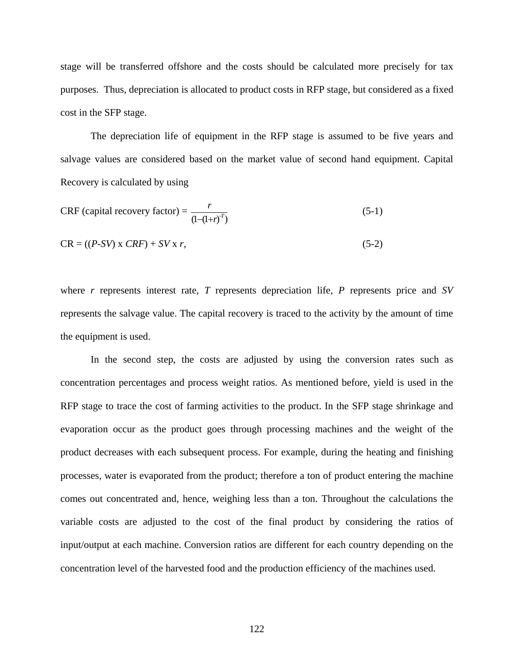stage will be transferred offshore and the costs should be calculated more precisely for tax purposes. Thus, depreciation is allocated to product costs in RFP stage, but considered as a fixed cost in the SFP stage.

The depreciation life of equipment in the RFP stage is assumed to be five years and salvage values are considered based on the market value of second hand equipment. Capital Recovery is calculated by using

$$
CRF \text{ (capital recovery factor)} = \frac{r}{(1 - (1 + r)^{-T})}
$$
\n<sup>(5-1)</sup>

$$
CR = ((P-SV) \times CRF) + SV \times r,
$$
\n
$$
(5-2)
$$

where *r* represents interest rate, *T* represents depreciation life, *P* represents price and *SV* represents the salvage value. The capital recovery is traced to the activity by the amount of time the equipment is used.

In the second step, the costs are adjusted by using the conversion rates such as concentration percentages and process weight ratios. As mentioned before, yield is used in the RFP stage to trace the cost of farming activities to the product. In the SFP stage shrinkage and evaporation occur as the product goes through processing machines and the weight of the product decreases with each subsequent process. For example, during the heating and finishing processes, water is evaporated from the product; therefore a ton of product entering the machine comes out concentrated and, hence, weighing less than a ton. Throughout the calculations the variable costs are adjusted to the cost of the final product by considering the ratios of input/output at each machine. Conversion ratios are different for each country depending on the concentration level of the harvested food and the production efficiency of the machines used.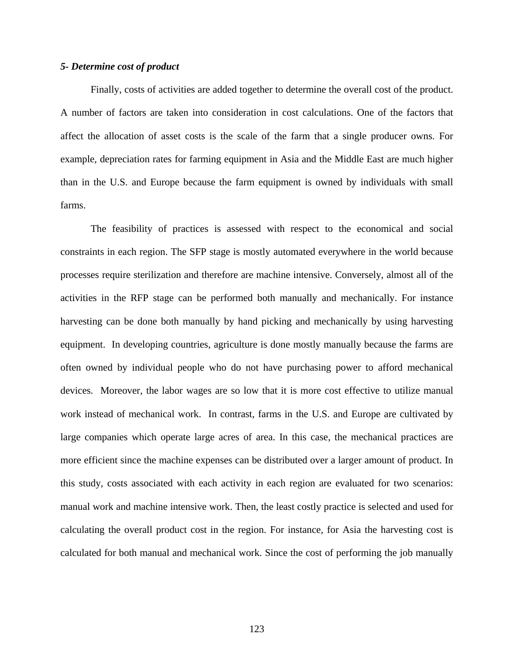#### *5- Determine cost of product*

Finally, costs of activities are added together to determine the overall cost of the product. A number of factors are taken into consideration in cost calculations. One of the factors that affect the allocation of asset costs is the scale of the farm that a single producer owns. For example, depreciation rates for farming equipment in Asia and the Middle East are much higher than in the U.S. and Europe because the farm equipment is owned by individuals with small farms.

The feasibility of practices is assessed with respect to the economical and social constraints in each region. The SFP stage is mostly automated everywhere in the world because processes require sterilization and therefore are machine intensive. Conversely, almost all of the activities in the RFP stage can be performed both manually and mechanically. For instance harvesting can be done both manually by hand picking and mechanically by using harvesting equipment. In developing countries, agriculture is done mostly manually because the farms are often owned by individual people who do not have purchasing power to afford mechanical devices. Moreover, the labor wages are so low that it is more cost effective to utilize manual work instead of mechanical work. In contrast, farms in the U.S. and Europe are cultivated by large companies which operate large acres of area. In this case, the mechanical practices are more efficient since the machine expenses can be distributed over a larger amount of product. In this study, costs associated with each activity in each region are evaluated for two scenarios: manual work and machine intensive work. Then, the least costly practice is selected and used for calculating the overall product cost in the region. For instance, for Asia the harvesting cost is calculated for both manual and mechanical work. Since the cost of performing the job manually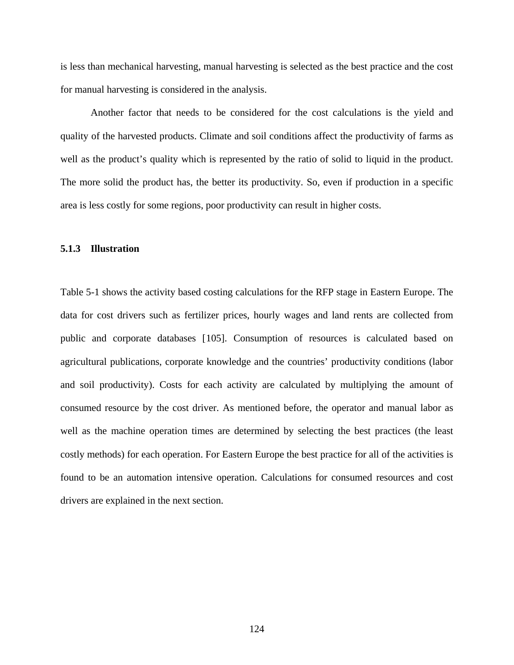is less than mechanical harvesting, manual harvesting is selected as the best practice and the cost for manual harvesting is considered in the analysis.

Another factor that needs to be considered for the cost calculations is the yield and quality of the harvested products. Climate and soil conditions affect the productivity of farms as well as the product's quality which is represented by the ratio of solid to liquid in the product. The more solid the product has, the better its productivity. So, even if production in a specific area is less costly for some regions, poor productivity can result in higher costs.

### **5.1.3 Illustration**

[Table 5-1](#page-138-0) shows the activity based costing calculations for the RFP stage in Eastern Europe. The data for cost drivers such as fertilizer prices, hourly wages and land rents are collected from public and corporate databases [[10](#page-218-0)5]. Consumption of resources is calculated based on agricultural publications, corporate knowledge and the countries' productivity conditions (labor and soil productivity). Costs for each activity are calculated by multiplying the amount of consumed resource by the cost driver. As mentioned before, the operator and manual labor as well as the machine operation times are determined by selecting the best practices (the least costly methods) for each operation. For Eastern Europe the best practice for all of the activities is found to be an automation intensive operation. Calculations for consumed resources and cost drivers are explained in the next section.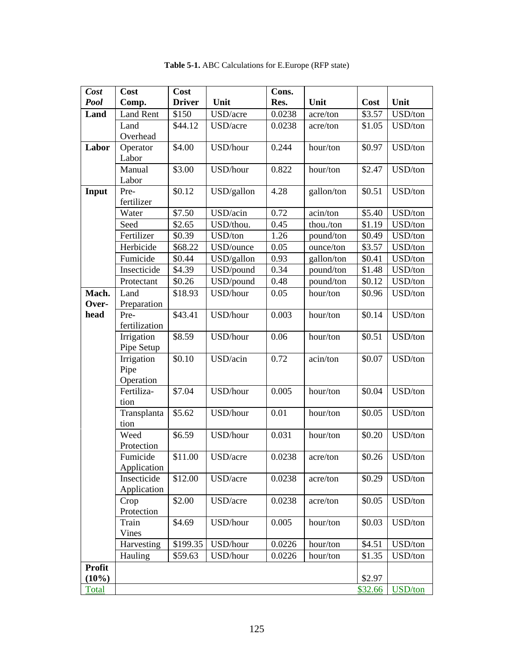<span id="page-138-0"></span>

| Cost        | Cost                    | Cost          |            | Cons.  |            |         |         |
|-------------|-------------------------|---------------|------------|--------|------------|---------|---------|
| <b>Pool</b> | Comp.                   | <b>Driver</b> | Unit       | Res.   | Unit       | Cost    | Unit    |
| Land        | <b>Land Rent</b>        | \$150         | USD/acre   | 0.0238 | acre/ton   | \$3.57  | USD/ton |
|             | Land                    | \$44.12       | USD/acre   | 0.0238 | acre/ton   | \$1.05  | USD/ton |
|             | Overhead                |               |            |        |            |         |         |
| Labor       | Operator                | \$4.00        | USD/hour   | 0.244  | hour/ton   | \$0.97  | USD/ton |
|             | Labor                   |               |            |        |            |         |         |
|             | Manual                  | \$3.00        | USD/hour   | 0.822  | hour/ton   | \$2.47  | USD/ton |
|             | Labor                   |               |            |        |            |         |         |
| Input       | Pre-                    | \$0.12        | USD/gallon | 4.28   | gallon/ton | \$0.51  | USD/ton |
|             | fertilizer              |               |            |        |            |         |         |
|             | Water                   | \$7.50        | USD/acin   | 0.72   | acin/ton   | \$5.40  | USD/ton |
|             | Seed                    | \$2.65        | USD/thou.  | 0.45   | thou./ton  | \$1.19  | USD/ton |
|             | Fertilizer              | \$0.39        | USD/ton    | 1.26   | pound/ton  | \$0.49  | USD/ton |
|             | Herbicide               | \$68.22       | USD/ounce  | 0.05   | ounce/ton  | \$3.57  | USD/ton |
|             | Fumicide                | \$0.44        | USD/gallon | 0.93   | gallon/ton | \$0.41  | USD/ton |
|             | Insecticide             | \$4.39        | USD/pound  | 0.34   | pound/ton  | \$1.48  | USD/ton |
|             | Protectant              | \$0.26        | USD/pound  | 0.48   | pound/ton  | \$0.12  | USD/ton |
| Mach.       | Land                    | \$18.93       | USD/hour   | 0.05   | hour/ton   | \$0.96  | USD/ton |
| Over-       | Preparation             |               |            |        |            |         |         |
| head        | Pre-                    | \$43.41       | USD/hour   | 0.003  | hour/ton   | \$0.14  | USD/ton |
|             | fertilization           |               |            |        |            |         |         |
|             | Irrigation              | \$8.59        | USD/hour   | 0.06   | hour/ton   | \$0.51  | USD/ton |
|             | Pipe Setup              |               |            |        |            |         |         |
|             | Irrigation              | \$0.10        | USD/acin   | 0.72   | acin/ton   | \$0.07  | USD/ton |
|             | Pipe                    |               |            |        |            |         |         |
|             | Operation<br>Fertiliza- | \$7.04        | USD/hour   | 0.005  | hour/ton   | \$0.04  | USD/ton |
|             | tion                    |               |            |        |            |         |         |
|             | Transplanta             | \$5.62        | USD/hour   | 0.01   | hour/ton   | \$0.05  | USD/ton |
|             | tion                    |               |            |        |            |         |         |
|             | Weed                    | \$6.59        | USD/hour   | 0.031  | hour/ton   | \$0.20  | USD/ton |
|             | Protection              |               |            |        |            |         |         |
|             | Fumicide                | \$11.00       | USD/acre   | 0.0238 | acre/ton   | \$0.26  | USD/ton |
|             | Application             |               |            |        |            |         |         |
|             | Insecticide             | \$12.00       | USD/acre   | 0.0238 | acre/ton   | \$0.29  | USD/ton |
|             | Application             |               |            |        |            |         |         |
|             | Crop                    | \$2.00        | USD/acre   | 0.0238 | acre/ton   | \$0.05  | USD/ton |
|             | Protection              |               |            |        |            |         |         |
|             | Train                   | \$4.69        | USD/hour   | 0.005  | hour/ton   | \$0.03  | USD/ton |
|             | Vines                   |               |            |        |            |         |         |
|             | Harvesting              | \$199.35      | USD/hour   | 0.0226 | hour/ton   | \$4.51  | USD/ton |
|             | Hauling                 | \$59.63       | USD/hour   | 0.0226 | hour/ton   | \$1.35  | USD/ton |
| Profit      |                         |               |            |        |            |         |         |
| $(10\%)$    |                         |               |            |        |            | \$2.97  |         |
| Total       |                         |               |            |        |            | \$32.66 | USD/ton |

**Table 5-1.** ABC Calculations for E.Europe (RFP state)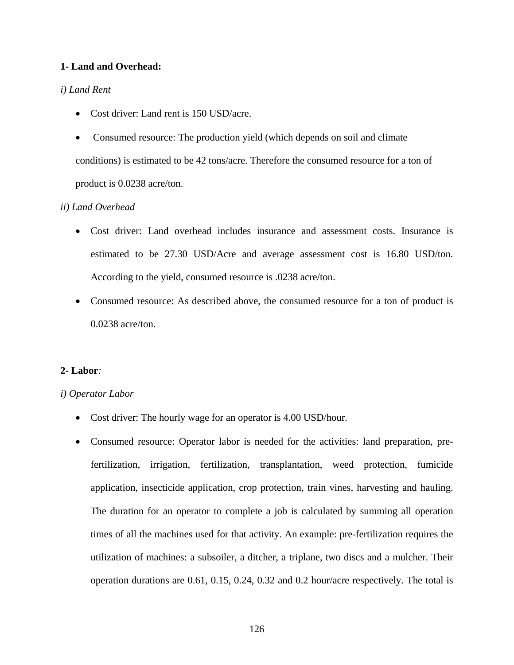# **1- Land and Overhead:**

## *i) Land Rent*

- Cost driver: Land rent is 150 USD/acre.
- Consumed resource: The production yield (which depends on soil and climate conditions) is estimated to be 42 tons/acre. Therefore the consumed resource for a ton of product is 0.0238 acre/ton.

## *ii) Land Overhead*

- Cost driver: Land overhead includes insurance and assessment costs. Insurance is estimated to be 27.30 USD/Acre and average assessment cost is 16.80 USD/ton. According to the yield, consumed resource is .0238 acre/ton.
- Consumed resource: As described above, the consumed resource for a ton of product is 0.0238 acre/ton.

### **2- Labor***:*

### *i) Operator Labor*

- Cost driver: The hourly wage for an operator is 4.00 USD/hour.
- Consumed resource: Operator labor is needed for the activities: land preparation, prefertilization, irrigation, fertilization, transplantation, weed protection, fumicide application, insecticide application, crop protection, train vines, harvesting and hauling. The duration for an operator to complete a job is calculated by summing all operation times of all the machines used for that activity. An example: pre-fertilization requires the utilization of machines: a subsoiler, a ditcher, a triplane, two discs and a mulcher. Their operation durations are 0.61, 0.15, 0.24, 0.32 and 0.2 hour/acre respectively. The total is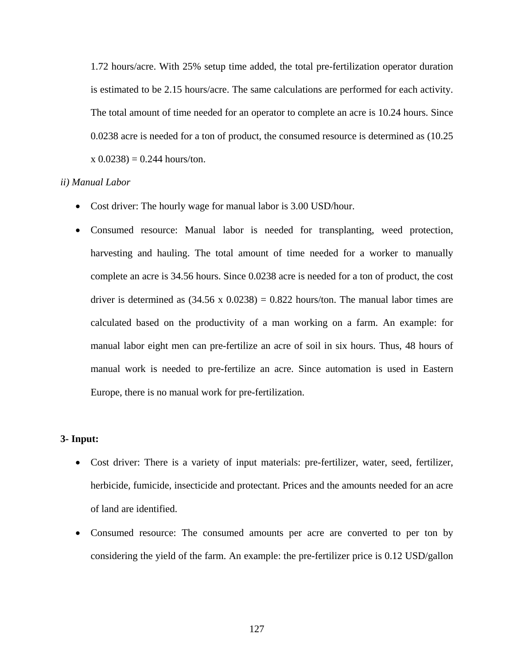1.72 hours/acre. With 25% setup time added, the total pre-fertilization operator duration is estimated to be 2.15 hours/acre. The same calculations are performed for each activity. The total amount of time needed for an operator to complete an acre is 10.24 hours. Since 0.0238 acre is needed for a ton of product, the consumed resource is determined as (10.25  $x(0.0238) = 0.244$  hours/ton.

#### *ii) Manual Labor*

- Cost driver: The hourly wage for manual labor is 3.00 USD/hour.
- Consumed resource: Manual labor is needed for transplanting, weed protection, harvesting and hauling. The total amount of time needed for a worker to manually complete an acre is 34.56 hours. Since 0.0238 acre is needed for a ton of product, the cost driver is determined as  $(34.56 \times 0.0238) = 0.822$  hours/ton. The manual labor times are calculated based on the productivity of a man working on a farm. An example: for manual labor eight men can pre-fertilize an acre of soil in six hours. Thus, 48 hours of manual work is needed to pre-fertilize an acre. Since automation is used in Eastern Europe, there is no manual work for pre-fertilization.

## **3- Input:**

- Cost driver: There is a variety of input materials: pre-fertilizer, water, seed, fertilizer, herbicide, fumicide, insecticide and protectant. Prices and the amounts needed for an acre of land are identified.
- Consumed resource: The consumed amounts per acre are converted to per ton by considering the yield of the farm. An example: the pre-fertilizer price is 0.12 USD/gallon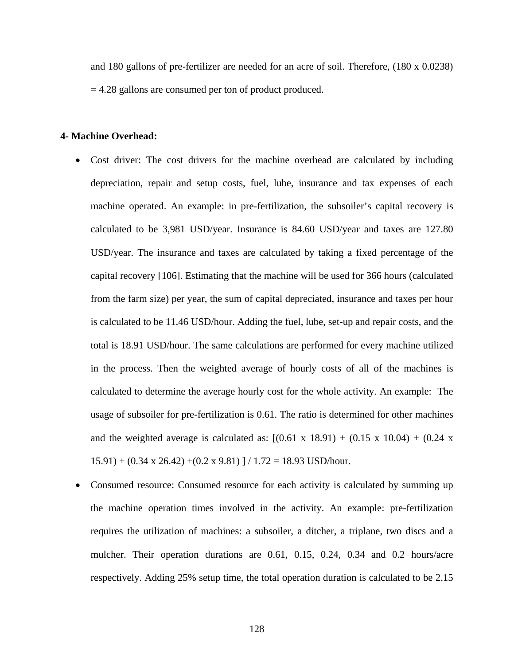and 180 gallons of pre-fertilizer are needed for an acre of soil. Therefore, (180 x 0.0238) = 4.28 gallons are consumed per ton of product produced.

### **4- Machine Overhead:**

- Cost driver: The cost drivers for the machine overhead are calculated by including depreciation, repair and setup costs, fuel, lube, insurance and tax expenses of each machine operated. An example: in pre-fertilization, the subsoiler's capital recovery is calculated to be 3,981 USD/year. Insurance is 84.60 USD/year and taxes are 127.80 USD/year. The insurance and taxes are calculated by taking a fixed percentage of the capital recovery [[10](#page-218-0)6]. Estimating that the machine will be used for 366 hours (calculated from the farm size) per year, the sum of capital depreciated, insurance and taxes per hour is calculated to be 11.46 USD/hour. Adding the fuel, lube, set-up and repair costs, and the total is 18.91 USD/hour. The same calculations are performed for every machine utilized in the process. Then the weighted average of hourly costs of all of the machines is calculated to determine the average hourly cost for the whole activity. An example: The usage of subsoiler for pre-fertilization is 0.61. The ratio is determined for other machines and the weighted average is calculated as:  $[(0.61 \times 18.91) + (0.15 \times 10.04) + (0.24 \times 10.04)]$  $15.91$ ) + (0.34 x 26.42) + (0.2 x 9.81) ] / 1.72 = 18.93 USD/hour.
- Consumed resource: Consumed resource for each activity is calculated by summing up the machine operation times involved in the activity. An example: pre-fertilization requires the utilization of machines: a subsoiler, a ditcher, a triplane, two discs and a mulcher. Their operation durations are 0.61, 0.15, 0.24, 0.34 and 0.2 hours/acre respectively. Adding 25% setup time, the total operation duration is calculated to be 2.15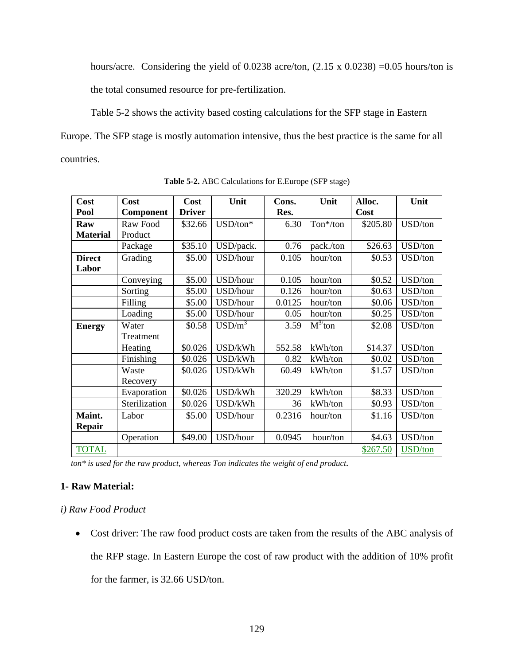<span id="page-142-0"></span>hours/acre. Considering the yield of 0.0238 acre/ton,  $(2.15 \times 0.0238) = 0.05$  hours/ton is the total consumed resource for pre-fertilization.

[Table 5-2](#page-142-0) shows the activity based costing calculations for the SFP stage in Eastern

Europe. The SFP stage is mostly automation intensive, thus the best practice is the same for all countries.

| Cost            | Cost             | Cost          | Unit             | Cons.  | Unit         | Alloc.   | Unit    |
|-----------------|------------------|---------------|------------------|--------|--------------|----------|---------|
| Pool            | <b>Component</b> | <b>Driver</b> |                  | Res.   |              | Cost     |         |
| Raw             | Raw Food         | \$32.66       | $USD/ton*$       | 6.30   | Ton*/ton     | \$205.80 | USD/ton |
| <b>Material</b> | Product          |               |                  |        |              |          |         |
|                 | Package          | \$35.10       | USD/pack.        | 0.76   | pack./ton    | \$26.63  | USD/ton |
| <b>Direct</b>   | Grading          | \$5.00        | USD/hour         | 0.105  | hour/ton     | \$0.53   | USD/ton |
| Labor           |                  |               |                  |        |              |          |         |
|                 | Conveying        | \$5.00        | USD/hour         | 0.105  | hour/ton     | \$0.52   | USD/ton |
|                 | Sorting          | \$5.00        | USD/hour         | 0.126  | hour/ton     | \$0.63   | USD/ton |
|                 | Filling          | \$5.00        | USD/hour         | 0.0125 | hour/ton     | \$0.06   | USD/ton |
|                 | Loading          | \$5.00        | USD/hour         | 0.05   | hour/ton     | \$0.25   | USD/ton |
| <b>Energy</b>   | Water            | \$0.58        | $\text{USD/m}^3$ | 3.59   | $M^{3/}$ ton | \$2.08   | USD/ton |
|                 | Treatment        |               |                  |        |              |          |         |
|                 | Heating          | \$0.026       | USD/kWh          | 552.58 | kWh/ton      | \$14.37  | USD/ton |
|                 | Finishing        | \$0.026       | USD/kWh          | 0.82   | kWh/ton      | \$0.02   | USD/ton |
|                 | Waste            | \$0.026       | USD/kWh          | 60.49  | kWh/ton      | \$1.57   | USD/ton |
|                 | Recovery         |               |                  |        |              |          |         |
|                 | Evaporation      | \$0.026       | USD/kWh          | 320.29 | kWh/ton      | \$8.33   | USD/ton |
|                 | Sterilization    | \$0.026       | USD/kWh          | 36     | kWh/ton      | \$0.93   | USD/ton |
| Maint.          | Labor            | \$5.00        | USD/hour         | 0.2316 | hour/ton     | \$1.16   | USD/ton |
| <b>Repair</b>   |                  |               |                  |        |              |          |         |
|                 | Operation        | \$49.00       | USD/hour         | 0.0945 | hour/ton     | \$4.63   | USD/ton |
| <b>TOTAL</b>    |                  |               |                  |        |              | \$267.50 | USD/ton |

**Table 5-2.** ABC Calculations for E.Europe (SFP stage)

 *ton\* is used for the raw product, whereas Ton indicates the weight of end product.*

# **1- Raw Material:**

## *i) Raw Food Product*

• Cost driver: The raw food product costs are taken from the results of the ABC analysis of the RFP stage. In Eastern Europe the cost of raw product with the addition of 10% profit for the farmer, is 32.66 USD/ton.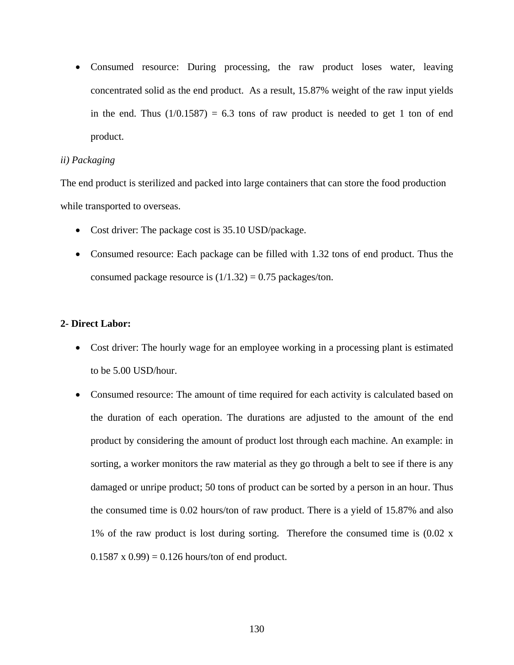• Consumed resource: During processing, the raw product loses water, leaving concentrated solid as the end product. As a result, 15.87% weight of the raw input yields in the end. Thus  $(1/0.1587) = 6.3$  tons of raw product is needed to get 1 ton of end product.

#### *ii) Packaging*

The end product is sterilized and packed into large containers that can store the food production while transported to overseas.

- Cost driver: The package cost is 35.10 USD/package.
- Consumed resource: Each package can be filled with 1.32 tons of end product. Thus the consumed package resource is  $(1/1.32) = 0.75$  packages/ton.

# **2- Direct Labor:**

- Cost driver: The hourly wage for an employee working in a processing plant is estimated to be 5.00 USD/hour.
- Consumed resource: The amount of time required for each activity is calculated based on the duration of each operation. The durations are adjusted to the amount of the end product by considering the amount of product lost through each machine. An example: in sorting, a worker monitors the raw material as they go through a belt to see if there is any damaged or unripe product; 50 tons of product can be sorted by a person in an hour. Thus the consumed time is 0.02 hours/ton of raw product. There is a yield of 15.87% and also 1% of the raw product is lost during sorting. Therefore the consumed time is (0.02 x  $0.1587 \times 0.99$  = 0.126 hours/ton of end product.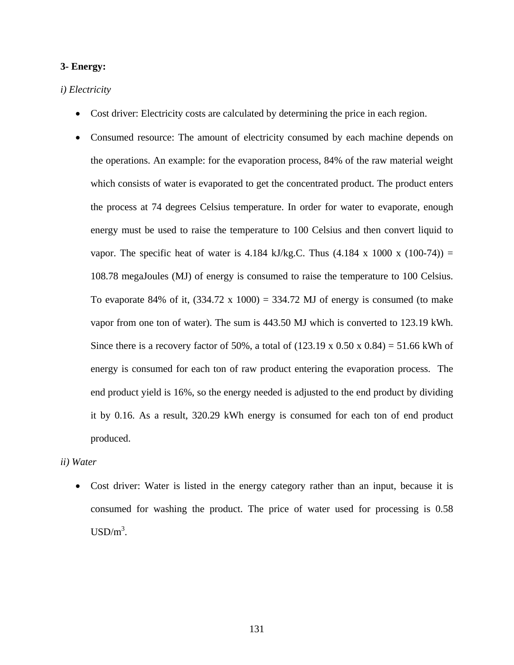### **3- Energy:**

### *i) Electricity*

- Cost driver: Electricity costs are calculated by determining the price in each region.
- Consumed resource: The amount of electricity consumed by each machine depends on the operations. An example: for the evaporation process, 84% of the raw material weight which consists of water is evaporated to get the concentrated product. The product enters the process at 74 degrees Celsius temperature. In order for water to evaporate, enough energy must be used to raise the temperature to 100 Celsius and then convert liquid to vapor. The specific heat of water is 4.184 kJ/kg.C. Thus  $(4.184 \times 1000 \times (100-74)) =$ 108.78 megaJoules (MJ) of energy is consumed to raise the temperature to 100 Celsius. To evaporate 84% of it,  $(334.72 \times 1000) = 334.72 \text{ MJ}$  of energy is consumed (to make vapor from one ton of water). The sum is 443.50 MJ which is converted to 123.19 kWh. Since there is a recovery factor of 50%, a total of  $(123.19 \times 0.50 \times 0.84) = 51.66$  kWh of energy is consumed for each ton of raw product entering the evaporation process. The end product yield is 16%, so the energy needed is adjusted to the end product by dividing it by 0.16. As a result, 320.29 kWh energy is consumed for each ton of end product produced.

*ii) Water* 

• Cost driver: Water is listed in the energy category rather than an input, because it is consumed for washing the product. The price of water used for processing is 0.58  $\text{USD/m}^3$ .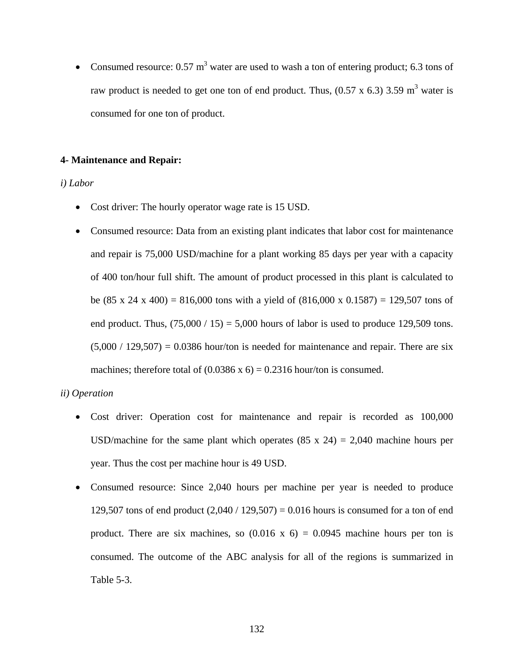• Consumed resource:  $0.57 \text{ m}^3$  water are used to wash a ton of entering product; 6.3 tons of raw product is needed to get one ton of end product. Thus,  $(0.57 \times 6.3)$  3.59 m<sup>3</sup> water is consumed for one ton of product.

### **4- Maintenance and Repair:**

### *i) Labor*

- Cost driver: The hourly operator wage rate is 15 USD.
- Consumed resource: Data from an existing plant indicates that labor cost for maintenance and repair is 75,000 USD/machine for a plant working 85 days per year with a capacity of 400 ton/hour full shift. The amount of product processed in this plant is calculated to be (85 x 24 x 400) = 816,000 tons with a yield of (816,000 x 0.1587) = 129,507 tons of end product. Thus,  $(75,000 / 15) = 5,000$  hours of labor is used to produce 129,509 tons.  $(5,000 / 129,507) = 0.0386$  hour/ton is needed for maintenance and repair. There are six machines; therefore total of  $(0.0386 \times 6) = 0.2316$  hour/ton is consumed.

# *ii) Operation*

- Cost driver: Operation cost for maintenance and repair is recorded as 100,000 USD/machine for the same plant which operates  $(85 \times 24) = 2,040$  machine hours per year. Thus the cost per machine hour is 49 USD.
- Consumed resource: Since 2,040 hours per machine per year is needed to produce 129,507 tons of end product  $(2,040 / 129,507) = 0.016$  hours is consumed for a ton of end product. There are six machines, so  $(0.016 \times 6) = 0.0945$  machine hours per ton is consumed. The outcome of the ABC analysis for all of the regions is summarized in [Table 5-3](#page-146-0).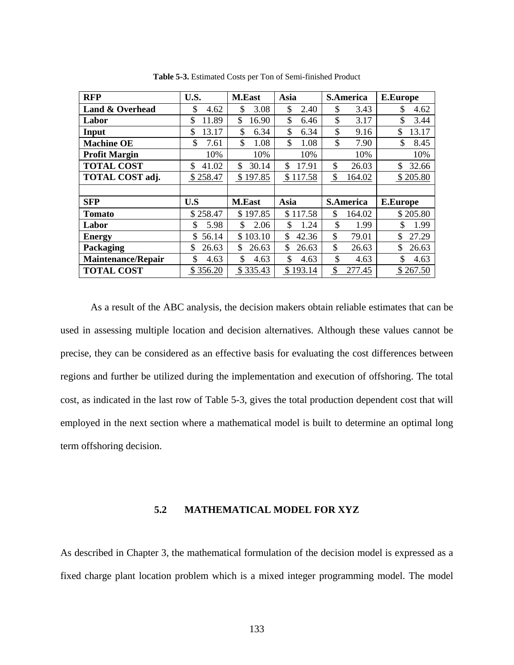<span id="page-146-0"></span>

| <b>RFP</b>                | U.S.        | <b>M.East</b> | Asia         | <b>S.America</b>        | <b>E.Europe</b> |
|---------------------------|-------------|---------------|--------------|-------------------------|-----------------|
| Land & Overhead           | \$          | \$            | \$           | \$                      | \$              |
|                           | 4.62        | 3.08          | 2.40         | 3.43                    | 4.62            |
| Labor                     | \$          | \$            | \$           | \$                      | \$              |
|                           | 11.89       | 16.90         | 6.46         | 3.17                    | 3.44            |
| Input                     | \$          | \$            | \$           | \$                      | \$              |
|                           | 13.17       | 6.34          | 6.34         | 9.16                    | 13.17           |
| <b>Machine OE</b>         | \$          | \$            | \$           | \$                      | \$              |
|                           | 7.61        | 1.08          | 1.08         | 7.90                    | 8.45            |
| <b>Profit Margin</b>      | 10%         | 10%           | 10%          | 10%                     | 10%             |
| <b>TOTAL COST</b>         | \$          | \$            | \$           | \$                      | \$              |
|                           | 41.02       | 30.14         | 17.91        | 26.03                   | 32.66           |
| TOTAL COST adj.           | \$258.47    | \$197.85      | \$117.58     | $\frac{1}{2}$<br>164.02 | \$205.80        |
|                           |             |               |              |                         |                 |
| <b>SFP</b>                | U.S         | <b>M.East</b> | Asia         | <b>S.America</b>        | <b>E.Europe</b> |
| <b>Tomato</b>             | \$258.47    | \$197.85      | \$117.58     | \$<br>164.02            | \$205.80        |
| Labor                     | 5.98        | 2.06          | 1.24         | \$                      | 1.99            |
|                           | \$          | \$            | \$           | 1.99                    | \$              |
| <b>Energy</b>             | \$<br>56.14 | \$103.10      | 42.36<br>\$  | \$<br>79.01             | \$<br>27.29     |
| Packaging                 | \$          | \$            | \$           | \$                      | \$              |
|                           | 26.63       | 26.63         | 26.63        | 26.63                   | 26.63           |
| <b>Maintenance/Repair</b> | \$          | \$            | \$           | \$                      | \$              |
|                           | 4.63        | 4.63          | 4.63         | 4.63                    | 4.63            |
| <b>TOTAL COST</b>         | \$356.20    | \$335.43      | 193.14<br>\$ | \$<br>277.45            | \$267.50        |

**Table 5-3.** Estimated Costs per Ton of Semi-finished Product

As a result of the ABC analysis, the decision makers obtain reliable estimates that can be used in assessing multiple location and decision alternatives. Although these values cannot be precise, they can be considered as an effective basis for evaluating the cost differences between regions and further be utilized during the implementation and execution of offshoring. The total cost, as indicated in the last row of [Table 5-3](#page-146-0), gives the total production dependent cost that will employed in the next section where a mathematical model is built to determine an optimal long term offshoring decision.

# **5.2 MATHEMATICAL MODEL FOR XYZ**

As described in Chapter 3, the mathematical formulation of the decision model is expressed as a fixed charge plant location problem which is a mixed integer programming model. The model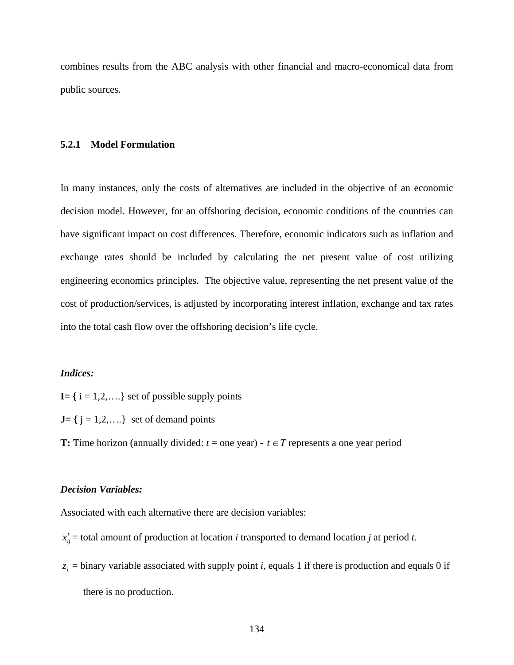combines results from the ABC analysis with other financial and macro-economical data from public sources.

### **5.2.1 Model Formulation**

In many instances, only the costs of alternatives are included in the objective of an economic decision model. However, for an offshoring decision, economic conditions of the countries can have significant impact on cost differences. Therefore, economic indicators such as inflation and exchange rates should be included by calculating the net present value of cost utilizing engineering economics principles. The objective value, representing the net present value of the cost of production/services, is adjusted by incorporating interest inflation, exchange and tax rates into the total cash flow over the offshoring decision's life cycle.

### *Indices:*

- $I = \{ i = 1, 2, \dots \}$  set of possible supply points
- $J = \{ j = 1, 2, \dots \}$  set of demand points

**T:** Time horizon (annually divided:  $t =$  one year) -  $t \in T$  represents a one year period

### *Decision Variables:*

Associated with each alternative there are decision variables:

- $x_{ij}^t$  = total amount of production at location *i* transported to demand location *j* at period *t*.
- $z_i$  = binary variable associated with supply point *i*, equals 1 if there is production and equals 0 if there is no production.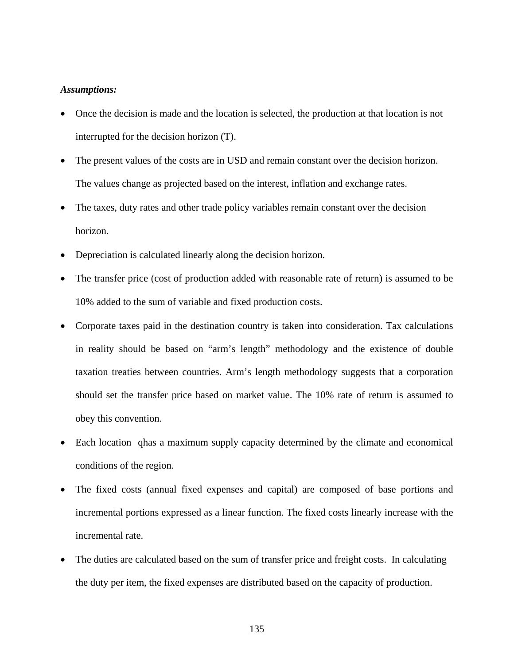### *Assumptions:*

- Once the decision is made and the location is selected, the production at that location is not interrupted for the decision horizon (T).
- The present values of the costs are in USD and remain constant over the decision horizon. The values change as projected based on the interest, inflation and exchange rates.
- The taxes, duty rates and other trade policy variables remain constant over the decision horizon.
- Depreciation is calculated linearly along the decision horizon.
- The transfer price (cost of production added with reasonable rate of return) is assumed to be 10% added to the sum of variable and fixed production costs.
- Corporate taxes paid in the destination country is taken into consideration. Tax calculations in reality should be based on "arm's length" methodology and the existence of double taxation treaties between countries. Arm's length methodology suggests that a corporation should set the transfer price based on market value. The 10% rate of return is assumed to obey this convention.
- Each location qhas a maximum supply capacity determined by the climate and economical conditions of the region.
- The fixed costs (annual fixed expenses and capital) are composed of base portions and incremental portions expressed as a linear function. The fixed costs linearly increase with the incremental rate.
- The duties are calculated based on the sum of transfer price and freight costs. In calculating the duty per item, the fixed expenses are distributed based on the capacity of production.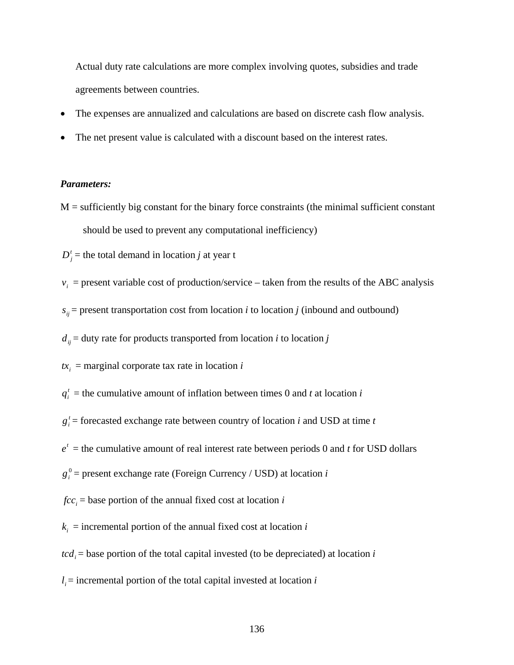Actual duty rate calculations are more complex involving quotes, subsidies and trade agreements between countries.

- The expenses are annualized and calculations are based on discrete cash flow analysis.
- The net present value is calculated with a discount based on the interest rates.

#### *Parameters:*

 $M =$  sufficiently big constant for the binary force constraints (the minimal sufficient constant should be used to prevent any computational inefficiency)

 $D_i^t$  = the total demand in location *j* at year t

- $v_i$  = present variable cost of production/service taken from the results of the ABC analysis
- $s_{ii}$  = present transportation cost from location *i* to location *j* (inbound and outbound)

 $d_{ii}$  = duty rate for products transported from location *i* to location *j* 

 $tx_i$  = marginal corporate tax rate in location *i* 

- $q_i^t$  = the cumulative amount of inflation between times 0 and *t* at location *i*
- $g_i^t$  = forecasted exchange rate between country of location *i* and USD at time *t*
- $e^{t}$  = the cumulative amount of real interest rate between periods 0 and *t* for USD dollars
- 0 *gi* = present exchange rate (Foreign Currency / USD) at location *i*
- $fcc_i$  = base portion of the annual fixed cost at location *i*
- $k_i$  = incremental portion of the annual fixed cost at location *i*
- $tcd_i$  = base portion of the total capital invested (to be depreciated) at location *i*
- $l_i$  = incremental portion of the total capital invested at location *i*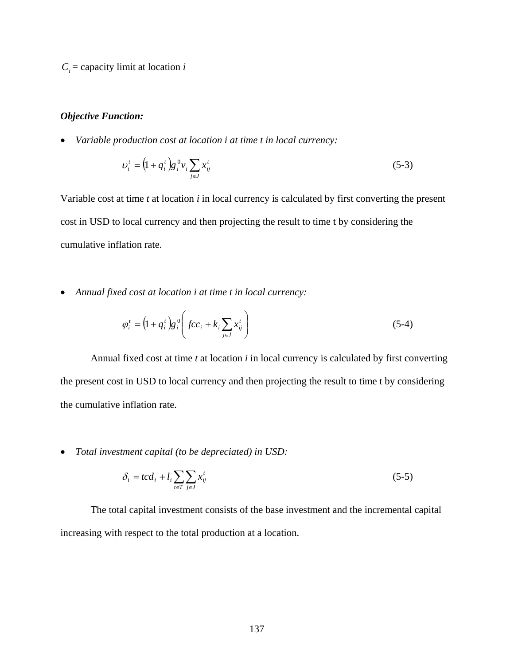$C_i$  = capacity limit at location *i* 

### *Objective Function:*

• *Variable production cost at location i at time t in local currency:*

$$
v_i^t = (1 + q_i^t) g_i^0 v_i \sum_{j \in J} x_{ij}^t \tag{5-3}
$$

Variable cost at time *t* at location *i* in local currency is calculated by first converting the present cost in USD to local currency and then projecting the result to time t by considering the cumulative inflation rate.

• *Annual fixed cost at location i at time t in local currency:* 

$$
\varphi_i^t = \left(1 + q_i^t\right) g_i^0 \left(fcc_i + k_i \sum_{j \in J} x_{ij}^t\right)
$$
\n(5-4)

Annual fixed cost at time *t* at location *i* in local currency is calculated by first converting the present cost in USD to local currency and then projecting the result to time t by considering the cumulative inflation rate.

• *Total investment capital (to be depreciated) in USD:*

$$
\delta_i = tcd_i + l_i \sum_{t \in T} \sum_{j \in J} x_{ij}^t \tag{5-5}
$$

The total capital investment consists of the base investment and the incremental capital increasing with respect to the total production at a location.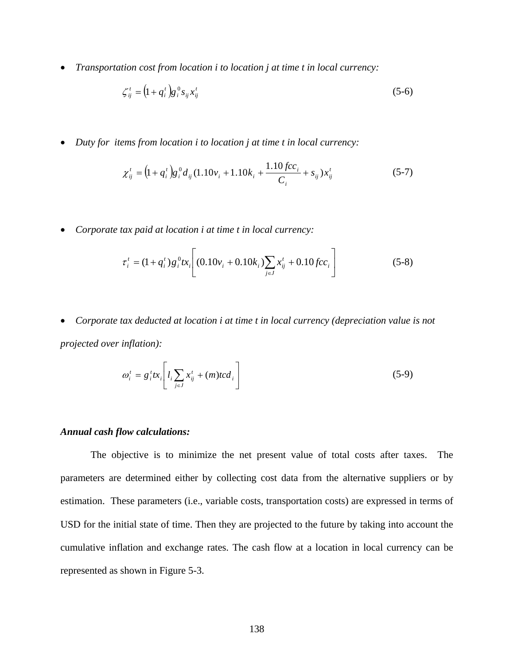• *Transportation cost from location i to location j at time t in local currency:*

$$
\zeta_{ij}^t = \left(1 + q_i^t\right) g_i^0 s_{ij} x_{ij}^t \tag{5-6}
$$

• *Duty for items from location i to location j at time t in local currency:*

$$
\chi_{ij}^{t} = (1 + q_i^{t}) g_i^{0} d_{ij} (1.10v_i + 1.10k_i + \frac{1.10 fcc_i}{C_i} + s_{ij}) x_{ij}^{t}
$$
(5-7)

• *Corporate tax paid at location i at time t in local currency:*

$$
\tau_i^t = (1 + q_i^t) g_i^0 t x_i \left[ (0.10v_i + 0.10k_i) \sum_{j \in J} x_{ij}^t + 0.10 f c c_i \right]
$$
 (5-8)

• *Corporate tax deducted at location i at time t in local currency (depreciation value is not projected over inflation):* 

$$
\omega_i^t = g_i^t t x_i \left[ l_i \sum_{j \in J} x_{ij}^t + (m) t c d_i \right]
$$
 (5-9)

### *Annual cash flow calculations:*

The objective is to minimize the net present value of total costs after taxes. The parameters are determined either by collecting cost data from the alternative suppliers or by estimation. These parameters (i.e., variable costs, transportation costs) are expressed in terms of USD for the initial state of time. Then they are projected to the future by taking into account the cumulative inflation and exchange rates. The cash flow at a location in local currency can be represented as shown in [Figure 5-3](#page-152-0).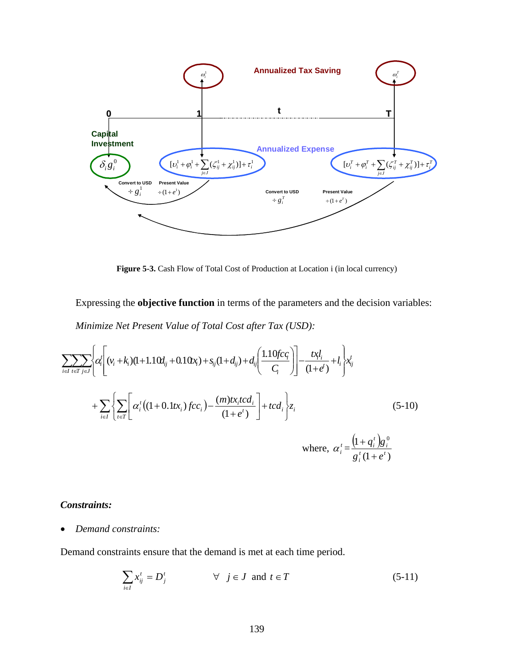<span id="page-152-0"></span>

**Figure 5-3.** Cash Flow of Total Cost of Production at Location i (in local currency)

Expressing the **objective function** in terms of the parameters and the decision variables: *Minimize Net Present Value of Total Cost after Tax (USD):*

$$
\sum_{i \in I} \sum_{t \in T} \left\{ \alpha_i^f \left[ (v_i + k_i)(1 + 1.10t_{ij} + 0.10x_i) + s_{ij}(1 + d_{ij}) + d_{ij} \left( \frac{1.10fc_i}{C_i} \right) \right] - \frac{tx_i l_i}{(1 + e^t)} + l_i \right\} x_{ij}^t
$$
  
+ 
$$
\sum_{i \in I} \left\{ \sum_{t \in T} \left[ \alpha_i^t \left( (1 + 0.1tx_i) fcc_i \right) - \frac{(m)tx_i tcd_i}{(1 + e^t)} \right] + tcd_i \right\} z_i
$$
 (5-10)  
where, 
$$
\alpha_i^t = \frac{\left( 1 + q_i^t \right) g_i^0}{g_i^t (1 + e^t)}
$$

# *Constraints:*

• *Demand constraints:* 

Demand constraints ensure that the demand is met at each time period.

$$
\sum_{i \in I} x_{ij}^t = D_j^t \qquad \forall j \in J \text{ and } t \in T \qquad (5-11)
$$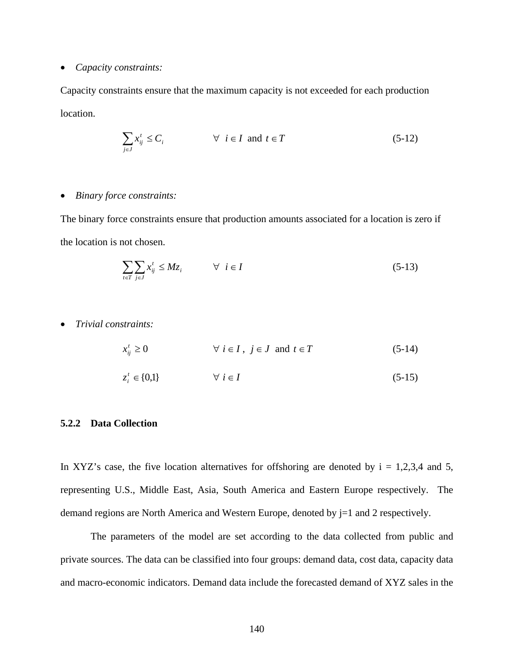#### • *Capacity constraints:*

Capacity constraints ensure that the maximum capacity is not exceeded for each production location.

$$
\sum_{j \in J} x_{ij}^t \le C_i \qquad \forall \ i \in I \text{ and } t \in T \tag{5-12}
$$

### • *Binary force constraints:*

The binary force constraints ensure that production amounts associated for a location is zero if the location is not chosen.

$$
\sum_{i \in T} \sum_{j \in J} x_{ij}^t \le M z_i \qquad \forall \quad i \in I \tag{5-13}
$$

• *Trivial constraints:* 

$$
x_{ij}^t \ge 0 \qquad \forall i \in I, j \in J \text{ and } t \in T \tag{5-14}
$$

$$
z_i^t \in \{0,1\} \qquad \forall \ i \in I \tag{5-15}
$$

### **5.2.2 Data Collection**

In XYZ's case, the five location alternatives for offshoring are denoted by  $i = 1,2,3,4$  and 5, representing U.S., Middle East, Asia, South America and Eastern Europe respectively. The demand regions are North America and Western Europe, denoted by  $j=1$  and 2 respectively.

The parameters of the model are set according to the data collected from public and private sources. The data can be classified into four groups: demand data, cost data, capacity data and macro-economic indicators. Demand data include the forecasted demand of XYZ sales in the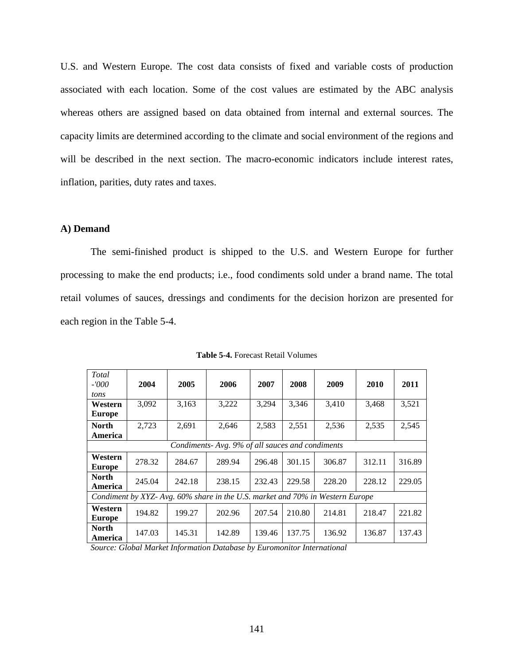<span id="page-154-0"></span>U.S. and Western Europe. The cost data consists of fixed and variable costs of production associated with each location. Some of the cost values are estimated by the ABC analysis whereas others are assigned based on data obtained from internal and external sources. The capacity limits are determined according to the climate and social environment of the regions and will be described in the next section. The macro-economic indicators include interest rates, inflation, parities, duty rates and taxes.

### **A) Demand**

The semi-finished product is shipped to the U.S. and Western Europe for further processing to make the end products; i.e., food condiments sold under a brand name. The total retail volumes of sauces, dressings and condiments for the decision horizon are presented for each region in the [Table 5-4.](#page-154-0)

| <b>Total</b><br>-'000<br>tons                                                 | 2004   | 2005   | 2006                                             | 2007   | 2008   | 2009   | 2010   | 2011   |
|-------------------------------------------------------------------------------|--------|--------|--------------------------------------------------|--------|--------|--------|--------|--------|
| Western<br><b>Europe</b>                                                      | 3.092  | 3,163  | 3,222                                            | 3.294  | 3,346  | 3,410  | 3,468  | 3,521  |
| North<br>America                                                              | 2,723  | 2,691  | 2,646                                            | 2,583  | 2,551  | 2,536  | 2,535  | 2,545  |
|                                                                               |        |        | Condiments- Avg. 9% of all sauces and condiments |        |        |        |        |        |
| Western<br>Europe                                                             | 278.32 | 284.67 | 289.94                                           | 296.48 | 301.15 | 306.87 | 312.11 | 316.89 |
| North<br>America                                                              | 245.04 | 242.18 | 238.15                                           | 232.43 | 229.58 | 228.20 | 228.12 | 229.05 |
| Condiment by XYZ- Avg. 60% share in the U.S. market and 70% in Western Europe |        |        |                                                  |        |        |        |        |        |
| Western<br>Europe                                                             | 194.82 | 199.27 | 202.96                                           | 207.54 | 210.80 | 214.81 | 218.47 | 221.82 |
| North<br>America                                                              | 147.03 | 145.31 | 142.89                                           | 139.46 | 137.75 | 136.92 | 136.87 | 137.43 |

**Table 5-4.** Forecast Retail Volumes

*Source: Global Market Information Database by Euromonitor International*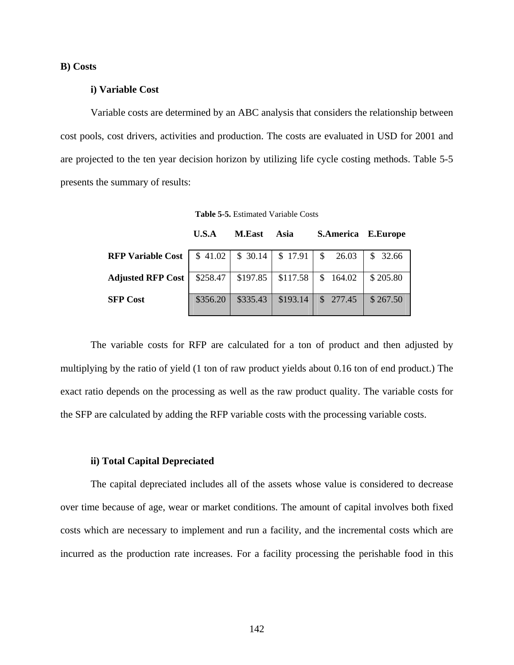### <span id="page-155-0"></span>**B) Costs**

### **i) Variable Cost**

Variable costs are determined by an ABC analysis that considers the relationship between cost pools, cost drivers, activities and production. The costs are evaluated in USD for 2001 and are projected to the ten year decision horizon by utilizing life cycle costing methods. [Table 5-5](#page-155-0) presents the summary of results:

**Table 5-5.** Estimated Variable Costs

|                          | U.S.A    | <b>M.East</b> | Asia                            | <b>S.America E.Europe</b> |          |
|--------------------------|----------|---------------|---------------------------------|---------------------------|----------|
| <b>RFP Variable Cost</b> | \$41.02  |               | $$30.14 \;   \; $17.91 \;   \;$ | \$26.03                   | \$32.66  |
| <b>Adjusted RFP Cost</b> | \$258.47 | \$197.85      | \$117.58                        | \$164.02                  | \$205.80 |
| <b>SFP Cost</b>          | \$356.20 | \$335.43      | \$193.14                        | \$277.45                  | \$267.50 |

The variable costs for RFP are calculated for a ton of product and then adjusted by multiplying by the ratio of yield (1 ton of raw product yields about 0.16 ton of end product.) The exact ratio depends on the processing as well as the raw product quality. The variable costs for the SFP are calculated by adding the RFP variable costs with the processing variable costs.

#### **ii) Total Capital Depreciated**

The capital depreciated includes all of the assets whose value is considered to decrease over time because of age, wear or market conditions. The amount of capital involves both fixed costs which are necessary to implement and run a facility, and the incremental costs which are incurred as the production rate increases. For a facility processing the perishable food in this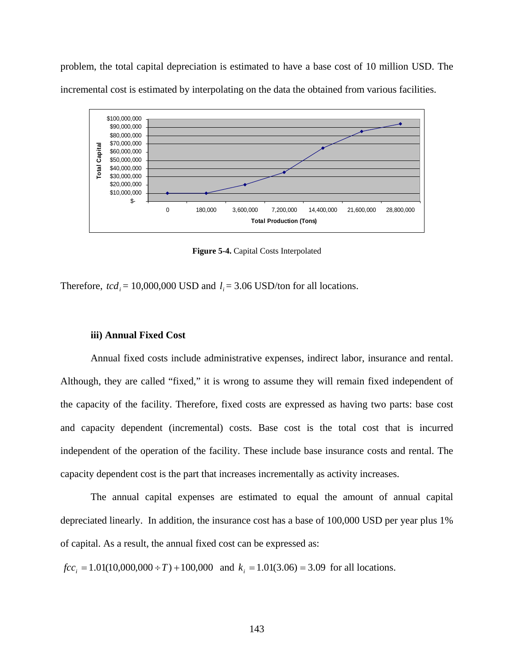problem, the total capital depreciation is estimated to have a base cost of 10 million USD. The incremental cost is estimated by interpolating on the data the obtained from various facilities.



**Figure 5-4.** Capital Costs Interpolated

Therefore,  $tcd_i = 10,000,000$  USD and  $l_i = 3.06$  USD/ton for all locations.

#### **iii) Annual Fixed Cost**

Annual fixed costs include administrative expenses, indirect labor, insurance and rental. Although, they are called "fixed," it is wrong to assume they will remain fixed independent of the capacity of the facility. Therefore, fixed costs are expressed as having two parts: base cost and capacity dependent (incremental) costs. Base cost is the total cost that is incurred independent of the operation of the facility. These include base insurance costs and rental. The capacity dependent cost is the part that increases incrementally as activity increases.

The annual capital expenses are estimated to equal the amount of annual capital depreciated linearly. In addition, the insurance cost has a base of 100,000 USD per year plus 1% of capital. As a result, the annual fixed cost can be expressed as:

*fcc*<sub>*i*</sub> = 1.01(10,000,000 ÷ *T*) + 100,000 and  $k_i$  = 1.01(3.06) = 3.09 for all locations.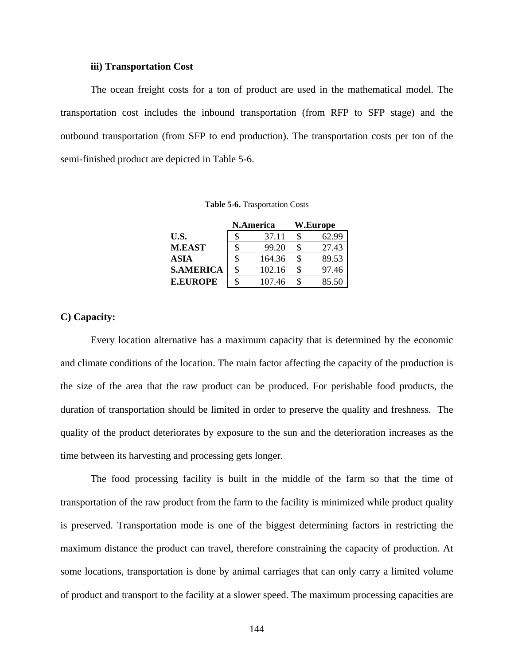#### **iii) Transportation Cost**

<span id="page-157-0"></span>The ocean freight costs for a ton of product are used in the mathematical model. The transportation cost includes the inbound transportation (from RFP to SFP stage) and the outbound transportation (from SFP to end production). The transportation costs per ton of the semi-finished product are depicted in [Table 5-6](#page-157-0).

**Table 5-6.** Trasportation Costs

|                  | N.America |        | <b>W.Europe</b> |
|------------------|-----------|--------|-----------------|
| U.S.             | S         | 37.11  | \$<br>62.99     |
| <b>M.EAST</b>    | \$        | 99.20  | \$<br>27.43     |
| <b>ASIA</b>      | \$        | 164.36 | \$<br>89.53     |
| <b>S.AMERICA</b> | \$        | 102.16 | \$<br>97.46     |
| <b>E.EUROPE</b>  | \$        | 107.46 | \$<br>85.50     |

### **C) Capacity:**

Every location alternative has a maximum capacity that is determined by the economic and climate conditions of the location. The main factor affecting the capacity of the production is the size of the area that the raw product can be produced. For perishable food products, the duration of transportation should be limited in order to preserve the quality and freshness. The quality of the product deteriorates by exposure to the sun and the deterioration increases as the time between its harvesting and processing gets longer.

The food processing facility is built in the middle of the farm so that the time of transportation of the raw product from the farm to the facility is minimized while product quality is preserved. Transportation mode is one of the biggest determining factors in restricting the maximum distance the product can travel, therefore constraining the capacity of production. At some locations, transportation is done by animal carriages that can only carry a limited volume of product and transport to the facility at a slower speed. The maximum processing capacities are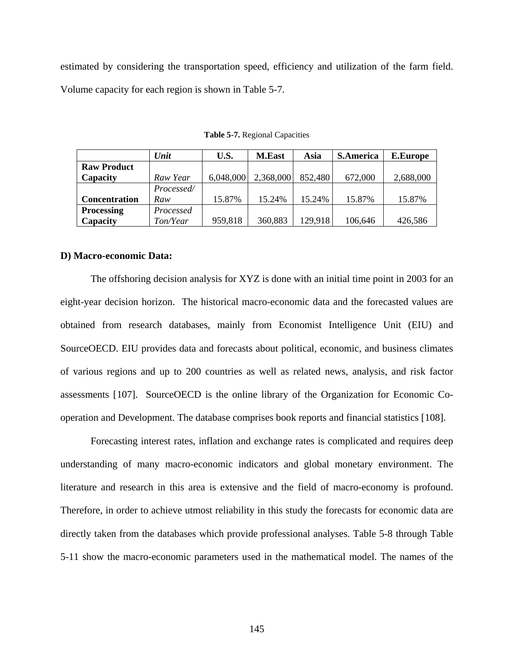<span id="page-158-0"></span>estimated by considering the transportation speed, efficiency and utilization of the farm field. Volume capacity for each region is shown in [Table 5-7](#page-158-0).

|                      | Unit       | U.S.      | <b>M.East</b> | Asia    | <b>S.America</b> | <b>E.Europe</b> |
|----------------------|------------|-----------|---------------|---------|------------------|-----------------|
| <b>Raw Product</b>   |            |           |               |         |                  |                 |
| Capacity             | Raw Year   | 6,048,000 | 2,368,000     | 852,480 | 672,000          | 2,688,000       |
|                      | Processed/ |           |               |         |                  |                 |
| <b>Concentration</b> | Raw        | 15.87%    | 15.24%        | 15.24%  | 15.87%           | 15.87%          |
| <b>Processing</b>    | Processed  |           |               |         |                  |                 |
| Capacity             | Ton/Year   | 959,818   | 360,883       | 129,918 | 106,646          | 426,586         |

**Table 5-7.** Regional Capacities

#### **D) Macro-economic Data:**

The offshoring decision analysis for XYZ is done with an initial time point in 2003 for an eight-year decision horizon. The historical macro-economic data and the forecasted values are obtained from research databases, mainly from Economist Intelligence Unit (EIU) and SourceOECD. EIU provides data and forecasts about political, economic, and business climates of various regions and up to 200 countries as well as related news, analysis, and risk factor assessments [[1](#page-218-0)07]. SourceOECD is the online library of the Organization for Economic Cooperation and Development. The database comprises book reports and financial statistics [[1](#page-218-0)08].

Forecasting interest rates, inflation and exchange rates is complicated and requires deep understanding of many macro-economic indicators and global monetary environment. The literature and research in this area is extensive and the field of macro-economy is profound. Therefore, in order to achieve utmost reliability in this study the forecasts for economic data are directly taken from the databases which provide professional analyses. [Table 5-8](#page-159-0) through [Table](#page-159-0)  [5-11](#page-159-0) show the macro-economic parameters used in the mathematical model. The names of the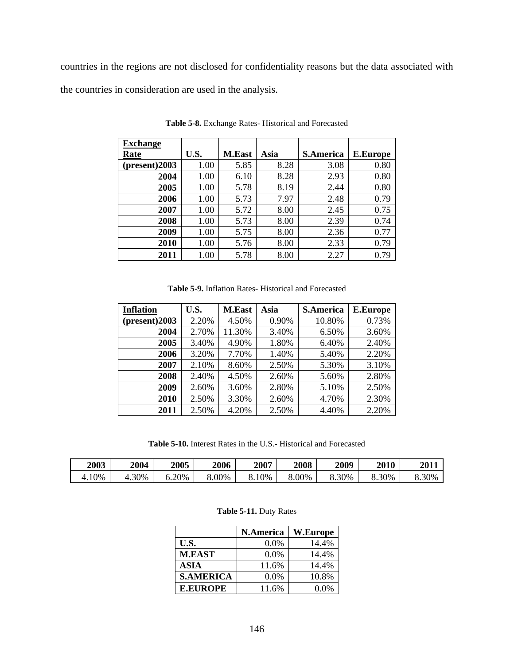<span id="page-159-0"></span>countries in the regions are not disclosed for confidentiality reasons but the data associated with the countries in consideration are used in the analysis.

| <b>Exchange</b> |      |               |      |                  |                 |
|-----------------|------|---------------|------|------------------|-----------------|
| Rate            | U.S. | <b>M.East</b> | Asia | <b>S.America</b> | <b>E.Europe</b> |
| (present)2003   | 1.00 | 5.85          | 8.28 | 3.08             | 0.80            |
| 2004            | 1.00 | 6.10          | 8.28 | 2.93             | 0.80            |
| 2005            | 1.00 | 5.78          | 8.19 | 2.44             | 0.80            |
| 2006            | 1.00 | 5.73          | 7.97 | 2.48             | 0.79            |
| 2007            | 1.00 | 5.72          | 8.00 | 2.45             | 0.75            |
| 2008            | 1.00 | 5.73          | 8.00 | 2.39             | 0.74            |
| 2009            | 1.00 | 5.75          | 8.00 | 2.36             | 0.77            |
| 2010            | 1.00 | 5.76          | 8.00 | 2.33             | 0.79            |
| 2011            | 1.00 | 5.78          | 8.00 | 2.27             | 0.79            |

**Table 5-8.** Exchange Rates- Historical and Forecasted

**Table 5-9.** Inflation Rates- Historical and Forecasted

| <b>Inflation</b> | U.S.  | <b>M.East</b> | Asia  | <b>S.America</b> | <b>E.Europe</b> |
|------------------|-------|---------------|-------|------------------|-----------------|
| (present)2003    | 2.20% | 4.50%         | 0.90% | 10.80%           | 0.73%           |
| 2004             | 2.70% | 11.30%        | 3.40% | 6.50%            | 3.60%           |
| 2005             | 3.40% | 4.90%         | 1.80% | 6.40%            | 2.40%           |
| 2006             | 3.20% | 7.70%         | 1.40% | 5.40%            | 2.20%           |
| 2007             | 2.10% | 8.60%         | 2.50% | 5.30%            | 3.10%           |
| 2008             | 2.40% | 4.50%         | 2.60% | 5.60%            | 2.80%           |
| 2009             | 2.60% | 3.60%         | 2.80% | 5.10%            | 2.50%           |
| 2010             | 2.50% | 3.30%         | 2.60% | 4.70%            | 2.30%           |
| 2011             | 2.50% | 4.20%         | 2.50% | 4.40%            | 2.20%           |

**Table 5-10.** Interest Rates in the U.S.- Historical and Forecasted

| 2003  | 2004 | 2005  | 2006  | 2007 | 2008  | 2009  | 2010  | 2011  |
|-------|------|-------|-------|------|-------|-------|-------|-------|
| 4.10% | .30% | 6.20% | 8.00% | .0%  | 8.00% | 8.30% | 8.30% | 3.30% |

#### **Table 5-11.** Duty Rates

|                  | N.America | W.Europe |
|------------------|-----------|----------|
| U.S.             | $0.0\%$   | 14.4%    |
| <b>M.EAST</b>    | 0.0%      | 14.4%    |
| <b>ASIA</b>      | 11.6%     | 14.4%    |
| <b>S.AMERICA</b> | 0.0%      | 10.8%    |
| <b>E.EUROPE</b>  | 11.6%     | $0.0\%$  |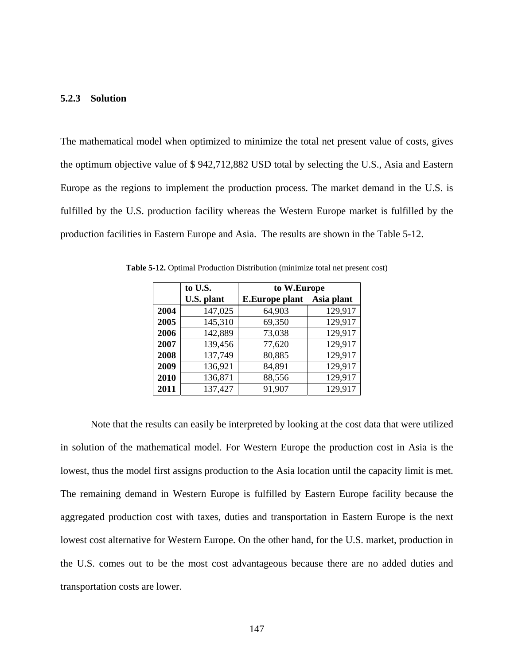### <span id="page-160-0"></span>**5.2.3 Solution**

The mathematical model when optimized to minimize the total net present value of costs, gives the optimum objective value of \$ 942,712,882 USD total by selecting the U.S., Asia and Eastern Europe as the regions to implement the production process. The market demand in the U.S. is fulfilled by the U.S. production facility whereas the Western Europe market is fulfilled by the production facilities in Eastern Europe and Asia. The results are shown in the [Table 5-12.](#page-160-0)

|      | to U.S.    | to W.Europe           |            |
|------|------------|-----------------------|------------|
|      | U.S. plant | <b>E.Europe plant</b> | Asia plant |
| 2004 | 147,025    | 64,903                | 129,917    |
| 2005 | 145,310    | 69,350                | 129,917    |
| 2006 | 142,889    | 73,038                | 129,917    |
| 2007 | 139,456    | 77,620                | 129,917    |
| 2008 | 137,749    | 80,885                | 129,917    |
| 2009 | 136,921    | 84,891                | 129,917    |
| 2010 | 136,871    | 88,556                | 129,917    |
| 2011 | 137,427    | 91,907                | 129,917    |

**Table 5-12.** Optimal Production Distribution (minimize total net present cost)

Note that the results can easily be interpreted by looking at the cost data that were utilized in solution of the mathematical model. For Western Europe the production cost in Asia is the lowest, thus the model first assigns production to the Asia location until the capacity limit is met. The remaining demand in Western Europe is fulfilled by Eastern Europe facility because the aggregated production cost with taxes, duties and transportation in Eastern Europe is the next lowest cost alternative for Western Europe. On the other hand, for the U.S. market, production in the U.S. comes out to be the most cost advantageous because there are no added duties and transportation costs are lower.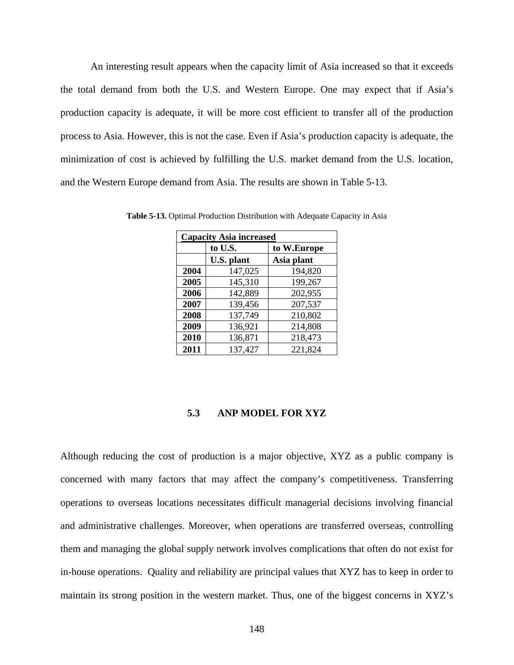<span id="page-161-0"></span>An interesting result appears when the capacity limit of Asia increased so that it exceeds the total demand from both the U.S. and Western Europe. One may expect that if Asia's production capacity is adequate, it will be more cost efficient to transfer all of the production process to Asia. However, this is not the case. Even if Asia's production capacity is adequate, the minimization of cost is achieved by fulfilling the U.S. market demand from the U.S. location, and the Western Europe demand from Asia. The results are shown in [Table 5-13.](#page-161-0)

| <b>Capacity Asia increased</b> |            |             |  |  |
|--------------------------------|------------|-------------|--|--|
|                                | to U.S.    | to W.Europe |  |  |
|                                | U.S. plant | Asia plant  |  |  |
| 2004                           | 147,025    | 194,820     |  |  |
| 2005                           | 145,310    | 199,267     |  |  |
| 2006                           | 142,889    | 202,955     |  |  |
| 2007                           | 139,456    | 207,537     |  |  |
| 2008                           | 137,749    | 210,802     |  |  |
| 2009                           | 136,921    | 214,808     |  |  |
| 2010                           | 136,871    | 218,473     |  |  |
| 2011                           | 137,427    | 221,824     |  |  |

**Table 5-13.** Optimal Production Distribution with Adequate Capacity in Asia

### **5.3 ANP MODEL FOR XYZ**

Although reducing the cost of production is a major objective, XYZ as a public company is concerned with many factors that may affect the company's competitiveness. Transferring operations to overseas locations necessitates difficult managerial decisions involving financial and administrative challenges. Moreover, when operations are transferred overseas, controlling them and managing the global supply network involves complications that often do not exist for in-house operations. Quality and reliability are principal values that XYZ has to keep in order to maintain its strong position in the western market. Thus, one of the biggest concerns in XYZ's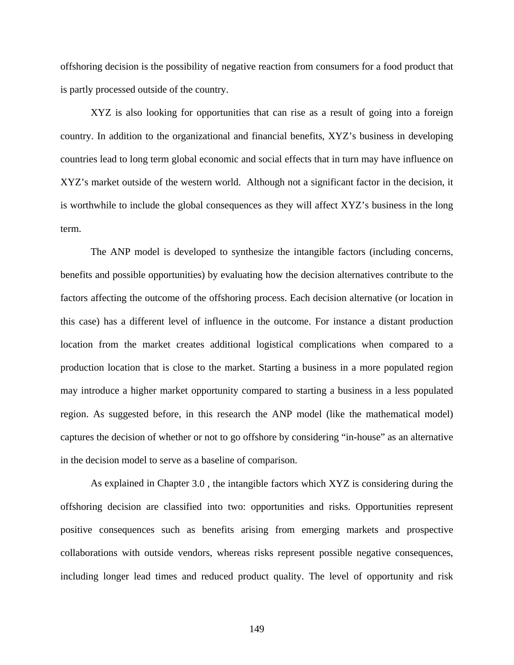offshoring decision is the possibility of negative reaction from consumers for a food product that is partly processed outside of the country.

XYZ is also looking for opportunities that can rise as a result of going into a foreign country. In addition to the organizational and financial benefits, XYZ's business in developing countries lead to long term global economic and social effects that in turn may have influence on XYZ's market outside of the western world. Although not a significant factor in the decision, it is worthwhile to include the global consequences as they will affect XYZ's business in the long term.

The ANP model is developed to synthesize the intangible factors (including concerns, benefits and possible opportunities) by evaluating how the decision alternatives contribute to the factors affecting the outcome of the offshoring process. Each decision alternative (or location in this case) has a different level of influence in the outcome. For instance a distant production location from the market creates additional logistical complications when compared to a production location that is close to the market. Starting a business in a more populated region may introduce a higher market opportunity compared to starting a business in a less populated region. As suggested before, in this research the ANP model (like the mathematical model) captures the decision of whether or not to go offshore by considering "in-house" as an alternative in the decision model to serve as a baseline of comparison.

As explained in Chapter [3.0](#page-47-0) , the intangible factors which XYZ is considering during the offshoring decision are classified into two: opportunities and risks. Opportunities represent positive consequences such as benefits arising from emerging markets and prospective collaborations with outside vendors, whereas risks represent possible negative consequences, including longer lead times and reduced product quality. The level of opportunity and risk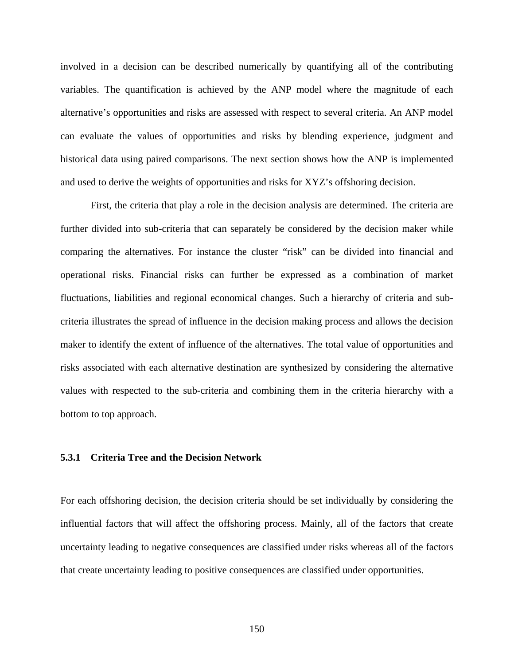involved in a decision can be described numerically by quantifying all of the contributing variables. The quantification is achieved by the ANP model where the magnitude of each alternative's opportunities and risks are assessed with respect to several criteria. An ANP model can evaluate the values of opportunities and risks by blending experience, judgment and historical data using paired comparisons. The next section shows how the ANP is implemented and used to derive the weights of opportunities and risks for XYZ's offshoring decision.

First, the criteria that play a role in the decision analysis are determined. The criteria are further divided into sub-criteria that can separately be considered by the decision maker while comparing the alternatives. For instance the cluster "risk" can be divided into financial and operational risks. Financial risks can further be expressed as a combination of market fluctuations, liabilities and regional economical changes. Such a hierarchy of criteria and subcriteria illustrates the spread of influence in the decision making process and allows the decision maker to identify the extent of influence of the alternatives. The total value of opportunities and risks associated with each alternative destination are synthesized by considering the alternative values with respected to the sub-criteria and combining them in the criteria hierarchy with a bottom to top approach.

### **5.3.1 Criteria Tree and the Decision Network**

For each offshoring decision, the decision criteria should be set individually by considering the influential factors that will affect the offshoring process. Mainly, all of the factors that create uncertainty leading to negative consequences are classified under risks whereas all of the factors that create uncertainty leading to positive consequences are classified under opportunities.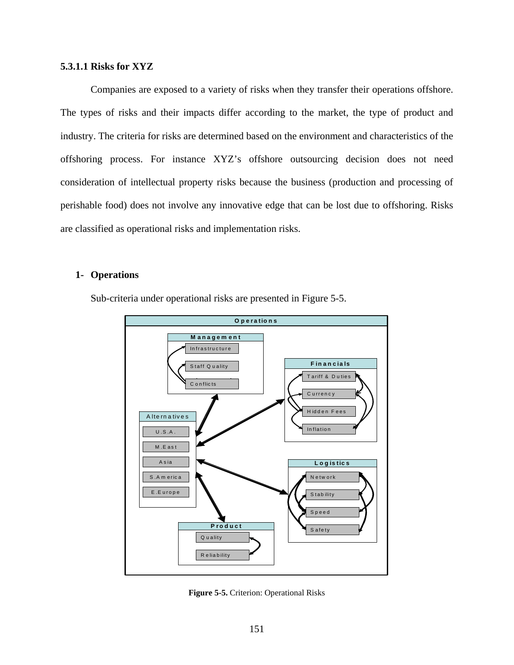### <span id="page-164-0"></span>**5.3.1.1 Risks for XYZ**

Companies are exposed to a variety of risks when they transfer their operations offshore. The types of risks and their impacts differ according to the market, the type of product and industry. The criteria for risks are determined based on the environment and characteristics of the offshoring process. For instance XYZ's offshore outsourcing decision does not need consideration of intellectual property risks because the business (production and processing of perishable food) does not involve any innovative edge that can be lost due to offshoring. Risks are classified as operational risks and implementation risks.

# **1- Operations**

Sub-criteria under operational risks are presented in [Figure 5-5.](#page-164-0)



**Figure 5-5.** Criterion: Operational Risks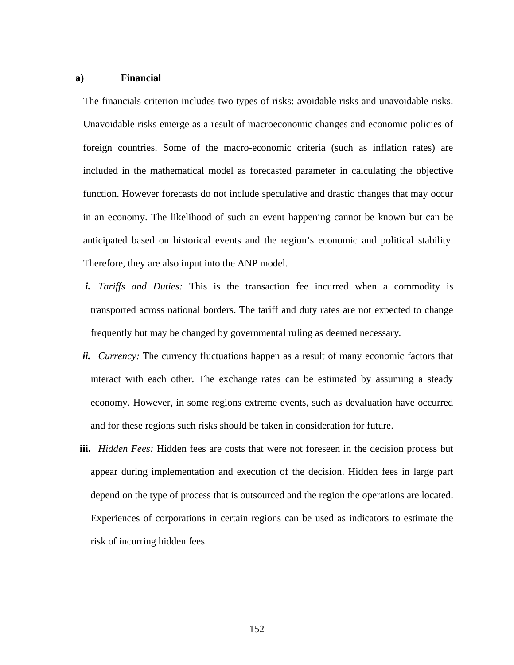### **a) Financial**

The financials criterion includes two types of risks: avoidable risks and unavoidable risks. Unavoidable risks emerge as a result of macroeconomic changes and economic policies of foreign countries. Some of the macro-economic criteria (such as inflation rates) are included in the mathematical model as forecasted parameter in calculating the objective function. However forecasts do not include speculative and drastic changes that may occur in an economy. The likelihood of such an event happening cannot be known but can be anticipated based on historical events and the region's economic and political stability. Therefore, they are also input into the ANP model.

- *i. Tariffs and Duties:* This is the transaction fee incurred when a commodity is transported across national borders. The tariff and duty rates are not expected to change frequently but may be changed by governmental ruling as deemed necessary*.*
- *ii. Currency:* The currency fluctuations happen as a result of many economic factors that interact with each other. The exchange rates can be estimated by assuming a steady economy. However, in some regions extreme events, such as devaluation have occurred and for these regions such risks should be taken in consideration for future.
- **iii.** *Hidden Fees:* Hidden fees are costs that were not foreseen in the decision process but appear during implementation and execution of the decision. Hidden fees in large part depend on the type of process that is outsourced and the region the operations are located. Experiences of corporations in certain regions can be used as indicators to estimate the risk of incurring hidden fees.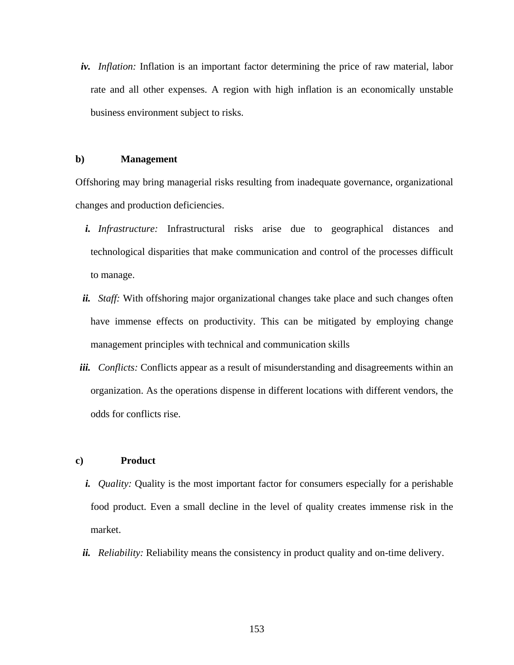*iv. Inflation:* Inflation is an important factor determining the price of raw material, labor rate and all other expenses. A region with high inflation is an economically unstable business environment subject to risks.

### **b) Management**

Offshoring may bring managerial risks resulting from inadequate governance, organizational changes and production deficiencies.

- *i. Infrastructure:* Infrastructural risks arise due to geographical distances and technological disparities that make communication and control of the processes difficult to manage.
- *ii. Staff:* With offshoring major organizational changes take place and such changes often have immense effects on productivity. This can be mitigated by employing change management principles with technical and communication skills
- *iii. Conflicts:* Conflicts appear as a result of misunderstanding and disagreements within an organization. As the operations dispense in different locations with different vendors, the odds for conflicts rise.

### **c) Product**

- *i. Quality:* Quality is the most important factor for consumers especially for a perishable food product. Even a small decline in the level of quality creates immense risk in the market.
- *ii. Reliability:* Reliability means the consistency in product quality and on-time delivery.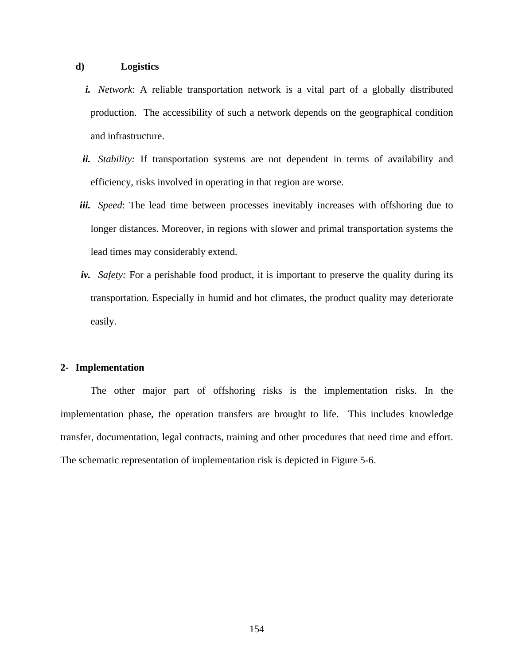### **d) Logistics**

- *i. Network*: A reliable transportation network is a vital part of a globally distributed production. The accessibility of such a network depends on the geographical condition and infrastructure.
- *ii. Stability:* If transportation systems are not dependent in terms of availability and efficiency, risks involved in operating in that region are worse.
- *iii. Speed*: The lead time between processes inevitably increases with offshoring due to longer distances. Moreover, in regions with slower and primal transportation systems the lead times may considerably extend.
- *iv. Safety:* For a perishable food product, it is important to preserve the quality during its transportation. Especially in humid and hot climates, the product quality may deteriorate easily.

### **2- Implementation**

The other major part of offshoring risks is the implementation risks. In the implementation phase, the operation transfers are brought to life. This includes knowledge transfer, documentation, legal contracts, training and other procedures that need time and effort. The schematic representation of implementation risk is depicted in [Figure 5-6](#page-168-0).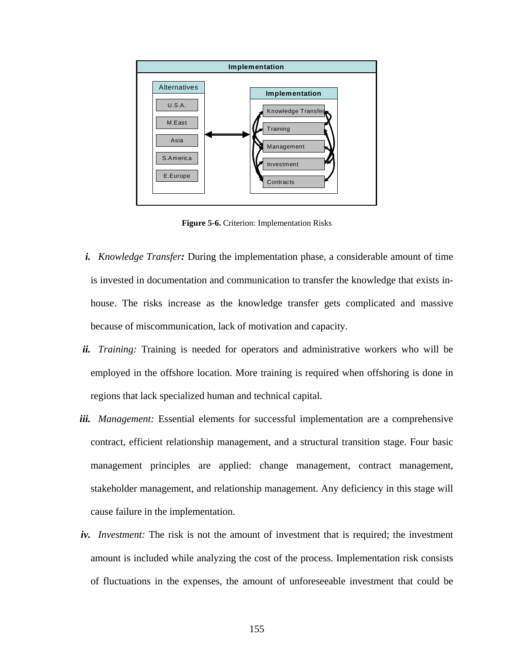<span id="page-168-0"></span>

**Figure 5-6.** Criterion: Implementation Risks

- *i. Knowledge Transfer:* During the implementation phase, a considerable amount of time is invested in documentation and communication to transfer the knowledge that exists inhouse. The risks increase as the knowledge transfer gets complicated and massive because of miscommunication, lack of motivation and capacity.
- *ii. Training:* Training is needed for operators and administrative workers who will be employed in the offshore location. More training is required when offshoring is done in regions that lack specialized human and technical capital.
- *iii. Management:* Essential elements for successful implementation are a comprehensive contract, efficient relationship management, and a structural transition stage. Four basic management principles are applied: change management, contract management, stakeholder management, and relationship management. Any deficiency in this stage will cause failure in the implementation.
- *iv. Investment:* The risk is not the amount of investment that is required; the investment amount is included while analyzing the cost of the process. Implementation risk consists of fluctuations in the expenses, the amount of unforeseeable investment that could be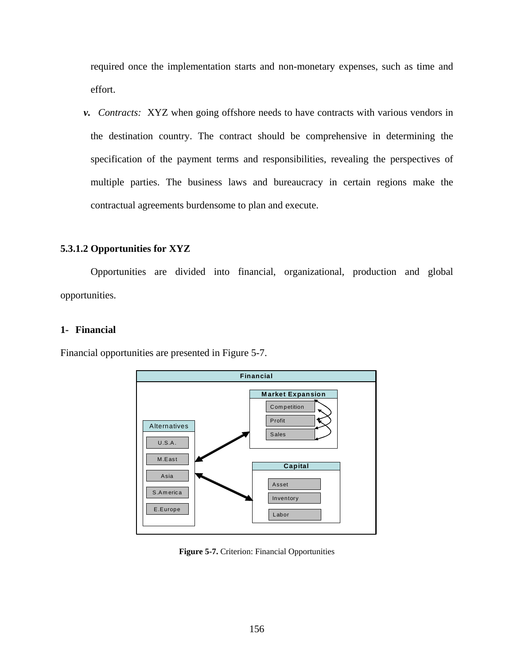<span id="page-169-0"></span>required once the implementation starts and non-monetary expenses, such as time and effort.

*v. Contracts:* XYZ when going offshore needs to have contracts with various vendors in the destination country. The contract should be comprehensive in determining the specification of the payment terms and responsibilities, revealing the perspectives of multiple parties. The business laws and bureaucracy in certain regions make the contractual agreements burdensome to plan and execute.

# **5.3.1.2 Opportunities for XYZ**

Opportunities are divided into financial, organizational, production and global opportunities.

### **1- Financial**

Financial opportunities are presented in [Figure 5-7](#page-169-0).



**Figure 5-7.** Criterion: Financial Opportunities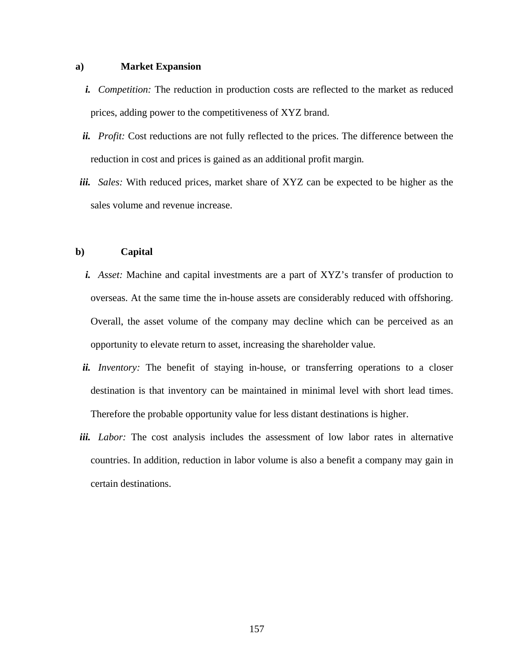### **a) Market Expansion**

- *i. Competition:* The reduction in production costs are reflected to the market as reduced prices, adding power to the competitiveness of XYZ brand.
- *ii. Profit:* Cost reductions are not fully reflected to the prices. The difference between the reduction in cost and prices is gained as an additional profit margin*.*
- *iii. Sales:* With reduced prices, market share of XYZ can be expected to be higher as the sales volume and revenue increase.

### **b) Capital**

- *i. Asset:* Machine and capital investments are a part of XYZ's transfer of production to overseas. At the same time the in-house assets are considerably reduced with offshoring. Overall, the asset volume of the company may decline which can be perceived as an opportunity to elevate return to asset, increasing the shareholder value.
- *ii. Inventory:* The benefit of staying in-house, or transferring operations to a closer destination is that inventory can be maintained in minimal level with short lead times. Therefore the probable opportunity value for less distant destinations is higher.
- *iii. Labor:* The cost analysis includes the assessment of low labor rates in alternative countries. In addition, reduction in labor volume is also a benefit a company may gain in certain destinations.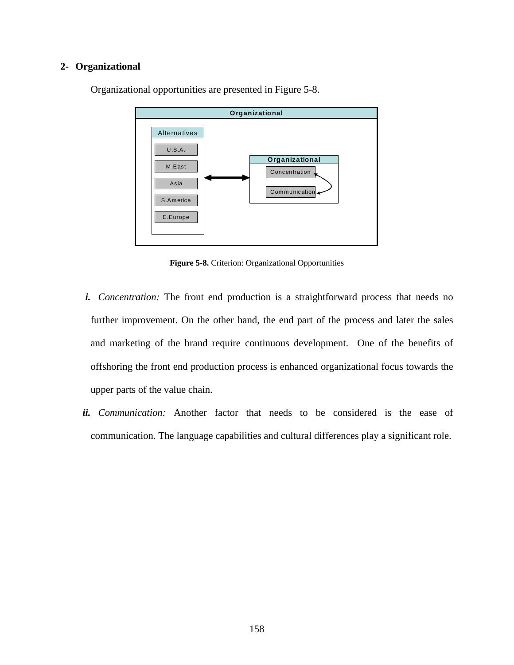# <span id="page-171-0"></span>**2- Organizational**



Organizational opportunities are presented in [Figure 5-8.](#page-171-0)

**Figure 5-8.** Criterion: Organizational Opportunities

- *i. Concentration:* The front end production is a straightforward process that needs no further improvement. On the other hand, the end part of the process and later the sales and marketing of the brand require continuous development. One of the benefits of offshoring the front end production process is enhanced organizational focus towards the upper parts of the value chain.
- *ii. Communication:* Another factor that needs to be considered is the ease of communication. The language capabilities and cultural differences play a significant role.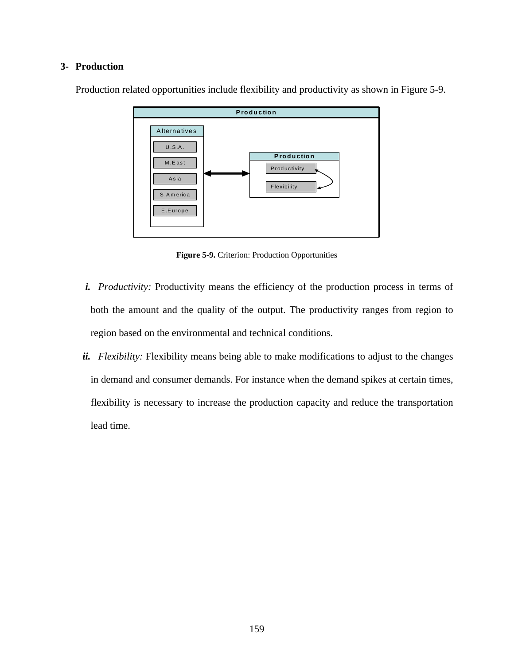# <span id="page-172-0"></span>**3- Production**



Production related opportunities include flexibility and productivity as shown in [Figure 5-9](#page-172-0).

**Figure 5-9.** Criterion: Production Opportunities

- *i. Productivity:* Productivity means the efficiency of the production process in terms of both the amount and the quality of the output. The productivity ranges from region to region based on the environmental and technical conditions.
- *ii. Flexibility:* Flexibility means being able to make modifications to adjust to the changes in demand and consumer demands. For instance when the demand spikes at certain times, flexibility is necessary to increase the production capacity and reduce the transportation lead time.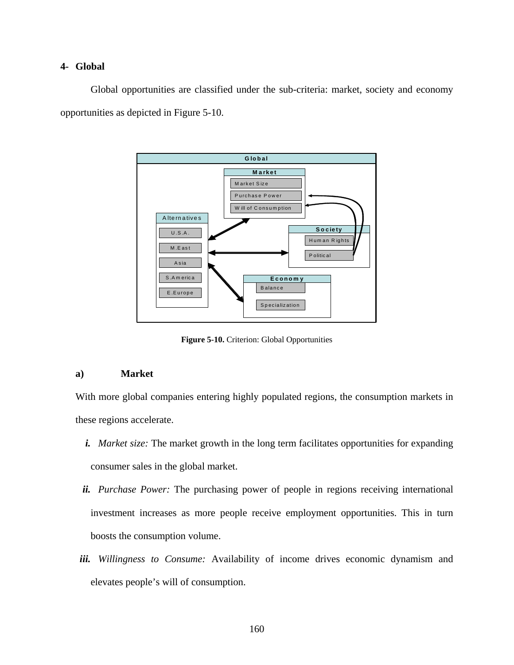### <span id="page-173-0"></span>**4- Global**

Global opportunities are classified under the sub-criteria: market, society and economy opportunities as depicted in [Figure 5-10.](#page-173-0)



**Figure 5-10.** Criterion: Global Opportunities

### **a) Market**

With more global companies entering highly populated regions, the consumption markets in these regions accelerate.

- *i. Market size:* The market growth in the long term facilitates opportunities for expanding consumer sales in the global market.
- *ii. Purchase Power:* The purchasing power of people in regions receiving international investment increases as more people receive employment opportunities. This in turn boosts the consumption volume.
- *iii. Willingness to Consume:* Availability of income drives economic dynamism and elevates people's will of consumption.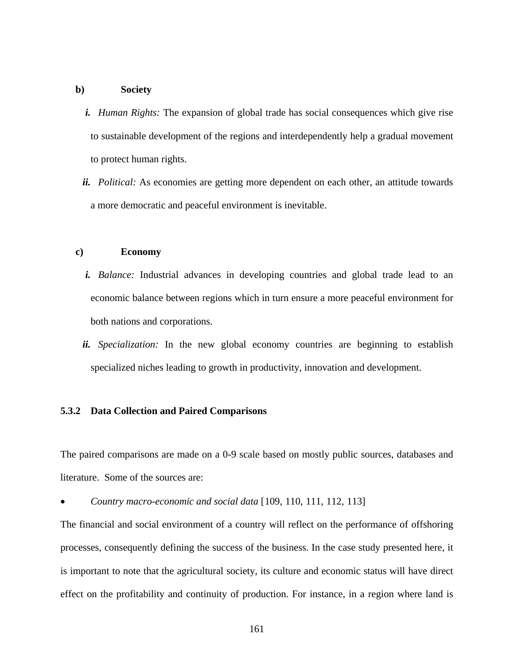### **b) Society**

- *i. Human Rights:* The expansion of global trade has social consequences which give rise to sustainable development of the regions and interdependently help a gradual movement to protect human rights.
- *ii. Political:* As economies are getting more dependent on each other, an attitude towards a more democratic and peaceful environment is inevitable.

### **c) Economy**

- *i. Balance:* Industrial advances in developing countries and global trade lead to an economic balance between regions which in turn ensure a more peaceful environment for both nations and corporations.
- *ii. Specialization:* In the new global economy countries are beginning to establish specialized niches leading to growth in productivity, innovation and development.

### **5.3.2 Data Collection and Paired Comparisons**

The paired comparisons are made on a 0-9 scale based on mostly public sources, databases and literature. Some of the sources are:

• *Country macro-economic and social data* [[1](#page-218-0)09, [11](#page-218-0)0, [11](#page-218-0)1, [11](#page-218-0)2, [11](#page-218-0)3]

The financial and social environment of a country will reflect on the performance of offshoring processes, consequently defining the success of the business. In the case study presented here, it is important to note that the agricultural society, its culture and economic status will have direct effect on the profitability and continuity of production. For instance, in a region where land is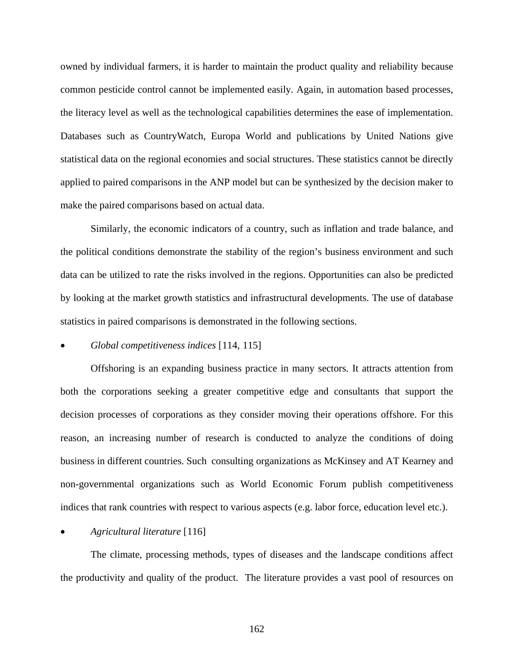<span id="page-175-0"></span>owned by individual farmers, it is harder to maintain the product quality and reliability because common pesticide control cannot be implemented easily. Again, in automation based processes, the literacy level as well as the technological capabilities determines the ease of implementation. Databases such as CountryWatch, Europa World and publications by United Nations give statistical data on the regional economies and social structures. These statistics cannot be directly applied to paired comparisons in the ANP model but can be synthesized by the decision maker to make the paired comparisons based on actual data.

Similarly, the economic indicators of a country, such as inflation and trade balance, and the political conditions demonstrate the stability of the region's business environment and such data can be utilized to rate the risks involved in the regions. Opportunities can also be predicted by looking at the market growth statistics and infrastructural developments. The use of database statistics in paired comparisons is demonstrated in the following sections.

### • *Global competitiveness indices* [[11](#page-218-0)4, [1](#page-218-0)15]

Offshoring is an expanding business practice in many sectors. It attracts attention from both the corporations seeking a greater competitive edge and consultants that support the decision processes of corporations as they consider moving their operations offshore. For this reason, an increasing number of research is conducted to analyze the conditions of doing business in different countries. Such consulting organizations as McKinsey and AT Kearney and non-governmental organizations such as World Economic Forum publish competitiveness indices that rank countries with respect to various aspects (e.g. labor force, education level etc.).

# • *Agricultural literature* [[1](#page-218-0)16]

The climate, processing methods, types of diseases and the landscape conditions affect the productivity and quality of the product. The literature provides a vast pool of resources on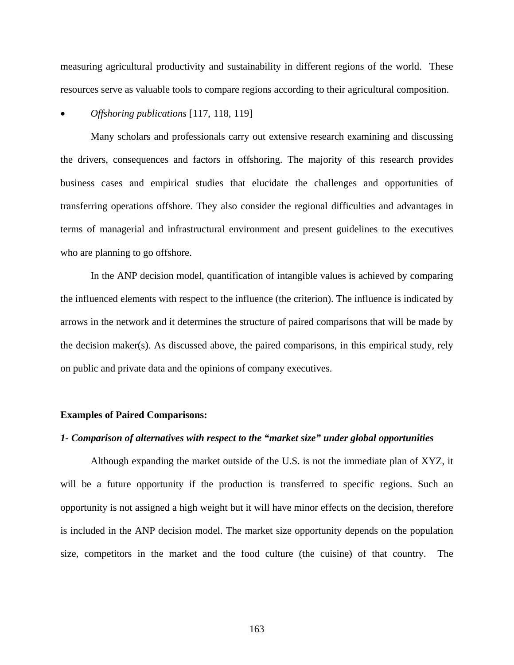measuring agricultural productivity and sustainability in different regions of the world. These resources serve as valuable tools to compare regions according to their agricultural composition.

### • *Offshoring publications* [[11](#page-218-0)7, [1](#page-218-0)18, [11](#page-218-0)9]

Many scholars and professionals carry out extensive research examining and discussing the drivers, consequences and factors in offshoring. The majority of this research provides business cases and empirical studies that elucidate the challenges and opportunities of transferring operations offshore. They also consider the regional difficulties and advantages in terms of managerial and infrastructural environment and present guidelines to the executives who are planning to go offshore.

In the ANP decision model, quantification of intangible values is achieved by comparing the influenced elements with respect to the influence (the criterion). The influence is indicated by arrows in the network and it determines the structure of paired comparisons that will be made by the decision maker(s). As discussed above, the paired comparisons, in this empirical study, rely on public and private data and the opinions of company executives.

### **Examples of Paired Comparisons:**

#### *1- Comparison of alternatives with respect to the "market size" under global opportunities*

Although expanding the market outside of the U.S. is not the immediate plan of XYZ, it will be a future opportunity if the production is transferred to specific regions. Such an opportunity is not assigned a high weight but it will have minor effects on the decision, therefore is included in the ANP decision model. The market size opportunity depends on the population size, competitors in the market and the food culture (the cuisine) of that country. The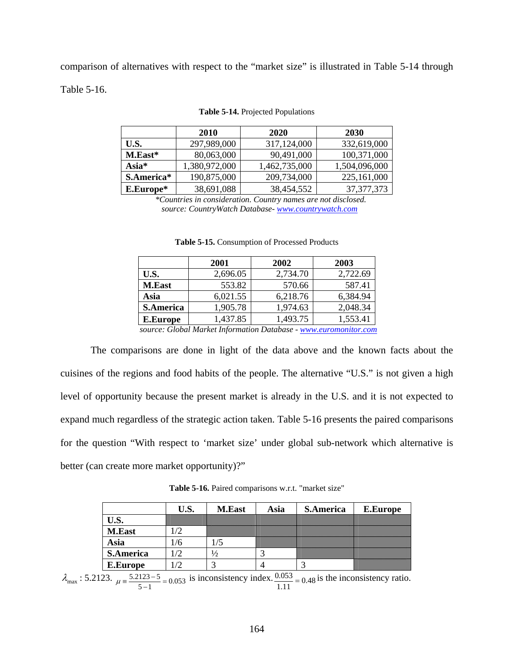<span id="page-177-0"></span>comparison of alternatives with respect to the "market size" is illustrated in [Table 5-14](#page-177-0) through [Table 5-16](#page-177-0).

|              | 2010          | 2020          | 2030          |
|--------------|---------------|---------------|---------------|
| U.S.         | 297,989,000   | 317,124,000   | 332,619,000   |
| M.East*      | 80,063,000    | 90,491,000    | 100,371,000   |
| $\bf Asia^*$ | 1,380,972,000 | 1,462,735,000 | 1,504,096,000 |
| S.America*   | 190,875,000   | 209,734,000   | 225,161,000   |
| E.Europe*    | 38,691,088    | 38,454,552    | 37, 377, 373  |

#### **Table 5-14.** Projected Populations

 *\*Countries in consideration. Country names are not disclosed. source: CountryWatch Database- <www.countrywatch.com>*

|                      | 2001                                                            | 2002                     | 2003     |
|----------------------|-----------------------------------------------------------------|--------------------------|----------|
| U.S.                 | 2,696.05                                                        | 2,734.70                 | 2,722.69 |
| <b>M.East</b>        | 553.82                                                          | 570.66                   | 587.41   |
| Asia                 | 6,021.55                                                        | 6,218.76                 | 6,384.94 |
| <b>S.America</b>     | 1,905.78                                                        | 1,974.63                 | 2,048.34 |
| <b>E.Europe</b>      | 1,437.85                                                        | 1,493.75                 | 1,553.41 |
| $\sim$ $\sim$ $\sim$ | $\mathbf{r}$ $\mathbf{r}$<br>$\mathbf{r}$ $\mathbf{r}$ $\alpha$ | $\overline{\phantom{a}}$ |          |

**Table 5-15.** Consumption of Processed Products

 *source: Global Market Information Database - [www.euromonitor.com](http://www.euromonitor.com/)*

The comparisons are done in light of the data above and the known facts about the cuisines of the regions and food habits of the people. The alternative "U.S." is not given a high level of opportunity because the present market is already in the U.S. and it is not expected to expand much regardless of the strategic action taken. [Table 5-16](#page-177-0) presents the paired comparisons for the question "With respect to 'market size' under global sub-network which alternative is better (can create more market opportunity)?"

**Table 5-16.** Paired comparisons w.r.t. "market size"

|                  | U.S. | <b>M.East</b> | Asia | <b>S.America</b> | E.Europe |
|------------------|------|---------------|------|------------------|----------|
| U.S.             |      |               |      |                  |          |
| <b>M.East</b>    |      |               |      |                  |          |
| Asia             |      |               |      |                  |          |
| <b>S.America</b> |      | 1/2           |      |                  |          |
| <b>E.Europe</b>  |      |               |      |                  |          |

 $\lambda_{\text{max}}$ : 5.2123.  $\mu = \frac{5.2123 - 5}{5 - 1} = 0.053$  is inconsistency index.  $\frac{0.053}{1.11} = 0.48$  is the inconsistency ratio.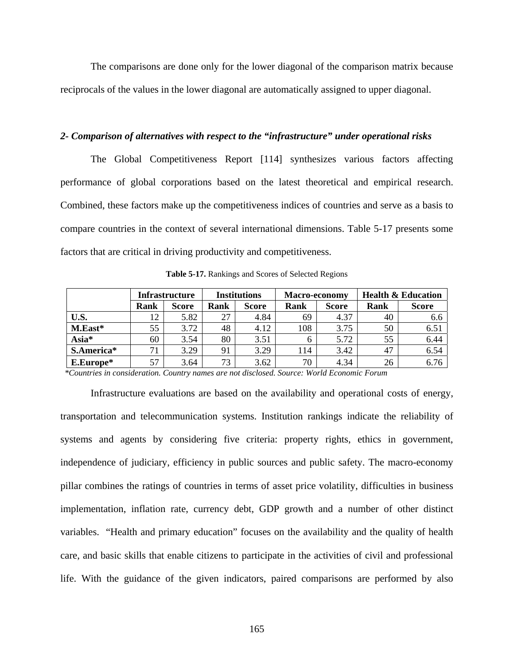<span id="page-178-0"></span>The comparisons are done only for the lower diagonal of the comparison matrix because reciprocals of the values in the lower diagonal are automatically assigned to upper diagonal.

### *2- Comparison of alternatives with respect to the "infrastructure" under operational risks*

The Global Competitiveness Report [\[114](#page-175-0)] synthesizes various factors affecting performance of global corporations based on the latest theoretical and empirical research. Combined, these factors make up the competitiveness indices of countries and serve as a basis to compare countries in the context of several international dimensions. [Table 5-17](#page-178-0) presents some factors that are critical in driving productivity and competitiveness.

|            | <b>Infrastructure</b> |              | <b>Institutions</b> |              | Macro-economy |              | <b>Health &amp; Education</b> |              |
|------------|-----------------------|--------------|---------------------|--------------|---------------|--------------|-------------------------------|--------------|
|            | Rank                  | <b>Score</b> | Rank                | <b>Score</b> | Rank          | <b>Score</b> | Rank                          | <b>Score</b> |
| U.S.       | 12                    | 5.82         | 27                  | 4.84         | 69            | 4.37         | 40                            | 6.6          |
| M.East*    | 55                    | 3.72         | 48                  | 4.12         | 108           | 3.75         | 50                            | 6.51         |
| Asia*      | 60                    | 3.54         | 80                  | 3.51         |               | 5.72         | 55                            | 6.44         |
| S.America* |                       | 3.29         | 91                  | 3.29         | 114           | 3.42         | 47                            | 6.54         |
| E.Europe*  | 57                    | 3.64         | 73                  | 3.62         | 70            | 4.34         | 26                            | 6.76         |

**Table 5-17.** Rankings and Scores of Selected Regions

 *\*Countries in consideration. Country names are not disclosed. Source: World Economic Forum* 

Infrastructure evaluations are based on the availability and operational costs of energy, transportation and telecommunication systems. Institution rankings indicate the reliability of systems and agents by considering five criteria: property rights, ethics in government, independence of judiciary, efficiency in public sources and public safety. The macro-economy pillar combines the ratings of countries in terms of asset price volatility, difficulties in business implementation, inflation rate, currency debt, GDP growth and a number of other distinct variables. "Health and primary education" focuses on the availability and the quality of health care, and basic skills that enable citizens to participate in the activities of civil and professional life. With the guidance of the given indicators, paired comparisons are performed by also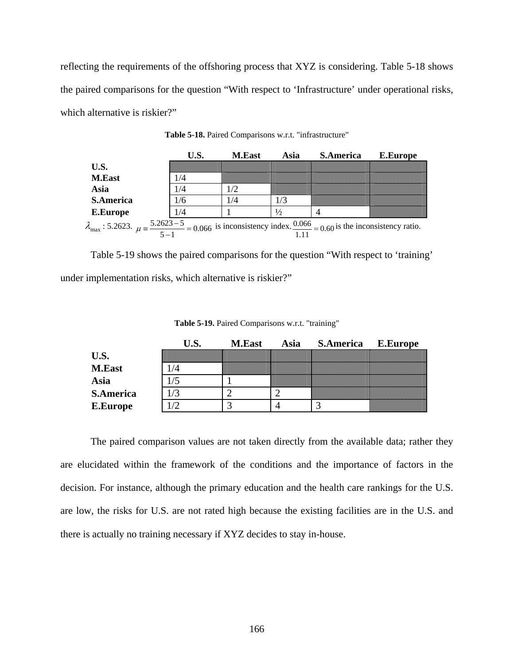<span id="page-179-0"></span>reflecting the requirements of the offshoring process that XYZ is considering. [Table 5-18](#page-179-0) shows the paired comparisons for the question "With respect to 'Infrastructure' under operational risks, which alternative is riskier?"

|                                                                                                                                                           | U.S. | <b>M.East</b> | Asia          | <b>S.America</b> | E.Europe |
|-----------------------------------------------------------------------------------------------------------------------------------------------------------|------|---------------|---------------|------------------|----------|
| U.S.                                                                                                                                                      |      |               |               |                  |          |
| M.East                                                                                                                                                    | 1/4  |               |               |                  |          |
| Asia                                                                                                                                                      | 1/4  | 1/2           |               |                  |          |
| <b>S.America</b>                                                                                                                                          | 1/6  | 1/4           | 1/3           |                  |          |
| <b>E.Europe</b>                                                                                                                                           | 1/4  |               | $\frac{1}{2}$ |                  |          |
| $\lambda_{\text{max}}$ : 5.2623. $\mu = \frac{5.2623 - 5}{5 - 1} = 0.066$ is inconsistency index. $\frac{0.066}{1.11} = 0.60$ is the inconsistency ratio. |      |               |               |                  |          |

**Table 5-18.** Paired Comparisons w.r.t. "infrastructure"

[Table 5-19](#page-179-0) shows the paired comparisons for the question "With respect to 'training' under implementation risks, which alternative is riskier?"

|                  | J.S. | <b>M.East</b> | Asia | <b>S.America</b> | E.Europe |
|------------------|------|---------------|------|------------------|----------|
| U.S.             |      |               |      |                  |          |
| M.East           |      |               |      |                  |          |
| Asia             |      |               |      |                  |          |
| <b>S.America</b> |      |               |      |                  |          |
| <b>E.Europe</b>  |      |               |      |                  |          |

**Table 5-19.** Paired Comparisons w.r.t. "training"

The paired comparison values are not taken directly from the available data; rather they are elucidated within the framework of the conditions and the importance of factors in the decision. For instance, although the primary education and the health care rankings for the U.S. are low, the risks for U.S. are not rated high because the existing facilities are in the U.S. and there is actually no training necessary if XYZ decides to stay in-house.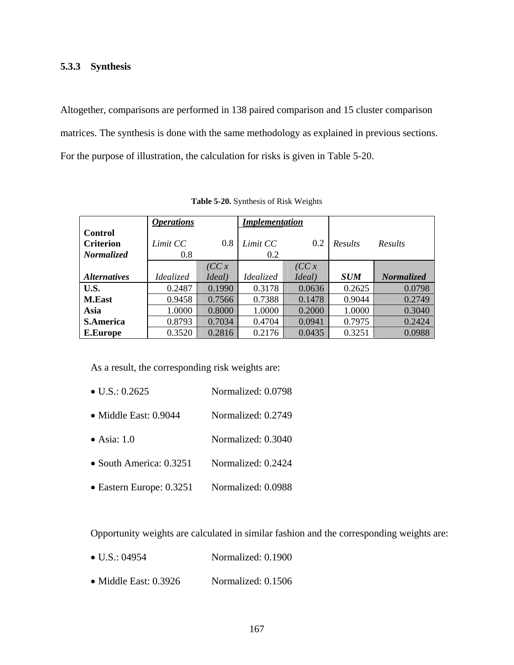# <span id="page-180-0"></span>**5.3.3 Synthesis**

Altogether, comparisons are performed in 138 paired comparison and 15 cluster comparison matrices. The synthesis is done with the same methodology as explained in previous sections. For the purpose of illustration, the calculation for risks is given in [Table 5-20.](#page-180-0)

|                            | <b>Operations</b> |        | <b>Implementation</b> |        |            |                |
|----------------------------|-------------------|--------|-----------------------|--------|------------|----------------|
| Control                    |                   |        |                       |        |            |                |
| <b>Criterion</b>           | Limit CC          | 0.8    | Limit CC              | 0.2    | Results    | <b>Results</b> |
| <i>Normalized</i>          | 0.8               |        | 0.2                   |        |            |                |
|                            |                   | (CC x  |                       | (CC x  |            |                |
| <i><b>Alternatives</b></i> | Idealized         | Ideal) | Idealized             | Ideal) | <b>SUM</b> | Normalized     |
| U.S.                       | 0.2487            | 0.1990 | 0.3178                | 0.0636 | 0.2625     | 0.0798         |
| <b>M.East</b>              | 0.9458            | 0.7566 | 0.7388                | 0.1478 | 0.9044     | 0.2749         |
| Asia                       | 1.0000            | 0.8000 | 1.0000                | 0.2000 | 1.0000     | 0.3040         |
| <b>S.America</b>           | 0.8793            | 0.7034 | 0.4704                | 0.0941 | 0.7975     | 0.2424         |
| <b>E.Europe</b>            | 0.3520            | 0.2816 | 0.2176                | 0.0435 | 0.3251     | 0.0988         |

**Table 5-20.** Synthesis of Risk Weights

As a result, the corresponding risk weights are:

- U.S.: 0.2625 Normalized: 0.0798
- Middle East: 0.9044 Normalized: 0.2749
- Asia: 1.0 Normalized: 0.3040
- South America: 0.3251 Normalized: 0.2424
- Eastern Europe: 0.3251 Normalized: 0.0988

Opportunity weights are calculated in similar fashion and the corresponding weights are:

- U.S.: 04954 Normalized: 0.1900
- Middle East: 0.3926 Normalized: 0.1506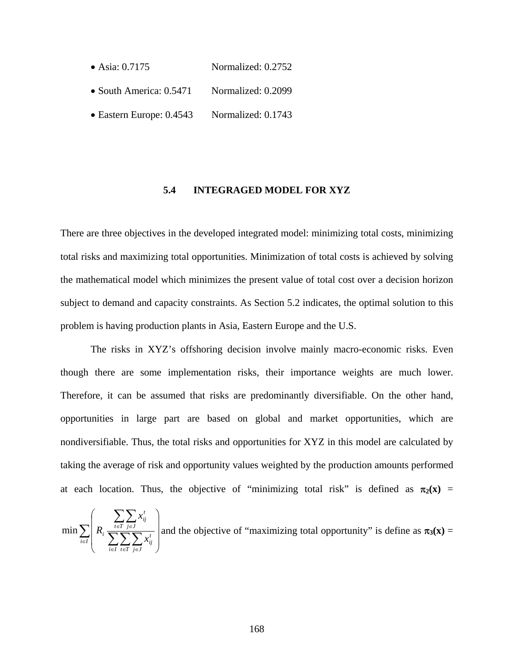- Asia: 0.7175 Normalized: 0.2752
- South America: 0.5471 Normalized: 0.2099
- Eastern Europe: 0.4543 Normalized: 0.1743

### **5.4 INTEGRAGED MODEL FOR XYZ**

There are three objectives in the developed integrated model: minimizing total costs, minimizing total risks and maximizing total opportunities. Minimization of total costs is achieved by solving the mathematical model which minimizes the present value of total cost over a decision horizon subject to demand and capacity constraints. As Section 5.2 indicates, the optimal solution to this problem is having production plants in Asia, Eastern Europe and the U.S.

 The risks in XYZ's offshoring decision involve mainly macro-economic risks. Even though there are some implementation risks, their importance weights are much lower. Therefore, it can be assumed that risks are predominantly diversifiable. On the other hand, opportunities in large part are based on global and market opportunities, which are nondiversifiable. Thus, the total risks and opportunities for XYZ in this model are calculated by taking the average of risk and opportunity values weighted by the production amounts performed at each location. Thus, the objective of "minimizing total risk" is defined as  $\pi_2(x)$  =

$$
\min \sum_{i \in I} \left( R_i \frac{\sum_{t \in T} \sum_{j \in J} x_{ij}^t}{\sum_{i \in I} \sum_{j \in J} \sum_{j \in J} x_{ij}^t} \right) \text{ and the objective of "maximizing total opportunity" is define as } \pi_3(\mathbf{x}) =
$$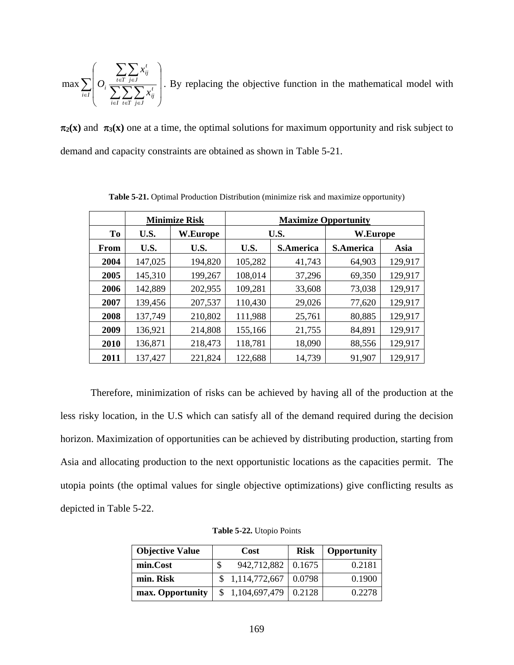<span id="page-182-0"></span>
$$
\max \sum_{i \in I} \left( O_i \frac{\sum_{t \in T} \sum_{j \in J} x_{ij}^t}{\sum_{i \in I} \sum_{j \in J} x_{ij}^t} \right).
$$
 By replacing the objective function in the mathematical model with

 $\pi_2(x)$  and  $\pi_3(x)$  one at a time, the optimal solutions for maximum opportunity and risk subject to demand and capacity constraints are obtained as shown in [Table 5-21](#page-182-0).

|                | <b>Minimize Risk</b> |                 | <b>Maximize Opportunity</b> |                  |                  |         |  |
|----------------|----------------------|-----------------|-----------------------------|------------------|------------------|---------|--|
| T <sub>0</sub> | U.S.                 | <b>W.Europe</b> | U.S.                        |                  | W.Europe         |         |  |
| From           | U.S.                 | U.S.            | U.S.                        | <b>S.America</b> | <b>S.America</b> | Asia    |  |
| 2004           | 147,025              | 194,820         | 105,282                     | 41,743           | 64,903           | 129,917 |  |
| 2005           | 145,310              | 199,267         | 108,014                     | 37,296           | 69,350           | 129,917 |  |
| 2006           | 142,889              | 202,955         | 109,281                     | 33,608           | 73,038           | 129,917 |  |
| 2007           | 139,456              | 207,537         | 110,430                     | 29,026           | 77,620           | 129,917 |  |
| 2008           | 137,749              | 210,802         | 111,988                     | 25,761           | 80,885           | 129,917 |  |
| 2009           | 136,921              | 214,808         | 155,166                     | 21,755           | 84,891           | 129,917 |  |
| 2010           | 136,871              | 218,473         | 118,781                     | 18,090           | 88,556           | 129,917 |  |
| 2011           | 137,427              | 221,824         | 122,688                     | 14,739           | 91,907           | 129,917 |  |

**Table 5-21.** Optimal Production Distribution (minimize risk and maximize opportunity)

Therefore, minimization of risks can be achieved by having all of the production at the less risky location, in the U.S which can satisfy all of the demand required during the decision horizon. Maximization of opportunities can be achieved by distributing production, starting from Asia and allocating production to the next opportunistic locations as the capacities permit. The utopia points (the optimal values for single objective optimizations) give conflicting results as depicted in [Table 5-22](#page-182-0).

| <b>Objective Value</b> | Cost                         | <b>Risk</b> | <b>Opportunity</b> |
|------------------------|------------------------------|-------------|--------------------|
| min.Cost               | 942,712,882   0.1675         |             | 0.2181             |
| min. Risk              | $$1,114,772,667 \mid 0.0798$ |             | 0.1900             |
| max. Opportunity       | $$1,104,697,479 \mid 0.2128$ |             | 0.2278             |

**Table 5-22.** Utopio Points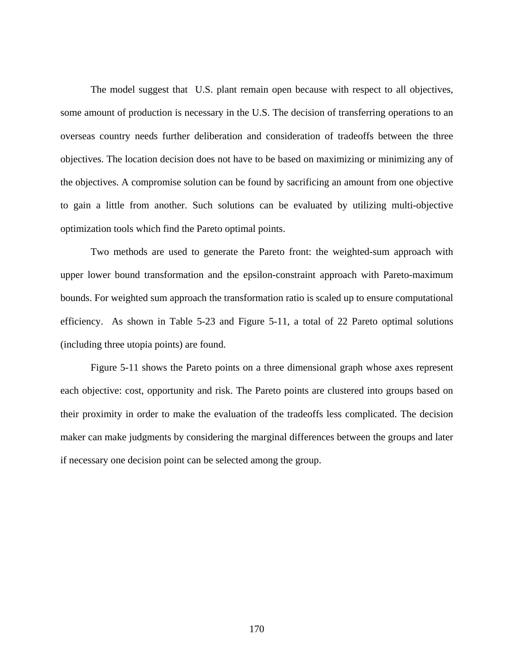The model suggest that U.S. plant remain open because with respect to all objectives, some amount of production is necessary in the U.S. The decision of transferring operations to an overseas country needs further deliberation and consideration of tradeoffs between the three objectives. The location decision does not have to be based on maximizing or minimizing any of the objectives. A compromise solution can be found by sacrificing an amount from one objective to gain a little from another. Such solutions can be evaluated by utilizing multi-objective optimization tools which find the Pareto optimal points.

Two methods are used to generate the Pareto front: the weighted-sum approach with upper lower bound transformation and the epsilon-constraint approach with Pareto-maximum bounds. For weighted sum approach the transformation ratio is scaled up to ensure computational efficiency. As shown in [Table 5-23](#page-184-0) and [Figure 5-11](#page-185-0), a total of 22 Pareto optimal solutions (including three utopia points) are found.

[Figure 5-11](#page-185-0) shows the Pareto points on a three dimensional graph whose axes represent each objective: cost, opportunity and risk. The Pareto points are clustered into groups based on their proximity in order to make the evaluation of the tradeoffs less complicated. The decision maker can make judgments by considering the marginal differences between the groups and later if necessary one decision point can be selected among the group.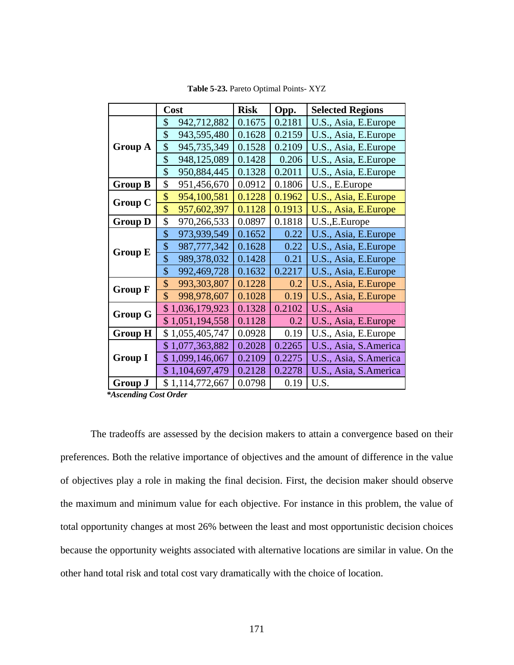<span id="page-184-0"></span>

|                | Cost              | <b>Risk</b> | Opp.   | <b>Selected Regions</b> |
|----------------|-------------------|-------------|--------|-------------------------|
| <b>Group A</b> | \$<br>942,712,882 | 0.1675      | 0.2181 | U.S., Asia, E.Europe    |
|                | \$<br>943,595,480 | 0.1628      | 0.2159 | U.S., Asia, E.Europe    |
|                | \$<br>945,735,349 | 0.1528      | 0.2109 | U.S., Asia, E.Europe    |
|                | \$<br>948,125,089 | 0.1428      | 0.206  | U.S., Asia, E.Europe    |
|                | \$<br>950,884,445 | 0.1328      | 0.2011 | U.S., Asia, E.Europe    |
| <b>Group B</b> | \$<br>951,456,670 | 0.0912      | 0.1806 | U.S., E.Europe          |
| <b>Group C</b> | \$<br>954,100,581 | 0.1228      | 0.1962 | U.S., Asia, E.Europe    |
|                | \$<br>957,602,397 | 0.1128      | 0.1913 | U.S., Asia, E.Europe    |
| <b>Group D</b> | \$<br>970,266,533 | 0.0897      | 0.1818 | U.S., E. Europe         |
| <b>Group E</b> | \$<br>973,939,549 | 0.1652      | 0.22   | U.S., Asia, E.Europe    |
|                | \$<br>987,777,342 | 0.1628      | 0.22   | U.S., Asia, E.Europe    |
|                | \$<br>989,378,032 | 0.1428      | 0.21   | U.S., Asia, E.Europe    |
|                | \$<br>992,469,728 | 0.1632      | 0.2217 | U.S., Asia, E.Europe    |
| <b>Group F</b> | \$<br>993,303,807 | 0.1228      | 0.2    | U.S., Asia, E.Europe    |
|                | \$<br>998,978,607 | 0.1028      | 0.19   | U.S., Asia, E.Europe    |
| <b>Group G</b> | \$1,036,179,923   | 0.1328      | 0.2102 | U.S., Asia              |
|                | \$1,051,194,558   | 0.1128      | 0.2    | U.S., Asia, E.Europe    |
| <b>Group H</b> | \$1,055,405,747   | 0.0928      | 0.19   | U.S., Asia, E.Europe    |
| <b>Group I</b> | \$1,077,363,882   | 0.2028      | 0.2265 | U.S., Asia, S.America   |
|                | \$1,099,146,067   | 0.2109      | 0.2275 | U.S., Asia, S.America   |
|                | \$1,104,697,479   | 0.2128      | 0.2278 | U.S., Asia, S.America   |
| <b>Group J</b> | \$1,114,772,667   | 0.0798      | 0.19   | U.S.                    |

**Table 5-23.** Pareto Optimal Points- XYZ

 *\*Ascending Cost Order* 

The tradeoffs are assessed by the decision makers to attain a convergence based on their preferences. Both the relative importance of objectives and the amount of difference in the value of objectives play a role in making the final decision. First, the decision maker should observe the maximum and minimum value for each objective. For instance in this problem, the value of total opportunity changes at most 26% between the least and most opportunistic decision choices because the opportunity weights associated with alternative locations are similar in value. On the other hand total risk and total cost vary dramatically with the choice of location.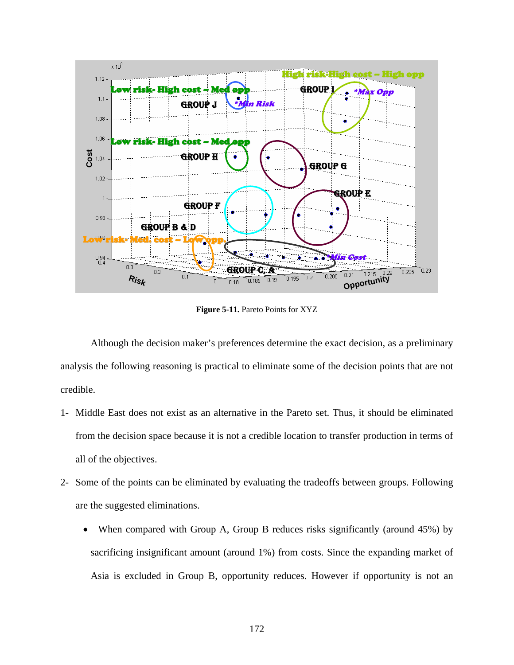<span id="page-185-0"></span>

**Figure 5-11.** Pareto Points for XYZ

Although the decision maker's preferences determine the exact decision, as a preliminary analysis the following reasoning is practical to eliminate some of the decision points that are not credible.

- 1- Middle East does not exist as an alternative in the Pareto set. Thus, it should be eliminated from the decision space because it is not a credible location to transfer production in terms of all of the objectives.
- 2- Some of the points can be eliminated by evaluating the tradeoffs between groups. Following are the suggested eliminations.
	- When compared with Group A, Group B reduces risks significantly (around 45%) by sacrificing insignificant amount (around 1%) from costs. Since the expanding market of Asia is excluded in Group B, opportunity reduces. However if opportunity is not an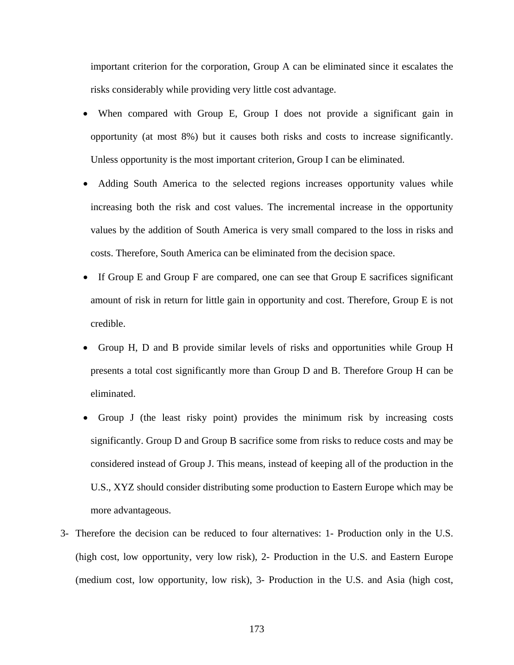important criterion for the corporation, Group A can be eliminated since it escalates the risks considerably while providing very little cost advantage.

- When compared with Group E, Group I does not provide a significant gain in opportunity (at most 8%) but it causes both risks and costs to increase significantly. Unless opportunity is the most important criterion, Group I can be eliminated.
- Adding South America to the selected regions increases opportunity values while increasing both the risk and cost values. The incremental increase in the opportunity values by the addition of South America is very small compared to the loss in risks and costs. Therefore, South America can be eliminated from the decision space.
- If Group E and Group F are compared, one can see that Group E sacrifices significant amount of risk in return for little gain in opportunity and cost. Therefore, Group E is not credible.
- Group H, D and B provide similar levels of risks and opportunities while Group H presents a total cost significantly more than Group D and B. Therefore Group H can be eliminated.
- Group J (the least risky point) provides the minimum risk by increasing costs significantly. Group D and Group B sacrifice some from risks to reduce costs and may be considered instead of Group J. This means, instead of keeping all of the production in the U.S., XYZ should consider distributing some production to Eastern Europe which may be more advantageous.
- 3- Therefore the decision can be reduced to four alternatives: 1- Production only in the U.S. (high cost, low opportunity, very low risk), 2- Production in the U.S. and Eastern Europe (medium cost, low opportunity, low risk), 3- Production in the U.S. and Asia (high cost,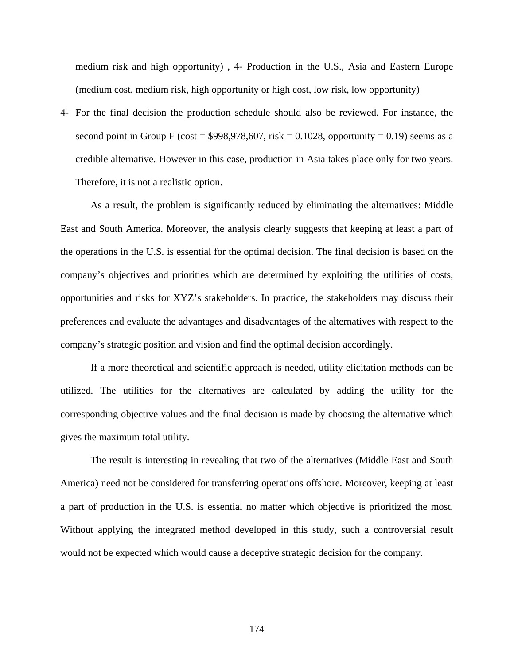medium risk and high opportunity) , 4- Production in the U.S., Asia and Eastern Europe (medium cost, medium risk, high opportunity or high cost, low risk, low opportunity)

4- For the final decision the production schedule should also be reviewed. For instance, the second point in Group F (cost =  $$998,978,607$ , risk = 0.1028, opportunity = 0.19) seems as a credible alternative. However in this case, production in Asia takes place only for two years. Therefore, it is not a realistic option.

As a result, the problem is significantly reduced by eliminating the alternatives: Middle East and South America. Moreover, the analysis clearly suggests that keeping at least a part of the operations in the U.S. is essential for the optimal decision. The final decision is based on the company's objectives and priorities which are determined by exploiting the utilities of costs, opportunities and risks for XYZ's stakeholders. In practice, the stakeholders may discuss their preferences and evaluate the advantages and disadvantages of the alternatives with respect to the company's strategic position and vision and find the optimal decision accordingly.

If a more theoretical and scientific approach is needed, utility elicitation methods can be utilized. The utilities for the alternatives are calculated by adding the utility for the corresponding objective values and the final decision is made by choosing the alternative which gives the maximum total utility.

The result is interesting in revealing that two of the alternatives (Middle East and South America) need not be considered for transferring operations offshore. Moreover, keeping at least a part of production in the U.S. is essential no matter which objective is prioritized the most. Without applying the integrated method developed in this study, such a controversial result would not be expected which would cause a deceptive strategic decision for the company.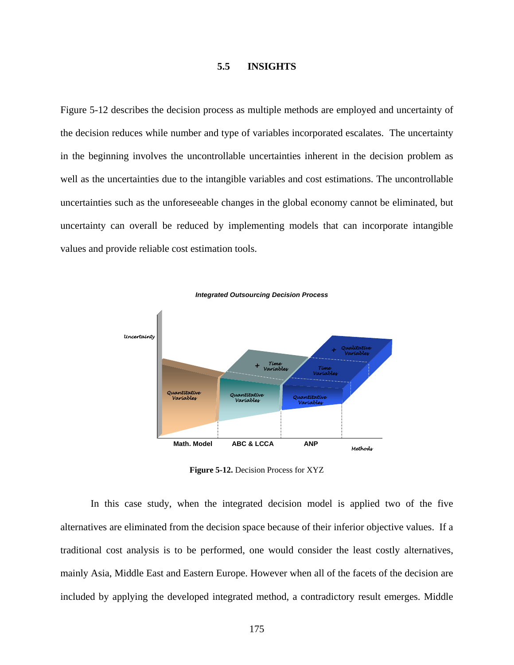### **5.5 INSIGHTS**

<span id="page-188-0"></span>[Figure 5-12](#page-188-0) describes the decision process as multiple methods are employed and uncertainty of the decision reduces while number and type of variables incorporated escalates. The uncertainty in the beginning involves the uncontrollable uncertainties inherent in the decision problem as well as the uncertainties due to the intangible variables and cost estimations. The uncontrollable uncertainties such as the unforeseeable changes in the global economy cannot be eliminated, but uncertainty can overall be reduced by implementing models that can incorporate intangible values and provide reliable cost estimation tools.



**Figure 5-12.** Decision Process for XYZ

In this case study, when the integrated decision model is applied two of the five alternatives are eliminated from the decision space because of their inferior objective values. If a traditional cost analysis is to be performed, one would consider the least costly alternatives, mainly Asia, Middle East and Eastern Europe. However when all of the facets of the decision are included by applying the developed integrated method, a contradictory result emerges. Middle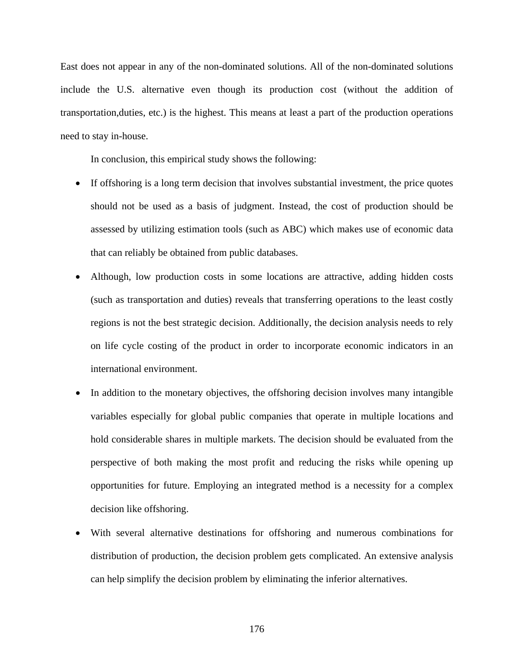East does not appear in any of the non-dominated solutions. All of the non-dominated solutions include the U.S. alternative even though its production cost (without the addition of transportation,duties, etc.) is the highest. This means at least a part of the production operations need to stay in-house.

In conclusion, this empirical study shows the following:

- If offshoring is a long term decision that involves substantial investment, the price quotes should not be used as a basis of judgment. Instead, the cost of production should be assessed by utilizing estimation tools (such as ABC) which makes use of economic data that can reliably be obtained from public databases.
- Although, low production costs in some locations are attractive, adding hidden costs (such as transportation and duties) reveals that transferring operations to the least costly regions is not the best strategic decision. Additionally, the decision analysis needs to rely on life cycle costing of the product in order to incorporate economic indicators in an international environment.
- In addition to the monetary objectives, the offshoring decision involves many intangible variables especially for global public companies that operate in multiple locations and hold considerable shares in multiple markets. The decision should be evaluated from the perspective of both making the most profit and reducing the risks while opening up opportunities for future. Employing an integrated method is a necessity for a complex decision like offshoring.
- With several alternative destinations for offshoring and numerous combinations for distribution of production, the decision problem gets complicated. An extensive analysis can help simplify the decision problem by eliminating the inferior alternatives.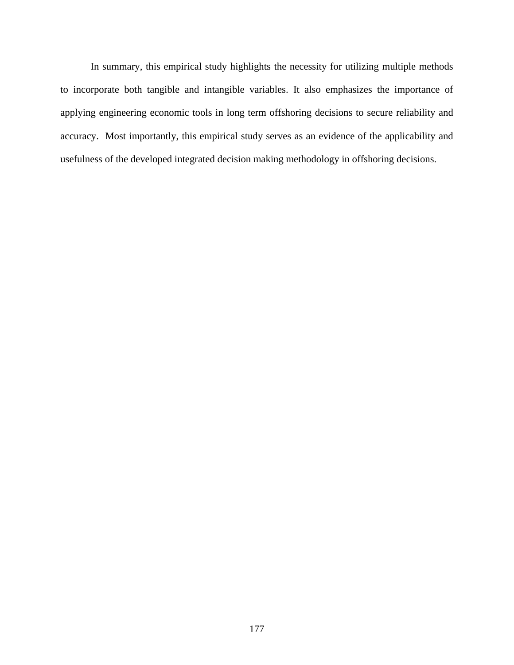In summary, this empirical study highlights the necessity for utilizing multiple methods to incorporate both tangible and intangible variables. It also emphasizes the importance of applying engineering economic tools in long term offshoring decisions to secure reliability and accuracy. Most importantly, this empirical study serves as an evidence of the applicability and usefulness of the developed integrated decision making methodology in offshoring decisions.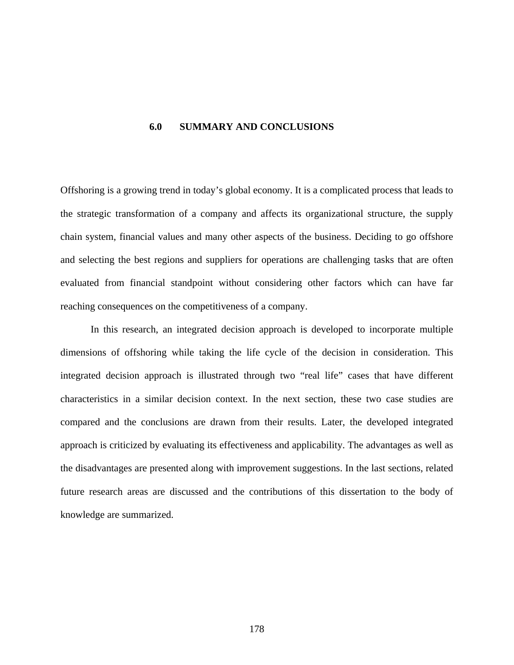#### **6.0 SUMMARY AND CONCLUSIONS**

Offshoring is a growing trend in today's global economy. It is a complicated process that leads to the strategic transformation of a company and affects its organizational structure, the supply chain system, financial values and many other aspects of the business. Deciding to go offshore and selecting the best regions and suppliers for operations are challenging tasks that are often evaluated from financial standpoint without considering other factors which can have far reaching consequences on the competitiveness of a company.

In this research, an integrated decision approach is developed to incorporate multiple dimensions of offshoring while taking the life cycle of the decision in consideration. This integrated decision approach is illustrated through two "real life" cases that have different characteristics in a similar decision context. In the next section, these two case studies are compared and the conclusions are drawn from their results. Later, the developed integrated approach is criticized by evaluating its effectiveness and applicability. The advantages as well as the disadvantages are presented along with improvement suggestions. In the last sections, related future research areas are discussed and the contributions of this dissertation to the body of knowledge are summarized.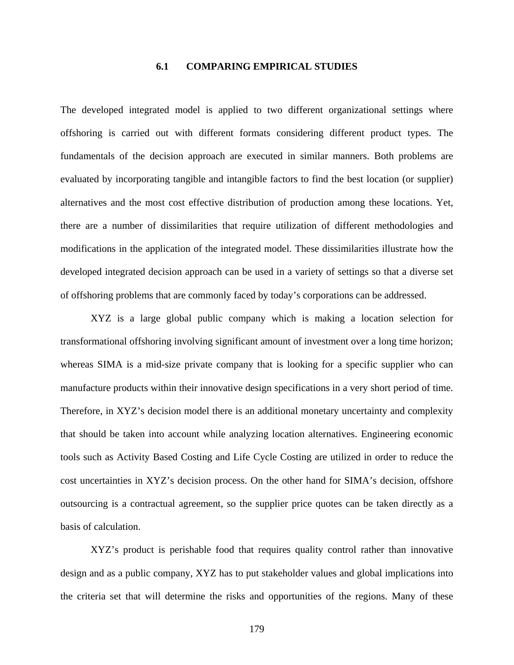## **6.1 COMPARING EMPIRICAL STUDIES**

The developed integrated model is applied to two different organizational settings where offshoring is carried out with different formats considering different product types. The fundamentals of the decision approach are executed in similar manners. Both problems are evaluated by incorporating tangible and intangible factors to find the best location (or supplier) alternatives and the most cost effective distribution of production among these locations. Yet, there are a number of dissimilarities that require utilization of different methodologies and modifications in the application of the integrated model. These dissimilarities illustrate how the developed integrated decision approach can be used in a variety of settings so that a diverse set of offshoring problems that are commonly faced by today's corporations can be addressed.

XYZ is a large global public company which is making a location selection for transformational offshoring involving significant amount of investment over a long time horizon; whereas SIMA is a mid-size private company that is looking for a specific supplier who can manufacture products within their innovative design specifications in a very short period of time. Therefore, in XYZ's decision model there is an additional monetary uncertainty and complexity that should be taken into account while analyzing location alternatives. Engineering economic tools such as Activity Based Costing and Life Cycle Costing are utilized in order to reduce the cost uncertainties in XYZ's decision process. On the other hand for SIMA's decision, offshore outsourcing is a contractual agreement, so the supplier price quotes can be taken directly as a basis of calculation.

XYZ's product is perishable food that requires quality control rather than innovative design and as a public company, XYZ has to put stakeholder values and global implications into the criteria set that will determine the risks and opportunities of the regions. Many of these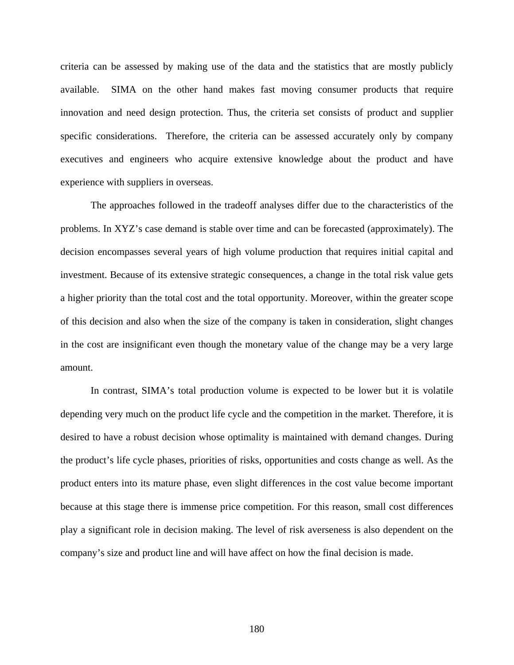criteria can be assessed by making use of the data and the statistics that are mostly publicly available. SIMA on the other hand makes fast moving consumer products that require innovation and need design protection. Thus, the criteria set consists of product and supplier specific considerations. Therefore, the criteria can be assessed accurately only by company executives and engineers who acquire extensive knowledge about the product and have experience with suppliers in overseas.

The approaches followed in the tradeoff analyses differ due to the characteristics of the problems. In XYZ's case demand is stable over time and can be forecasted (approximately). The decision encompasses several years of high volume production that requires initial capital and investment. Because of its extensive strategic consequences, a change in the total risk value gets a higher priority than the total cost and the total opportunity. Moreover, within the greater scope of this decision and also when the size of the company is taken in consideration, slight changes in the cost are insignificant even though the monetary value of the change may be a very large amount.

In contrast, SIMA's total production volume is expected to be lower but it is volatile depending very much on the product life cycle and the competition in the market. Therefore, it is desired to have a robust decision whose optimality is maintained with demand changes. During the product's life cycle phases, priorities of risks, opportunities and costs change as well. As the product enters into its mature phase, even slight differences in the cost value become important because at this stage there is immense price competition. For this reason, small cost differences play a significant role in decision making. The level of risk averseness is also dependent on the company's size and product line and will have affect on how the final decision is made.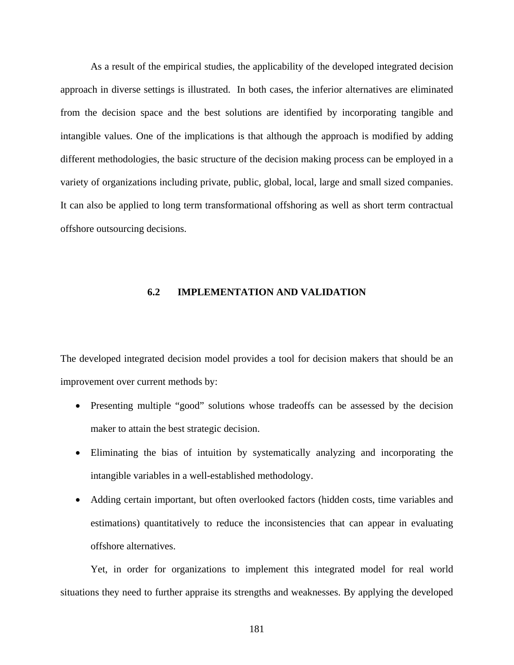As a result of the empirical studies, the applicability of the developed integrated decision approach in diverse settings is illustrated. In both cases, the inferior alternatives are eliminated from the decision space and the best solutions are identified by incorporating tangible and intangible values. One of the implications is that although the approach is modified by adding different methodologies, the basic structure of the decision making process can be employed in a variety of organizations including private, public, global, local, large and small sized companies. It can also be applied to long term transformational offshoring as well as short term contractual offshore outsourcing decisions.

### **6.2 IMPLEMENTATION AND VALIDATION**

The developed integrated decision model provides a tool for decision makers that should be an improvement over current methods by:

- Presenting multiple "good" solutions whose tradeoffs can be assessed by the decision maker to attain the best strategic decision.
- Eliminating the bias of intuition by systematically analyzing and incorporating the intangible variables in a well-established methodology.
- Adding certain important, but often overlooked factors (hidden costs, time variables and estimations) quantitatively to reduce the inconsistencies that can appear in evaluating offshore alternatives.

Yet, in order for organizations to implement this integrated model for real world situations they need to further appraise its strengths and weaknesses. By applying the developed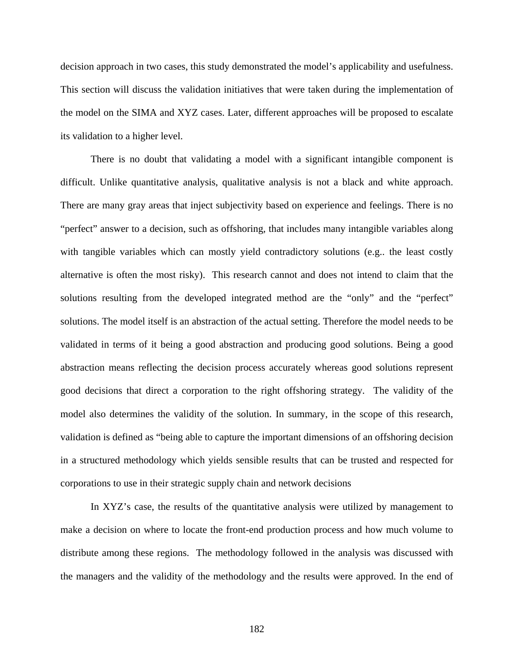decision approach in two cases, this study demonstrated the model's applicability and usefulness. This section will discuss the validation initiatives that were taken during the implementation of the model on the SIMA and XYZ cases. Later, different approaches will be proposed to escalate its validation to a higher level.

There is no doubt that validating a model with a significant intangible component is difficult. Unlike quantitative analysis, qualitative analysis is not a black and white approach. There are many gray areas that inject subjectivity based on experience and feelings. There is no "perfect" answer to a decision, such as offshoring, that includes many intangible variables along with tangible variables which can mostly yield contradictory solutions (e.g.. the least costly alternative is often the most risky). This research cannot and does not intend to claim that the solutions resulting from the developed integrated method are the "only" and the "perfect" solutions. The model itself is an abstraction of the actual setting. Therefore the model needs to be validated in terms of it being a good abstraction and producing good solutions. Being a good abstraction means reflecting the decision process accurately whereas good solutions represent good decisions that direct a corporation to the right offshoring strategy. The validity of the model also determines the validity of the solution. In summary, in the scope of this research, validation is defined as "being able to capture the important dimensions of an offshoring decision in a structured methodology which yields sensible results that can be trusted and respected for corporations to use in their strategic supply chain and network decisions

In XYZ's case, the results of the quantitative analysis were utilized by management to make a decision on where to locate the front-end production process and how much volume to distribute among these regions. The methodology followed in the analysis was discussed with the managers and the validity of the methodology and the results were approved. In the end of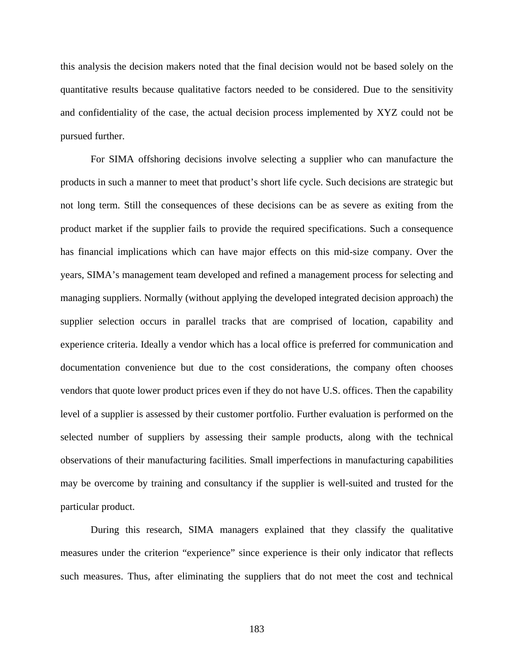this analysis the decision makers noted that the final decision would not be based solely on the quantitative results because qualitative factors needed to be considered. Due to the sensitivity and confidentiality of the case, the actual decision process implemented by XYZ could not be pursued further.

For SIMA offshoring decisions involve selecting a supplier who can manufacture the products in such a manner to meet that product's short life cycle. Such decisions are strategic but not long term. Still the consequences of these decisions can be as severe as exiting from the product market if the supplier fails to provide the required specifications. Such a consequence has financial implications which can have major effects on this mid-size company. Over the years, SIMA's management team developed and refined a management process for selecting and managing suppliers. Normally (without applying the developed integrated decision approach) the supplier selection occurs in parallel tracks that are comprised of location, capability and experience criteria. Ideally a vendor which has a local office is preferred for communication and documentation convenience but due to the cost considerations, the company often chooses vendors that quote lower product prices even if they do not have U.S. offices. Then the capability level of a supplier is assessed by their customer portfolio. Further evaluation is performed on the selected number of suppliers by assessing their sample products, along with the technical observations of their manufacturing facilities. Small imperfections in manufacturing capabilities may be overcome by training and consultancy if the supplier is well-suited and trusted for the particular product.

During this research, SIMA managers explained that they classify the qualitative measures under the criterion "experience" since experience is their only indicator that reflects such measures. Thus, after eliminating the suppliers that do not meet the cost and technical

183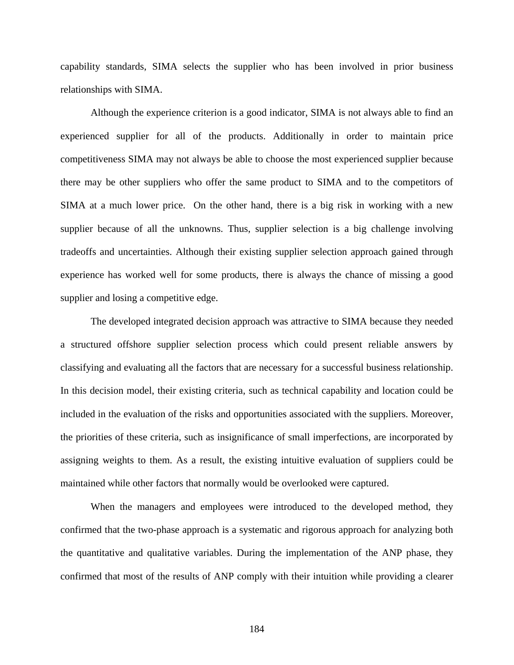capability standards, SIMA selects the supplier who has been involved in prior business relationships with SIMA.

Although the experience criterion is a good indicator, SIMA is not always able to find an experienced supplier for all of the products. Additionally in order to maintain price competitiveness SIMA may not always be able to choose the most experienced supplier because there may be other suppliers who offer the same product to SIMA and to the competitors of SIMA at a much lower price. On the other hand, there is a big risk in working with a new supplier because of all the unknowns. Thus, supplier selection is a big challenge involving tradeoffs and uncertainties. Although their existing supplier selection approach gained through experience has worked well for some products, there is always the chance of missing a good supplier and losing a competitive edge.

The developed integrated decision approach was attractive to SIMA because they needed a structured offshore supplier selection process which could present reliable answers by classifying and evaluating all the factors that are necessary for a successful business relationship. In this decision model, their existing criteria, such as technical capability and location could be included in the evaluation of the risks and opportunities associated with the suppliers. Moreover, the priorities of these criteria, such as insignificance of small imperfections, are incorporated by assigning weights to them. As a result, the existing intuitive evaluation of suppliers could be maintained while other factors that normally would be overlooked were captured.

When the managers and employees were introduced to the developed method, they confirmed that the two-phase approach is a systematic and rigorous approach for analyzing both the quantitative and qualitative variables. During the implementation of the ANP phase, they confirmed that most of the results of ANP comply with their intuition while providing a clearer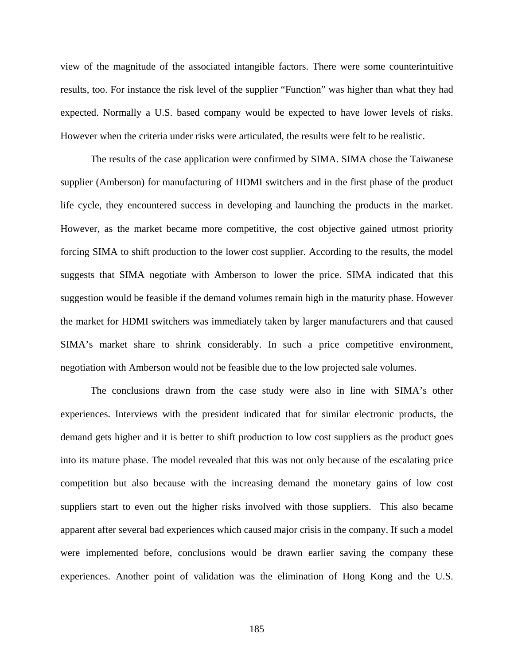view of the magnitude of the associated intangible factors. There were some counterintuitive results, too. For instance the risk level of the supplier "Function" was higher than what they had expected. Normally a U.S. based company would be expected to have lower levels of risks. However when the criteria under risks were articulated, the results were felt to be realistic.

The results of the case application were confirmed by SIMA. SIMA chose the Taiwanese supplier (Amberson) for manufacturing of HDMI switchers and in the first phase of the product life cycle, they encountered success in developing and launching the products in the market. However, as the market became more competitive, the cost objective gained utmost priority forcing SIMA to shift production to the lower cost supplier. According to the results, the model suggests that SIMA negotiate with Amberson to lower the price. SIMA indicated that this suggestion would be feasible if the demand volumes remain high in the maturity phase. However the market for HDMI switchers was immediately taken by larger manufacturers and that caused SIMA's market share to shrink considerably. In such a price competitive environment, negotiation with Amberson would not be feasible due to the low projected sale volumes.

The conclusions drawn from the case study were also in line with SIMA's other experiences. Interviews with the president indicated that for similar electronic products, the demand gets higher and it is better to shift production to low cost suppliers as the product goes into its mature phase. The model revealed that this was not only because of the escalating price competition but also because with the increasing demand the monetary gains of low cost suppliers start to even out the higher risks involved with those suppliers. This also became apparent after several bad experiences which caused major crisis in the company. If such a model were implemented before, conclusions would be drawn earlier saving the company these experiences. Another point of validation was the elimination of Hong Kong and the U.S.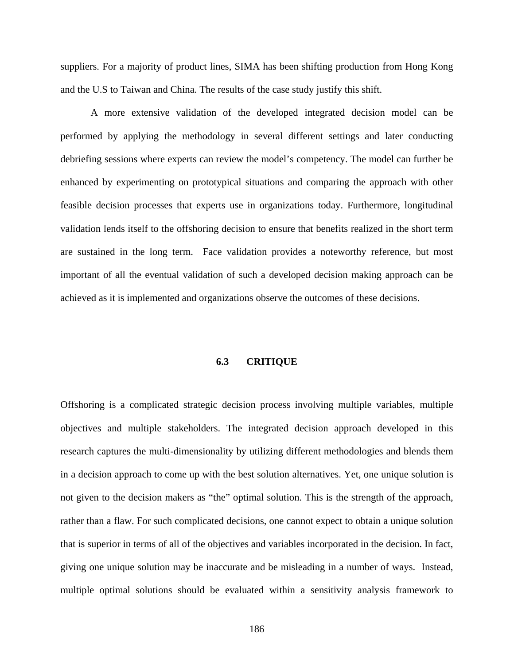suppliers. For a majority of product lines, SIMA has been shifting production from Hong Kong and the U.S to Taiwan and China. The results of the case study justify this shift.

A more extensive validation of the developed integrated decision model can be performed by applying the methodology in several different settings and later conducting debriefing sessions where experts can review the model's competency. The model can further be enhanced by experimenting on prototypical situations and comparing the approach with other feasible decision processes that experts use in organizations today. Furthermore, longitudinal validation lends itself to the offshoring decision to ensure that benefits realized in the short term are sustained in the long term. Face validation provides a noteworthy reference, but most important of all the eventual validation of such a developed decision making approach can be achieved as it is implemented and organizations observe the outcomes of these decisions.

### **6.3 CRITIQUE**

Offshoring is a complicated strategic decision process involving multiple variables, multiple objectives and multiple stakeholders. The integrated decision approach developed in this research captures the multi-dimensionality by utilizing different methodologies and blends them in a decision approach to come up with the best solution alternatives. Yet, one unique solution is not given to the decision makers as "the" optimal solution. This is the strength of the approach, rather than a flaw. For such complicated decisions, one cannot expect to obtain a unique solution that is superior in terms of all of the objectives and variables incorporated in the decision. In fact, giving one unique solution may be inaccurate and be misleading in a number of ways. Instead, multiple optimal solutions should be evaluated within a sensitivity analysis framework to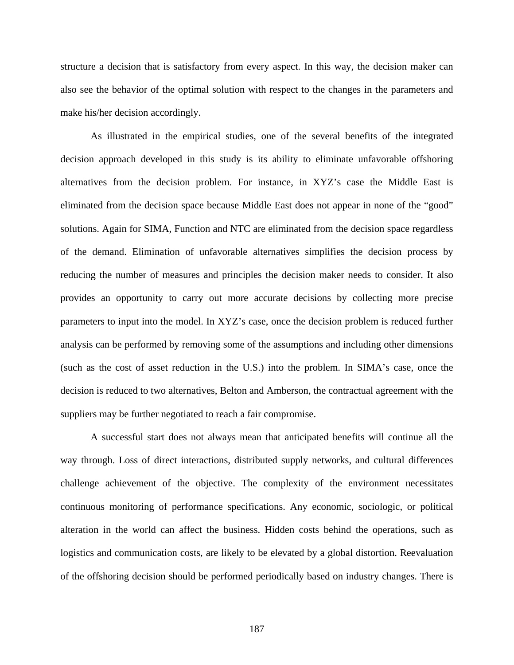structure a decision that is satisfactory from every aspect. In this way, the decision maker can also see the behavior of the optimal solution with respect to the changes in the parameters and make his/her decision accordingly.

As illustrated in the empirical studies, one of the several benefits of the integrated decision approach developed in this study is its ability to eliminate unfavorable offshoring alternatives from the decision problem. For instance, in XYZ's case the Middle East is eliminated from the decision space because Middle East does not appear in none of the "good" solutions. Again for SIMA, Function and NTC are eliminated from the decision space regardless of the demand. Elimination of unfavorable alternatives simplifies the decision process by reducing the number of measures and principles the decision maker needs to consider. It also provides an opportunity to carry out more accurate decisions by collecting more precise parameters to input into the model. In XYZ's case, once the decision problem is reduced further analysis can be performed by removing some of the assumptions and including other dimensions (such as the cost of asset reduction in the U.S.) into the problem. In SIMA's case, once the decision is reduced to two alternatives, Belton and Amberson, the contractual agreement with the suppliers may be further negotiated to reach a fair compromise.

A successful start does not always mean that anticipated benefits will continue all the way through. Loss of direct interactions, distributed supply networks, and cultural differences challenge achievement of the objective. The complexity of the environment necessitates continuous monitoring of performance specifications. Any economic, sociologic, or political alteration in the world can affect the business. Hidden costs behind the operations, such as logistics and communication costs, are likely to be elevated by a global distortion. Reevaluation of the offshoring decision should be performed periodically based on industry changes. There is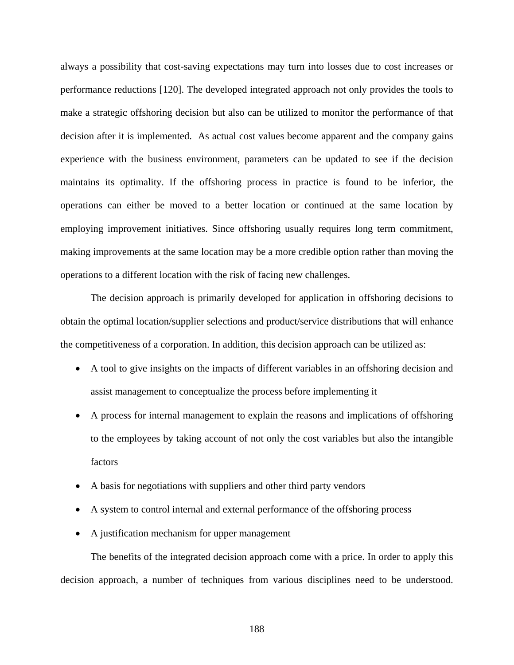always a possibility that cost-saving expectations may turn into losses due to cost increases or performance reductions [[1](#page-218-0)20]. The developed integrated approach not only provides the tools to make a strategic offshoring decision but also can be utilized to monitor the performance of that decision after it is implemented. As actual cost values become apparent and the company gains experience with the business environment, parameters can be updated to see if the decision maintains its optimality. If the offshoring process in practice is found to be inferior, the operations can either be moved to a better location or continued at the same location by employing improvement initiatives. Since offshoring usually requires long term commitment, making improvements at the same location may be a more credible option rather than moving the operations to a different location with the risk of facing new challenges.

The decision approach is primarily developed for application in offshoring decisions to obtain the optimal location/supplier selections and product/service distributions that will enhance the competitiveness of a corporation. In addition, this decision approach can be utilized as:

- A tool to give insights on the impacts of different variables in an offshoring decision and assist management to conceptualize the process before implementing it
- A process for internal management to explain the reasons and implications of offshoring to the employees by taking account of not only the cost variables but also the intangible factors
- A basis for negotiations with suppliers and other third party vendors
- A system to control internal and external performance of the offshoring process
- A justification mechanism for upper management

The benefits of the integrated decision approach come with a price. In order to apply this decision approach, a number of techniques from various disciplines need to be understood.

188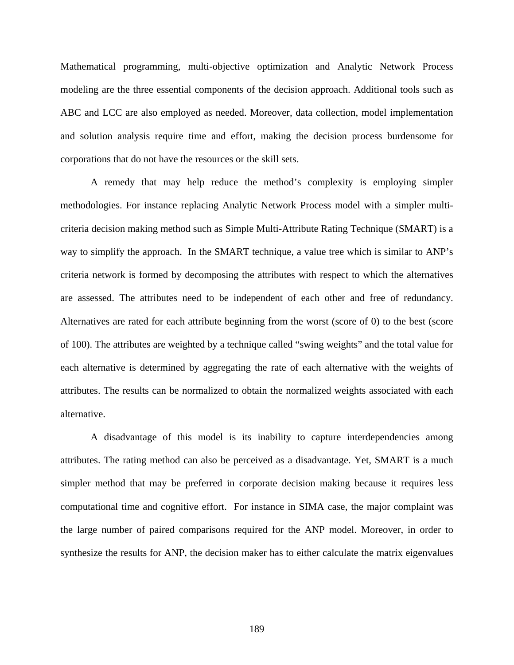Mathematical programming, multi-objective optimization and Analytic Network Process modeling are the three essential components of the decision approach. Additional tools such as ABC and LCC are also employed as needed. Moreover, data collection, model implementation and solution analysis require time and effort, making the decision process burdensome for corporations that do not have the resources or the skill sets.

A remedy that may help reduce the method's complexity is employing simpler methodologies. For instance replacing Analytic Network Process model with a simpler multicriteria decision making method such as Simple Multi-Attribute Rating Technique (SMART) is a way to simplify the approach. In the SMART technique, a value tree which is similar to ANP's criteria network is formed by decomposing the attributes with respect to which the alternatives are assessed. The attributes need to be independent of each other and free of redundancy. Alternatives are rated for each attribute beginning from the worst (score of 0) to the best (score of 100). The attributes are weighted by a technique called "swing weights" and the total value for each alternative is determined by aggregating the rate of each alternative with the weights of attributes. The results can be normalized to obtain the normalized weights associated with each alternative.

A disadvantage of this model is its inability to capture interdependencies among attributes. The rating method can also be perceived as a disadvantage. Yet, SMART is a much simpler method that may be preferred in corporate decision making because it requires less computational time and cognitive effort. For instance in SIMA case, the major complaint was the large number of paired comparisons required for the ANP model. Moreover, in order to synthesize the results for ANP, the decision maker has to either calculate the matrix eigenvalues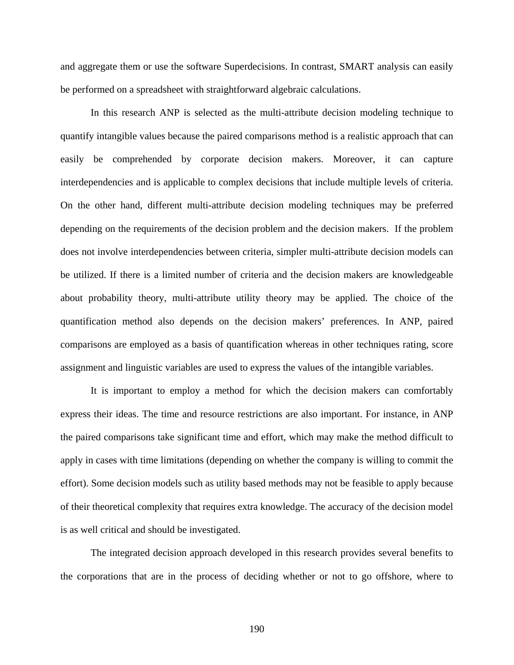and aggregate them or use the software Superdecisions. In contrast, SMART analysis can easily be performed on a spreadsheet with straightforward algebraic calculations.

In this research ANP is selected as the multi-attribute decision modeling technique to quantify intangible values because the paired comparisons method is a realistic approach that can easily be comprehended by corporate decision makers. Moreover, it can capture interdependencies and is applicable to complex decisions that include multiple levels of criteria. On the other hand, different multi-attribute decision modeling techniques may be preferred depending on the requirements of the decision problem and the decision makers. If the problem does not involve interdependencies between criteria, simpler multi-attribute decision models can be utilized. If there is a limited number of criteria and the decision makers are knowledgeable about probability theory, multi-attribute utility theory may be applied. The choice of the quantification method also depends on the decision makers' preferences. In ANP, paired comparisons are employed as a basis of quantification whereas in other techniques rating, score assignment and linguistic variables are used to express the values of the intangible variables.

It is important to employ a method for which the decision makers can comfortably express their ideas. The time and resource restrictions are also important. For instance, in ANP the paired comparisons take significant time and effort, which may make the method difficult to apply in cases with time limitations (depending on whether the company is willing to commit the effort). Some decision models such as utility based methods may not be feasible to apply because of their theoretical complexity that requires extra knowledge. The accuracy of the decision model is as well critical and should be investigated.

The integrated decision approach developed in this research provides several benefits to the corporations that are in the process of deciding whether or not to go offshore, where to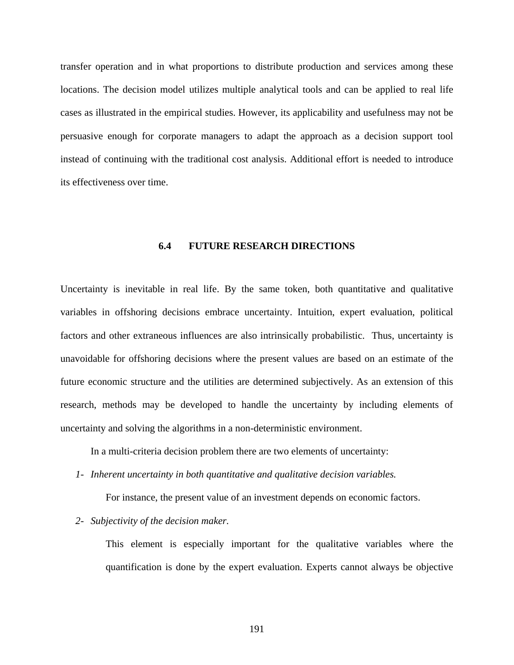transfer operation and in what proportions to distribute production and services among these locations. The decision model utilizes multiple analytical tools and can be applied to real life cases as illustrated in the empirical studies. However, its applicability and usefulness may not be persuasive enough for corporate managers to adapt the approach as a decision support tool instead of continuing with the traditional cost analysis. Additional effort is needed to introduce its effectiveness over time.

#### **6.4 FUTURE RESEARCH DIRECTIONS**

Uncertainty is inevitable in real life. By the same token, both quantitative and qualitative variables in offshoring decisions embrace uncertainty. Intuition, expert evaluation, political factors and other extraneous influences are also intrinsically probabilistic. Thus, uncertainty is unavoidable for offshoring decisions where the present values are based on an estimate of the future economic structure and the utilities are determined subjectively. As an extension of this research, methods may be developed to handle the uncertainty by including elements of uncertainty and solving the algorithms in a non-deterministic environment.

In a multi-criteria decision problem there are two elements of uncertainty:

*1- Inherent uncertainty in both quantitative and qualitative decision variables.* 

For instance, the present value of an investment depends on economic factors.

*2- Subjectivity of the decision maker.* 

This element is especially important for the qualitative variables where the quantification is done by the expert evaluation. Experts cannot always be objective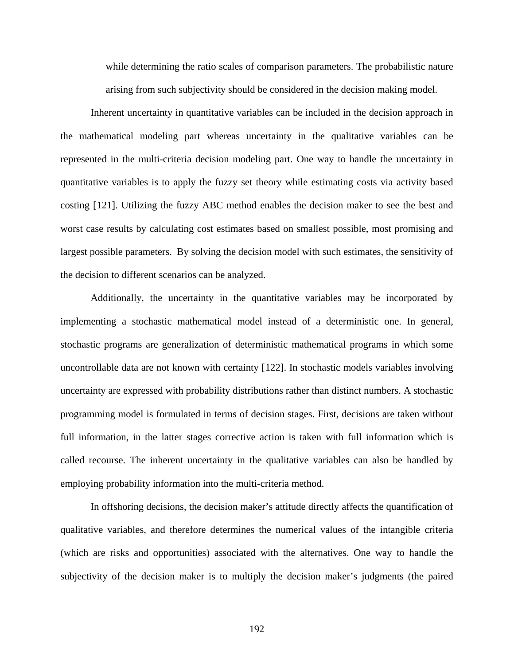while determining the ratio scales of comparison parameters. The probabilistic nature arising from such subjectivity should be considered in the decision making model.

Inherent uncertainty in quantitative variables can be included in the decision approach in the mathematical modeling part whereas uncertainty in the qualitative variables can be represented in the multi-criteria decision modeling part. One way to handle the uncertainty in quantitative variables is to apply the fuzzy set theory while estimating costs via activity based costing [[1](#page-218-0)21]. Utilizing the fuzzy ABC method enables the decision maker to see the best and worst case results by calculating cost estimates based on smallest possible, most promising and largest possible parameters. By solving the decision model with such estimates, the sensitivity of the decision to different scenarios can be analyzed.

Additionally, the uncertainty in the quantitative variables may be incorporated by implementing a stochastic mathematical model instead of a deterministic one. In general, stochastic programs are generalization of deterministic mathematical programs in which some uncontrollable data are not known with certainty [[1](#page-218-0)22]. In stochastic models variables involving uncertainty are expressed with probability distributions rather than distinct numbers. A stochastic programming model is formulated in terms of decision stages. First, decisions are taken without full information, in the latter stages corrective action is taken with full information which is called recourse. The inherent uncertainty in the qualitative variables can also be handled by employing probability information into the multi-criteria method.

In offshoring decisions, the decision maker's attitude directly affects the quantification of qualitative variables, and therefore determines the numerical values of the intangible criteria (which are risks and opportunities) associated with the alternatives. One way to handle the subjectivity of the decision maker is to multiply the decision maker's judgments (the paired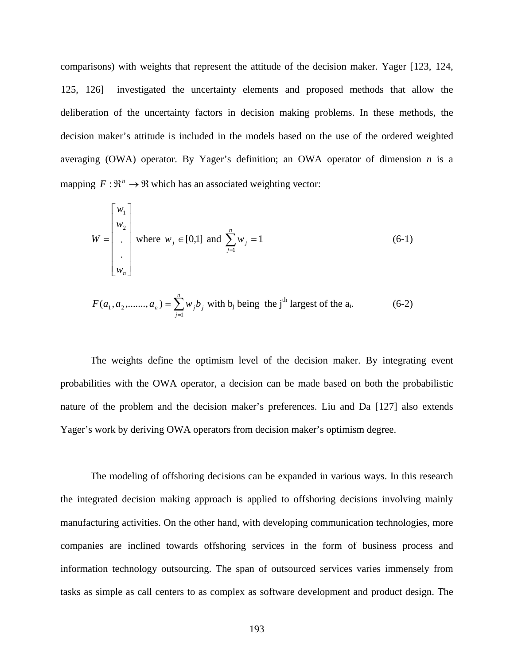comparisons) with weights that represent the attitude of the decision maker. Yager [[1](#page-218-0)23, [12](#page-218-0)4, [12](#page-218-0)5, [12](#page-218-0)6] investigated the uncertainty elements and proposed methods that allow the deliberation of the uncertainty factors in decision making problems. In these methods, the decision maker's attitude is included in the models based on the use of the ordered weighted averaging (OWA) operator. By Yager's definition; an OWA operator of dimension *n* is a mapping  $F: \mathbb{R}^n \to \mathbb{R}$  which has an associated weighting vector:

$$
W = \begin{bmatrix} w_1 \\ w_2 \\ \vdots \\ w_n \end{bmatrix}
$$
 where  $w_j \in [0,1]$  and  $\sum_{j=1}^n w_j = 1$  (6-1)

$$
F(a_1, a_2, \dots, a_n) = \sum_{j=1}^{n} w_j b_j
$$
 with b\_j being the j<sup>th</sup> largest of the a<sub>i</sub>. (6-2)

The weights define the optimism level of the decision maker. By integrating event probabilities with the OWA operator, a decision can be made based on both the probabilistic nature of the problem and the decision maker's preferences. Liu and Da [[1](#page-218-0)27] also extends Yager's work by deriving OWA operators from decision maker's optimism degree.

The modeling of offshoring decisions can be expanded in various ways. In this research the integrated decision making approach is applied to offshoring decisions involving mainly manufacturing activities. On the other hand, with developing communication technologies, more companies are inclined towards offshoring services in the form of business process and information technology outsourcing. The span of outsourced services varies immensely from tasks as simple as call centers to as complex as software development and product design. The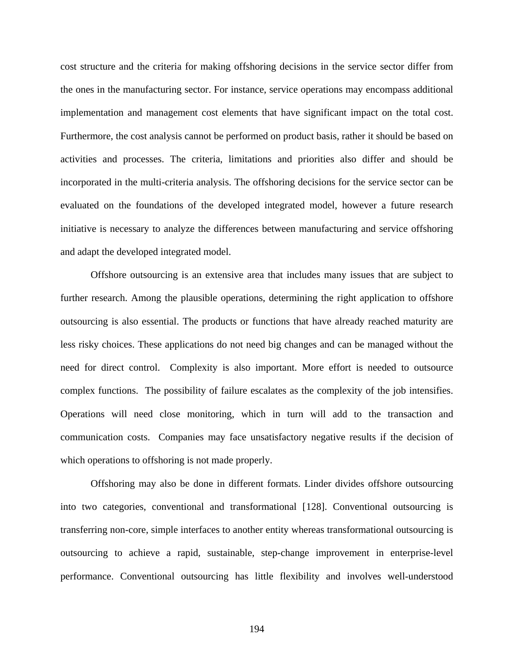cost structure and the criteria for making offshoring decisions in the service sector differ from the ones in the manufacturing sector. For instance, service operations may encompass additional implementation and management cost elements that have significant impact on the total cost. Furthermore, the cost analysis cannot be performed on product basis, rather it should be based on activities and processes. The criteria, limitations and priorities also differ and should be incorporated in the multi-criteria analysis. The offshoring decisions for the service sector can be evaluated on the foundations of the developed integrated model, however a future research initiative is necessary to analyze the differences between manufacturing and service offshoring and adapt the developed integrated model.

Offshore outsourcing is an extensive area that includes many issues that are subject to further research. Among the plausible operations, determining the right application to offshore outsourcing is also essential. The products or functions that have already reached maturity are less risky choices. These applications do not need big changes and can be managed without the need for direct control. Complexity is also important. More effort is needed to outsource complex functions. The possibility of failure escalates as the complexity of the job intensifies. Operations will need close monitoring, which in turn will add to the transaction and communication costs. Companies may face unsatisfactory negative results if the decision of which operations to offshoring is not made properly.

Offshoring may also be done in different formats. Linder divides offshore outsourcing into two categories, conventional and transformational [[12](#page-218-0)8]. Conventional outsourcing is transferring non-core, simple interfaces to another entity whereas transformational outsourcing is outsourcing to achieve a rapid, sustainable, step-change improvement in enterprise-level performance. Conventional outsourcing has little flexibility and involves well-understood

194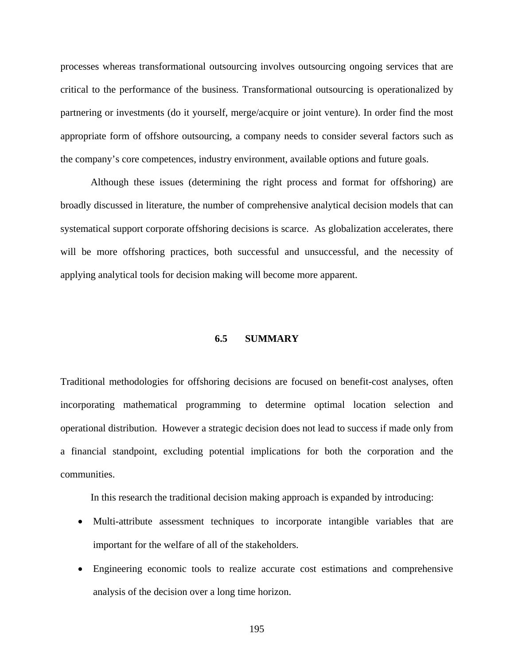processes whereas transformational outsourcing involves outsourcing ongoing services that are critical to the performance of the business. Transformational outsourcing is operationalized by partnering or investments (do it yourself, merge/acquire or joint venture). In order find the most appropriate form of offshore outsourcing, a company needs to consider several factors such as the company's core competences, industry environment, available options and future goals.

Although these issues (determining the right process and format for offshoring) are broadly discussed in literature, the number of comprehensive analytical decision models that can systematical support corporate offshoring decisions is scarce. As globalization accelerates, there will be more offshoring practices, both successful and unsuccessful, and the necessity of applying analytical tools for decision making will become more apparent.

## **6.5 SUMMARY**

Traditional methodologies for offshoring decisions are focused on benefit-cost analyses, often incorporating mathematical programming to determine optimal location selection and operational distribution. However a strategic decision does not lead to success if made only from a financial standpoint, excluding potential implications for both the corporation and the communities.

In this research the traditional decision making approach is expanded by introducing:

- Multi-attribute assessment techniques to incorporate intangible variables that are important for the welfare of all of the stakeholders.
- Engineering economic tools to realize accurate cost estimations and comprehensive analysis of the decision over a long time horizon.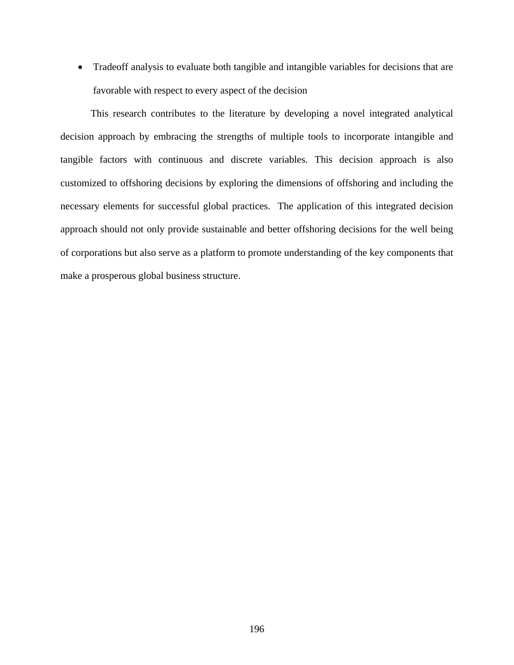• Tradeoff analysis to evaluate both tangible and intangible variables for decisions that are favorable with respect to every aspect of the decision

This research contributes to the literature by developing a novel integrated analytical decision approach by embracing the strengths of multiple tools to incorporate intangible and tangible factors with continuous and discrete variables. This decision approach is also customized to offshoring decisions by exploring the dimensions of offshoring and including the necessary elements for successful global practices. The application of this integrated decision approach should not only provide sustainable and better offshoring decisions for the well being of corporations but also serve as a platform to promote understanding of the key components that make a prosperous global business structure.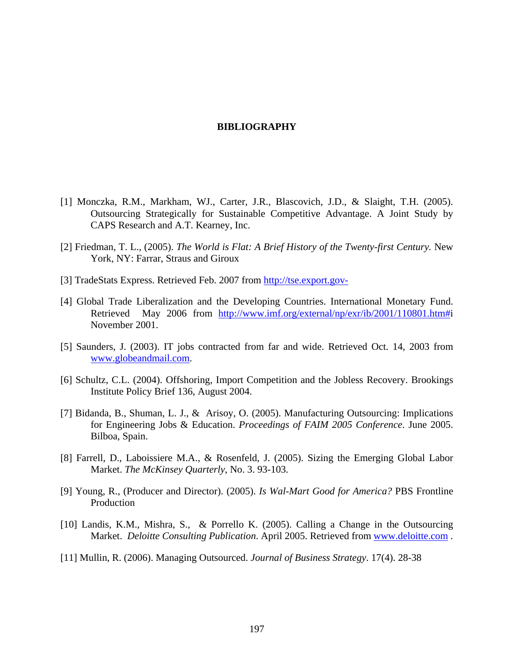#### **BIBLIOGRAPHY**

- [1] Monczka, R.M., Markham, WJ., Carter, J.R., Blascovich, J.D., & Slaight, T.H. (2005). Outsourcing Strategically for Sustainable Competitive Advantage. A Joint Study by CAPS Research and A.T. Kearney, Inc.
- [2] Friedman, T. L., (2005). *The World is Flat: A Brief History of the Twenty-first Century.* New York, NY: Farrar, Straus and Giroux
- [3] TradeStats Express. Retrieved Feb. 2007 from http://tse.export.gov-
- [4] Global Trade Liberalization and the Developing Countries. International Monetary Fund. Retrieved May 2006 from http://www.imf.org/external/np/exr/ib/2001/110801.htm#i November 2001.
- [5] Saunders, J. (2003). IT jobs contracted from far and wide. Retrieved Oct. 14, 2003 from www.globeandmail.com.
- [6] Schultz, C.L. (2004). Offshoring, Import Competition and the Jobless Recovery. Brookings Institute Policy Brief 136, August 2004.
- [7] Bidanda, B., Shuman, L. J., & Arisoy, O. (2005). Manufacturing Outsourcing: Implications for Engineering Jobs & Education. *Proceedings of FAIM 2005 Conference*. June 2005. Bilboa, Spain.
- [8] Farrell, D., Laboissiere M.A., & Rosenfeld, J. (2005). Sizing the Emerging Global Labor Market. *The McKinsey Quarterly*, No. 3. 93-103.
- [9] Young, R., (Producer and Director). (2005). *Is Wal-Mart Good for America?* PBS Frontline Production
- [10] Landis, K.M., Mishra, S., & Porrello K. (2005). Calling a Change in the Outsourcing Market. *Deloitte Consulting Publication*. April 2005. Retrieved from www.deloitte.com .
- [11] Mullin, R. (2006). Managing Outsourced. *Journal of Business Strategy*. 17(4). 28-38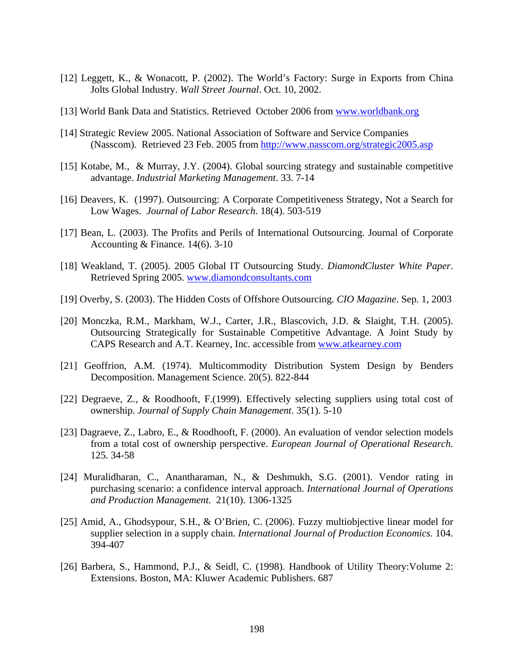- [12] Leggett, K., & Wonacott, P. (2002). The World's Factory: Surge in Exports from China Jolts Global Industry. *Wall Street Journal*. Oct. 10, 2002.
- [13] World Bank Data and Statistics. Retrieved October 2006 from www.worldbank.org
- [14] Strategic Review 2005. National Association of Software and Service Companies (Nasscom). Retrieved 23 Feb. 2005 from http://www.nasscom.org/strategic2005.asp
- [15] Kotabe, M., & Murray, J.Y. (2004). Global sourcing strategy and sustainable competitive advantage. *Industrial Marketing Management*. 33. 7-14
- [16] Deavers, K. (1997). Outsourcing: A Corporate Competitiveness Strategy, Not a Search for Low Wages. *Journal of Labor Research*. 18(4). 503-519
- [17] Bean, L. (2003). The Profits and Perils of International Outsourcing. Journal of Corporate Accounting & Finance. 14(6). 3-10
- [18] Weakland, T. (2005). 2005 Global IT Outsourcing Study. *DiamondCluster White Paper*. Retrieved Spring 2005. www.diamondconsultants.com
- [19] Overby, S. (2003). The Hidden Costs of Offshore Outsourcing. *CIO Magazine*. Sep. 1, 2003
- [20] Monczka, R.M., Markham, W.J., Carter, J.R., Blascovich, J.D. & Slaight, T.H. (2005). Outsourcing Strategically for Sustainable Competitive Advantage. A Joint Study by CAPS Research and A.T. Kearney, Inc. accessible from www.atkearney.com
- [21] Geoffrion, A.M. (1974). Multicommodity Distribution System Design by Benders Decomposition. Management Science. 20(5). 822-844
- [22] Degraeve, Z., & Roodhooft, F.(1999). Effectively selecting suppliers using total cost of ownership. *Journal of Supply Chain Management*. 35(1). 5-10
- [23] Dagraeve, Z., Labro, E., & Roodhooft, F. (2000). An evaluation of vendor selection models from a total cost of ownership perspective. *European Journal of Operational Research*. 125. 34-58
- [24] Muralidharan, C., Anantharaman, N., & Deshmukh, S.G. (2001). Vendor rating in purchasing scenario: a confidence interval approach. *International Journal of Operations and Production Management.* 21(10). 1306-1325
- [25] Amid, A., Ghodsypour, S.H., & O'Brien, C. (2006). Fuzzy multiobjective linear model for supplier selection in a supply chain. *International Journal of Production Economics.* 104. 394-407
- [26] Barbera, S., Hammond, P.J., & Seidl, C. (1998). Handbook of Utility Theory:Volume 2: Extensions. Boston, MA: Kluwer Academic Publishers. 687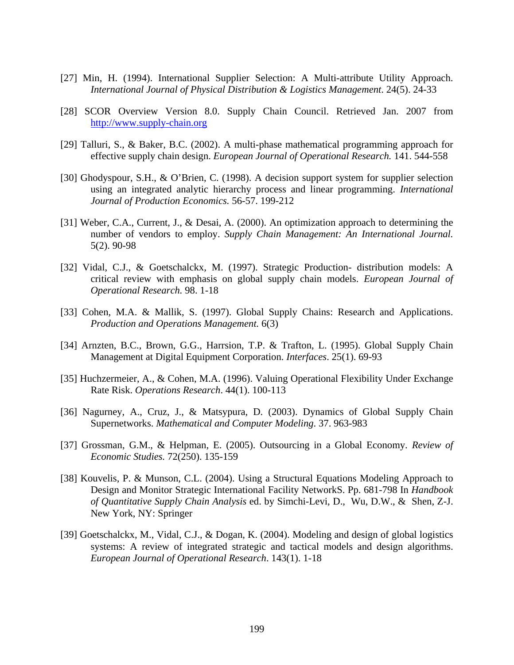- [27] Min, H. (1994). International Supplier Selection: A Multi-attribute Utility Approach. *International Journal of Physical Distribution & Logistics Management*. 24(5). 24-33
- [28] SCOR Overview Version 8.0. Supply Chain Council. Retrieved Jan. 2007 from http://www.supply-chain.org
- [29] Talluri, S., & Baker, B.C. (2002). A multi-phase mathematical programming approach for effective supply chain design. *European Journal of Operational Research.* 141. 544-558
- [30] Ghodyspour, S.H., & O'Brien, C. (1998). A decision support system for supplier selection using an integrated analytic hierarchy process and linear programming. *International Journal of Production Economics.* 56-57. 199-212
- [31] Weber, C.A., Current, J., & Desai, A. (2000). An optimization approach to determining the number of vendors to employ. *Supply Chain Management: An International Journal.* 5(2). 90-98
- [32] Vidal, C.J., & Goetschalckx, M. (1997). Strategic Production- distribution models: A critical review with emphasis on global supply chain models. *European Journal of Operational Research.* 98. 1-18
- [33] Cohen, M.A. & Mallik, S. (1997). Global Supply Chains: Research and Applications. *Production and Operations Management.* 6(3)
- [34] Arnzten, B.C., Brown, G.G., Harrsion, T.P. & Trafton, L. (1995). Global Supply Chain Management at Digital Equipment Corporation. *Interfaces*. 25(1). 69-93
- [35] Huchzermeier, A., & Cohen, M.A. (1996). Valuing Operational Flexibility Under Exchange Rate Risk. *Operations Research*. 44(1). 100-113
- [36] Nagurney, A., Cruz, J., & Matsypura, D. (2003). Dynamics of Global Supply Chain Supernetworks. *Mathematical and Computer Modeling*. 37. 963-983
- [37] Grossman, G.M., & Helpman, E. (2005). Outsourcing in a Global Economy. *Review of Economic Studies.* 72(250). 135-159
- [38] Kouvelis, P. & Munson, C.L. (2004). Using a Structural Equations Modeling Approach to Design and Monitor Strategic International Facility NetworkS. Pp. 681-798 In *Handbook of Quantitative Supply Chain Analysis* ed. by Simchi-Levi, D., Wu, D.W., & Shen, Z-J. New York, NY: Springer
- [39] Goetschalckx, M., Vidal, C.J., & Dogan, K. (2004). Modeling and design of global logistics systems: A review of integrated strategic and tactical models and design algorithms. *European Journal of Operational Research*. 143(1). 1-18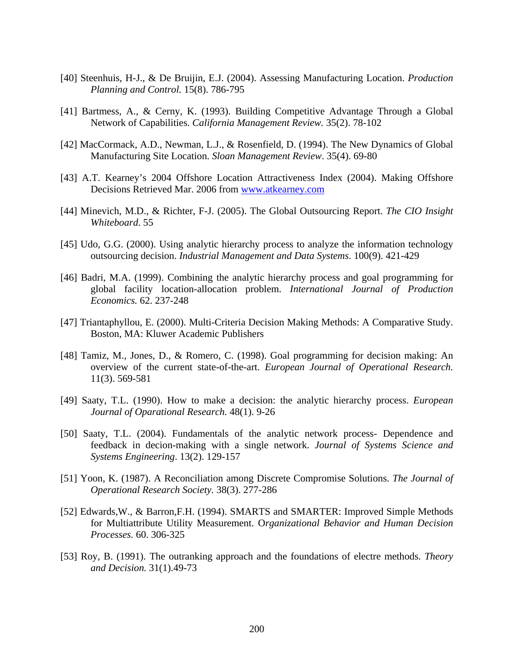- [40] Steenhuis, H-J., & De Bruijin, E.J. (2004). Assessing Manufacturing Location. *Production Planning and Control.* 15(8). 786-795
- [41] Bartmess, A., & Cerny, K. (1993). Building Competitive Advantage Through a Global Network of Capabilities. *California Management Review.* 35(2). 78-102
- [42] MacCormack, A.D., Newman, L.J., & Rosenfield, D. (1994). The New Dynamics of Global Manufacturing Site Location. *Sloan Management Review*. 35(4). 69-80
- [43] A.T. Kearney's 2004 Offshore Location Attractiveness Index (2004). Making Offshore Decisions Retrieved Mar. 2006 from www.atkearney.com
- [44] Minevich, M.D., & Richter, F-J. (2005). The Global Outsourcing Report. *The CIO Insight Whiteboard*. 55
- [45] Udo, G.G. (2000). Using analytic hierarchy process to analyze the information technology outsourcing decision. *Industrial Management and Data Systems*. 100(9). 421-429
- [46] Badri, M.A. (1999). Combining the analytic hierarchy process and goal programming for global facility location-allocation problem. *International Journal of Production Economics.* 62. 237-248
- [47] Triantaphyllou, E. (2000). Multi-Criteria Decision Making Methods: A Comparative Study. Boston, MA: Kluwer Academic Publishers
- [48] Tamiz, M., Jones, D., & Romero, C. (1998). Goal programming for decision making: An overview of the current state-of-the-art. *European Journal of Operational Research.* 11(3). 569-581
- [49] Saaty, T.L. (1990). How to make a decision: the analytic hierarchy process. *European Journal of Oparational Research.* 48(1). 9-26
- [50] Saaty, T.L. (2004). Fundamentals of the analytic network process- Dependence and feedback in decion-making with a single network. *Journal of Systems Science and Systems Engineering*. 13(2). 129-157
- [51] Yoon, K. (1987). A Reconciliation among Discrete Compromise Solutions. *The Journal of Operational Research Society.* 38(3). 277-286
- [52] Edwards,W., & Barron,F.H. (1994). SMARTS and SMARTER: Improved Simple Methods for Multiattribute Utility Measurement. O*rganizational Behavior and Human Decision Processes.* 60. 306-325
- [53] Roy, B. (1991). The outranking approach and the foundations of electre methods. *Theory and Decision.* 31(1).49-73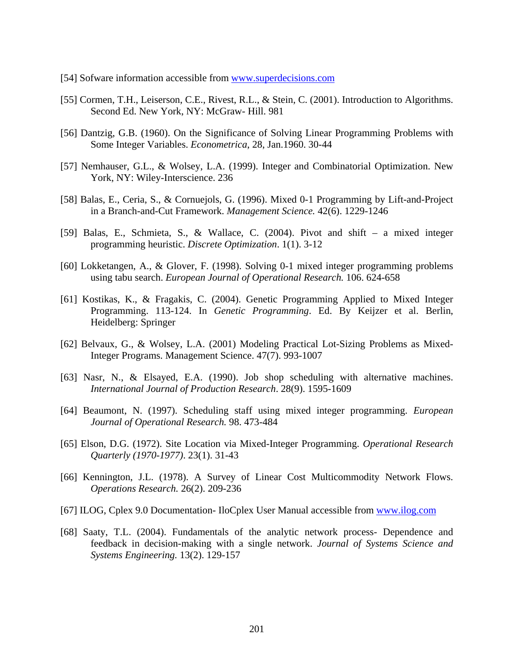- [54] Sofware information accessible from www.superdecisions.com
- [55] Cormen, T.H., Leiserson, C.E., Rivest, R.L., & Stein, C. (2001). Introduction to Algorithms. Second Ed. New York, NY: McGraw- Hill. 981
- [56] Dantzig, G.B. (1960). On the Significance of Solving Linear Programming Problems with Some Integer Variables. *Econometrica*, 28, Jan.1960. 30-44
- [57] Nemhauser, G.L., & Wolsey, L.A. (1999). Integer and Combinatorial Optimization. New York, NY: Wiley-Interscience. 236
- [58] Balas, E., Ceria, S., & Cornuejols, G. (1996). Mixed 0-1 Programming by Lift-and-Project in a Branch-and-Cut Framework. *Management Science.* 42(6). 1229-1246
- [59] Balas, E., Schmieta, S., & Wallace, C. (2004). Pivot and shift a mixed integer programming heuristic. *Discrete Optimization*. 1(1). 3-12
- [60] Lokketangen, A., & Glover, F. (1998). Solving 0-1 mixed integer programming problems using tabu search. *European Journal of Operational Research.* 106. 624-658
- [61] Kostikas, K., & Fragakis, C. (2004). Genetic Programming Applied to Mixed Integer Programming. 113-124. In *Genetic Programming*. Ed. By Keijzer et al. Berlin, Heidelberg: Springer
- [62] Belvaux, G., & Wolsey, L.A. (2001) Modeling Practical Lot-Sizing Problems as Mixed-Integer Programs. Management Science. 47(7). 993-1007
- [63] Nasr, N., & Elsayed, E.A. (1990). Job shop scheduling with alternative machines. *International Journal of Production Research*. 28(9). 1595-1609
- [64] Beaumont, N. (1997). Scheduling staff using mixed integer programming. *European Journal of Operational Research.* 98. 473-484
- [65] Elson, D.G. (1972). Site Location via Mixed-Integer Programming. *Operational Research Quarterly (1970-1977)*. 23(1). 31-43
- [66] Kennington, J.L. (1978). A Survey of Linear Cost Multicommodity Network Flows. *Operations Research.* 26(2). 209-236
- [67] ILOG, Cplex 9.0 Documentation- IloCplex User Manual accessible from www.ilog.com
- [68] Saaty, T.L. (2004). Fundamentals of the analytic network process- Dependence and feedback in decision-making with a single network. *Journal of Systems Science and Systems Engineering.* 13(2). 129-157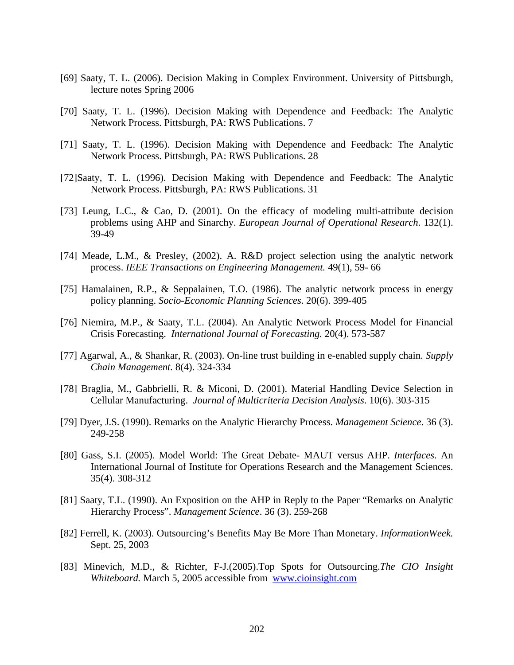- [69] Saaty, T. L. (2006). Decision Making in Complex Environment. University of Pittsburgh, lecture notes Spring 2006
- [70] Saaty, T. L. (1996). Decision Making with Dependence and Feedback: The Analytic Network Process. Pittsburgh, PA: RWS Publications. 7
- [71] Saaty, T. L. (1996). Decision Making with Dependence and Feedback: The Analytic Network Process. Pittsburgh, PA: RWS Publications. 28
- [72]Saaty, T. L. (1996). Decision Making with Dependence and Feedback: The Analytic Network Process. Pittsburgh, PA: RWS Publications. 31
- [73] Leung, L.C., & Cao, D. (2001). On the efficacy of modeling multi-attribute decision problems using AHP and Sinarchy. *European Journal of Operational Research*. 132(1). 39-49
- [74] Meade, L.M., & Presley, (2002). A. R&D project selection using the analytic network process. *IEEE Transactions on Engineering Management.* 49(1), 59- 66
- [75] Hamalainen, R.P., & Seppalainen, T.O. (1986). The analytic network process in energy policy planning. *Socio-Economic Planning Sciences*. 20(6). 399-405
- [76] Niemira, M.P., & Saaty, T.L. (2004). An Analytic Network Process Model for Financial Crisis Forecasting. *International Journal of Forecasting.* 20(4). 573-587
- [77] Agarwal, A., & Shankar, R. (2003). On-line trust building in e-enabled supply chain. *Supply Chain Management.* 8(4). 324-334
- [78] Braglia, M., Gabbrielli, R. & Miconi, D. (2001). Material Handling Device Selection in Cellular Manufacturing. *Journal of Multicriteria Decision Analysis*. 10(6). 303-315
- [79] Dyer, J.S. (1990). Remarks on the Analytic Hierarchy Process. *Management Science*. 36 (3). 249-258
- [80] Gass, S.I. (2005). Model World: The Great Debate- MAUT versus AHP. *Interfaces*. An International Journal of Institute for Operations Research and the Management Sciences. 35(4). 308-312
- [81] Saaty, T.L. (1990). An Exposition on the AHP in Reply to the Paper "Remarks on Analytic Hierarchy Process". *Management Science*. 36 (3). 259-268
- [82] Ferrell, K. (2003). Outsourcing's Benefits May Be More Than Monetary. *InformationWeek.* Sept. 25, 2003
- [83] Minevich, M.D., & Richter, F-J.(2005).Top Spots for Outsourcing.*The CIO Insight Whiteboard.* March 5, 2005 accessible from www.cioinsight.com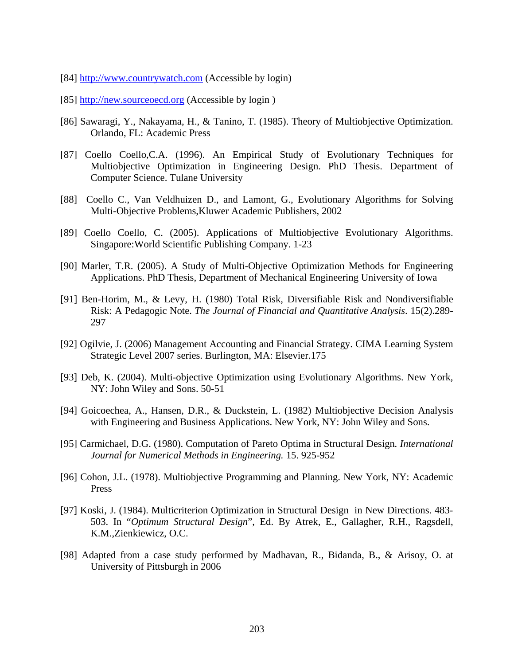- [84] http://www.countrywatch.com (Accessible by login)
- [85]  $\frac{http://new.sourceoecd.org}{http://new.sourceoecd.org}$  (Accessible by login)
- [86] Sawaragi, Y., Nakayama, H., & Tanino, T. (1985). Theory of Multiobjective Optimization. Orlando, FL: Academic Press
- [87] Coello Coello,C.A. (1996). An Empirical Study of Evolutionary Techniques for Multiobjective Optimization in Engineering Design. PhD Thesis. Department of Computer Science. Tulane University
- [88] Coello C., Van Veldhuizen D., and Lamont, G., Evolutionary Algorithms for Solving Multi-Objective Problems,Kluwer Academic Publishers, 2002
- [89] Coello Coello, C. (2005). Applications of Multiobjective Evolutionary Algorithms. Singapore:World Scientific Publishing Company. 1-23
- [90] Marler, T.R. (2005). A Study of Multi-Objective Optimization Methods for Engineering Applications. PhD Thesis, Department of Mechanical Engineering University of Iowa
- [91] Ben-Horim, M., & Levy, H. (1980) Total Risk, Diversifiable Risk and Nondiversifiable Risk: A Pedagogic Note. *The Journal of Financial and Quantitative Analysis*. 15(2).289- 297
- [92] Ogilvie, J. (2006) Management Accounting and Financial Strategy. CIMA Learning System Strategic Level 2007 series. Burlington, MA: Elsevier.175
- [93] Deb, K. (2004). Multi-objective Optimization using Evolutionary Algorithms. New York, NY: John Wiley and Sons. 50-51
- [94] Goicoechea, A., Hansen, D.R., & Duckstein, L. (1982) Multiobjective Decision Analysis with Engineering and Business Applications. New York, NY: John Wiley and Sons.
- [95] Carmichael, D.G. (1980). Computation of Pareto Optima in Structural Design*. International Journal for Numerical Methods in Engineering.* 15. 925-952
- [96] Cohon, J.L. (1978). Multiobjective Programming and Planning. New York, NY: Academic Press
- [97] Koski, J. (1984). Multicriterion Optimization in Structural Design in New Directions. 483- 503. In "*Optimum Structural Design*", Ed. By Atrek, E., Gallagher, R.H., Ragsdell, K.M.,Zienkiewicz, O.C.
- [98] Adapted from a case study performed by Madhavan, R., Bidanda, B., & Arisoy, O. at University of Pittsburgh in 2006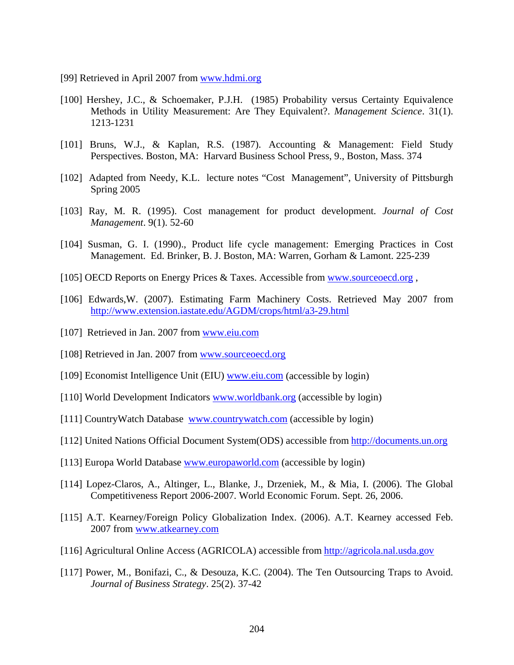- [99] Retrieved in April 2007 from www.hdmi.org
- [100] Hershey, J.C., & Schoemaker, P.J.H. (1985) Probability versus Certainty Equivalence Methods in Utility Measurement: Are They Equivalent?. *Management Science*. 31(1). 1213-1231
- [101] Bruns, W.J., & Kaplan, R.S. (1987). Accounting & Management: Field Study Perspectives. Boston, MA: Harvard Business School Press, 9., Boston, Mass. 374
- [102] Adapted from Needy, K.L. lecture notes "Cost Management", University of Pittsburgh Spring 2005
- [103] Ray, M. R. (1995). Cost management for product development. *Journal of Cost Management*. 9(1). 52-60
- [104] Susman, G. I. (1990)., Product life cycle management: Emerging Practices in Cost Management. Ed. Brinker, B. J. Boston, MA: Warren, Gorham & Lamont. 225-239
- [105] OECD Reports on Energy Prices & Taxes. Accessible from www.sourceoecd.org ,
- [106] Edwards,W. (2007). Estimating Farm Machinery Costs. Retrieved May 2007 from http://www.extension.iastate.edu/AGDM/crops/html/a3-29.html
- [107] Retrieved in Jan. 2007 from www.eiu.com
- [108] Retrieved in Jan. 2007 from www.sourceoecd.org
- [109] Economist Intelligence Unit (EIU) www.eiu.com (accessible by login)
- [110] World Development Indicators www.worldbank.org (accessible by login)
- [111] CountryWatch Database www.countrywatch.com (accessible by login)
- [112] United Nations Official Document System(ODS) accessible from http://documents.un.org
- [113] Europa World Database www.europaworld.com (accessible by login)
- [114] Lopez-Claros, A., Altinger, L., Blanke, J., Drzeniek, M., & Mia, I. (2006). The Global Competitiveness Report 2006-2007. World Economic Forum. Sept. 26, 2006.
- [115] A.T. Kearney/Foreign Policy Globalization Index. (2006). A.T. Kearney accessed Feb. 2007 from www.atkearney.com
- [116] Agricultural Online Access (AGRICOLA) accessible from http://agricola.nal.usda.gov
- [117] Power, M., Bonifazi, C., & Desouza, K.C. (2004). The Ten Outsourcing Traps to Avoid. *Journal of Business Strategy*. 25(2). 37-42